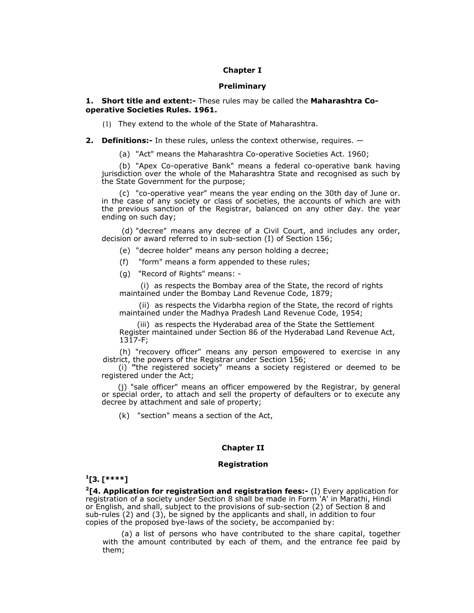# **Chapter I**

### **Preliminary**

### **1. Short title and extent:-** These rules may be called the **Maharashtra Cooperative Societies Rules. 1961.**

(1) They extend to the whole of the State of Maharashtra.

**2. Definitions:-** In these rules, unless the context otherwise, requires. —

(a) "Act" means the Maharashtra Co-operative Societies Act. 1960;

(b) "Apex Co-operative Bank" means a federal co-operative bank having jurisdiction over the whole of the Maharashtra State and recognised as such by the State Government for the purpose;

(c) "co-operative year" means the year ending on the 30th day of June or. in the case of any society or class of societies, the accounts of which are with the previous sanction of the Registrar, balanced on any other day. the year ending on such day;

 (d) "decree" means any decree of a Civil Court, and includes any order, decision or award referred to in sub-section (I) of Section 156;

(e) "decree holder" means any person holding a decree;

- (f)"form" means a form appended to these rules;
- (g) "Record of Rights" means: -

(i) as respects the Bombay area of the State, the record of rights maintained under the Bombay Land Revenue Code, 1879;

(ii) as respects the Vidarbha region of the State, the record of rights maintained under the Madhya Pradesh Land Revenue Code, 1954;

(iii) as respects the Hyderabad area of the State the Settlement Register maintained under Section 86 of the Hyderabad Land Revenue Act, 1317-F;

(h) "recovery officer" means any person empowered to exercise in any district, the powers of the Registrar under Section 156;

(i) **"**the registered society" means a society registered or deemed to be registered under the Act;

(j) "sale officer" means an officer empowered by the Registrar, by general or special order, to attach and sell the property of defaulters or to execute any decree by attachment and sale of property;

(k) "section" means a section of the Act,

# **Chapter II**

#### **Registration**

### **1 [3. [\*\*\*\*]**

**2[4. Application for registration and registration fees:-** (I) Every application for registration of a society under Section 8 shall be made in Form 'A' in Marathi, Hindi or English, and shall, subject to the provisions of sub-section (2) of Section 8 and sub-rules (2) and (3), be signed by the applicants and shall, in addition to four copies of the proposed bye-laws of the society, be accompanied by:

(a) a list of persons who have contributed to the share capital, together with the amount contributed by each of them, and the entrance fee paid by them;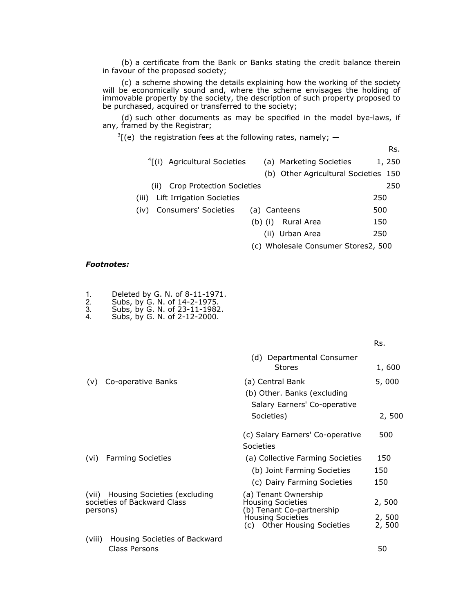(b) a certificate from the Bank or Banks stating the credit balance therein in favour of the proposed society;

(c) a scheme showing the details explaining how the working of the society will be economically sound and, where the scheme envisages the holding of immovable property by the society, the description of such property proposed to be purchased, acquired or transferred to the society;

(d) such other documents as may be specified in the model bye-laws, if any, framed by the Registrar;

 $3[(e)$  the registration fees at the following rates, namely;  $-$ 

Rs.

- <sup>4</sup>[(i) Agricultural Societies (a) Marketing Societies 1, 250
	- (b) Other Agricultural Societies 150
- (ii) Crop Protection Societies 250
- (iii) Lift Irrigation Societies 250
- (iv) Consumers' Societies (a) Canteens 500
	- (b) (i)Rural Area 150
		- (ii)Urban Area 250
	- (c) Wholesale Consumer Stores2, 500

### *Footnotes:*

- 1. Deleted by G. N. of 8-11-1971.
- 2. Subs, by G. N. of 14-2-1975.
- 3. Subs, by G. N. of 23-11-1982. 4. Subs, by G. N. of 2-12-2000.
- 

|          |                                                                   | (d) Departmental Consumer<br><b>Stores</b>                                                                                               | 1,600                    |
|----------|-------------------------------------------------------------------|------------------------------------------------------------------------------------------------------------------------------------------|--------------------------|
| (v)      | Co-operative Banks                                                | (a) Central Bank<br>(b) Other. Banks (excluding<br>Salary Earners' Co-operative<br>Societies)                                            | 5,000<br>2,500           |
|          |                                                                   | (c) Salary Earners' Co-operative<br>Societies                                                                                            | 500                      |
| (vi)     | <b>Farming Societies</b>                                          | (a) Collective Farming Societies<br>(b) Joint Farming Societies<br>(c) Dairy Farming Societies                                           | 150<br>150<br>150        |
| persons) | (vii) Housing Societies (excluding<br>societies of Backward Class | (a) Tenant Ownership<br><b>Housing Societies</b><br>(b) Tenant Co-partnership<br><b>Housing Societies</b><br>(c) Other Housing Societies | 2,500<br>2,500<br>2, 500 |
| (viii)   | Housing Societies of Backward                                     |                                                                                                                                          |                          |

**RS. RS.** *RS.*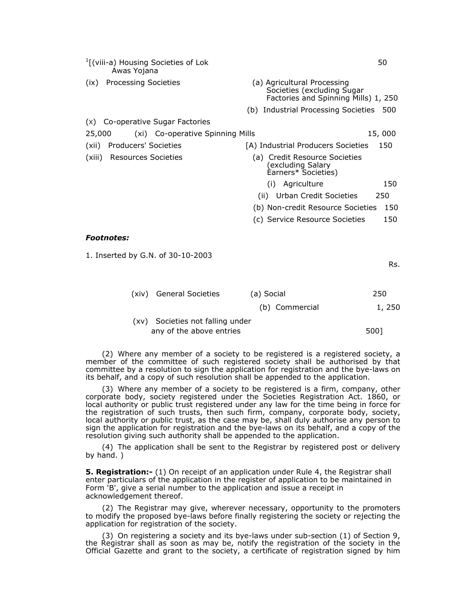| $\frac{1}{2}$ [(viii-a) Housing Societies of Lok<br>Awas Yojana |                                                                                                   | 50     |
|-----------------------------------------------------------------|---------------------------------------------------------------------------------------------------|--------|
| <b>Processing Societies</b><br>(ix)                             | (a) Agricultural Processing<br>Societies (excluding Sugar<br>Factories and Spinning Mills) 1, 250 |        |
|                                                                 | (b) Industrial Processing Societies                                                               | 500    |
| (x) Co-operative Sugar Factories                                |                                                                                                   |        |
| 25,000<br>(xi) Co-operative Spinning Mills                      |                                                                                                   | 15,000 |
| Producers' Societies<br>(xii)                                   | [A] Industrial Producers Societies                                                                | 150    |
| <b>Resources Societies</b><br>(xiii)                            | (a) Credit Resource Societies<br>(excluding Salary<br>Earners* Societies)                         |        |
|                                                                 | Agriculture<br>(i)                                                                                | 150    |
|                                                                 | Urban Credit Societies<br>(ii)                                                                    | 250    |
|                                                                 | (b) Non-credit Resource Societies                                                                 | 150    |

# (c) Service Resource Societies 150

#### *Footnotes:*

1. Inserted by G.N. of 30-10-2003

Rs.

| (xiv) General Societies          | (a) Social     | 250    |
|----------------------------------|----------------|--------|
|                                  | (b) Commercial | 1, 250 |
| (xv) Societies not falling under |                |        |
| any of the above entries         |                | 5001   |

(2) Where any member of a society to be registered is a registered society, a member of the committee of such registered society shall be authorised by that committee by a resolution to sign the application for registration and the bye-laws on its behalf, and a copy of such resolution shall be appended to the application.

(3) Where any member of a society to be registered is a firm, company, other corporate body, society registered under the Societies Registration Act. 1860, or local authority or public trust registered under any law for the time being in force for the registration of such trusts, then such firm, company, corporate body, society, local authority or public trust, as the case may be, shall duly authorise any person to sign the application for registration and the bye-laws on its behalf, and a copy of the resolution giving such authority shall be appended to the application.

(4) The application shall be sent to the Registrar by registered post or delivery by hand. )

**5. Registration:-** (1) On receipt of an application under Rule 4, the Registrar shall enter particulars of the application in the register of application to be maintained in Form 'B', give a serial number to the application and issue a receipt in acknowledgement thereof.

(2) The Registrar may give, wherever necessary, opportunity to the promoters to modify the proposed bye-laws before finally registering the society or rejecting the application for registration of the society.

(3) On registering a society and its bye-laws under sub-section (1) of Section 9, the Registrar shall as soon as may be, notify the registration of the society in the Official Gazette and grant to the society, a certificate of registration signed by him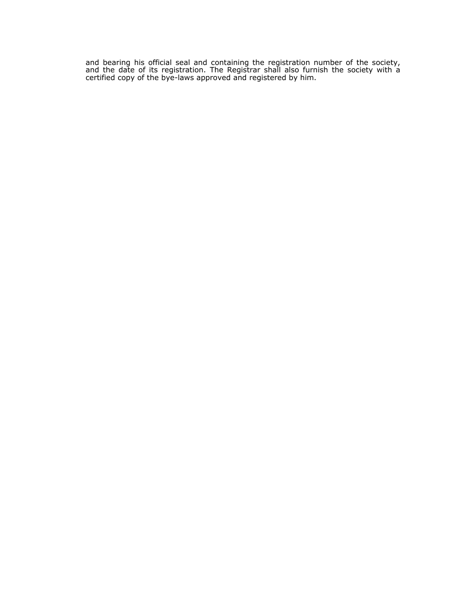and bearing his official seal and containing the registration number of the society, and the date of its registration. The Registrar shall also furnish the society with a certified copy of the bye-laws approved and registered by him.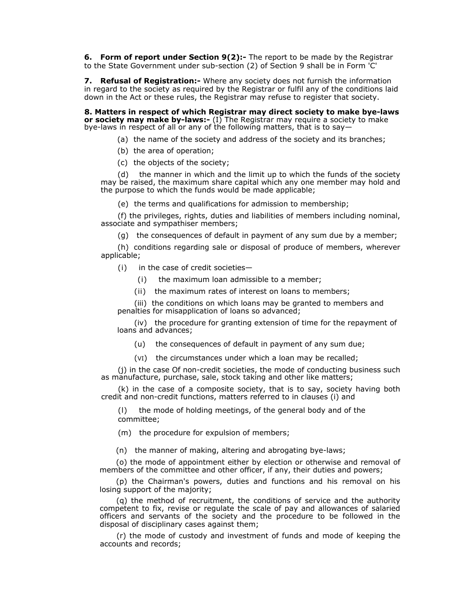**6. Form of report under Section 9(2):-** The report to be made by the Registrar to the State Government under sub-section (2) of Section 9 shall be in Form 'C'

**7. Refusal of Registration:-** Where any society does not furnish the information in regard to the society as required by the Registrar or fulfil any of the conditions laid down in the Act or these rules, the Registrar may refuse to register that society.

**8. Matters in respect of which Registrar may direct society to make bye-laws or society may make by-laws:-** (I) The Registrar may require a society to make bye-laws in respect of all or any of the following matters, that is to say—

- (a) the name of the society and address of the society and its branches;
- (b) the area of operation;
- (c) the objects of the society;

(d) the manner in which and the limit up to which the funds of the society may be raised, the maximum share capital which any one member may hold and the purpose to which the funds would be made applicable;

(e) the terms and qualifications for admission to membership;

(f) the privileges, rights, duties and liabilities of members including nominal, associate and sympathiser members;

(g) the consequences of default in payment of any sum due by a member;

(h) conditions regarding sale or disposal of produce of members, wherever applicable;

(i)in the case of credit societies—

- (i)the maximum loan admissible to a member;
- (ii)the maximum rates of interest on loans to members;

(iii) the conditions on which loans may be granted to members and penalties for misapplication of loans so advanced;

(iv) the procedure for granting extension of time for the repayment of loans and advances;

(u) the consequences of default in payment of any sum due;

(VI)the circumstances under which a loan may be recalled;

(j) in the case Of non-credit societies, the mode of conducting business such as manufacture, purchase, sale, stock taking and other like matters;

(k) in the case of a composite society, that is to say, society having both credit and non-credit functions, matters referred to in clauses (i) and

(l)the mode of holding meetings, of the general body and of the committee;

(m) the procedure for expulsion of members;

(n) the manner of making, altering and abrogating bye-laws;

(o) the mode of appointment either by election or otherwise and removal of members of the committee and other officer, if any, their duties and powers;

(p) the Chairman's powers, duties and functions and his removal on his losing support of the majority;

(q) the method of recruitment, the conditions of service and the authority competent to fix, revise or regulate the scale of pay and allowances of salaried officers and servants of the society and the procedure to be followed in the disposal of disciplinary cases against them;

(r) the mode of custody and investment of funds and mode of keeping the accounts and records;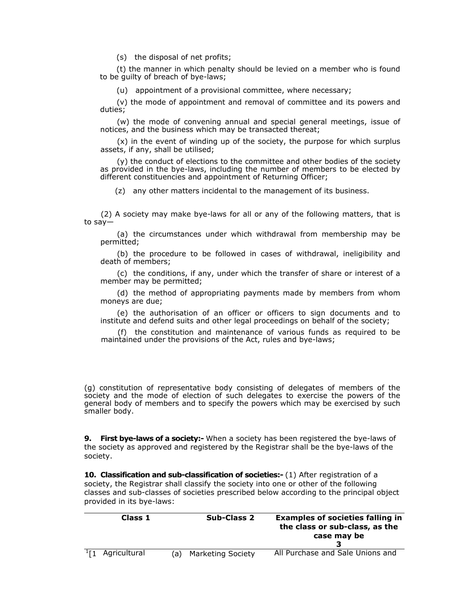(s) the disposal of net profits;

(t) the manner in which penalty should be levied on a member who is found to be guilty of breach of bye-laws;

(u) appointment of a provisional committee, where necessary;

(v) the mode of appointment and removal of committee and its powers and duties;

(w) the mode of convening annual and special general meetings, issue of notices, and the business which may be transacted thereat;

(x) in the event of winding up of the society, the purpose for which surplus assets, if any, shall be utilised;

(y) the conduct of elections to the committee and other bodies of the society as provided in the bye-laws, including the number of members to be elected by different constituencies and appointment of Returning Officer;

(z) any other matters incidental to the management of its business.

(2) A society may make bye-laws for all or any of the following matters, that is to say—

(a) the circumstances under which withdrawal from membership may be permitted;

(b) the procedure to be followed in cases of withdrawal, ineligibility and death of members;

(c) the conditions, if any, under which the transfer of share or interest of a member may be permitted;

(d) the method of appropriating payments made by members from whom moneys are due;

(e) the authorisation of an officer or officers to sign documents and to institute and defend suits and other legal proceedings on behalf of the society;

(f)the constitution and maintenance of various funds as required to be maintained under the provisions of the Act, rules and bye-laws;

(g) constitution of representative body consisting of delegates of members of the society and the mode of election of such delegates to exercise the powers of the general body of members and to specify the powers which may be exercised by such smaller body.

**9. First bye-laws of a society:-** When a society has been registered the bye-laws of the society as approved and registered by the Registrar shall be the bye-laws of the society.

**10. Classification and sub-classification of societies:-** (1) After registration of a society, the Registrar shall classify the society into one or other of the following classes and sub-classes of societies prescribed below according to the principal object provided in its bye-laws:

| Class 1                     |     | <b>Sub-Class 2</b>       | <b>Examples of societies falling in</b><br>the class or sub-class, as the<br>case may be |
|-----------------------------|-----|--------------------------|------------------------------------------------------------------------------------------|
| $1\frac{1}{2}$ Agricultural | (a) | <b>Marketing Society</b> | All Purchase and Sale Unions and                                                         |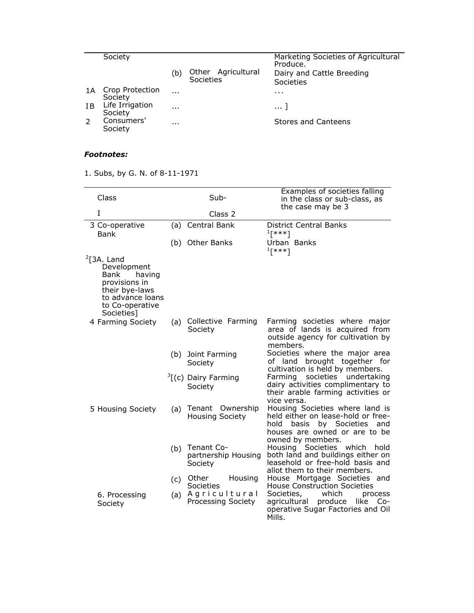|                | Society                    |          |                                 | Marketing Societies of Agricultural<br>Produce. |
|----------------|----------------------------|----------|---------------------------------|-------------------------------------------------|
|                |                            | (b)      | Other Agricultural<br>Societies | Dairy and Cattle Breeding<br>Societies          |
| 1Α             | Crop Protection<br>Society | $\cdots$ |                                 | $\cdots$                                        |
| T <sub>B</sub> | Life Irrigation<br>Society | $\cdots$ |                                 | 1                                               |
|                | Consumers'<br>Society      | $\cdots$ |                                 | Stores and Canteens                             |

# *Footnotes:*

1. Subs, by G. N. of 8-11-1971

| Class                                                                                                                                           |     | Sub-                                                | Examples of societies falling<br>in the class or sub-class, as<br>the case may be 3                                                                              |
|-------------------------------------------------------------------------------------------------------------------------------------------------|-----|-----------------------------------------------------|------------------------------------------------------------------------------------------------------------------------------------------------------------------|
| T                                                                                                                                               |     | Class <sub>2</sub>                                  |                                                                                                                                                                  |
| 3 Co-operative<br><b>Bank</b>                                                                                                                   |     | (a) Central Bank                                    | <b>District Central Banks</b><br>$1$ [***]                                                                                                                       |
|                                                                                                                                                 |     | (b) Other Banks                                     | Urban Banks<br>$1$ [***]                                                                                                                                         |
| $\sqrt[2]{13A}$ . Land<br>Development<br>Bank<br>having<br>provisions in<br>their bye-laws<br>to advance loans<br>to Co-operative<br>Societies] |     |                                                     |                                                                                                                                                                  |
| 4 Farming Society                                                                                                                               | (a) | Collective Farming<br>Society                       | Farming societies where major<br>area of lands is acquired from<br>outside agency for cultivation by<br>members.                                                 |
|                                                                                                                                                 |     | (b) Joint Farming<br>Society                        | Societies where the major area<br>brought together for<br>of land<br>cultivation is held by members.                                                             |
|                                                                                                                                                 |     | $\frac{3}{2}$ [(c) Dairy Farming<br>Society         | Farming societies undertaking<br>dairy activities complimentary to<br>their arable farming activities or<br>vice versa.                                          |
| 5 Housing Society                                                                                                                               | (a) | Tenant Ownership<br><b>Housing Society</b>          | Housing Societies where land is<br>held either on lease-hold or free-<br>hold<br>by Societies and<br>basis<br>houses are owned or are to be<br>owned by members. |
|                                                                                                                                                 | (b) | <b>Tenant Co-</b><br>partnership Housing<br>Society | Housing Societies which<br>hold<br>both land and buildings either on<br>leasehold or free-hold basis and<br>allot them to their members.                         |
|                                                                                                                                                 | (c) | Housing<br>Other<br>Societies                       | House Mortgage Societies and<br><b>House Construction Societies</b>                                                                                              |
| 6. Processing<br>Society                                                                                                                        |     | (a) Agricultural<br>Processing Society              | Societies,<br>which<br>process<br>produce<br>like Co-<br>agricultural<br>operative Sugar Factories and Oil<br>Mills.                                             |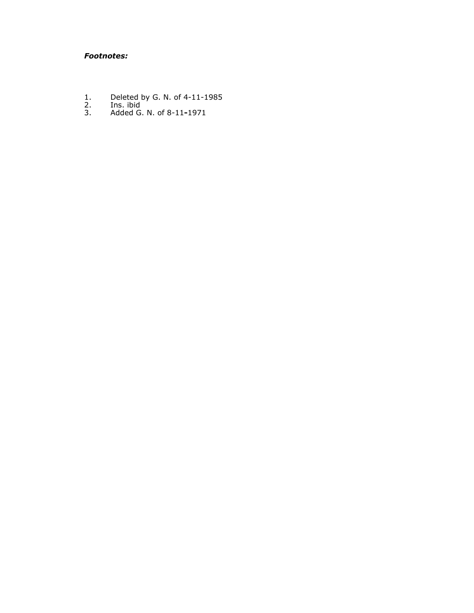# *Footnotes:*

- 1. Deleted by G. N. of 4-11-1985
- 2. Ins. ibid
- 3. Added G. N. of 8-11**-**1971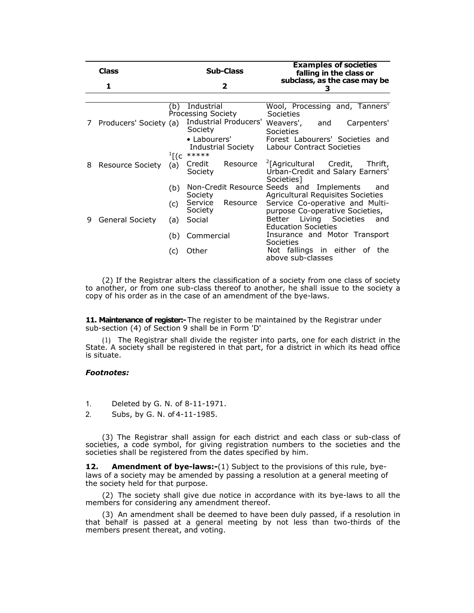|   | <b>Class</b>            |                  | <b>Sub-Class</b>                            | <b>Examples of societies</b><br>falling in the class or                                         |
|---|-------------------------|------------------|---------------------------------------------|-------------------------------------------------------------------------------------------------|
|   | 1                       |                  | $\mathbf{2}$                                | subclass, as the case may be<br>з                                                               |
|   |                         |                  |                                             |                                                                                                 |
|   |                         | (b)              | Industrial<br>Processing Society            | Wool, Processing and, Tanners'<br>Societies                                                     |
| 7 | Producers' Society (a)  |                  | Society                                     | Industrial Producers' Weavers', and Carpenters'<br><b>Societies</b>                             |
|   |                         | $\frac{1}{2}$ [C | • Labourers'<br>Industrial Society<br>***** | Forest Labourers' Societies and<br><b>Labour Contract Societies</b>                             |
| 8 | <b>Resource Society</b> | (a)              | Resource<br>Credit<br>Society               | <sup>2</sup> [Agricultural Credit,<br>Thrift,<br>Urban-Credit and Salary Earners'<br>Societies] |
|   |                         | (b)              | Society                                     | Non-Credit Resource Seeds and Implements<br>and<br><b>Agricultural Requisites Societies</b>     |
|   |                         | (c)              | Service<br>Resource<br>Society              | Service Co-operative and Multi-<br>purpose Co-operative Societies,                              |
| 9 | General Society         | (a)              | Social                                      | Better Living Societies and<br><b>Education Societies</b>                                       |
|   |                         | (b)              | Commercial                                  | Insurance and Motor Transport<br>Societies                                                      |
|   |                         | (C)              | Other                                       | Not fallings in either of the<br>above sub-classes                                              |

(2) If the Registrar alters the classification of a society from one class of society to another, or from one sub-class thereof to another, he shall issue to the society a copy of his order as in the case of an amendment of the bye-laws.

**11. Maintenance of register:-** The register to be maintained by the Registrar under sub-section (4) of Section 9 shall be in Form 'D'

(1) The Registrar shall divide the register into parts, one for each district in the State. A society shall be registered in that part, for a district in which its head office is situate.

### *Footnotes:*

1. Deleted by G. N. of 8-11-1971.

2. Subs, by G. N. of 4-11-1985.

(3) The Registrar shall assign for each district and each class or sub-class of societies, a code symbol, for giving registration numbers to the societies and the societies shall be registered from the dates specified by him.

**12.** Amendment of bye-laws:-(1) Subject to the provisions of this rule, byelaws of a society may be amended by passing a resolution at a general meeting of the society held for that purpose.

(2) The society shall give due notice in accordance with its bye-laws to all the members for considering any amendment thereof.

(3) An amendment shall be deemed to have been duly passed, if a resolution in that behalf is passed at a general meeting by not less than two-thirds of the members present thereat, and voting.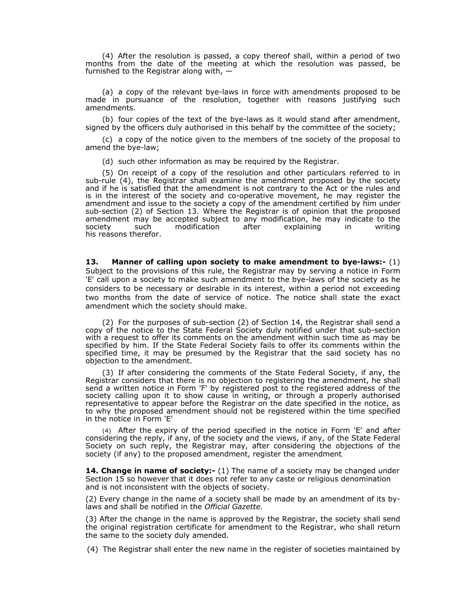(4) After the resolution is passed, a copy thereof shall, within a period of two months from the date of the meeting at which the resolution was passed, be furnished to the Registrar along with, —

(a) a copy of the relevant bye-laws in force with amendments proposed to be made in pursuance of the resolution, together with reasons justifying such amendments.

(b) four copies of the text of the bye-laws as it would stand after amendment, signed by the officers duly authorised in this behalf by the committee of the society;

(c) a copy of the notice given to the members of tne society of the proposal to amend the bye-law;

(d) such other information as may be required by the Registrar.

(5) On receipt of a copy of the resolution and other particulars referred to in sub-rule (4), the Registrar shall examine the amendment proposed by the society and if he is satisfied that the amendment is not contrary to the Act or the rules and is in the interest of the society and co-operative movement, he may register the amendment and issue to the society a copy of the amendment certified by him under sub-section (2) of Section 13. Where the Registrar is of opinion that the proposed amendment may be accepted subject to any modification, he may indicate to the society such modification after explaining in writing society such modification after explaining in writing his reasons therefor.

**13. Manner of calling upon society to make amendment to bye-laws:-** (1) Subject to the provisions of this rule, the Registrar may by serving a notice in Form 'E' call upon a society to make such amendment to the bye-laws of the society as he considers to be necessary or desirable in its interest, within a period not exceeding two months from the date of service of notice. The notice shall state the exact amendment which the society should make.

(2) For the purposes of sub-section (2) of Section 14, the Registrar shall send a copy of the notice to the State Federal Society duly notified under that sub-section with a request to offer its comments on the amendment within such time as may be specified by him. If the State Federal Society fails to offer its comments within the specified time, it may be presumed by the Registrar that the said society has no objection to the amendment.

(3) If after considering the comments of the State Federal Society, if any, the Registrar considers that there is no objection to registering the amendment, he shall send a written notice in Form 'F' by registered post to the registered address of the society calling upon it to show cause in writing, or through a properly authorised representative to appear before the Registrar on the date specified in the notice, as to why the proposed amendment should not be registered within the time specified in the notice in Form 'E'

(4) After the expiry of the period specified in the notice in Form 'E' and after considering the reply, if any, of the society and the views, if any, of the State Federal Society on such reply, the Registrar may, after considering the objections of the society (if any) to the proposed amendment, register the amendment.

**14. Change in name of society:-** (1) The name of a society may be changed under Section 15 so however that it does not refer to any caste or religious denomination and is not inconsistent with the objects of society.

(2) Every change in the name of a society shall be made by an amendment of its bylaws and shall be notified in the *Official Gazette.*

(3) After the change in the name is approved by the Registrar, the society shall send the original registration certificate for amendment to the Registrar, who shall return the same to the society duly amended.

(4) The Registrar shall enter the new name in the register of societies maintained by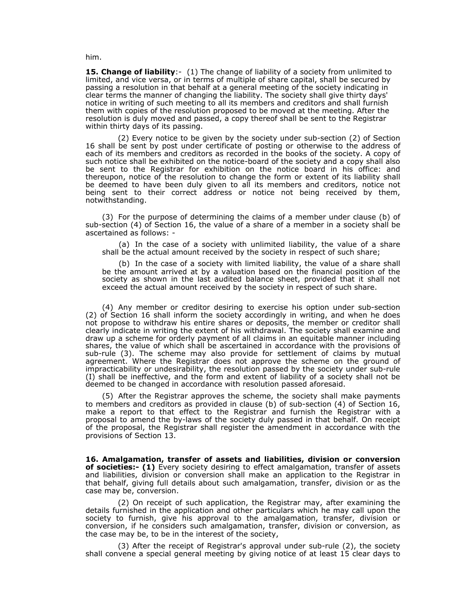him.

**15. Change of liability:** (1) The change of liability of a society from unlimited to limited, and vice versa, or in terms of multiple of share capital, shall be secured by passing a resolution in that behalf at a general meeting of the society indicating in clear terms the manner of changing the liability. The society shall give thirty days' notice in writing of such meeting to all its members and creditors and shall furnish them with copies of the resolution proposed to be moved at the meeting. After the resolution is duly moved and passed, a copy thereof shall be sent to the Registrar within thirty days of its passing.

 (2) Every notice to be given by the society under sub-section (2) of Section 16 shall be sent by post under certificate of posting or otherwise to the address of each of its members and creditors as recorded in the books of the society. A copy of such notice shall be exhibited on the notice-board of the society and a copy shall also be sent to the Registrar for exhibition on the notice board in his office: and thereupon, notice of the resolution to change the form or extent of its liability shall be deemed to have been duly given to all its members and creditors, notice not being sent to their correct address or notice not being received by them, notwithstanding.

(3) For the purpose of determining the claims of a member under clause (b) of sub-section (4) of Section 16, the value of a share of a member in a society shall be ascertained as follows: -

(a) In the case of a society with unlimited liability, the value of a share shall be the actual amount received by the society in respect of such share;

(b) In the case of a society with limited liability, the value of a share shall be the amount arrived at by a valuation based on the financial position of the society as shown in the last audited balance sheet, provided that it shall not exceed the actual amount received by the society in respect of such share.

(4) Any member or creditor desiring to exercise his option under sub-section (2) of Section 16 shall inform the society accordingly in writing, and when he does not propose to withdraw his entire shares or deposits, the member or creditor shall clearly indicate in writing the extent of his withdrawal. The society shall examine and draw up a scheme for orderly payment of all claims in an equitable manner including shares, the value of which shall be ascertained in accordance with the provisions of sub-rule (3). The scheme may also provide for settlement of claims by mutual agreement. Where the Registrar does not approve the scheme on the ground of impracticability or undesirability, the resolution passed by the society under sub-rule (I) shall be ineffective, and the form and extent of liability of a society shall not be deemed to be changed in accordance with resolution passed aforesaid.

(5) After the Registrar approves the scheme, the society shall make payments to members and creditors as provided in clause (b) of sub-section (4) of Section 16, make a report to that effect to the Registrar and furnish the Registrar with a proposal to amend the by-laws of the society duly passed in that behalf. On receipt of the proposal, the Registrar shall register the amendment in accordance with the provisions of Section 13.

**16. Amalgamation, transfer of assets and liabilities, division or conversion of societies:- (1)** Every society desiring to effect amalgamation, transfer of assets and liabilities, division or conversion shall make an application to the Registrar in that behalf, giving full details about such amalgamation, transfer, division or as the case may be, conversion.

 (2) On receipt of such application, the Registrar may, after examining the details furnished in the application and other particulars which he may call upon the society to furnish, give his approval to the amalgamation, transfer, division or conversion, if he considers such amalgamation, transfer, division or conversion, as the case may be, to be in the interest of the society,

 (3) After the receipt of Registrar's approval under sub-rule (2), the society shall convene a special general meeting by giving notice of at least 15 clear days to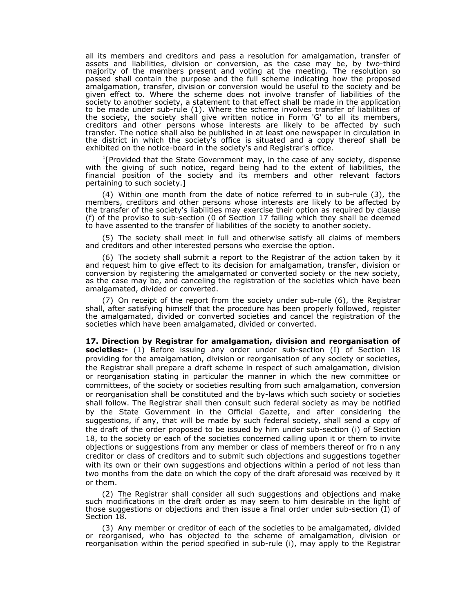all its members and creditors and pass a resolution for amalgamation, transfer of assets and liabilities, division or conversion, as the case may be, by two-third majority of the members present and voting at the meeting. The resolution so passed shall contain the purpose and the full scheme indicating how the proposed amalgamation, transfer, division or conversion would be useful to the society and be given effect to. Where the scheme does not involve transfer of liabilities of the society to another society, a statement to that effect shall be made in the application to be made under sub-rule (1). Where the scheme involves transfer of liabilities of the society, the society shall give written notice in Form 'G' to all its members, creditors and other persons whose interests are likely to be affected by such transfer. The notice shall also be published in at least one newspaper in circulation in the district in which the society's office is situated and a copy thereof shall be exhibited on the notice-board in the society's and Registrar's office.

<sup>1</sup>[Provided that the State Government may, in the case of any society, dispense with the giving of such notice, regard being had to the extent of liabilities, the financial position of the society and its members and other relevant factors pertaining to such society.]

(4) Within one month from the date of notice referred to in sub-rule (3), the members, creditors and other persons whose interests are likely to be affected by the transfer of the society's liabilities may exercise their option as required by clause (f) of the proviso to sub-section (0 of Section 17 failing which they shall be deemed to have assented to the transfer of liabilities of the society to another society.

(5) The society shall meet in full and otherwise satisfy all claims of members and creditors and other interested persons who exercise the option.

(6) The society shall submit a report to the Registrar of the action taken by it and request him to give effect to its decision for amalgamation, transfer, division or conversion by registering the amalgamated or converted society or the new society, as the case may be, and canceling the registration of the societies which have been amalgamated, divided or converted.

(7) On receipt of the report from the society under sub-rule (6), the Registrar shall, after satisfying himself that the procedure has been properly followed, register the amalgamated, divided or converted societies and cancel the registration of the societies which have been amalgamated, divided or converted.

**17. Direction by Registrar for amalgamation, division and reorganisation of societies:-** (1) Before issuing any order under sub-section (I) of Section 18 providing for the amalgamation, division or reorganisation of any society or societies, the Registrar shall prepare a draft scheme in respect of such amalgamation, division or reorganisation stating in particular the manner in which the new committee or committees, of the society or societies resulting from such amalgamation, conversion or reorganisation shall be constituted and the by-laws which such society or societies shall follow. The Registrar shall then consult such federal society as may be notified by the State Government in the Official Gazette, and after considering the suggestions, if any, that will be made by such federal society, shall send a copy of the draft of the order proposed to be issued by him under sub-section (i) of Section 18, to the society or each of the societies concerned calling upon it or them to invite objections or suggestions from any member or class of members thereof or fro n any creditor or class of creditors and to submit such objections and suggestions together with its own or their own suggestions and objections within a period of not less than two months from the date on which the copy of the draft aforesaid was received by it or them.

(2) The Registrar shall consider all such suggestions and objections and make such modifications in the draft order as may seem to him desirable in the light of those suggestions or objections and then issue a final order under sub-section (I) of Section 18.

(3) Any member or creditor of each of the societies to be amalgamated, divided or reorganised, who has objected to the scheme of amalgamation, division or reorganisation within the period specified in sub-rule (i), may apply to the Registrar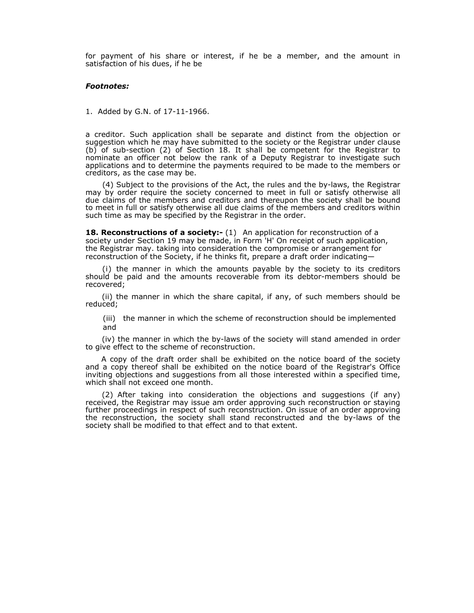for payment of his share or interest, if he be a member, and the amount in satisfaction of his dues, if he be

#### *Footnotes:*

1. Added by G.N. of 17-11-1966.

a creditor. Such application shall be separate and distinct from the objection or suggestion which he may have submitted to the society or the Registrar under clause (b) of sub-section (2) of Section 18. It shall be competent for the Registrar to nominate an officer not below the rank of a Deputy Registrar to investigate such applications and to determine the payments required to be made to the members or creditors, as the case may be.

(4) Subject to the provisions of the Act, the rules and the by-laws, the Registrar may by order require the society concerned to meet in full or satisfy otherwise all due claims of the members and creditors and thereupon the society shall be bound to meet in full or satisfy otherwise all due claims of the members and creditors within such time as may be specified by the Registrar in the order.

**18. Reconstructions of a society:-** (1) An application for reconstruction of a society under Section 19 may be made, in Form 'H' On receipt of such application, the Registrar may. taking into consideration the compromise or arrangement for reconstruction of the Society, if he thinks fit, prepare a draft order indicating—

i) the manner in which the amounts payable by the society to its creditors should be paid and the amounts recoverable from its debtor-members should be recovered;

(ii) the manner in which the share capital, if any, of such members should be reduced;

(iii) the manner in which the scheme of reconstruction should be implemented and

(iv) the manner in which the by-laws of the society will stand amended in order to give effect to the scheme of reconstruction.

A copy of the draft order shall be exhibited on the notice board of the society and a copy thereof shall be exhibited on the notice board of the Registrar's Office inviting objections and suggestions from all those interested within a specified time, which shall not exceed one month.

(2) After taking into consideration the objections and suggestions (if any) received, the Registrar may issue am order approving such reconstruction or staying further proceedings in respect of such reconstruction. On issue of an order approving the reconstruction, the society shall stand reconstructed and the by-laws of the society shall be modified to that effect and to that extent.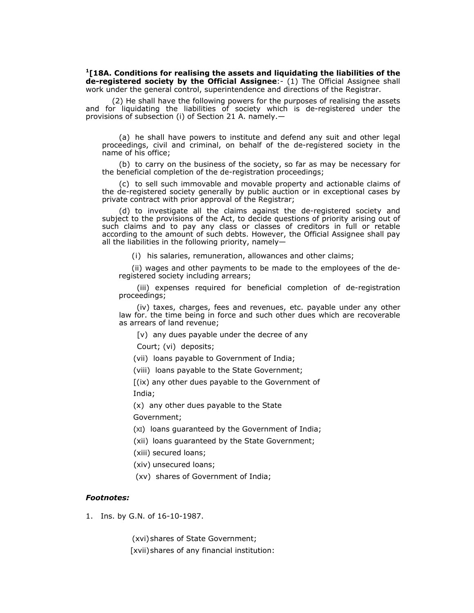**1[18A. Conditions for realising the assets and liquidating the liabilities of the de-registered society by the Official Assignee**:- (1) The Official Assignee shall work under the general control, superintendence and directions of the Registrar.

 (2) He shall have the following powers for the purposes of realising the assets and for liquidating the liabilities of society which is de-registered under the provisions of subsection (i) of Section 21 A. namely.—

(a) he shall have powers to institute and defend any suit and other legal proceedings, civil and criminal, on behalf of the de-registered society in the name of his office;

(b) to carry on the business of the society, so far as may be necessary for the beneficial completion of the de-registration proceedings;

(c) to sell such immovable and movable property and actionable claims of the de-registered society generally by public auction or in exceptional cases by private contract with prior approval of the Registrar;

(d) to investigate all the claims against the de-registered society and subject to the provisions of the Act, to decide questions of priority arising out of such claims and to pay any class or classes of creditors in full or retable according to the amount of such debts. However, the Official Assignee shall pay all the liabilities in the following priority, namely—

(i)his salaries, remuneration, allowances and other claims;

 (ii) wages and other payments to be made to the employees of the deregistered society including arrears;

(iii) expenses required for beneficial completion of de-registration proceedings;

(iv) taxes, charges, fees and revenues, etc. payable under any other law for. the time being in force and such other dues which are recoverable as arrears of land revenue;

[v) any dues payable under the decree of any

Court; (vi) deposits;

(vii) loans payable to Government of India;

(viii) loans payable to the State Government;

[(ix) any other dues payable to the Government of India;

(x) any other dues payable to the State

Government;

(XI) loans guaranteed by the Government of India;

(xii) loans guaranteed by the State Government;

(xiii) secured loans;

(xiv) unsecured loans;

(xv) shares of Government of India;

### *Footnotes:*

1. Ins. by G.N. of 16-10-1987.

(xvi) shares of State Government; [xvii) shares of any financial institution: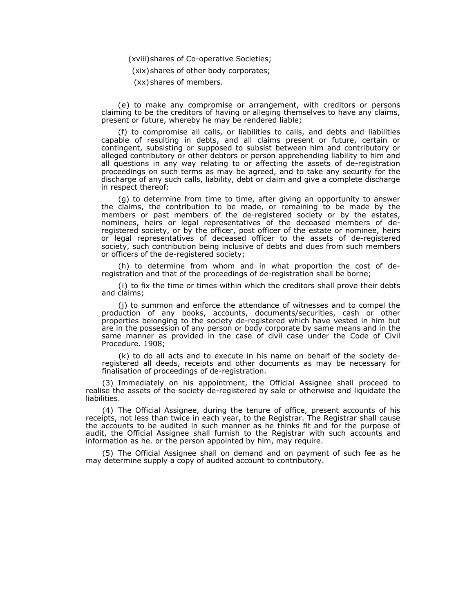(xviii) shares of Co-operative Societies;

(xix) shares of other body corporates;

(xx) shares of members.

(e) to make any compromise or arrangement, with creditors or persons claiming to be the creditors of having or alleging themselves to have any claims, present or future, whereby he may be rendered liable;

(f) to compromise all calls, or liabilities to calls, and debts and liabilities capable of resulting in debts, and all claims present or future, certain or contingent, subsisting or supposed to subsist between him and contributory or alleged contributory or other debtors or person apprehending liability to him and all questions in any way relating to or affecting the assets of de-registration proceedings on such terms as may be agreed, and to take any security for the discharge of any such calls, liability, debt or claim and give a complete discharge in respect thereof:

(g) to determine from time to time, after giving an opportunity to answer the claims, the contribution to be made, or remaining to be made by the members or past members of the de-registered society or by the estates, nominees, heirs or legal representatives of the deceased members of deregistered society, or by the officer, post officer of the estate or nominee, heirs or legal representatives of deceased officer to the assets of de-registered society, such contribution being inclusive of debts and dues from such members or officers of the de-registered society;

(h) to determine from whom and in what proportion the cost of deregistration and that of the proceedings of de-registration shall be borne;

(i) to fix the time or times within which the creditors shall prove their debts and claims;

(j) to summon and enforce the attendance of witnesses and to compel the production of any books, accounts, documents/securities, cash or other properties belonging to the society de-registered which have vested in him but are in the possession of any person or body corporate by same means and in the same manner as provided in the case of civil case under the Code of Civil Procedure. 1908;

(k) to do all acts and to execute in his name on behalf of the society deregistered all deeds, receipts and other documents as may be necessary for finalisation of proceedings of de-registration.

(3) Immediately on his appointment, the Official Assignee shall proceed to realise the assets of the society de-registered by sale or otherwise and liquidate the liabilities.

(4) The Official Assignee, during the tenure of office, present accounts of his receipts, not less than twice in each year, to the Registrar. The Registrar shall cause the accounts to be audited in such manner as he thinks fit and for the purpose of audit, the Official Assignee shall furnish to the Registrar with such accounts and information as he. or the person appointed by him, may require.

(5) The Official Assignee shall on demand and on payment of such fee as he may determine supply a copy of audited account to contributory.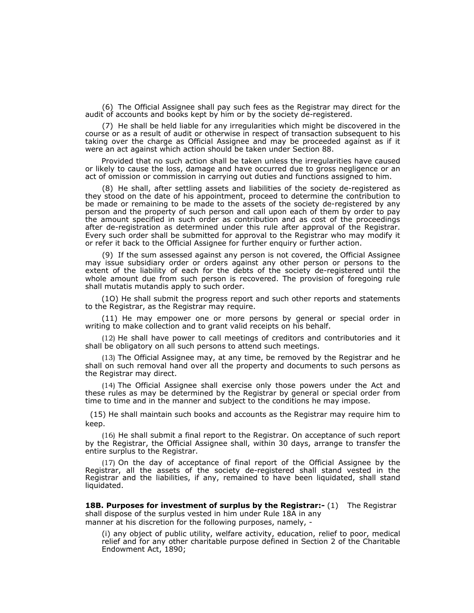(6) The Official Assignee shall pay such fees as the Registrar may direct for the audit of accounts and books kept by him or by the society de-registered.

(7) He shall be held liable for any irregularities which might be discovered in the course or as a result of audit or otherwise in respect of transaction subsequent to his taking over the charge as Official Assignee and may be proceeded against as if it were an act against which action should be taken under Section 88.

Provided that no such action shall be taken unless the irregularities have caused or likely to cause the loss, damage and have occurred due to gross negligence or an act of omission or commission in carrying out duties and functions assigned to him.

(8) He shall, after settling assets and liabilities of the society de-registered as they stood on the date of his appointment, proceed to determine the contribution to be made or remaining to be made to the assets of the society de-registered by any person and the property of such person and call upon each of them by order to pay the amount specified in such order as contribution and as cost of the proceedings after de-registration as determined under this rule after approval of the Registrar. Every such order shall be submitted for approval to the Registrar who may modify it or refer it back to the Official Assignee for further enquiry or further action.

(9) If the sum assessed against any person is not covered, the Official Assignee may issue subsidiary order or orders against any other person or persons to the extent of the liability of each for the debts of the society de-registered until the whole amount due from such person is recovered. The provision of foregoing rule shall mutatis mutandis apply to such order.

(1O) He shall submit the progress report and such other reports and statements to the Registrar, as the Registrar may require.

(11) He may empower one or more persons by general or special order in writing to make collection and to grant valid receipts on his behalf.

(12) He shall have power to call meetings of creditors and contributories and it shall be obligatory on all such persons to attend such meetings.

(13) The Official Assignee may, at any time, be removed by the Registrar and he shall on such removal hand over all the property and documents to such persons as the Registrar may direct.

(14) The Official Assignee shall exercise only those powers under the Act and these rules as may be determined by the Registrar by general or special order from time to time and in the manner and subject to the conditions he may impose.

(15) He shall maintain such books and accounts as the Registrar may require him to keep.

(16) He shall submit a final report to the Registrar. On acceptance of such report by the Registrar, the Official Assignee shall, within 30 days, arrange to transfer the entire surplus to the Registrar.

(17) On the day of acceptance of final report of the Official Assignee by the Registrar, all the assets of the society de-registered shall stand vested in the Registrar and the liabilities, if any, remained to have been liquidated, shall stand liquidated.

**18B. Purposes for investment of surplus by the Registrar:-** (1) The Registrar shall dispose of the surplus vested in him under Rule 18A in any manner at his discretion for the following purposes, namely, -

(i) any object of public utility, welfare activity, education, relief to poor, medical relief and for any other charitable purpose defined in Section 2 of the Charitable Endowment Act, 1890;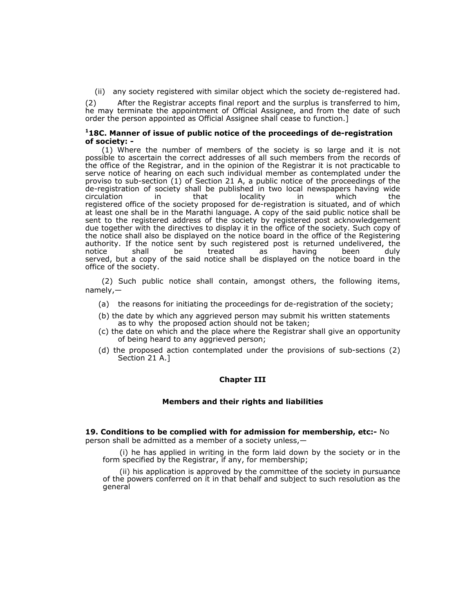(ii) any society registered with similar object which the society de-registered had.

(2) After the Registrar accepts final report and the surplus is transferred to him, he may terminate the appointment of Official Assignee, and from the date of such order the person appointed as Official Assignee shall cease to function.]

### **118C. Manner of issue of public notice of the proceedings of de-registration of society: -**

(1) Where the number of members of the society is so large and it is not possible to ascertain the correct addresses of all such members from the records of the office of the Registrar, and in the opinion of the Registrar it is not practicable to serve notice of hearing on each such individual member as contemplated under the proviso to sub-section (1) of Section 21 A, a public notice of the proceedings of the de-registration of society shall be published in two local newspapers having wide<br>circulation in that locality in which the circulation in that locality in which the registered office of the society proposed for de-registration is situated, and of which at least one shall be in the Marathi language. A copy of the said public notice shall be sent to the registered address of the society by registered post acknowledgement due together with the directives to display it in the office of the society. Such copy of the notice shall also be displayed on the notice board in the office of the Registering authority. If the notice sent by such registered post is returned undelivered, the notice shall be treated as having been duly notice shall be treated as having been duly served, but a copy of the said notice shall be displayed on the notice board in the office of the society.

(2) Such public notice shall contain, amongst others, the following items, namely,—

- (a) the reasons for initiating the proceedings for de-registration of the society;
- (b) the date by which any aggrieved person may submit his written statements as to why the proposed action should not be taken;
- (c) the date on which and the place where the Registrar shall give an opportunity of being heard to any aggrieved person;
- (d) the proposed action contemplated under the provisions of sub-sections (2) Section 21 A.]

### **Chapter III**

### **Members and their rights and liabilities**

#### **19. Conditions to be complied with for admission for membership, etc:-** No

person shall be admitted as a member of a society unless,—

(i) he has applied in writing in the form laid down by the society or in the form specified by the Registrar, if any, for membership;

(ii) his application is approved by the committee of the society in pursuance of the powers conferred on it in that behalf and subject to such resolution as the general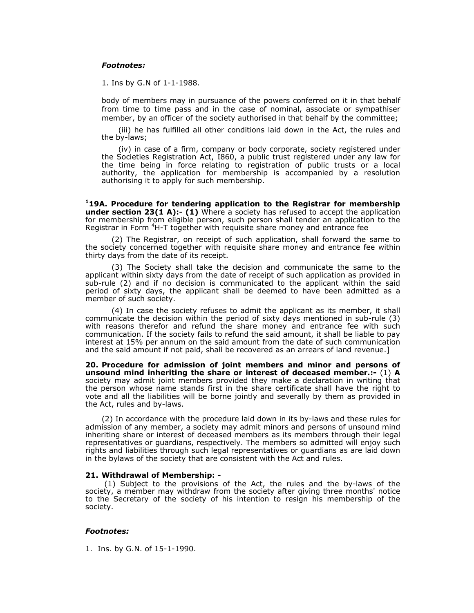### *Footnotes:*

1. Ins by G.N of 1-1-1988.

body of members may in pursuance of the powers conferred on it in that behalf from time to time pass and in the case of nominal, associate or sympathiser member, by an officer of the society authorised in that behalf by the committee;

(iii) he has fulfilled all other conditions laid down in the Act, the rules and the by-laws;

(iv) in case of a firm, company or body corporate, society registered under the Societies Registration Act, I860, a public trust registered under any law for the time being in force relating to registration of public trusts or a local authority, the application for membership is accompanied by a resolution authorising it to apply for such membership.

**119A. Procedure for tendering application to the Registrar for membership under section 23(1 A):- (1)** Where a society has refused to accept the application for membership from eligible person, such person shall tender an application to the Registrar in Form <sup>4</sup>H-T together with requisite share money and entrance fee

 (2) The Registrar, on receipt of such application, shall forward the same to the society concerned together with requisite share money and entrance fee within thirty days from the date of its receipt.

 (3) The Society shall take the decision and communicate the same to the applicant within sixty days from the date of receipt of such application as provided in sub-rule (2) and if no decision is communicated to the applicant within the said period of sixty days, the applicant shall be deemed to have been admitted as a member of such society.

 (4) In case the society refuses to admit the applicant as its member, it shall communicate the decision within the period of sixty days mentioned in sub-rule (3) with reasons therefor and refund the share money and entrance fee with such communication. If the society fails to refund the said amount, it shall be liable to pay interest at 15% per annum on the said amount from the date of such communication and the said amount if not paid, shall be recovered as an arrears of land revenue.]

**20. Procedure for admission of joint members and minor and persons of unsound mind inheriting the share or interest of deceased member.:-** (1) **A** society may admit joint members provided they make a declaration in writing that the person whose name stands first in the share certificate shall have the right to vote and all the liabilities will be borne jointly and severally by them as provided in the Act, rules and by-laws.

 (2) In accordance with the procedure laid down in its by-laws and these rules for admission of any member, a society may admit minors and persons of unsound mind inheriting share or interest of deceased members as its members through their legal representatives or guardians, respectively. The members so admitted will enjoy such rights and liabilities through such legal representatives or guardians as are laid down in the bylaws of the society that are consistent with the Act and rules.

#### **21. Withdrawal of Membership: -**

 (1) Subject to the provisions of the Act, the rules and the by-laws of the society, a member may withdraw from the society after giving three months' notice to the Secretary of the society of his intention to resign his membership of the society.

### *Footnotes:*

1. Ins. by G.N. of 15-1-1990.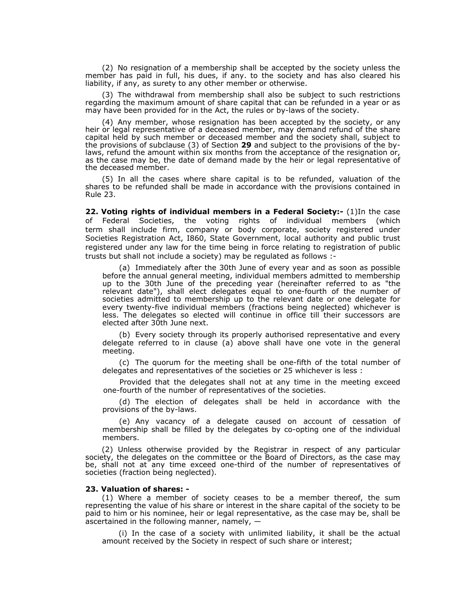(2) No resignation of a membership shall be accepted by the society unless the member has paid in full, his dues, if any. to the society and has also cleared his liability, if any, as surety to any other member or otherwise.

(3) The withdrawal from membership shall also be subject to such restrictions regarding the maximum amount of share capital that can be refunded in a year or as may have been provided for in the Act, the rules or by-laws of the society.

(4) Any member, whose resignation has been accepted by the society, or any heir or legal representative of a deceased member, may demand refund of the share capital held by such member or deceased member and the society shall, subject to the provisions of subclause (3) of Section **29** and subject to the provisions of the bylaws, refund the amount within six months from the acceptance of the resignation or, as the case may be, the date of demand made by the heir or legal representative of the deceased member.

(5) In all the cases where share capital is to be refunded, valuation of the shares to be refunded shall be made in accordance with the provisions contained in Rule 23.

**22. Voting rights of individual members in a Federal Society:-** (1)In the case of Federal Societies, the voting rights of individual members (which term shall include firm, company or body corporate, society registered under Societies Registration Act, I860, State Government, local authority and public trust registered under any law for the time being in force relating to registration of public trusts but shall not include a society) may be regulated as follows :-

(a) Immediately after the 30th June of every year and as soon as possible before the annual general meeting, individual members admitted to membership up to the 30th June of the preceding year (hereinafter referred to as "the relevant date"), shall elect delegates equal to one-fourth of the number of societies admitted to membership up to the relevant date or one delegate for every twenty-five individual members (fractions being neglected) whichever is less. The delegates so elected will continue in office till their successors are elected after 30th June next.

(b) Every society through its properly authorised representative and every delegate referred to in clause (a) above shall have one vote in the general meeting.

(c) The quorum for the meeting shall be one-fifth of the total number of delegates and representatives of the societies or 25 whichever is less :

Provided that the delegates shall not at any time in the meeting exceed one-fourth of the number of representatives of the societies.

(d) The election of delegates shall be held in accordance with the provisions of the by-laws.

(e) Any vacancy of a delegate caused on account of cessation of membership shall be filled by the delegates by co-opting one of the individual members.

(2) Unless otherwise provided by the Registrar in respect of any particular society, the delegates on the committee or the Board of Directors, as the case may be, shall not at any time exceed one-third of the number of representatives of societies (fraction being neglected).

#### **23. Valuation of shares: -**

(1) Where a member of society ceases to be a member thereof, the sum representing the value of his share or interest in the share capital of the society to be paid to him or his nominee, heir or legal representative, as the case may be, shall be ascertained in the following manner, namely, —

(i) In the case of a society with unlimited liability, it shall be the actual amount received by the Society in respect of such share or interest;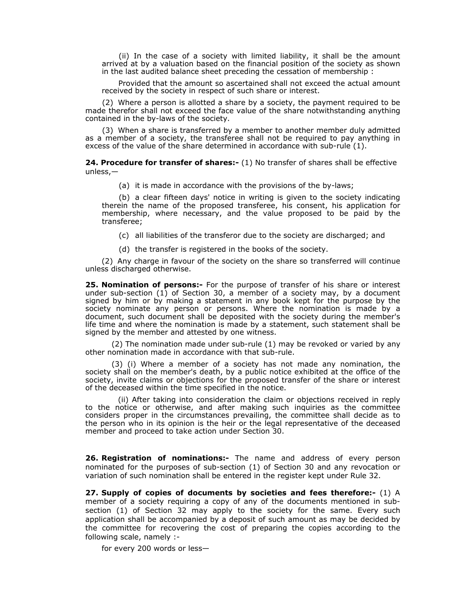(ii) In the case of a society with limited liability, it shall be the amount arrived at by a valuation based on the financial position of the society as shown in the last audited balance sheet preceding the cessation of membership :

Provided that the amount so ascertained shall not exceed the actual amount received by the society in respect of such share or interest.

(2) Where a person is allotted a share by a society, the payment required to be made therefor shall not exceed the face value of the share notwithstanding anything contained in the by-laws of the society.

(3) When a share is transferred by a member to another member duly admitted as a member of a society, the transferee shall not be required to pay anything in excess of the value of the share determined in accordance with sub-rule  $(1)$ .

**24. Procedure for transfer of shares:-** (1) No transfer of shares shall be effective unless,—

(a) it is made in accordance with the provisions of the by-laws;

(b) a clear fifteen days' notice in writing is given to the society indicating therein the name of the proposed transferee, his consent, his application for membership, where necessary, and the value proposed to be paid by the transferee;

(c) all liabilities of the transferor due to the society are discharged; and

(d) the transfer is registered in the books of the society.

(2) Any charge in favour of the society on the share so transferred will continue unless discharged otherwise.

**25. Nomination of persons:-** For the purpose of transfer of his share or interest under sub-section (1) of Section 30, a member of a society may, by a document signed by him or by making a statement in any book kept for the purpose by the society nominate any person or persons. Where the nomination is made by a document, such document shall be deposited with the society during the member's life time and where the nomination is made by a statement, such statement shall be signed by the member and attested by one witness.

 (2) The nomination made under sub-rule (1) may be revoked or varied by any other nomination made in accordance with that sub-rule.

 (3) (i) Where a member of a society has not made any nomination, the society shall on the member's death, by a public notice exhibited at the office of the society, invite claims or objections for the proposed transfer of the share or interest of the deceased within the time specified in the notice.

(ii) After taking into consideration the claim or objections received in reply to the notice or otherwise, and after making such inquiries as the committee considers proper in the circumstances prevailing, the committee shall decide as to the person who in its opinion is the heir or the legal representative of the deceased member and proceed to take action under Section 30.

**26. Registration of nominations:-** The name and address of every person nominated for the purposes of sub-section (1) of Section 30 and any revocation or variation of such nomination shall be entered in the register kept under Rule 32.

**27. Supply of copies of documents by societies and fees therefore:-** (1) A member of a society requiring a copy of any of the documents mentioned in subsection (1) of Section 32 may apply to the society for the same. Every such application shall be accompanied by a deposit of such amount as may be decided by the committee for recovering the cost of preparing the copies according to the following scale, namely :-

for every 200 words or less—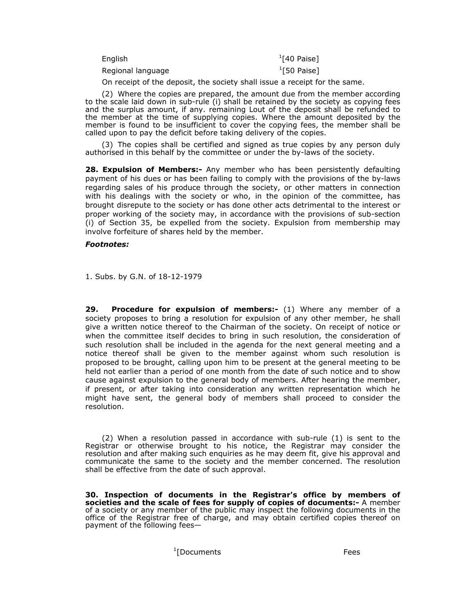| English           | $1$ [40 Paise] |
|-------------------|----------------|
| Regional language | $1$ [50 Paise] |

On receipt of the deposit, the society shall issue a receipt for the same.

(2) Where the copies are prepared, the amount due from the member according to the scale laid down in sub-rule (i) shall be retained by the society as copying fees and the surplus amount, if any. remaining Lout of the deposit shall be refunded to the member at the time of supplying copies. Where the amount deposited by the member is found to be insufficient to cover the copying fees, the member shall be called upon to pay the deficit before taking delivery of the copies.

(3) The copies shall be certified and signed as true copies by any person duly authorised in this behalf by the committee or under the by-laws of the society.

**28. Expulsion of Members:-** Any member who has been persistently defaulting payment of his dues or has been failing to comply with the provisions of the by-laws regarding sales of his produce through the society, or other matters in connection with his dealings with the society or who, in the opinion of the committee, has brought disrepute to the society or has done other acts detrimental to the interest or proper working of the society may, in accordance with the provisions of sub-section (i) of Section 35, be expelled from the society. Expulsion from membership may involve forfeiture of shares held by the member.

### *Footnotes:*

1. Subs. by G.N. of 18-12-1979

**29. Procedure for expulsion of members:-** (1) Where any member of a society proposes to bring a resolution for expulsion of any other member, he shall give a written notice thereof to the Chairman of the society. On receipt of notice or when the committee itself decides to bring in such resolution, the consideration of such resolution shall be included in the agenda for the next general meeting and a notice thereof shall be given to the member against whom such resolution is proposed to be brought, calling upon him to be present at the general meeting to be held not earlier than a period of one month from the date of such notice and to show cause against expulsion to the general body of members. After hearing the member, if present, or after taking into consideration any written representation which he might have sent, the general body of members shall proceed to consider the resolution.

(2) When a resolution passed in accordance with sub-rule (1) is sent to the Registrar or otherwise brought to his notice, the Registrar may consider the resolution and after making such enquiries as he may deem fit, give his approval and communicate the same to the society and the member concerned. The resolution shall be effective from the date of such approval.

**30. Inspection of documents in the Registrar's office by members of societies and the scale of fees for supply of copies of documents:-** A member of a society or any member of the public may inspect the following documents in the office of the Registrar free of charge, and may obtain certified copies thereof on payment of the following fees—

1 [Documents Fees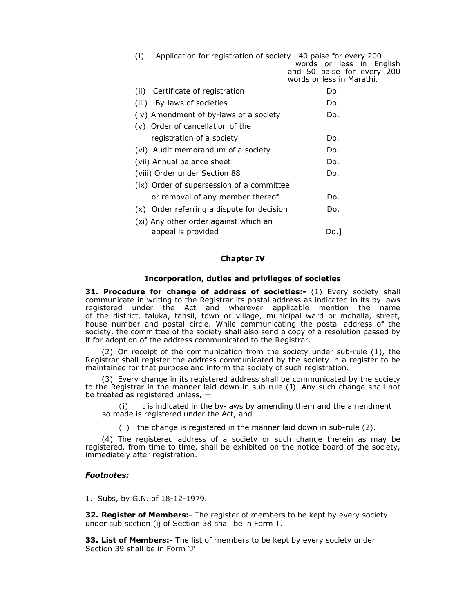| Application for registration of society<br>(i) | 40 paise for every 200<br>words or less in English<br>and 50 paise for every 200<br>words or less in Marathi. |
|------------------------------------------------|---------------------------------------------------------------------------------------------------------------|
| Certificate of registration<br>(ii)            | Do.                                                                                                           |
| (iii) By-laws of societies                     | Do.                                                                                                           |
| (iv) Amendment of by-laws of a society         | Do.                                                                                                           |
| (v) Order of cancellation of the               |                                                                                                               |
| registration of a society                      | Do.                                                                                                           |
| (vi) Audit memorandum of a society             | Do.                                                                                                           |
| (vii) Annual balance sheet                     | Do.                                                                                                           |
| (viii) Order under Section 88                  | Do.                                                                                                           |
| (ix) Order of supersession of a committee      |                                                                                                               |
| or removal of any member thereof               | Do.                                                                                                           |
| (x) Order referring a dispute for decision     | Do.                                                                                                           |
| (xi) Any other order against which an          |                                                                                                               |
| appeal is provided                             | Do. 1                                                                                                         |

#### **Chapter IV**

#### **Incorporation, duties and privileges of societies**

**31. Procedure for change of address of societies:-** (1) Every society shall communicate in writing to the Registrar its postal address as indicated in its by-laws registered under the Act and wherever applicable mention the name of the district, taluka, tahsil, town or village, municipal ward or mohalla, street, house number and postal circle. While communicating the postal address of the society, the committee of the society shall also send a copy of a resolution passed by it for adoption of the address communicated to the Registrar.

(2) On receipt of the communication from the society under sub-rule (1), the Registrar shall register the address communicated by the society in a register to be maintained for that purpose and inform the society of such registration.

(3) Every change in its registered address shall be communicated by the society to the Registrar in the manner laid down in sub-rule (J). Any such change shall not be treated as registered unless,  $-$ 

it is indicated in the by-laws by amending them and the amendment so made is registered under the Act, and

(ii) the change is registered in the manner laid down in sub-rule (2).

(4) The registered address of a society or such change therein as may be registered, from time to time, shall be exhibited on the notice board of the society, immediately after registration.

### *Footnotes:*

1. Subs, by G.N. of 18-12-1979.

**32. Register of Members:-** The register of members to be kept by every society under sub section (ij of Section 38 shall be in Form T.

**33. List of Members:-** The list of rnembers to be kept by every society under Section 39 shall be in Form 'J'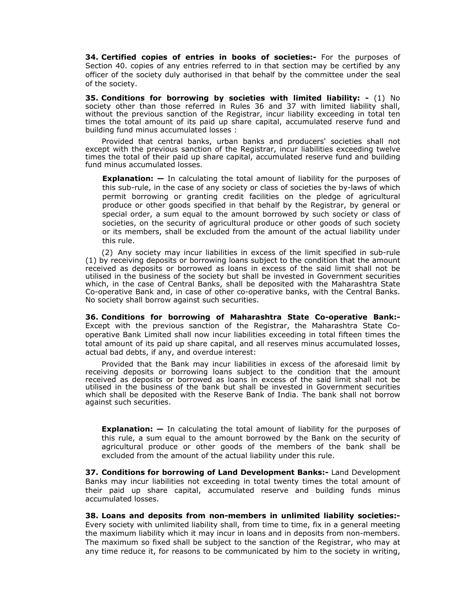**34. Certified copies of entries in books of societies:-** For the purposes of Section 40. copies of any entries referred to in that section may be certified by any officer of the society duly authorised in that behalf by the committee under the seal of the society.

**35. Conditions for borrowing by societies with limited liability: -** (1) No society other than those referred in Rules 36 and 37 with limited liability shall, without the previous sanction of the Registrar, incur liability exceeding in total ten times the total amount of its paid up share capital, accumulated reserve fund and building fund minus accumulated losses :

Provided that central banks, urban banks and producers' societies shall not except with the previous sanction of the Registrar, incur liabilities exceeding twelve times the total of their paid up share capital, accumulated reserve fund and building fund minus accumulated losses.

**Explanation: —** In calculating the total amount of liability for the purposes of this sub-rule, in the case of any society or class of societies the by-laws of which permit borrowing or granting credit facilities on the pledge of agricultural produce or other goods specified in that behalf by the Registrar, by general or special order, a sum equal to the amount borrowed by such society or class of societies, on the security of agricultural produce or other goods of such society or its members, shall be excluded from the amount of the actual liability under this rule.

(2) Any society may incur liabilities in excess of the limit specified in sub-rule (1) by receiving deposits or borrowing loans subject to the condition that the amount received as deposits or borrowed as loans in excess of the said limit shall not be utilised in the business of the society but shall be invested in Government securities which, in the case of Central Banks, shall be deposited with the Maharashtra State Co-operative Bank and, in case of other co-operative banks, with the Central Banks. No society shall borrow against such securities.

**36. Conditions for borrowing of Maharashtra State Co-operative Bank:-**  Except with the previous sanction of the Registrar, the Maharashtra State Cooperative Bank Limited shall now incur liabilities exceeding in total fifteen times the total amount of its paid up share capital, and all reserves minus accumulated losses, actual bad debts, if any, and overdue interest:

Provided that the Bank may incur liabilities in excess of the aforesaid limit by receiving deposits or borrowing loans subject to the condition that the amount received as deposits or borrowed as loans in excess of the said limit shall not be utilised in the business of the bank but shall be invested in Government securities which shall be deposited with the Reserve Bank of India. The bank shall not borrow against such securities.

**Explanation: —** In calculating the total amount of liability for the purposes of this rule, a sum equal to the amount borrowed by the Bank on the security of agricultural produce or other goods of the members of the bank shall be excluded from the amount of the actual liability under this rule.

**37. Conditions for borrowing of Land Development Banks:-** Land Development Banks may incur liabilities not exceeding in total twenty times the total amount of their paid up share capital, accumulated reserve and building funds minus accumulated losses.

**38. Loans and deposits from non-members in unlimited liability societies:-**  Every society with unlimited liability shall, from time to time, fix in a general meeting the maximum liability which it may incur in loans and in deposits from non-members. The maximum so fixed shall be subject to the sanction of the Registrar, who may at any time reduce it, for reasons to be communicated by him to the society in writing,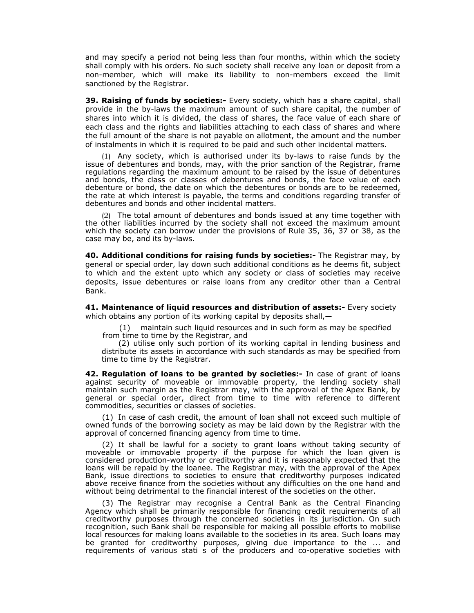and may specify a period not being less than four months, within which the society shall comply with his orders. No such society shall receive any loan or deposit from a non-member, which will make its liability to non-members exceed the limit sanctioned by the Registrar.

**39. Raising of funds by societies:-** Every society, which has a share capital, shall provide in the by-laws the maximum amount of such share capital, the number of shares into which it is divided, the class of shares, the face value of each share of each class and the rights and liabilities attaching to each class of shares and where the full amount of the share is not payable on allotment, the amount and the number of instalments in which it is required to be paid and such other incidental matters.

(1) Any society, which is authorised under its by-laws to raise funds by the issue of debentures and bonds, may, with the prior sanction of the Registrar, frame regulations regarding the maximum amount to be raised by the issue of debentures and bonds, the class or classes of debentures and bonds, the face value of each debenture or bond, the date on which the debentures or bonds are to be redeemed, the rate at which interest is payable, the terms and conditions regarding transfer of debentures and bonds and other incidental matters.

(2) The total amount of debentures and bonds issued at any time together with the other liabilities incurred by the society shall not exceed the maximum amount which the society can borrow under the provisions of Rule 35, 36, 37 or 38, as the case may be, and its by-laws.

**40. Additional conditions for raising funds by societies:-** The Registrar may, by general or special order, lay down such additional conditions as he deems fit, subject to which and the extent upto which any society or class of societies may receive deposits, issue debentures or raise loans from any creditor other than a Central Bank.

**41. Maintenance of liquid resources and distribution of assets:-** Every society which obtains any portion of its working capital by deposits shall, -

(1) maintain such liquid resources and in such form as may be specified from time to time by the Registrar, and

(2) utilise only such portion of its working capital in lending business and distribute its assets in accordance with such standards as may be specified from time to time by the Registrar.

**42. Regulation of loans to be granted by societies:-** In case of grant of loans against security of moveable or immovable property, the lending society shall maintain such margin as the Registrar may, with the approval of the Apex Bank, by general or special order, direct from time to time with reference to different commodities, securities or classes of societies.

(1) In case of cash credit, the amount of loan shall not exceed such multiple of owned funds of the borrowing society as may be laid down by the Registrar with the approval of concerned financing agency from time to time.

(2) It shall be lawful for a society to grant loans without taking security of moveable or immovable property if the purpose for which the loan given is considered production-worthy or creditworthy and it is reasonably expected that the loans will be repaid by the loanee. The Registrar may, with the approval of the Apex Bank, issue directions to societies to ensure that creditworthy purposes indicated above receive finance from the societies without any difficulties on the one hand and without being detrimental to the financial interest of the societies on the other.

(3) The Registrar may recognise a Central Bank as the Central Financing Agency which shall be primarily responsible for financing credit requirements of all creditworthy purposes through the concerned societies in its jurisdiction. On such recognition, such Bank shall be responsible for making all possible efforts to mobilise local resources for making loans available to the societies in its area. Such loans may be granted for creditworthy purposes, giving due importance to the ... and requirements of various stati s of the producers and co-operative societies with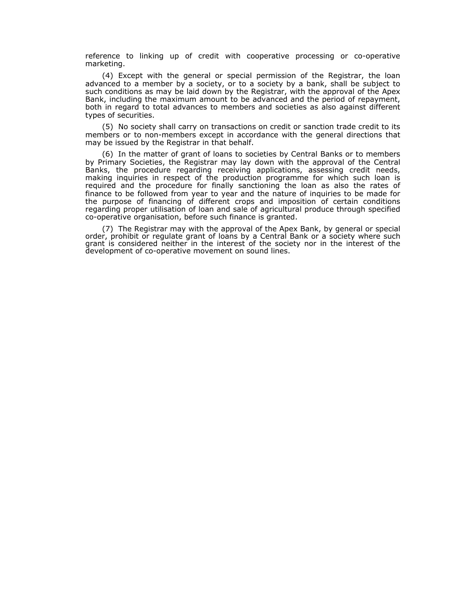reference to linking up of credit with cooperative processing or co-operative marketing.

(4) Except with the general or special permission of the Registrar, the loan advanced to a member by a society, or to a society by a bank, shall be subject to such conditions as may be laid down by the Registrar, with the approval of the Apex Bank, including the maximum amount to be advanced and the period of repayment, both in regard to total advances to members and societies as also against different types of securities.

(5) No society shall carry on transactions on credit or sanction trade credit to its members or to non-members except in accordance with the general directions that may be issued by the Registrar in that behalf.

(6) In the matter of grant of loans to societies by Central Banks or to members by Primary Societies, the Registrar may lay down with the approval of the Central Banks, the procedure regarding receiving applications, assessing credit needs, making inquiries in respect of the production programme for which such loan is required and the procedure for finally sanctioning the loan as also the rates of finance to be followed from year to year and the nature of inquiries to be made for the purpose of financing of different crops and imposition of certain conditions regarding proper utilisation of loan and sale of agricultural produce through specified co-operative organisation, before such finance is granted.

(7) The Registrar may with the approval of the Apex Bank, by general or special order, prohibit or regulate grant of loans by a Central Bank or a society where such grant is considered neither in the interest of the society nor in the interest of the development of co-operative movement on sound lines.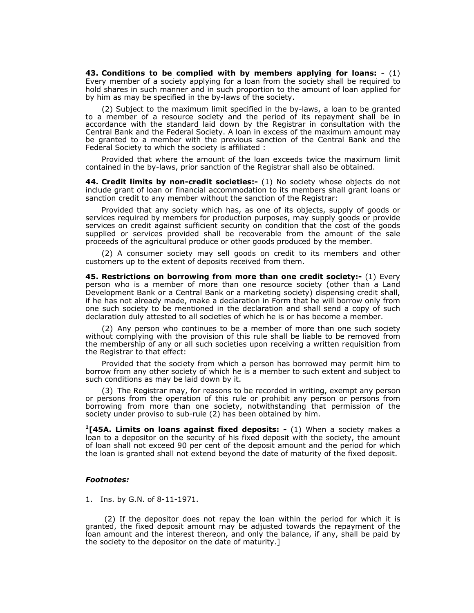**43. Conditions to be complied with by members applying for loans: -** (1) Every member of a society applying for a loan from the society shall be required to hold shares in such manner and in such proportion to the amount of loan applied for by him as may be specified in the by-laws of the society.

(2) Subject to the maximum limit specified in the by-laws, a loan to be granted to a member of a resource society and the period of its repayment shall be in accordance with the standard laid down by the Registrar in consultation with the Central Bank and the Federal Society. A loan in excess of the maximum amount may be granted to a member with the previous sanction of the Central Bank and the Federal Society to which the society is affiliated :

Provided that where the amount of the loan exceeds twice the maximum limit contained in the by-laws, prior sanction of the Registrar shall also be obtained.

**44. Credit limits by non-credit societies:-** (1) No society whose objects do not include grant of loan or financial accommodation to its members shall grant loans or sanction credit to any member without the sanction of the Registrar:

Provided that any society which has, as one of its objects, supply of goods or services required by members for production purposes, may supply goods or provide services on credit against sufficient security on condition that the cost of the goods supplied or services provided shall be recoverable from the amount of the sale proceeds of the agricultural produce or other goods produced by the member.

(2) A consumer society may sell goods on credit to its members and other customers up to the extent of deposits received from them.

**45. Restrictions on borrowing from more than one credit society:-** (1) Every person who is a member of more than one resource society (other than a Land Development Bank or a Central Bank or a marketing society) dispensing credit shall, if he has not already made, make a declaration in Form that he will borrow only from one such society to be mentioned in the declaration and shall send a copy of such declaration duly attested to all societies of which he is or has become a member.

(2) Any person who continues to be a member of more than one such society without complying with the provision of this rule shall be liable to be removed from the membership of any or all such societies upon receiving a written requisition from the Registrar to that effect:

Provided that the society from which a person has borrowed may permit him to borrow from any other society of which he is a member to such extent and subject to such conditions as may be laid down by it.

(3) The Registrar may, for reasons to be recorded in writing, exempt any person or persons from the operation of this rule or prohibit any person or persons from borrowing from more than one society, notwithstanding that permission of the society under proviso to sub-rule (2) has been obtained by him.

**1[45A. Limits on loans against fixed deposits: -** (1) When a society makes a loan to a depositor on the security of his fixed deposit with the society, the amount of loan shall not exceed 90 per cent of the deposit amount and the period for which the loan is granted shall not extend beyond the date of maturity of the fixed deposit.

#### *Footnotes:*

1. Ins. by G.N. of 8-11-1971.

 (2) If the depositor does not repay the loan within the period for which it is granted, the fixed deposit amount may be adjusted towards the repayment of the loan amount and the interest thereon, and only the balance, if any, shall be paid by the society to the depositor on the date of maturity.]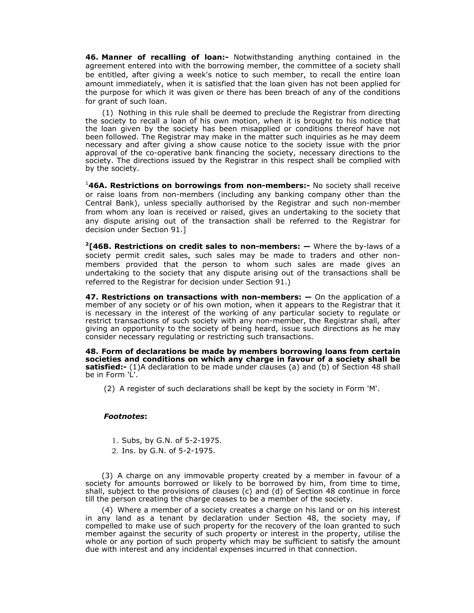**46. Manner of recalling of loan:-** Notwithstanding anything contained in the agreement entered into with the borrowing member, the committee of a society shall be entitled, after giving a week's notice to such member, to recall the entire loan amount immediately, when it is satisfied that the loan given has not been applied for the purpose for which it was given or there has been breach of any of the conditions for grant of such loan.

(1) Nothing in this rule shall be deemed to preclude the Registrar from directing the society to recall a loan of his own motion, when it is brought to his notice that the loan given by the society has been misapplied or conditions thereof have not been followed. The Registrar may make in the matter such inquiries as he may deem necessary and after giving a show cause notice to the society issue with the prior approval of the co-operative bank financing the society, necessary directions to the society. The directions issued by the Registrar in this respect shall be complied with by the society.

1 **46A. Restrictions on borrowings from non-members:-** No society shall receive or raise loans from non-members (including any banking company other than the Central Bank), unless specially authorised by the Registrar and such non-member from whom any loan is received or raised, gives an undertaking to the society that any dispute arising out of the transaction shall be referred to the Registrar for decision under Section 91.]

**2[46B. Restrictions on credit sales to non-members: —** Where the by-laws of a society permit credit sales, such sales may be made to traders and other nonmembers provided that the person to whom such sales are made gives an undertaking to the society that any dispute arising out of the transactions shall be referred to the Registrar for decision under Section 91.)

**47. Restrictions on transactions with non-members: —** On the application of a member of any society or of his own motion, when it appears to the Registrar that it is necessary in the interest of the working of any particular society to regulate or restrict transactions of such society with any non-member, the Registrar shall, after giving an opportunity to the society of being heard, issue such directions as he may consider necessary regulating or restricting such transactions.

**48. Form of declarations be made by members borrowing loans from certain societies and conditions on which any charge in favour of a society shall be satisfied:-** (1)A declaration to be made under clauses (a) and (b) of Section 48 shall be in Form 'L'

(2) A register of such declarations shall be kept by the society in Form 'M'.

### *Footnotes***:**

- 1. Subs, by G.N. of 5-2-1975.
- 2. Ins. by G.N. of 5-2-1975.

(3) A charge on any immovable property created by a member in favour of a society for amounts borrowed or likely to be borrowed by him, from time to time, shall, subject to the provisions of clauses (c) and (d) of Section 48 continue in force till the person creating the charge ceases to be a member of the society.

(4) Where a member of a society creates a charge on his land or on his interest in any land as a tenant by declaration under Section 48, the society may, if compelled to make use of such property for the recovery of the loan granted to such member against the security of such property or interest in the property, utilise the whole or any portion of such property which may be sufficient to satisfy the amount due with interest and any incidental expenses incurred in that connection.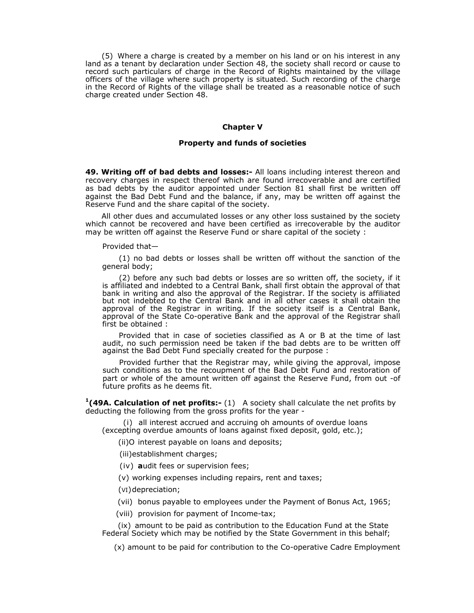(5) Where a charge is created by a member on his land or on his interest in any land as a tenant by declaration under Section 48, the society shall record or cause to record such particulars of charge in the Record of Rights maintained by the village officers of the village where such property is situated. Such recording of the charge in the Record of Rights of the village shall be treated as a reasonable notice of such charge created under Section 48.

### **Chapter V**

#### **Property and funds of societies**

**49. Writing off of bad debts and losses:-** All loans including interest thereon and recovery charges in respect thereof which are found irrecoverable and are certified as bad debts by the auditor appointed under Section 81 shall first be written off against the Bad Debt Fund and the balance, if any, may be written off against the Reserve Fund and the share capital of the society.

All other dues and accumulated losses or any other loss sustained by the society which cannot be recovered and have been certified as irrecoverable by the auditor may be written off against the Reserve Fund or share capital of the society :

#### Provided that—

(1) no bad debts or losses shall be written off without the sanction of the general body;

(2) before any such bad debts or losses are so written off, the society, if it is affiliated and indebted to a Central Bank, shall first obtain the approval of that bank in writing and also the approval of the Registrar. If the society is affiliated but not indebted to the Central Bank and in all other cases it shall obtain the approval of the Registrar in writing. If the society itself is a Central Bank, approval of the State Co-operative Bank and the approval of the Registrar shall first be obtained :

Provided that in case of societies classified as A or B at the time of last audit, no such permission need be taken if the bad debts are to be written off against the Bad Debt Fund specially created for the purpose :

Provided further that the Registrar may, while giving the approval, impose such conditions as to the recoupment of the Bad Debt Fund and restoration of part or whole of the amount written off against the Reserve Fund, from out -of future profits as he deems fit.

**1(49A. Calculation of net profits:-** (1) A society shall calculate the net profits by deducting the following from the gross profits for the year -

(i)all interest accrued and accruing oh amounts of overdue loans (excepting overdue amounts of loans against fixed deposit, gold, etc.);

(ii)O interest payable on loans and deposits;

(iii) establishment charges;

(iv) **a**udit fees or supervision fees;

(v) working expenses including repairs, rent and taxes;

(VI) depreciation;

(vii) bonus payable to employees under the Payment of Bonus Act, 1965;

(viii) provision for payment of Income-tax;

 (ix) amount to be paid as contribution to the Education Fund at the State Federal Society which may be notified by the State Government in this behalf;

(x) amount to be paid for contribution to the Co-operative Cadre Employment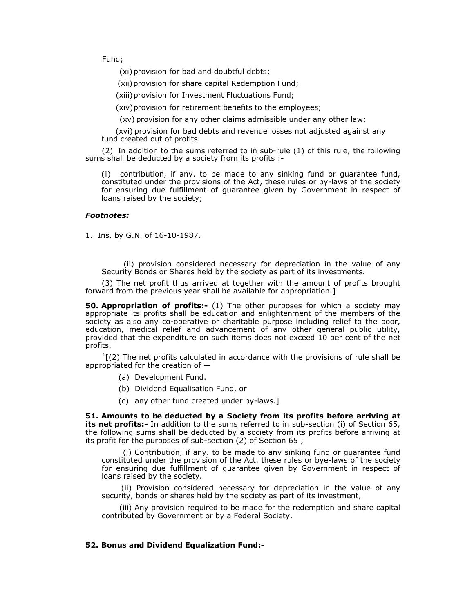Fund;

(xi) provision for bad and doubtful debts;

(xii) provision for share capital Redemption Fund;

(xiii) provision for Investment Fluctuations Fund;

(xiv) provision for retirement benefits to the employees;

(xv) provision for any other claims admissible under any other law;

(xvi) provision for bad debts and revenue losses not adjusted against any fund created out of profits.

(2) In addition to the sums referred to in sub-rule (1) of this rule, the following sums shall be deducted by a society from its profits :-

(i)contribution, if any. to be made to any sinking fund or guarantee fund, constituted under the provisions of the Act, these rules or by-laws of the society for ensuring due fulfillment of guarantee given by Government in respect of loans raised by the society;

## *Footnotes:*

1. Ins. by G.N. of 16-10-1987.

 (ii) provision considered necessary for depreciation in the value of any Security Bonds or Shares held by the society as part of its investments.

(3) The net profit thus arrived at together with the amount of profits brought forward from the previous year shall be available for appropriation.]

**50. Appropriation of profits:-** (1) The other purposes for which a society may appropriate its profits shall be education and enlightenment of the members of the society as also any co-operative or charitable purpose including relief to the poor, education, medical relief and advancement of any other general public utility, provided that the expenditure on such items does not exceed 10 per cent of the net profits.

 $<sup>1</sup>$ [(2) The net profits calculated in accordance with the provisions of rule shall be</sup> appropriated for the creation of —

- (a) Development Fund.
- (b) Dividend Equalisation Fund, or
- (c) any other fund created under by-laws.]

**51. Amounts to be deducted by a Society from its profits before arriving at its net profits:-** In addition to the sums referred to in sub-section (i) of Section 65, the following sums shall be deducted by a society from its profits before arriving at its profit for the purposes of sub-section (2) of Section 65 ;

(i) Contribution, if any. to be made to any sinking fund or guarantee fund constituted under the provision of the Act. these rules or bye-laws of the society for ensuring due fulfillment of guarantee given by Government in respect of loans raised by the society.

(ii) Provision considered necessary for depreciation in the value of any security, bonds or shares held by the society as part of its investment,

(iii) Any provision required to be made for the redemption and share capital contributed by Government or by a Federal Society.

## **52. Bonus and Dividend Equalization Fund:-**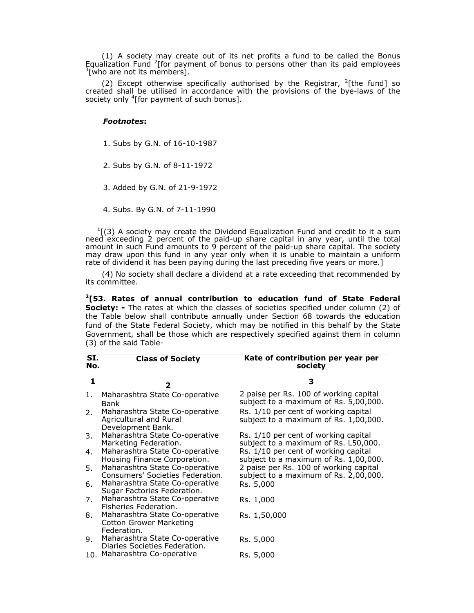(1) A society may create out of its net profits a fund to be called the Bonus Equalization Fund <sup>2</sup>[for payment of bonus to persons other than its paid employees  $\frac{3}{2}$ [who are not its members]  $\frac{3}{ }$ [who are not its members].

(2) Except otherwise specifically authorised by the Registrar,  $^{2}$ [the fund] so created shall be utilised in accordance with the provisions of the bye-laws of the society only <sup>4</sup>[for payment of such bonus].

### *Footnotes***:**

- 1. Subs by G.N. of 16-10-1987
- 2. Subs by G.N. of 8-11-1972
- 3. Added by G.N. of 21-9-1972
- 4. Subs. By G.N. of 7-11-1990

 $<sup>1</sup>$ [(3) A society may create the Dividend Equalization Fund and credit to it a sum</sup> need exceeding 2 percent of the paid-up share capital in any year, until the total amount in such Fund amounts to 9 percent of the paid-up share capital. The society may draw upon this fund in any year only when it is unable to maintain a uniform rate of dividend it has been paying during the last preceding five years or more.]

(4) No society shall declare a dividend at a rate exceeding that recommended by its committee.

**2[53. Rates of annual contribution to education fund of State Federal Society:** - The rates at which the classes of societies specified under column (2) of the Table below shall contribute annually under Section 68 towards the education fund of the State Federal Society, which may be notified in this behalf by the State Government, shall be those which are respectively specified against them in column (3) of the said Table-

| SI.<br>No. | <b>Class of Society</b>                                                         | Kate of contribution per year per<br>society                                    |
|------------|---------------------------------------------------------------------------------|---------------------------------------------------------------------------------|
| 1          | $\mathbf{2}$                                                                    | 3                                                                               |
| 1.         | Maharashtra State Co-operative<br>Bank                                          | 2 paise per Rs. 100 of working capital<br>subject to a maximum of Rs. 5,00,000. |
| 2.         | Maharashtra State Co-operative<br>Agricultural and Rural<br>Development Bank.   | Rs. 1/10 per cent of working capital<br>subject to a maximum of Rs. 1,00,000.   |
| 3.         | Maharashtra State Co-operative<br>Marketing Federation.                         | Rs. 1/10 per cent of working capital<br>subject to a maximum of Rs. L50,000.    |
| 4.         | Maharashtra State Co-operative<br>Housing Finance Corporation.                  | Rs. 1/10 per cent of working capital<br>subject to a maximum of Rs. 1,00,000.   |
| 5.         | Maharashtra State Co-operative<br>Consumers' Societies Federation.              | 2 paise per Rs. 100 of working capital<br>subject to a maximum of Rs. 2,00,000. |
| 6.         | Maharashtra State Co-operative<br>Sugar Factories Federation.                   | Rs. 5,000                                                                       |
| 7.         | Maharashtra State Co-operative<br>Fisheries Federation.                         | Rs. 1,000                                                                       |
| 8.         | Maharashtra State Co-operative<br><b>Cotton Grower Marketing</b><br>Federation. | Rs. 1,50,000                                                                    |
| 9.         | Maharashtra State Co-operative<br>Diaries Societies Federation.                 | Rs. 5,000                                                                       |
|            | 10. Maharashtra Co-operative                                                    | Rs. 5,000                                                                       |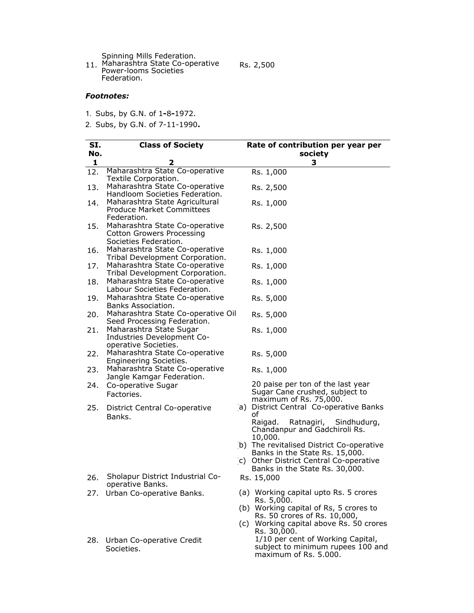Spinning Mills Federation.

11. Maharashtra State Co-operative Power-looms Societies Federation.

Rs. 2,500

# *Footnotes:*

- 1. Subs, by G.N. of 1**-**8**-**1972.
- 2. Subs, by G.N. of 7-11-1990**.**

| SI. | <b>Class of Society</b>                                                                     |     | Rate of contribution per year per                                                             |
|-----|---------------------------------------------------------------------------------------------|-----|-----------------------------------------------------------------------------------------------|
| No. |                                                                                             |     | society                                                                                       |
| 1   | 2                                                                                           |     | 3                                                                                             |
| 12. | Maharashtra State Co-operative<br>Textile Corporation.                                      |     | Rs. 1,000                                                                                     |
| 13. | Maharashtra State Co-operative<br>Handloom Societies Federation.                            |     | Rs. 2,500                                                                                     |
| 14. | Maharashtra State Agricultural<br><b>Produce Market Committees</b><br>Federation.           |     | Rs. 1,000                                                                                     |
| 15. | Maharashtra State Co-operative<br><b>Cotton Growers Processing</b><br>Societies Federation. |     | Rs. 2,500                                                                                     |
| 16. | Maharashtra State Co-operative<br>Tribal Development Corporation.                           |     | Rs. 1,000                                                                                     |
| 17. | Maharashtra State Co-operative<br>Tribal Development Corporation.                           |     | Rs. 1,000                                                                                     |
| 18. | Maharashtra State Co-operative<br>Labour Societies Federation.                              |     | Rs. 1,000                                                                                     |
| 19. | Maharashtra State Co-operative<br>Banks Association.                                        |     | Rs. 5,000                                                                                     |
| 20. | Maharashtra State Co-operative Oil<br>Seed Processing Federation.                           |     | Rs. 5,000                                                                                     |
| 21. | Maharashtra State Sugar<br>Industries Development Co-<br>operative Societies.               |     | Rs. 1,000                                                                                     |
| 22. | Maharashtra State Co-operative<br>Engineering Societies.                                    |     | Rs. 5,000                                                                                     |
| 23. | Maharashtra State Co-operative<br>Jangle Kamgar Federation.                                 |     | Rs. 1,000                                                                                     |
| 24. | Co-operative Sugar<br>Factories.                                                            |     | 20 paise per ton of the last year<br>Sugar Cane crushed, subject to<br>maximum of Rs. 75,000. |
| 25. | District Central Co-operative<br>Banks.                                                     |     | a) District Central Co-operative Banks<br>of                                                  |
|     |                                                                                             |     | Ratnagiri, Sindhudurg,<br>Raigad.<br>Chandanpur and Gadchiroli Rs.<br>10,000.                 |
|     |                                                                                             |     | b) The revitalised District Co-operative<br>Banks in the State Rs. 15,000.                    |
|     |                                                                                             |     | c) Other District Central Co-operative<br>Banks in the State Rs. 30,000.                      |
| 26. | Sholapur District Industrial Co-<br>operative Banks.                                        |     | Rs. 15,000                                                                                    |
|     | 27. Urban Co-operative Banks.                                                               |     | (a) Working capital upto Rs. 5 crores<br>Rs. 5,000.                                           |
|     |                                                                                             |     | (b) Working capital of Rs, 5 crores to<br>Rs. 50 crores of Rs. 10,000,                        |
|     |                                                                                             | (C) | Working capital above Rs. 50 crores<br>Rs. 30,000.                                            |
| 28. | Urban Co-operative Credit<br>Societies.                                                     |     | 1/10 per cent of Working Capital,<br>subject to minimum rupees 100 and                        |

maximum of Rs. 5.000.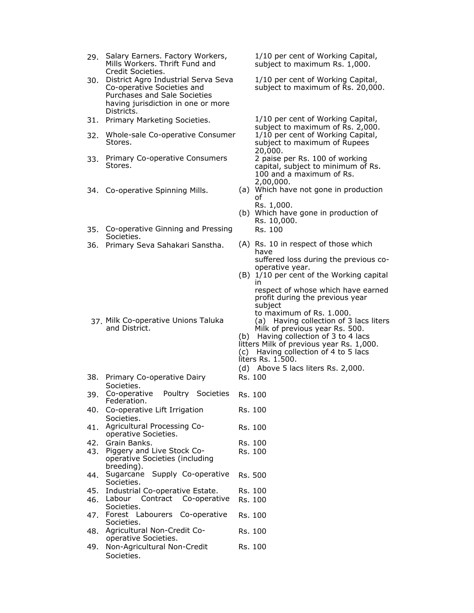- 29. Salary Earners. Factory Workers, Mills Workers. Thrift Fund and Credit Societies.
- 30. District Agro Industrial Serva Seva Co-operative Societies and Purchases and Sale Societies having jurisdiction in one or more Districts.
- 
- 32. Whole-sale Co-operative Consumer Stores.
- 33. Primary Co-operative Consumers Stores.
- 
- 35. Co-operative Ginning and Pressing Societies.
- 

- 37. Milk Co-operative Unions Taluka and District.
- 38. Primary Co-operative Dairy Societies.
- 39. Co-operative Poultry Societies Federation. Rs. 100 Rs. 100
- 40. Co-operative Lift Irrigation Societies.
- 41. Agricultural Processing Cooperative Societies.
- 42. Grain Banks. Rs. 100 43. Piggery and Live Stock Cooperative Societies (including breeding). Rs. 100
- 44. Sugarcane Supply Co-operative Societies. Rs. 500
- 45. Industrial Co-operative Estate. Rs. 100
- 46. Labour Contract Co-operative Societies. Rs. 100
- 47. Forest Labourers Co-operative Societies. Rs. 100 48. Agricultural Non-Credit Co-Rs. 100
- operative Societies.
- 49. Non-Agricultural Non-Credit Societies. Rs. 100

1/10 per cent of Working Capital, subject to maximum Rs. 1,000.

1/10 per cent of Working Capital, subject to maximum of Rs. 20,000.

31. Primary Marketing Societies. 1/10 per cent of Working Capital, subject to maximum of Rs. 2,000. 1/10 per cent of Working Capital, subject to maximum of Rupees 20,000. 2 paise per Rs. 100 of working capital, subject to minimum of Rs. 100 and a maximum of Rs. 2,00,000.

- 34. Co-operative Spinning Mills. (a) Which have not gone in production of
	- Rs. 1,000. (b) Which have gone in production of Rs. 10,000. Rs. 100
- 36. Primary Seva Sahakari Sanstha. (A) Rs. 10 in respect of those which have suffered loss during the previous cooperative year.
	- (B) 1/10 per cent of the Working capital in respect of whose which have earned profit during the previous year subject to maximum of Rs. 1.000. (a) Having collection of 3 lacs liters Milk of previous year Rs. 500. (b) Having collection of 3 to 4 lacs litters Milk of previous year Rs. 1,000. (c) Having collection of 4 to 5 lacs liters Rs. 1.500. (d) Above 5 lacs liters Rs. 2,000. Rs. 100

Rs. 100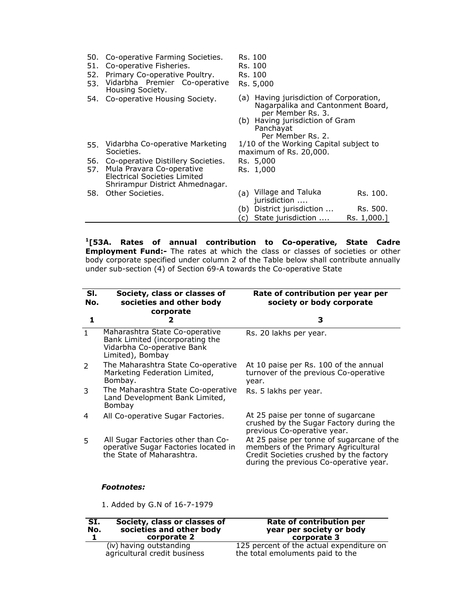| 50.<br>51.<br>52.<br>53. | Co-operative Farming Societies.<br>Co-operative Fisheries.<br>Primary Co-operative Poultry.<br>Vidarbha Premier Co-operative<br>Housing Society. | Rs. 100<br>Rs. 100<br>Rs. 100<br>Rs. 5,000                                                                                                                                |
|--------------------------|--------------------------------------------------------------------------------------------------------------------------------------------------|---------------------------------------------------------------------------------------------------------------------------------------------------------------------------|
| 54.                      | Co-operative Housing Society.                                                                                                                    | Having jurisdiction of Corporation,<br>(a)<br>Nagarpalika and Cantonment Board,<br>per Member Rs. 3.<br>(b) Having jurisdiction of Gram<br>Panchayat<br>Per Member Rs. 2. |
| 55.                      | Vidarbha Co-operative Marketing<br>Societies.                                                                                                    | 1/10 of the Working Capital subject to<br>maximum of Rs. 20,000.                                                                                                          |
|                          | 56. Co-operative Distillery Societies.                                                                                                           | Rs. 5,000                                                                                                                                                                 |
| 57.                      | Mula Pravara Co-operative<br>Electrical Societies Limited<br>Shrirampur District Ahmednagar.                                                     | Rs. 1,000                                                                                                                                                                 |
| 58.                      | Other Societies.                                                                                                                                 | Village and Taluka<br>(a)<br>Rs. 100.<br>jurisdiction                                                                                                                     |
|                          |                                                                                                                                                  | District jurisdiction<br>Rs. 500.<br>(b)                                                                                                                                  |
|                          |                                                                                                                                                  | State jurisdiction<br>Rs. 1,000.1<br>C)                                                                                                                                   |

**1[53A. Rates of annual contribution to Co-operative, State Cadre Employment Fund:-** The rates at which the class or classes of societies or other body corporate specified under column 2 of the Table below shall contribute annually under sub-section (4) of Section 69-A towards the Co-operative State

| SI.<br>No.   | Society, class or classes of<br>societies and other body<br>corporate                                               | Rate of contribution per year per<br>society or body corporate                                                                                                        |
|--------------|---------------------------------------------------------------------------------------------------------------------|-----------------------------------------------------------------------------------------------------------------------------------------------------------------------|
| 1            | 2                                                                                                                   | 3                                                                                                                                                                     |
| $\mathbf{1}$ | Maharashtra State Co-operative<br>Bank Limited (incorporating the<br>Vidarbha Co-operative Bank<br>Limited), Bombay | Rs. 20 lakhs per year.                                                                                                                                                |
| 2            | The Maharashtra State Co-operative<br>Marketing Federation Limited,<br>Bombay.                                      | At 10 paise per Rs. 100 of the annual<br>turnover of the previous Co-operative<br>year.                                                                               |
| 3            | The Maharashtra State Co-operative<br>Land Development Bank Limited,<br>Bombay                                      | Rs. 5 lakhs per year.                                                                                                                                                 |
| 4            | All Co-operative Sugar Factories.                                                                                   | At 25 paise per tonne of sugarcane<br>crushed by the Sugar Factory during the<br>previous Co-operative year.                                                          |
| 5            | All Sugar Factories other than Co-<br>operative Sugar Factories located in<br>the State of Maharashtra.             | At 25 paise per tonne of sugarcane of the<br>members of the Primary Agricultural<br>Credit Societies crushed by the factory<br>during the previous Co-operative year. |
|              | <i><b>Footnotes:</b></i>                                                                                            |                                                                                                                                                                       |

1. Added by G.N of 16-7-1979

| SI.<br>No. | Society, class or classes of<br>societies and other body<br>corporate 2 | Rate of contribution per<br>year per society or body<br>corporate 3          |
|------------|-------------------------------------------------------------------------|------------------------------------------------------------------------------|
|            | (iv) having outstanding<br>agricultural credit business                 | 125 percent of the actual expenditure on<br>the total emoluments paid to the |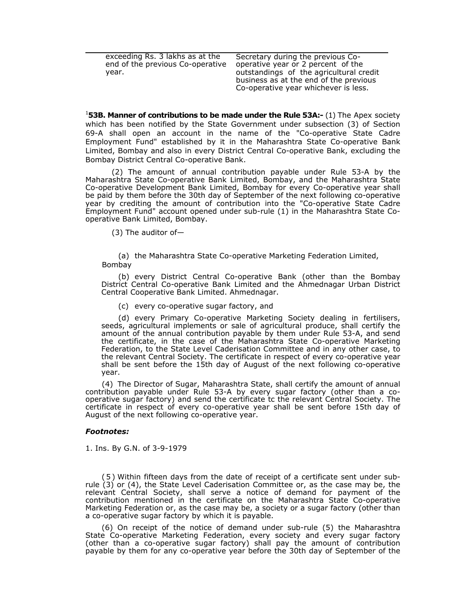| end of the previous Co-operative<br>operative year or 2 percent of the<br>outstandings of the agricultural credit<br>year.<br>business as at the end of the previous<br>Co-operative year whichever is less. |  |
|--------------------------------------------------------------------------------------------------------------------------------------------------------------------------------------------------------------|--|
|--------------------------------------------------------------------------------------------------------------------------------------------------------------------------------------------------------------|--|

<sup>1</sup>**53B. Manner of contributions to be made under the Rule 53A:- (1) The Apex society** which has been notified by the State Government under subsection (3) of Section 69-A shall open an account in the name of the "Co-operative State Cadre Employment Fund" established by it in the Maharashtra State Co-operative Bank Limited, Bombay and also in every District Central Co-operative Bank, excluding the Bombay District Central Co-operative Bank.

 (2) The amount of annual contribution payable under Rule 53-A by the Maharashtra State Co-operative Bank Limited, Bombay, and the Maharashtra State Co-operative Development Bank Limited, Bombay for every Co-operative year shall be paid by them before the 30th day of September of the next following co-operative year by crediting the amount of contribution into the "Co-operative State Cadre Employment Fund" account opened under sub-rule (1) in the Maharashtra State Cooperative Bank Limited, Bombay.

(3) The auditor of—

(a) the Maharashtra State Co-operative Marketing Federation Limited, Bombay

(b) every District Central Co-operative Bank (other than the Bombay District Central Co-operative Bank Limited and the Ahmednagar Urban District Central Cooperative Bank Limited. Ahmednagar.

(c) every co-operative sugar factory, and

(d) every Primary Co-operative Marketing Society dealing in fertilisers, seeds, agricultural implements or sale of agricultural produce, shall certify the amount of the annual contribution payable by them under Rule 53-A, and send the certificate, in the case of the Maharashtra State Co-operative Marketing Federation, to the State Level Caderisation Committee and in any other case, to the relevant Central Society. The certificate in respect of every co-operative year shall be sent before the 15th day of August of the next following co-operative year.

(4) The Director of Sugar, Maharashtra State, shall certify the amount of annual contribution payable under Rule 53-A by every sugar factory (other than a cooperative sugar factory) and send the certificate tc the relevant Central Society. The certificate in respect of every co-operative year shall be sent before 15th day of August of the next following co-operative year.

#### *Footnotes:*

1. Ins. By G.N. of 3-9-1979

(5) Within fifteen days from the date of receipt of a certificate sent under subrule (3) or (4), the State Level Caderisation Committee or, as the case may be, the relevant Central Society, shall serve a notice of demand for payment of the contribution mentioned in the certificate on the Maharashtra State Co-operative Marketing Federation or, as the case may be, a society or a sugar factory (other than a co-operative sugar factory by which it is payable.

(6) On receipt of the notice of demand under sub-rule (5) the Maharashtra State Co-operative Marketing Federation, every society and every sugar factory (other than a co-operative sugar factory) shall pay the amount of contribution payable by them for any co-operative year before the 30th day of September of the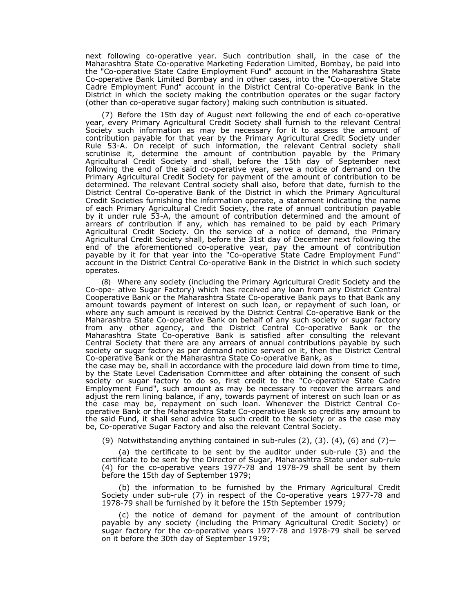next following co-operative year. Such contribution shall, in the case of the Maharashtra State Co-operative Marketing Federation Limited, Bombay, be paid into the "Co-operative State Cadre Employment Fund" account in the Maharashtra State Co-operative Bank Limited Bombay and in other cases, into the "Co-operative State Cadre Employment Fund" account in the District Central Co-operative Bank in the District in which the society making the contribution operates or the sugar factory (other than co-operative sugar factory) making such contribution is situated.

(7) Before the 15th day of August next following the end of each co-operative year, every Primary Agricultural Credit Society shall furnish to the relevant Central Society such information as may be necessary for it to assess the amount of contribution payable for that year by the Primary Agricultural Credit Society under Rule 53-A. On receipt of such information, the relevant Central society shall scrutinise it, determine the amount of contribution payable by the Primary Agricultural Credit Society and shall, before the 15th day of September next following the end of the said co-operative year, serve a notice of demand on the Primary Agricultural Credit Society for payment of the amount of contribution to be determined. The relevant Central society shall also, before that date, furnish to the District Central Co-operative Bank of the District in which the Primary Agricultural Credit Societies furnishing the information operate, a statement indicating the name of each Primary Agricultural Credit Society, the rate of annual contribution payable by it under rule 53-A, the amount of contribution determined and the amount of arrears of contribution if any, which has remained to be paid by each Primary Agricultural Credit Society. On the service of a notice of demand, the Primary Agricultural Credit Society shall, before the 31st day of December next following the end of the aforementioned co-operative year, pay the amount of contribution payable by it for that year into the "Co-operative State Cadre Employment Fund" account in the District Central Co-operative Bank in the District in which such society operates.

(8) Where any society (including the Primary Agricultural Credit Society and the Co-ope- ative Sugar Factory) which has received any loan from any District Central Cooperative Bank or the Maharashtra State Co-operative Bank pays to that Bank any amount towards payment of interest on such loan, or repayment of such loan, or where any such amount is received by the District Central Co-operative Bank or the Maharashtra State Co-operative Bank on behalf of any such society or sugar factory from any other agency, and the District Central Co-operative Bank or the Maharashtra State Co-operative Bank is satisfied after consulting the relevant Central Society that there are any arrears of annual contributions payable by such society or sugar factory as per demand notice served on it, then the District Central Co-operative Bank or the Maharashtra State Co-operative Bank, as

the case may be, shall in accordance with the procedure laid down from time to time, by the State Level Caderisation Committee and after obtaining the consent of such society or sugar factory to do so, first credit to the "Co-operative State Cadre Employment Fund", such amount as may be necessary to recover the arrears and adjust the rem lining balance, if any, towards payment of interest on such loan or as the case may be, repayment on such loan. Whenever the District Central Cooperative Bank or the Maharashtra State Co-operative Bank so credits any amount to the said Fund, it shall send advice to such credit to the society or as the case may be, Co-operative Sugar Factory and also the relevant Central Society.

(9) Notwithstanding anything contained in sub-rules  $(2)$ ,  $(3)$ .  $(4)$ ,  $(6)$  and  $(7)$ —

(a) the certificate to be sent by the auditor under sub-rule (3) and the certificate to be sent by the Director of Sugar, Maharashtra State under sub-rule (4) for the co-operative years 1977-78 and 1978-79 shall be sent by them before the 15th day of September 1979;

(b) the information to be furnished by the Primary Agricultural Credit Society under sub-rule (7) in respect of the Co-operative years 1977-78 and 1978-79 shall be furnished by it before the 15th September 1979;

(c) the notice of demand for payment of the amount of contribution payable by any society (including the Primary Agricultural Credit Society) or sugar factory for the co-operative years 1977-78 and 1978-79 shall be served on it before the 30th day of September 1979;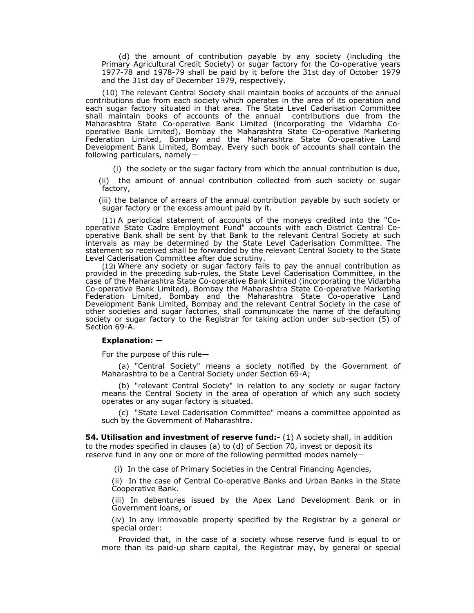(d) the amount of contribution payable by any society (including the Primary Agricultural Credit Society) or sugar factory for the Co-operative years 1977-78 and 1978-79 shall be paid by it before the 31st day of October 1979 and the 31st day of December 1979, respectively.

(10) The relevant Central Society shall maintain books of accounts of the annual contributions due from each society which operates in the area of its operation and each sugar factory situated in that area. The State Level Caderisation Committee shall maintain books of accounts of the annual contributions due from the Maharashtra State Co-operative Bank Limited (incorporating the Vidarbha Cooperative Bank Limited), Bombay the Maharashtra State Co-operative Marketing Federation Limited, Bombay and the Maharashtra State Co-operative Land Development Bank Limited, Bombay. Every such book of accounts shall contain the following particulars, namely—

(i) the society or the sugar factory from which the annual contribution is due,

(ii) the amount of annual contribution collected from such society or sugar factory,

(iii) the balance of arrears of the annual contribution payable by such society or sugar factory or the excess amount paid by it.

(11) A periodical statement of accounts of the moneys credited into the "Cooperative State Cadre Employment Fund" accounts with each District Central Cooperative Bank shall be sent by that Bank to the relevant Central Society at such intervals as may be determined by the State Level Caderisation Committee. The statement so received shall be forwarded by the relevant Central Society to the State Level Caderisation Committee after due scrutiny.

(12) Where any society or sugar factory fails to pay the annual contribution as provided in the preceding sub-rules, the State Level Caderisation Committee, in the case of the Maharashtra State Co-operative Bank Limited (incorporating the Vidarbha Co-operative Bank Limited), Bombay the Maharashtra State Co-operative Marketing Federation Limited, Bombay and the Maharashtra State Co-operative Land Development Bank Limited, Bombay and the relevant Central Society in the case of other societies and sugar factories, shall communicate the name of the defaulting society or sugar factory to the Registrar for taking action under sub-section (5) of Section 69-A.

#### **Explanation: —**

For the purpose of this rule—

(a) "Central Society" means a society notified by the Government of Maharashtra to be a Central Society under Section 69-A;

(b) "relevant Central Society" in relation to any society or sugar factory means the Central Society in the area of operation of which any such society operates or any sugar factory is situated.

(c) "State Level Caderisation Committee" means a committee appointed as such by the Government of Maharashtra.

**54. Utilisation and investment of reserve fund:-** (1) A society shall, in addition to the modes specified in clauses (a) to (d) of Section 70, invest or deposit its reserve fund in any one or more of the following permitted modes namely—

(i) In the case of Primary Societies in the Central Financing Agencies,

(ii) In the case of Central Co-operative Banks and Urban Banks in the State Cooperative Bank.

(iii) In debentures issued by the Apex Land Development Bank or in Government loans, or

(iv) In any immovable property specified by the Registrar by a general or special order:

Provided that, in the case of a society whose reserve fund is equal to or more than its paid-up share capital, the Registrar may, by general or special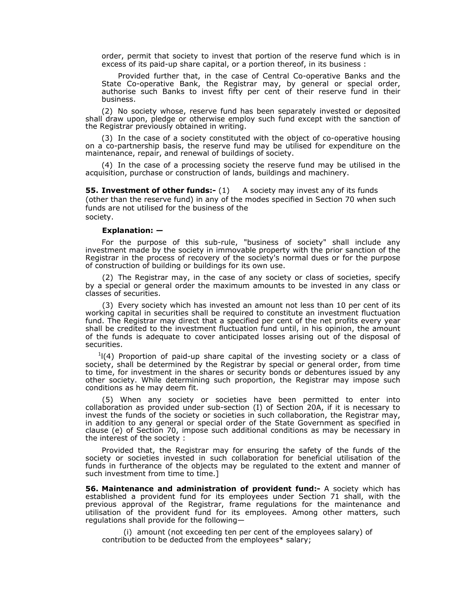order, permit that society to invest that portion of the reserve fund which is in excess of its paid-up share capital, or a portion thereof, in its business :

Provided further that, in the case of Central Co-operative Banks and the State Co-operative Bank, the Registrar may, by general or special order, authorise such Banks to invest fifty per cent of their reserve fund in their business.

(2) No society whose, reserve fund has been separately invested or deposited shall draw upon, pledge or otherwise employ such fund except with the sanction of the Registrar previously obtained in writing.

(3) In the case of a society constituted with the object of co-operative housing on a co-partnership basis, the reserve fund may be utilised for expenditure on the maintenance, repair, and renewal of buildings of society.

(4) In the case of a processing society the reserve fund may be utilised in the acquisition, purchase or construction of lands, buildings and machinery.

**55. Investment of other funds:-** (1) A society may invest any of its funds (other than the reserve fund) in any of the modes specified in Section 70 when such funds are not utilised for the business of the society.

#### **Explanation: —**

For the purpose of this sub-rule, "business of society" shall include any investment made by the society in immovable property with the prior sanction of the Registrar in the process of recovery of the society's normal dues or for the purpose of construction of building or buildings for its own use.

(2) The Registrar may, in the case of any society or class of societies, specify by a special or general order the maximum amounts to be invested in any class or classes of securities.

(3) Every society which has invested an amount not less than 10 per cent of its working capital in securities shall be required to constitute an investment fluctuation fund. The Registrar may direct that a specified per cent of the net profits every year shall be credited to the investment fluctuation fund until, in his opinion, the amount of the funds is adequate to cover anticipated losses arising out of the disposal of securities.

 $1(4)$  Proportion of paid-up share capital of the investing society or a class of society, shall be determined by the Registrar by special or general order, from time to time, for investment in the shares or security bonds or debentures issued by any other society. While determining such proportion, the Registrar may impose such conditions as he may deem fit.

(5) When any society or societies have been permitted to enter into collaboration as provided under sub-section (I) of Section 20A, if it is necessary to invest the funds of the society or societies in such collaboration, the Registrar may, in addition to any general or special order of the State Government as specified in clause (e) of Section 70, impose such additional conditions as may be necessary in the interest of the society :

Provided that, the Registrar may for ensuring the safety of the funds of the society or societies invested in such collaboration for beneficial utilisation of the funds in furtherance of the objects may be regulated to the extent and manner of such investment from time to time.]

**56. Maintenance and administration of provident fund:-** A society which has established a provident fund for its employees under Section 71 shall, with the previous approval of the Registrar, frame regulations for the maintenance and utilisation of the provident fund for its employees. Among other matters, such regulations shall provide for the following—

(i) amount (not exceeding ten per cent of the employees salary) of contribution to be deducted from the employees\* salary;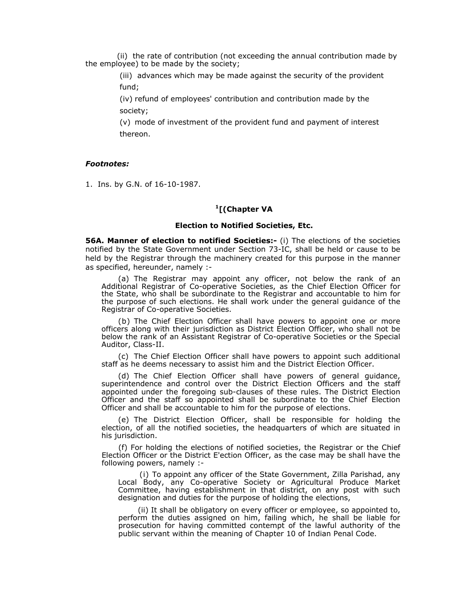(ii) the rate of contribution (not exceeding the annual contribution made by the employee) to be made by the society;

> (iii) advances which may be made against the security of the provident fund;

(iv) refund of employees' contribution and contribution made by the society;

(v) mode of investment of the provident fund and payment of interest thereon.

### *Footnotes:*

1. Ins. by G.N. of 16-10-1987.

## **1[(Chapter VA**

## **Election to Notified Societies, Etc.**

**56A. Manner of election to notified Societies:-** (i) The elections of the societies notified by the State Government under Section 73-IC, shall be held or cause to be held by the Registrar through the machinery created for this purpose in the manner as specified, hereunder, namely :-

(a) The Registrar may appoint any officer, not below the rank of an Additional Registrar of Co-operative Societies, as the Chief Election Officer for the State, who shall be subordinate to the Registrar and accountable to him for the purpose of such elections. He shall work under the general guidance of the Registrar of Co-operative Societies.

(b) The Chief Election Officer shall have powers to appoint one or more officers along with their jurisdiction as District Election Officer, who shall not be below the rank of an Assistant Registrar of Co-operative Societies or the Special Auditor, Class-II.

(c) The Chief Election Officer shall have powers to appoint such additional staff as he deems necessary to assist him and the District Election Officer.

(d) The Chief Election Officer shall have powers of general guidance, superintendence and control over the District Election Officers and the staff appointed under the foregoing sub-clauses of these rules. The District Election Officer and the staff so appointed shall be subordinate to the Chief Election Officer and shall be accountable to him for the purpose of elections.

(e) The District Election Officer, shall be responsible for holding the election, of all the notified societies, the headquarters of which are situated in his jurisdiction.

(f) For holding the elections of notified societies, the Registrar or the Chief Election Officer or the District E'ection Officer, as the case may be shall have the following powers, namely :-

(i) To appoint any officer of the State Government, Zilla Parishad, any Local Body, any Co-operative Society or Agricultural Produce Market Committee, having establishment in that district, on any post with such designation and duties for the purpose of holding the elections,

(ii) It shall be obligatory on every officer or employee, so appointed to, perform the duties assigned on him, failing which, he shall be liable for prosecution for having committed contempt of the lawful authority of the public servant within the meaning of Chapter 10 of Indian Penal Code.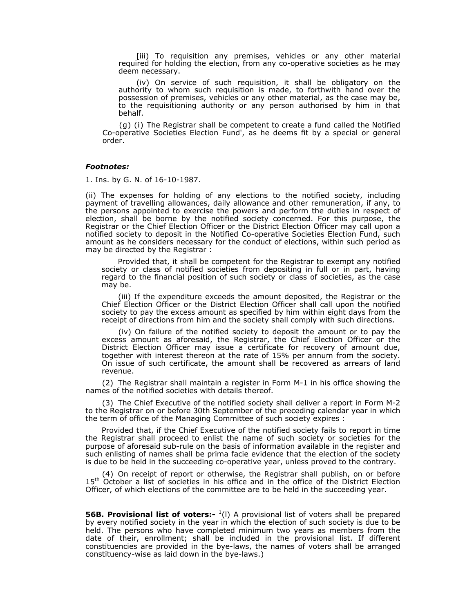[iii) To requisition any premises, vehicles or any other material required for holding the election, from any co-operative societies as he may deem necessary.

(iv) On service of such requisition, it shall be obligatory on the authority to whom such requisition is made, to forthwith hand over the possession of premises, vehicles or any other material, as the case may be, to the requisitioning authority or any person authorised by him in that behalf.

(g) (i) The Registrar shall be competent to create a fund called the Notified Co-operative Societies Election Fund', as he deems fit by a special or general order.

## *Footnotes:*

1. Ins. by G. N. of 16-10-1987.

(ii) The expenses for holding of any elections to the notified society, including payment of travelling allowances, daily allowance and other remuneration, if any, to the persons appointed to exercise the powers and perform the duties in respect of election, shall be borne by the notified society concerned. For this purpose, the Registrar or the Chief Election Officer or the District Election Officer may call upon a notified society to deposit in the Notified Co-operative Societies Election Fund, such amount as he considers necessary for the conduct of elections, within such period as may be directed by the Registrar :

Provided that, it shall be competent for the Registrar to exempt any notified society or class of notified societies from depositing in full or in part, having regard to the financial position of such society or class of societies, as the case may be.

(iii) If the expenditure exceeds the amount deposited, the Registrar or the Chief Election Officer or the District Election Officer shall call upon the notified society to pay the excess amount as specified by him within eight days from the receipt of directions from him and the society shall comply with such directions.

(iv) On failure of the notified society to deposit the amount or to pay the excess amount as aforesaid, the Registrar, the Chief Election Officer or the District Election Officer may issue a certificate for recovery of amount due, together with interest thereon at the rate of 15% per annum from the society. On issue of such certificate, the amount shall be recovered as arrears of land revenue.

(2) The Registrar shall maintain a register in Form M-1 in his office showing the names of the notified societies with details thereof.

(3) The Chief Executive of the notified society shall deliver a report in Form M-2 to the Registrar on or before 30th September of the preceding calendar year in which the term of office of the Managing Committee of such society expires :

Provided that, if the Chief Executive of the notified society fails to report in time the Registrar shall proceed to enlist the name of such society or societies for the purpose of aforesaid sub-rule on the basis of information available in the register and such enlisting of names shall be prima facie evidence that the election of the society is due to be held in the succeeding co-operative year, unless proved to the contrary.

(4) On receipt of report or otherwise, the Registrar shall publish, on or before 15<sup>th</sup> October a list of societies in his office and in the office of the District Election Officer, of which elections of the committee are to be held in the succeeding year.

**56B. Provisional list of voters:-** <sup>1</sup>(I) A provisional list of voters shall be prepared by every notified society in the year in which the election of such society is due to be held. The persons who have completed minimum two years as members from the date of their, enrollment; shall be included in the provisional list. If different constituencies are provided in the bye-laws, the names of voters shall be arranged constituency-wise as laid down in the bye-laws.)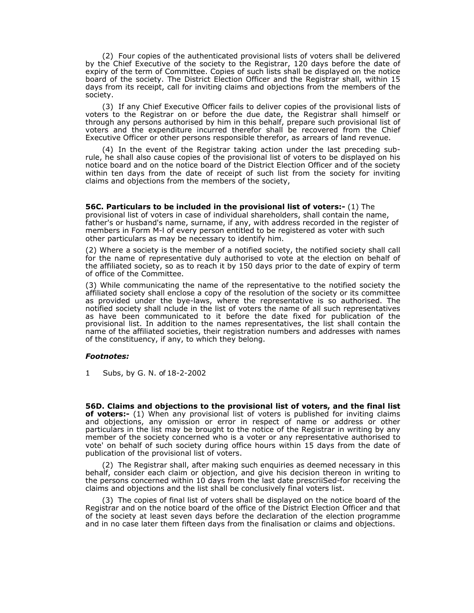(2) Four copies of the authenticated provisional lists of voters shall be delivered by the Chief Executive of the society to the Registrar, 120 days before the date of expiry of the term of Committee. Copies of such lists shall be displayed on the notice board of the society. The District Election Officer and the Registrar shall, within 15 days from its receipt, call for inviting claims and objections from the members of the society.

(3) If any Chief Executive Officer fails to deliver copies of the provisional lists of voters to the Registrar on or before the due date, the Registrar shall himself or through any persons authorised by him in this behalf, prepare such provisional list of voters and the expenditure incurred therefor shall be recovered from the Chief Executive Officer or other persons responsible therefor, as arrears of land revenue.

(4) In the event of the Registrar taking action under the last preceding subrule, he shall also cause copies of the provisional list of voters to be displayed on his notice board and on the notice board of the District Election Officer and of the society within ten days from the date of receipt of such list from the society for inviting claims and objections from the members of the society,

**56C. Particulars to be included in the provisional list of voters:-** (1) The provisional list of voters in case of individual shareholders, shall contain the name, father's or husband's name, surname, if any, with address recorded in the register of members in Form M-l of every person entitled to be registered as voter with such other particulars as may be necessary to identify him.

(2) Where a society is the member of a notified society, the notified society shall call for the name of representative duly authorised to vote at the election on behalf of the affiliated society, so as to reach it by 150 days prior to the date of expiry of term of office of the Committee.

(3) While communicating the name of the representative to the notified society the affiliated society shall enclose a copy of the resolution of the society or its committee as provided under the bye-laws, where the representative is so authorised. The notified society shall nclude in the list of voters the name of all such representatives as have been communicated to it before the date fixed for publication of the provisional list. In addition to the names representatives, the list shall contain the name of the affiliated societies, their registration numbers and addresses with names of the constituency, if any, to which they belong.

### *Footnotes:*

1 Subs, by G. N. of 18-2-2002

**56D. Claims and objections to the provisional list of voters, and the final list of voters:-** (1) When any provisional list of voters is published for inviting claims and objections, any omission or error in respect of name or address or other particulars in the list may be brought to the notice of the Registrar in writing by any member of the society concerned who is a voter or any representative authorised to vote' on behalf of such society during office hours within 15 days from the date of publication of the provisional list of voters.

(2) The Registrar shall, after making such enquiries as deemed necessary in this behalf, consider each claim or objection, and give his decision thereon in writing to the persons concerned within 10 days from the last date prescriiSed-for receiving the claims and objections and the list shall be conclusively final voters list.

(3) The copies of final list of voters shall be displayed on the notice board of the Registrar and on the notice board of the office of the District Election Officer and that of the society at least seven days before the declaration of the election programme and in no case later them fifteen days from the finalisation or claims and objections.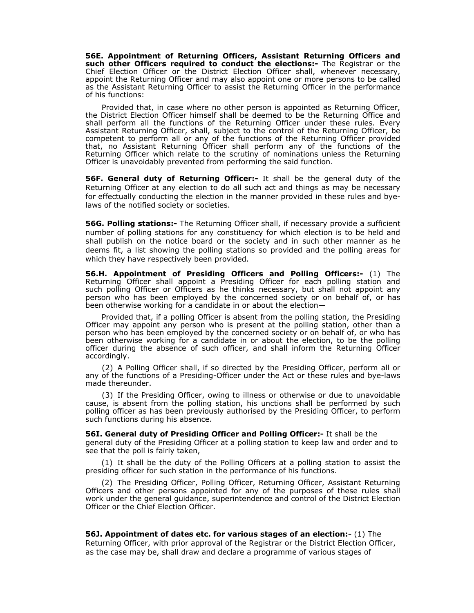**56E. Appointment of Returning Officers, Assistant Returning Officers and such other Officers required to conduct the elections:-** The Registrar or the Chief Election Officer or the District Election Officer shall, whenever necessary, appoint the Returning Officer and may also appoint one or more persons to be called as the Assistant Returning Officer to assist the Returning Officer in the performance of his functions:

Provided that, in case where no other person is appointed as Returning Officer, the District Election Officer himself shall be deemed to be the Returning Office and shall perform all the functions of the Returning Officer under these rules. Every Assistant Returning Officer, shall, subject to the control of the Returning Officer, be competent to perform all or any of the functions of the Returning Officer provided that, no Assistant Returning Officer shall perform any of the functions of the Returning Officer which relate to the scrutiny of nominations unless the Returning Officer is unavoidably prevented from performing the said function.

**56F. General duty of Returning Officer:-** It shall be the general duty of the Returning Officer at any election to do all such act and things as may be necessary for effectually conducting the election in the manner provided in these rules and byelaws of the notified society or societies.

**56G. Polling stations:-** The Returning Officer shall, if necessary provide a sufficient number of polling stations for any constituency for which election is to be held and shall publish on the notice board or the society and in such other manner as he deems fit, a list showing the polling stations so provided and the polling areas for which they have respectively been provided.

**56.H. Appointment of Presiding Officers and Polling Officers:-** (1) The Returning Officer shall appoint a Presiding Officer for each polling station and such polling Officer or Officers as he thinks necessary, but shall not appoint any person who has been employed by the concerned society or on behalf of, or has been otherwise working for a candidate in or about the election—

Provided that, if a polling Officer is absent from the polling station, the Presiding Officer may appoint any person who is present at the polling station, other than a person who has been employed by the concerned society or on behalf of, or who has been otherwise working for a candidate in or about the election, to be the polling officer during the absence of such officer, and shall inform the Returning Officer accordingly.

(2) A Polling Officer shall, if so directed by the Presiding Officer, perform all or any of the functions of a Presiding-Officer under the Act or these rules and bye-laws made thereunder.

(3) If the Presiding Officer, owing to illness or otherwise or due to unavoidable cause, is absent from the polling station, his unctions shall be performed by such polling officer as has been previously authorised by the Presiding Officer, to perform such functions during his absence.

**56I. General duty of Presiding Officer and Polling Officer:-** It shall be the general duty of the Presiding Officer at a polling station to keep law and order and to see that the poll is fairly taken,

(1) It shall be the duty of the Polling Officers at a polling station to assist the presiding officer for such station in the performance of his functions.

(2) The Presiding Officer, Polling Officer, Returning Officer, Assistant Returning Officers and other persons appointed for any of the purposes of these rules shall work under the general guidance, superintendence and control of the District Election Officer or the Chief Election Officer.

**56J. Appointment of dates etc. for various stages of an election:-** (1) The Returning Officer, with prior approval of the Registrar or the District Election Officer, as the case may be, shall draw and declare a programme of various stages of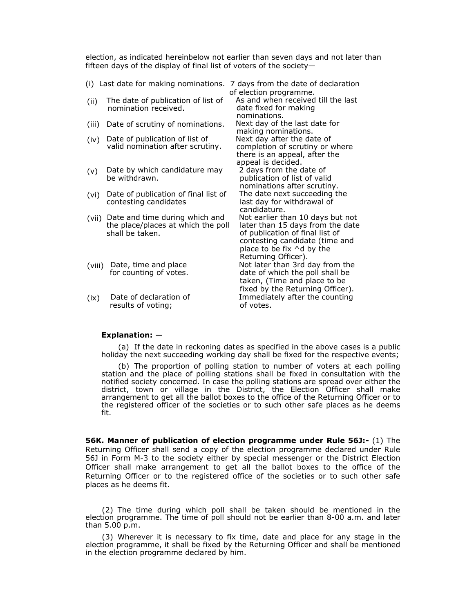election, as indicated hereinbelow not earlier than seven days and not later than fifteen days of the display of final list of voters of the society—

|        | (i) Last date for making nominations.                                                   | 7 days from the date of declaration                                                                                                                                                                   |
|--------|-----------------------------------------------------------------------------------------|-------------------------------------------------------------------------------------------------------------------------------------------------------------------------------------------------------|
|        |                                                                                         | of election programme.                                                                                                                                                                                |
| (ii)   | The date of publication of list of<br>nomination received.                              | As and when received till the last<br>date fixed for making                                                                                                                                           |
| (iii)  | Date of scrutiny of nominations.                                                        | nominations.<br>Next day of the last date for<br>making nominations.                                                                                                                                  |
| (iv)   | Date of publication of list of<br>valid nomination after scrutiny.                      | Next day after the date of<br>completion of scrutiny or where<br>there is an appeal, after the                                                                                                        |
| (v)    | Date by which candidature may<br>be withdrawn.                                          | appeal is decided.<br>2 days from the date of<br>publication of list of valid<br>nominations after scrutiny.                                                                                          |
| (vi)   | Date of publication of final list of<br>contesting candidates                           | The date next succeeding the<br>last day for withdrawal of<br>candidature.                                                                                                                            |
| (vii)  | Date and time during which and<br>the place/places at which the poll<br>shall be taken. | Not earlier than 10 days but not<br>later than 15 days from the date<br>of publication of final list of<br>contesting candidate (time and<br>place to be fix $\wedge$ d by the<br>Returning Officer). |
| (viii) | Date, time and place<br>for counting of votes.                                          | Not later than 3rd day from the<br>date of which the poll shall be<br>taken, (Time and place to be<br>fixed by the Returning Officer).                                                                |
| (ix)   | Date of declaration of<br>results of voting;                                            | Immediately after the counting<br>of votes.                                                                                                                                                           |

### **Explanation: —**

(a) If the date in reckoning dates as specified in the above cases is a public holiday the next succeeding working day shall be fixed for the respective events;

(b) The proportion of polling station to number of voters at each polling station and the place of polling stations shall be fixed in consultation with the notified society concerned. In case the polling stations are spread over either the district, town or village in the District, the Election Officer shall make arrangement to get all the ballot boxes to the office of the Returning Officer or to the registered officer of the societies or to such other safe places as he deems fit.

**56K. Manner of publication of election programme under Rule 56J:-** (1) The Returning Officer shall send a copy of the election programme declared under Rule 56J in Form M-3 to the society either by special messenger or the District Election Officer shall make arrangement to get all the ballot boxes to the office of the Returning Officer or to the registered office of the societies or to such other safe places as he deems fit.

(2) The time during which poll shall be taken should be mentioned in the election programme. The time of poll should not be earlier than 8-00 a.m. and later than 5.00 p.m.

(3) Wherever it is necessary to fix time, date and place for any stage in the election programme, it shall be fixed by the Returning Officer and shall be mentioned in the election programme declared by him.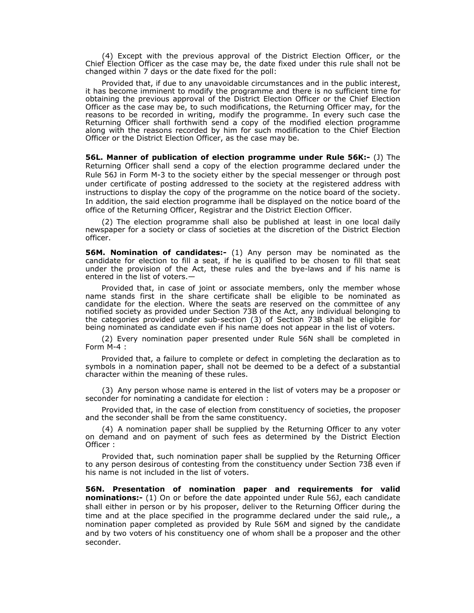(4) Except with the previous approval of the District Election Officer, or the Chief Election Officer as the case may be, the date fixed under this rule shall not be changed within 7 days or the date fixed for the poll:

Provided that, if due to any unavoidable circumstances and in the public interest, it has become imminent to modify the programme and there is no sufficient time for obtaining the previous approval of the District Election Officer or the Chief Election Officer as the case may be, to such modifications, the Returning Officer may, for the reasons to be recorded in writing, modify the programme. In every such case the Returning Officer shall forthwith send a copy of the modified election programme along with the reasons recorded by him for such modification to the Chief Election Officer or the District Election Officer, as the case may be.

**56L. Manner of publication of election programme under Rule 56K:-** (J) The Returning Officer shall send a copy of the election programme declared under the Rule 56J in Form M-3 to the society either by the special messenger or through post under certificate of posting addressed to the society at the registered address with instructions to display the copy of the programme on the notice board of the society. In addition, the said election programme ihall be displayed on the notice board of the office of the Returning Officer, Registrar and the District Election Officer.

(2) The election programme shall also be published at least in one local daily newspaper for a society or class of societies at the discretion of the District Election officer.

**56M. Nomination of candidates:-** (1) Any person may be nominated as the candidate for election to fill a seat, if he is qualified to be chosen to fill that seat under the provision of the Act, these rules and the bye-laws and if his name is entered in the list of voters.-

Provided that, in case of joint or associate members, only the member whose name stands first in the share certificate shall be eligible to be nominated as candidate for the election. Where the seats are reserved on the committee of any notified society as provided under Section 73B of the Act, any individual belonging to the categories provided under sub-section (3) of Section 73B shall be eligible for being nominated as candidate even if his name does not appear in the list of voters.

(2) Every nomination paper presented under Rule 56N shall be completed in Form M-4 :

Provided that, a failure to complete or defect in completing the declaration as to symbols in a nomination paper, shall not be deemed to be a defect of a substantial character within the meaning of these rules.

(3) Any person whose name is entered in the list of voters may be a proposer or seconder for nominating a candidate for election :

Provided that, in the case of election from constituency of societies, the proposer and the seconder shall be from the same constituency.

(4) A nomination paper shall be supplied by the Returning Officer to any voter on demand and on payment of such fees as determined by the District Election Officer :

Provided that, such nomination paper shall be supplied by the Returning Officer to any person desirous of contesting from the constituency under Section 73B even if his name is not included in the list of voters.

**56N. Presentation of nomination paper and requirements for valid nominations:-** (1) On or before the date appointed under Rule 56J, each candidate shall either in person or by his proposer, deliver to the Returning Officer during the time and at the place specified in the programme declared under the said rule,, a nomination paper completed as provided by Rule 56M and signed by the candidate and by two voters of his constituency one of whom shall be a proposer and the other seconder.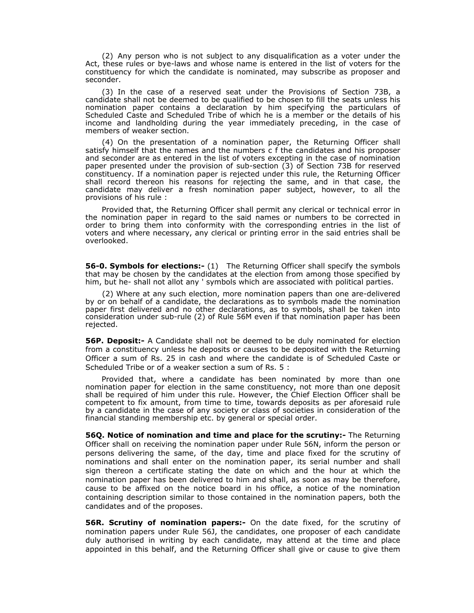(2) Any person who is not subject to any disqualification as a voter under the Act, these rules or bye-laws and whose name is entered in the list of voters for the constituency for which the candidate is nominated, may subscribe as proposer and seconder.

(3) In the case of a reserved seat under the Provisions of Section 73B, a candidate shall not be deemed to be qualified to be chosen to fill the seats unless his nomination paper contains a declaration by him specifying the particulars of Scheduled Caste and Scheduled Tribe of which he is a member or the details of his income and landholding during the year immediately preceding, in the case of members of weaker section.

(4) On the presentation of a nomination paper, the Returning Officer shall satisfy himself that the names and the numbers c f the candidates and his proposer and seconder are as entered in the list of voters excepting in the case of nomination paper presented under the provision of sub-section (3) of Section 73B for reserved constituency. If a nomination paper is rejected under this rule, the Returning Officer shall record thereon his reasons for rejecting the same, and in that case, the candidate may deliver a fresh nomination paper subject, however, to all the provisions of his rule :

Provided that, the Returning Officer shall permit any clerical or technical error in the nomination paper in regard to the said names or numbers to be corrected in order to bring them into conformity with the corresponding entries in the list of voters and where necessary, any clerical or printing error in the said entries shall be overlooked.

**56-0. Symbols for elections:-** (1) The Returning Officer shall specify the symbols that may be chosen by the candidates at the election from among those specified by him, but he- shall not allot any ' symbols which are associated with political parties.

(2) Where at any such election, more nomination papers than one are-delivered by or on behalf of a candidate, the declarations as to symbols made the nomination paper first delivered and no other declarations, as to symbols, shall be taken into consideration under sub-rule (2) of Rule 56M even if that nomination paper has been rejected.

**56P. Deposit:-** A Candidate shall not be deemed to be duly nominated for election from a constituency unless he deposits or causes to be deposited with the Returning Officer a sum of Rs. 25 in cash and where the candidate is of Scheduled Caste or Scheduled Tribe or of a weaker section a sum of Rs. 5 :

Provided that, where a candidate has been nominated by more than one nomination paper for election in the same constituency, not more than one deposit shall be required of him under this rule. However, the Chief Election Officer shall be competent to fix amount, from time to time, towards deposits as per aforesaid rule by a candidate in the case of any society or class of societies in consideration of the financial standing membership etc. by general or special order.

**56Q. Notice of nomination and time and place for the scrutiny:-** The Returning Officer shall on receiving the nomination paper under Rule 56N, inform the person or persons delivering the same, of the day, time and place fixed for the scrutiny of nominations and shall enter on the nomination paper, its serial number and shall sign thereon a certificate stating the date on which and the hour at which the nomination paper has been delivered to him and shall, as soon as may be therefore, cause to be affixed on the notice board in his office, a notice of the nomination containing description similar to those contained in the nomination papers, both the candidates and of the proposes.

**56R. Scrutiny of nomination papers:-** On the date fixed, for the scrutiny of nomination papers under Rule 56J, the candidates, one proposer of each candidate duly authorised in writing by each candidate, may attend at the time and place appointed in this behalf, and the Returning Officer shall give or cause to give them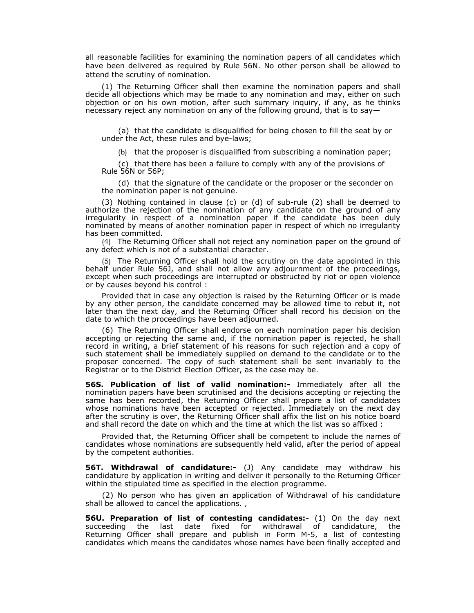all reasonable facilities for examining the nomination papers of all candidates which have been delivered as required by Rule 56N. No other person shall be allowed to attend the scrutiny of nomination.

(1) The Returning Officer shall then examine the nomination papers and shall decide all objections which may be made to any nomination and may, either on such objection or on his own motion, after such summary inquiry, if any, as he thinks necessary reject any nomination on any of the following ground, that is to say—

(a) that the candidate is disqualified for being chosen to fill the seat by or under the Act, these rules and bye-laws;

(b) that the proposer is disqualified from subscribing a nomination paper;

(c) that there has been a failure to comply with any of the provisions of Rule 56N or 56P;

(d) that the signature of the candidate or the proposer or the seconder on the nomination paper is not genuine.

(3) Nothing contained in clause (c) or (d) of sub-rule (2) shall be deemed to authorize the rejection of the nomination of any candidate on the ground of any irregularity in respect of a nomination paper if the candidate has been duly nominated by means of another nomination paper in respect of which no irregularity has been committed.

(4) The Returning Officer shall not reject any nomination paper on the ground of any defect which is not of a substantial character.

(5) The Returning Officer shall hold the scrutiny on the date appointed in this behalf under Rule 56J, and shall not allow any adjournment of the proceedings, except when such proceedings are interrupted or obstructed by riot or open violence or by causes beyond his control :

Provided that in case any objection is raised by the Returning Officer or is made by any other person, the candidate concerned may be allowed time to rebut it, not later than the next day, and the Returning Officer shall record his decision on the date to which the proceedings have been adjourned.

(6) The Returning Officer shall endorse on each nomination paper his decision accepting or rejecting the same and, if the nomination paper is rejected, he shall record in writing, a brief statement of his reasons for such rejection and a copy of such statement shall be immediately supplied on demand to the candidate or to the proposer concerned. The copy of such statement shall be sent invariably to the Registrar or to the District Election Officer, as the case may be.

**56S. Publication of list of valid nomination:-** Immediately after all the nomination papers have been scrutinised and the decisions accepting or rejecting the same has been recorded, the Returning Officer shall prepare a list of candidates whose nominations have been accepted or rejected. Immediately on the next day after the scrutiny is over, the Returning Officer shall affix the list on his notice board and shall record the date on which and the time at which the list was so affixed :

Provided that, the Returning Officer shall be competent to include the names of candidates whose nominations are subsequently held valid, after the period of appeal by the competent authorities.

**56T. Withdrawal of candidature:-** (J) Any candidate may withdraw his candidature by application in writing and deliver it personally to the Returning Officer within the stipulated time as specified in the election programme.

(2) No person who has given an application of Withdrawal of his candidature shall be allowed to cancel the applications. ,

**56U. Preparation of list of contesting candidates:-** (1) On the day next succeeding the last date fixed for withdrawal of candidature, the Returning Officer shall prepare and publish in Form M-5, a list of contesting candidates which means the candidates whose names have been finally accepted and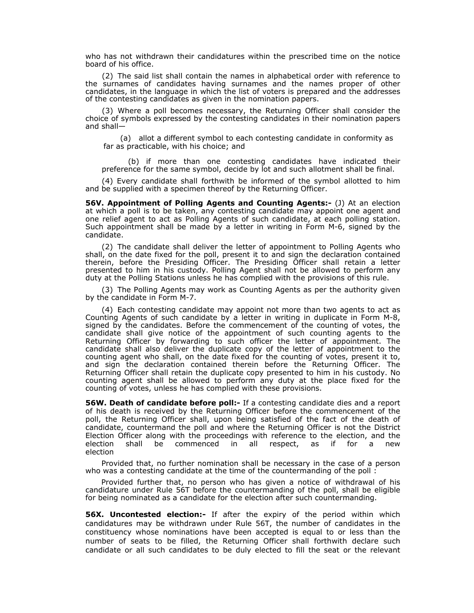who has not withdrawn their candidatures within the prescribed time on the notice board of his office.

(2) The said list shall contain the names in alphabetical order with reference to the surnames of candidates having surnames and the names proper of other candidates, in the language in which the list of voters is prepared and the addresses of the contesting candidates as given in the nomination papers.

(3) Where a poll becomes necessary, the Returning Officer shall consider the choice of symbols expressed by the contesting candidates in their nomination papers and shall—

(a) allot a different symbol to each contesting candidate in conformity as far as practicable, with his choice; and

(b) if more than one contesting candidates have indicated their preference for the same symbol, decide by lot and such allotment shall be final.

(4) Every candidate shall forthwith be informed of the symbol allotted to him and be supplied with a specimen thereof by the Returning Officer.

**56V. Appointment of Polling Agents and Counting Agents:-** (J) At an election at which a poll is to be taken, any contesting candidate may appoint one agent and one relief agent to act as Polling Agents of such candidate, at each polling station. Such appointment shall be made by a letter in writing in Form M-6, signed by the candidate.

(2) The candidate shall deliver the letter of appointment to Polling Agents who shall, on the date fixed for the poll, present it to and sign the declaration contained therein, before the Presiding Officer. The Presiding Officer shall retain a letter presented to him in his custody. Polling Agent shall not be allowed to perform any duty at the Polling Stations unless he has complied with the provisions of this rule.

(3) The Polling Agents may work as Counting Agents as per the authority given by the candidate in Form M-7.

(4) Each contesting candidate may appoint not more than two agents to act as Counting Agents of such candidate by a letter in writing in duplicate in Form M-8, signed by the candidates. Before the commencement of the counting of votes, the candidate shall give notice of the appointment of such counting agents to the Returning Officer by forwarding to such officer the letter of appointment. The candidate shall also deliver the duplicate copy of the letter of appointment to the counting agent who shall, on the date fixed for the counting of votes, present it to, and sign the declaration contained therein before the Returning Officer. The Returning Officer shall retain the duplicate copy presented to him in his custody. No counting agent shall be allowed to perform any duty at the place fixed for the counting of votes, unless he has complied with these provisions.

**56W. Death of candidate before poll:-** If a contesting candidate dies and a report of his death is received by the Returning Officer before the commencement of the poll, the Returning Officer shall, upon being satisfied of the fact of the death of candidate, countermand the poll and where the Returning Officer is not the District Election Officer along with the proceedings with reference to the election, and the election shall be commenced in all respect, as if for a new election

Provided that, no further nomination shall be necessary in the case of a person who was a contesting candidate at the time of the countermanding of the poll :

Provided further that, no person who has given a notice of withdrawal of his candidature under Rule 56T before the countermanding of the poll, shall be eligible for being nominated as a candidate for the election after such countermanding.

**56X. Uncontested election:-** If after the expiry of the period within which candidatures may be withdrawn under Rule 56T, the number of candidates in the constituency whose nominations have been accepted is equal to or less than the number of seats to be filled, the Returning Officer shall forthwith declare such candidate or all such candidates to be duly elected to fill the seat or the relevant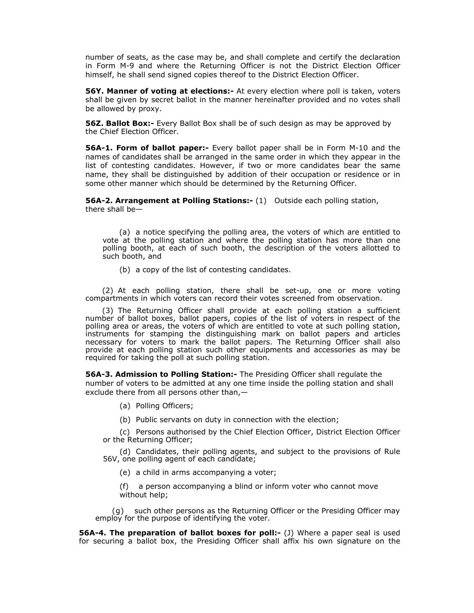number of seats, as the case may be, and shall complete and certify the declaration in Form M-9 and where the Returning Officer is not the District Election Officer himself, he shall send signed copies thereof to the District Election Officer.

**56Y. Manner of voting at elections:-** At every election where poll is taken, voters shall be given by secret ballot in the manner hereinafter provided and no votes shall be allowed by proxy.

**56Z. Ballot Box:-** Every Ballot Box shall be of such design as may be approved by the Chief Election Officer.

**56A-1. Form of ballot paper:-** Every ballot paper shall be in Form M-10 and the names of candidates shall be arranged in the same order in which they appear in the list of contesting candidates. However, if two or more candidates bear the same name, they shall be distinguished by addition of their occupation or residence or in some other manner which should be determined by the Returning Officer.

**56A-2. Arrangement at Polling Stations:-** (1) Outside each polling station, there shall be—

(a) a notice specifying the polling area, the voters of which are entitled to vote at the polling station and where the polling station has more than one polling booth, at each of such booth, the description of the voters allotted to such booth, and

(b) a copy of the list of contesting candidates.

(2) At each polling station, there shall be set-up, one or more voting compartments in which voters can record their votes screened from observation.

(3) The Returning Officer shall provide at each polling station a sufficient number of ballot boxes, ballot papers, copies of the list of voters in respect of the polling area or areas, the voters of which are entitled to vote at such polling station, instruments for stamping the distinguishing mark on ballot papers and articles necessary for voters to mark the ballot papers. The Returning Officer shall also provide at each polling station such other equipments and accessories as may be required for taking the poll at such polling station.

**56A-3. Admission to Polling Station:-** The Presiding Officer shall regulate the number of voters to be admitted at any one time inside the polling station and shall exclude there from all persons other than,—

- (a) Polling Officers;
- (b) Public servants on duty in connection with the election;

(c) Persons authorised by the Chief Election Officer, District Election Officer or the Returning Officer;

(d) Candidates, their polling agents, and subject to the provisions of Rule 56V, one polling agent of each candidate;

(e) a child in arms accompanying a voter;

(f)a person accompanying a blind or inform voter who cannot move without help;

(g) such other persons as the Returning Officer or the Presiding Officer may employ for the purpose of identifying the voter.

**56A-4. The preparation of ballot boxes for poll:-** (J) Where a paper seal is used for securing a ballot box, the Presiding Officer shall affix his own signature on the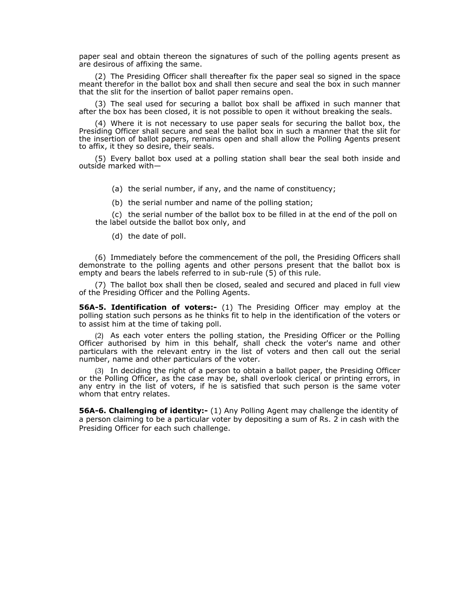paper seal and obtain thereon the signatures of such of the polling agents present as are desirous of affixing the same.

(2) The Presiding Officer shall thereafter fix the paper seal so signed in the space meant therefor in the ballot box and shall then secure and seal the box in such manner that the slit for the insertion of ballot paper remains open.

(3) The seal used for securing a ballot box shall be affixed in such manner that after the box has been closed, it is not possible to open it without breaking the seals.

(4) Where it is not necessary to use paper seals for securing the ballot box, the Presiding Officer shall secure and seal the ballot box in such a manner that the slit for the insertion of ballot papers, remains open and shall allow the Polling Agents present to affix, it they so desire, their seals.

(5) Every ballot box used at a polling station shall bear the seal both inside and outside marked with—

(a) the serial number, if any, and the name of constituency;

(b) the serial number and name of the polling station;

(c) the serial number of the ballot box to be filled in at the end of the poll on the label outside the ballot box only, and

(d) the date of poll.

(6) Immediately before the commencement of the poll, the Presiding Officers shall demonstrate to the polling agents and other persons present that the ballot box is empty and bears the labels referred to in sub-rule (5) of this rule.

(7) The ballot box shall then be closed, sealed and secured and placed in full view of the Presiding Officer and the Polling Agents.

**56A-5. Identification of voters:-** (1) The Presiding Officer may employ at the polling station such persons as he thinks fit to help in the identification of the voters or to assist him at the time of taking poll.

(2) As each voter enters the polling station, the Presiding Officer or the Polling Officer authorised by him in this behalf, shall check the voter's name and other particulars with the relevant entry in the list of voters and then call out the serial number, name and other particulars of the voter.

(3) In deciding the right of a person to obtain a ballot paper, the Presiding Officer or the Polling Officer, as the case may be, shall overlook clerical or printing errors, in any entry in the list of voters, if he is satisfied that such person is the same voter whom that entry relates.

**56A-6. Challenging of identity:-** (1) Any Polling Agent may challenge the identity of a person claiming to be a particular voter by depositing a sum of Rs. 2 in cash with the Presiding Officer for each such challenge.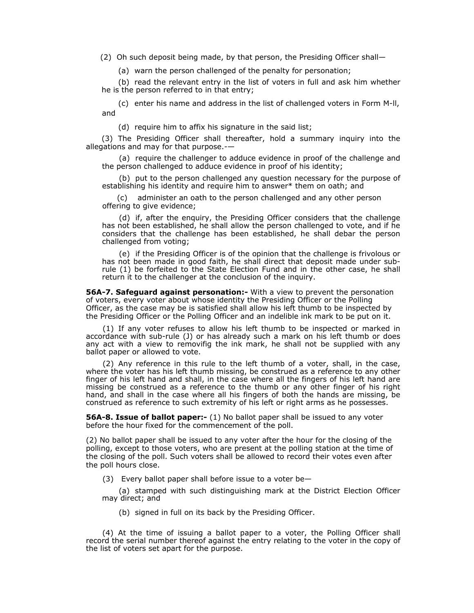(2) Oh such deposit being made, by that person, the Presiding Officer shall—

(a) warn the person challenged of the penalty for personation;

(b) read the relevant entry in the list of voters in full and ask him whether he is the person referred to in that entry;

(c) enter his name and address in the list of challenged voters in Form M-ll, and

(d) require him to affix his signature in the said list;

(3) The Presiding Officer shall thereafter, hold a summary inquiry into the allegations and may for that purpose.-—

(a) require the challenger to adduce evidence in proof of the challenge and the person challenged to adduce evidence in proof of his identity;

(b) put to the person challenged any question necessary for the purpose of establishing his identity and require him to answer\* them on oath; and

 (c) administer an oath to the person challenged and any other person offering to give evidence;

(d) if, after the enquiry, the Presiding Officer considers that the challenge has not been established, he shall allow the person challenged to vote, and if he considers that the challenge has been established, he shall debar the person challenged from voting;

(e) if the Presiding Officer is of the opinion that the challenge is frivolous or has not been made in good faith, he shall direct that deposit made under subrule (1) be forfeited to the State Election Fund and in the other case, he shall return it to the challenger at the conclusion of the inquiry.

**56A-7. Safeguard against personation:-** With a view to prevent the personation of voters, every voter about whose identity the Presiding Officer or the Polling Officer, as the case may be is satisfied shall allow his left thumb to be inspected by the Presiding Officer or the Polling Officer and an indelible ink mark to be put on it.

(1) If any voter refuses to allow his left thumb to be inspected or marked in accordance with sub-rule (J) or has already such a mark on his left thumb or does any act with a view to removifig the ink mark, he shall not be supplied with any ballot paper or allowed to vote.

(2) Any reference in this rule to the left thumb of a voter, shall, in the case, where the voter has his left thumb missing, be construed as a reference to any other finger of his left hand and shall, in the case where all the fingers of his left hand are missing be construed as a reference to the thumb or any other finger of his right hand, and shall in the case where all his fingers of both the hands are missing, be construed as reference to such extremity of his left or right arms as he possesses.

**56A-8. Issue of ballot paper:-** (1) No ballot paper shall be issued to any voter before the hour fixed for the commencement of the poll.

(2) No ballot paper shall be issued to any voter after the hour for the closing of the polling, except to those voters, who are present at the polling station at the time of the closing of the poll. Such voters shall be allowed to record their votes even after the poll hours close.

(3) Every ballot paper shall before issue to a voter be—

(a) stamped with such distinguishing mark at the District Election Officer may direct; and

(b) signed in full on its back by the Presiding Officer.

(4) At the time of issuing a ballot paper to a voter, the Polling Officer shall record the serial number thereof against the entry relating to the voter in the copy of the list of voters set apart for the purpose.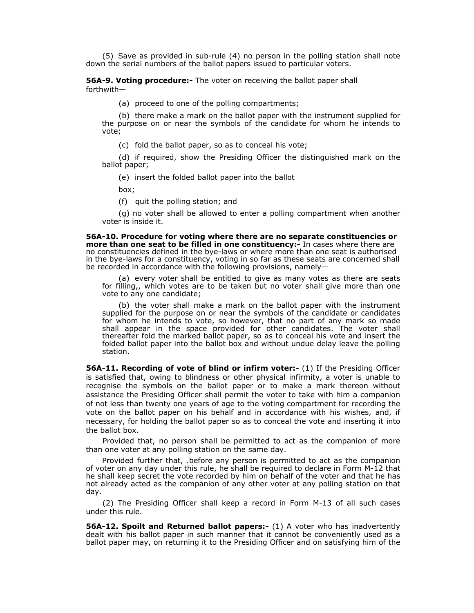(5) Save as provided in sub-rule (4) no person in the polling station shall note down the serial numbers of the ballot papers issued to particular voters.

**56A-9. Voting procedure:-** The voter on receiving the ballot paper shall forthwith—

(a) proceed to one of the polling compartments;

(b) there make a mark on the ballot paper with the instrument supplied for the purpose on or near the symbols of the candidate for whom he intends to vote;

(c) fold the ballot paper, so as to conceal his vote;

(d) if required, show the Presiding Officer the distinguished mark on the ballot paper;

(e) insert the folded ballot paper into the ballot

box;

(f) quit the polling station; and

(g) no voter shall be allowed to enter a polling compartment when another voter is inside it.

**56A-10. Procedure for voting where there are no separate constituencies or more than one seat to be filled in one constituency:-** In cases where there are no constituencies defined in the bye-laws or where more than one seat is authorised in the bye-laws for a constituency, voting in so far as these seats are concerned shall be recorded in accordance with the following provisions, namely—

(a) every voter shall be entitled to give as many votes as there are seats for filling,, which votes are to be taken but no voter shall give more than one vote to any one candidate;

(b) the voter shall make a mark on the ballot paper with the instrument supplied for the purpose on or near the symbols of the candidate or candidates for whom he intends to vote, so however, that no part of any mark so made shall appear in the space provided for other candidates. The voter shall thereafter fold the marked ballot paper, so as to conceal his vote and insert the folded ballot paper into the ballot box and without undue delay leave the polling station.

**56A-11. Recording of vote of blind or infirm voter:-** (1) If the Presiding Officer is satisfied that, owing to blindness or other physical infirmity, a voter is unable to recognise the symbols on the ballot paper or to make a mark thereon without assistance the Presiding Officer shall permit the voter to take with him a companion of not less than twenty one years of age to the voting compartment for recording the vote on the ballot paper on his behalf and in accordance with his wishes, and, if necessary, for holding the ballot paper so as to conceal the vote and inserting it into the ballot box.

Provided that, no person shall be permitted to act as the companion of more than one voter at any polling station on the same day.

Provided further that, .before any person is permitted to act as the companion of voter on any day under this rule, he shall be required to declare in Form M-12 that he shall keep secret the vote recorded by him on behalf of the voter and that he has not already acted as the companion of any other voter at any polling station on that day.

(2) The Presiding Officer shall keep a record in Form M-13 of all such cases under this rule.

**56A-12. Spoilt and Returned ballot papers:-** (1) A voter who has inadvertently dealt with his ballot paper in such manner that it cannot be conveniently used as a ballot paper may, on returning it to the Presiding Officer and on satisfying him of the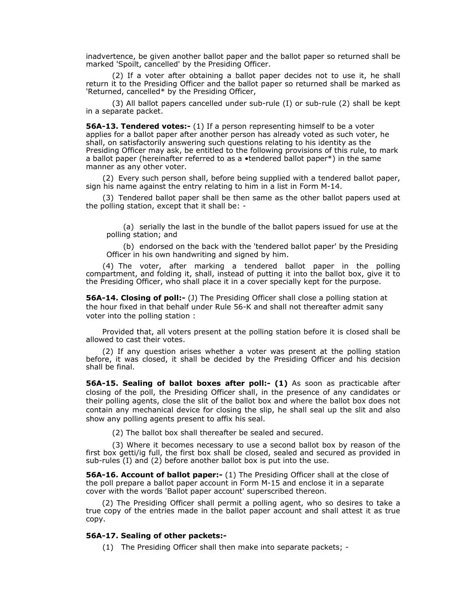inadvertence, be given another ballot paper and the ballot paper so returned shall be marked 'Spoilt, cancelled' by the Presiding Officer.

 (2) If a voter after obtaining a ballot paper decides not to use it, he shall return it to the Presiding Officer and the ballot paper so returned shall be marked as 'Returned, cancelled\* by the Presiding Officer,

 (3) All ballot papers cancelled under sub-rule (I) or sub-rule (2) shall be kept in a separate packet.

**56A-13. Tendered votes:-** (1) If a person representing himself to be a voter applies for a ballot paper after another person has already voted as such voter, he shall, on satisfactorily answering such questions relating to his identity as the Presiding Officer may ask, be entitled to the following provisions of this rule, to mark a ballot paper (hereinafter referred to as a •tendered ballot paper\*) in the same manner as any other voter.

(2) Every such person shall, before being supplied with a tendered ballot paper, sign his name against the entry relating to him in a list in Form M-14.

(3) Tendered ballot paper shall be then same as the other ballot papers used at the polling station, except that it shall be: -

(a) serially the last in the bundle of the ballot papers issued for use at the polling station; and

(b) endorsed on the back with the 'tendered ballot paper' by the Presiding Officer in his own handwriting and signed by him.

(4) The voter, after marking a tendered ballot paper in the polling compartment, and folding it, shall, instead of putting it into the ballot box, give it to the Presiding Officer, who shall place it in a cover specially kept for the purpose.

**56A-14. Closing of poll:-** (J) The Presiding Officer shall close a polling station at the hour fixed in that behalf under Rule 56-K and shall not thereafter admit sany voter into the polling station :

Provided that, all voters present at the polling station before it is closed shall be allowed to cast their votes.

(2) If any question arises whether a voter was present at the polling station before, it was closed, it shall be decided by the Presiding Officer and his decision shall be final.

**56A-15. Sealing of ballot boxes after poll:- (1)** As soon as practicable after closing of the poll, the Presiding Officer shall, in the presence of any candidates or their polling agents, close the slit of the ballot box and where the ballot box does not contain any mechanical device for closing the slip, he shall seal up the slit and also show any polling agents present to affix his seal.

(2) The ballot box shall thereafter be sealed and secured.

 (3) Where it becomes necessary to use a second ballot box by reason of the first box getti/ig full, the first box shall be closed, sealed and secured as provided in sub-rules (I) and (2) before another ballot box is put into the use.

**56A-16. Account of ballot paper:-** (1) The Presiding Officer shall at the close of the poll prepare a ballot paper account in Form M-15 and enclose it in a separate cover with the words 'Ballot paper account' superscribed thereon.

(2) The Presiding Officer shall permit a polling agent, who so desires to take a true copy of the entries made in the ballot paper account and shall attest it as true copy.

# **56A-17. Sealing of other packets:-**

(1) The Presiding Officer shall then make into separate packets; -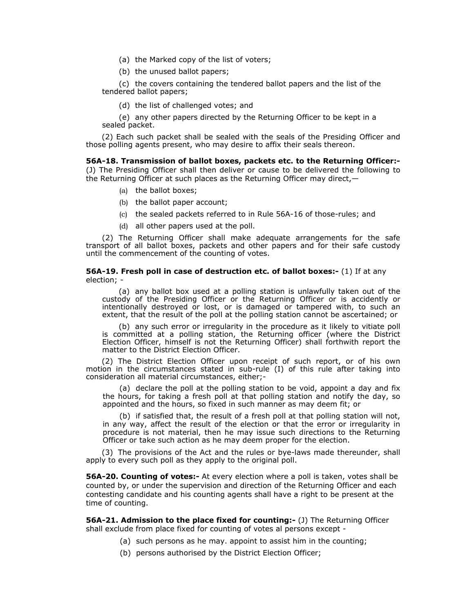- (a) the Marked copy of the list of voters;
- (b) the unused ballot papers;

(c) the covers containing the tendered ballot papers and the list of the tendered ballot papers;

(d) the list of challenged votes; and

(e) any other papers directed by the Returning Officer to be kept in a sealed packet.

(2) Each such packet shall be sealed with the seals of the Presiding Officer and those polling agents present, who may desire to affix their seals thereon.

**56A-18. Transmission of ballot boxes, packets etc. to the Returning Officer:-**  (J) The Presiding Officer shall then deliver or cause to be delivered the following to the Returning Officer at such places as the Returning Officer may direct,—

- (a) the ballot boxes;
- (b) the ballot paper account;
- (c) the sealed packets referred to in Rule 56A-16 of those-rules; and
- (d) all other papers used at the poll.

(2) The Returning Officer shall make adequate arrangements for the safe transport of all ballot boxes, packets and other papers and for their safe custody until the commencement of the counting of votes.

### **56A-19. Fresh poll in case of destruction etc. of ballot boxes:-** (1) If at any election; -

(a) any ballot box used at a polling station is unlawfully taken out of the custody of the Presiding Officer or the Returning Officer or is accidently or intentionally destroyed or lost, or is damaged or tampered with, to such an extent, that the result of the poll at the polling station cannot be ascertained; or

(b) any such error or irregularity in the procedure as it likely to vitiate poll is committed at a polling station, the Returning officer (where the District Election Officer, himself is not the Returning Officer) shall forthwith report the matter to the District Election Officer.

(2) The District Election Officer upon receipt of such report, or of his own motion in the circumstances stated in sub-rule (I) of this rule after taking into consideration all material circumstances, either;-

(a) declare the poll at the polling station to be void, appoint a day and fix the hours, for taking a fresh poll at that polling station and notify the day, so appointed and the hours, so fixed in such manner as may deem fit; or

(b) if satisfied that, the result of a fresh poll at that polling station will not, in any way, affect the result of the election or that the error or irregularity in procedure is not material, then he may issue such directions to the Returning Officer or take such action as he may deem proper for the election.

(3) The provisions of the Act and the rules or bye-laws made thereunder, shall apply to every such poll as they apply to the original poll.

**56A-20. Counting of votes:-** At every election where a poll is taken, votes shall be counted by, or under the supervision and direction of the Returning Officer and each contesting candidate and his counting agents shall have a right to be present at the time of counting.

**56A-21. Admission to the place fixed for counting:- (J)** The Returning Officer shall exclude from place fixed for counting of votes al persons except -

- (a) such persons as he may. appoint to assist him in the counting;
- (b) persons authorised by the District Election Officer;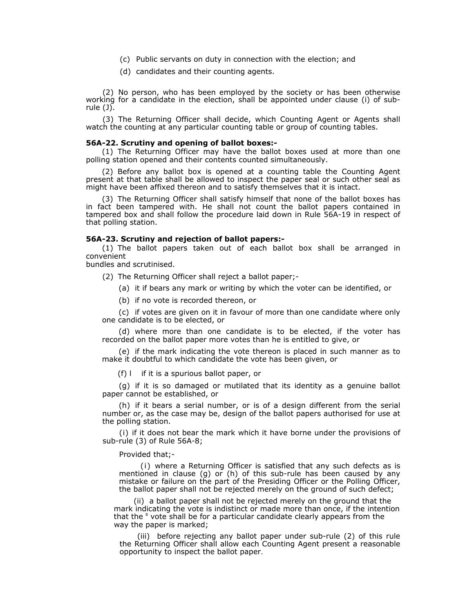- (c) Public servants on duty in connection with the election; and
- (d) candidates and their counting agents.

(2) No person, who has been employed by the society or has been otherwise working for a candidate in the election, shall be appointed under clause (i) of subrule (J).

(3) The Returning Officer shall decide, which Counting Agent or Agents shall watch the counting at any particular counting table or group of counting tables.

### **56A-22. Scrutiny and opening of ballot boxes:-**

(1) The Returning Officer may have the ballot boxes used at more than one polling station opened and their contents counted simultaneously.

(2) Before any ballot box is opened at a counting table the Counting Agent present at that table shall be allowed to inspect the paper seal or such other seal as might have been affixed thereon and to satisfy themselves that it is intact.

(3) The Returning Officer shall satisfy himself that none of the ballot boxes has in fact been tampered with. He shall not count the ballot papers contained in tampered box and shall follow the procedure laid down in Rule 56A-19 in respect of that polling station.

### **56A-23. Scrutiny and rejection of ballot papers:-**

(1) The ballot papers taken out of each ballot box shall be arranged in convenient

bundles and scrutinised.

(2) The Returning Officer shall reject a ballot paper;-

(a) it if bears any mark or writing by which the voter can be identified, or

(b) if no vote is recorded thereon, or

(c) if votes are given on it in favour of more than one candidate where only one candidate is to be elected, or

(d) where more than one candidate is to be elected, if the voter has recorded on the ballot paper more votes than he is entitled to give, or

(e) if the mark indicating the vote thereon is placed in such manner as to make it doubtful to which candidate the vote has been given, or

(f) lif it is a spurious ballot paper, or

(g) if it is so damaged or mutilated that its identity as a genuine ballot paper cannot be established, or

(h) if it bears a serial number, or is of a design different from the serial number or, as the case may be, design of the ballot papers authorised for use at the polling station.

(i) if it does not bear the mark which it have borne under the provisions of sub-rule (3) of Rule 56A-8;

Provided that;-

(i) where a Returning Officer is satisfied that any such defects as is mentioned in clause (g) or (h) of this sub-rule has been caused by any mistake or failure on the part of the Presiding Officer or the Polling Officer, the ballot paper shall not be rejected merely on the ground of such defect;

(ii) a ballot paper shall not be rejected merely on the ground that the mark indicating the vote is indistinct or made more than once, if the intention that the <sup>s</sup> vote shall be for a particular candidate clearly appears from the way the paper is marked;

(iii) before rejecting any ballot paper under sub-rule (2) of this rule the Returning Officer shall allow each Counting Agent present a reasonable opportunity to inspect the ballot paper.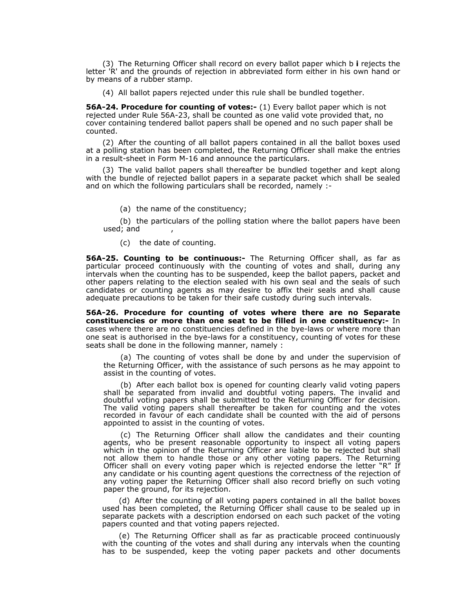(3) The Returning Officer shall record on every ballot paper which b **i** rejects the letter 'R' and the grounds of rejection in abbreviated form either in his own hand or by means of a rubber stamp.

(4) All ballot papers rejected under this rule shall be bundled together.

**56A-24. Procedure for counting of votes:-** (1) Every ballot paper which is not rejected under Rule 56A-23, shall be counted as one valid vote provided that, no cover containing tendered ballot papers shall be opened and no such paper shall be counted.

(2) After the counting of all ballot papers contained in all the ballot boxes used at a polling station has been completed, the Returning Officer shall make the entries in a result-sheet in Form M-16 and announce the particulars.

(3) The valid ballot papers shall thereafter be bundled together and kept along with the bundle of rejected ballot papers in a separate packet which shall be sealed and on which the following particulars shall be recorded, namely :-

(a) the name of the constituency;

(b) the particulars of the polling station where the ballot papers have been used; and ,

(c) the date of counting.

**56A-25. Counting to be continuous:-** The Returning Officer shall, as far as particular proceed continuously with the counting of votes and shall, during any intervals when the counting has to be suspended, keep the ballot papers, packet and other papers relating to the election sealed with his own seal and the seals of such candidates or counting agents as may desire to affix their seals and shall cause adequate precautions to be taken for their safe custody during such intervals.

**56A-26. Procedure for counting of votes where there are no Separate constituencies or more than one seat to be filled in one constituency:-** In cases where there are no constituencies defined in the bye-laws or where more than one seat is authorised in the bye-laws for a constituency, counting of votes for these seats shall be done in the following manner, namely :

(a) The counting of votes shall be done by and under the supervision of the Returning Officer, with the assistance of such persons as he may appoint to assist in the counting of votes.

(b) After each ballot box is opened for counting clearly valid voting papers shall be separated from invalid and doubtful voting papers. The invalid and doubtful voting papers shall be submitted to the Returning Officer for decision. The valid voting papers shall thereafter be taken for counting and the votes recorded in favour of each candidate shall be counted with the aid of persons appointed to assist in the counting of votes.

(c) The Returning Officer shall allow the candidates and their counting agents, who be present reasonable opportunity to inspect all voting papers which in the opinion of the Returning Officer are liable to be rejected but shall not allow them to handle those or any other voting papers. The Returning Officer shall on every voting paper which is rejected endorse the letter "R" If any candidate or his counting agent questions the correctness of the rejection of any voting paper the Returning Officer shall also record briefly on such voting paper the ground, for its rejection.

(d) After the counting of all voting papers contained in all the ballot boxes used has been completed, the Returning Officer shall cause to be sealed up in separate packets with a description endorsed on each such packet of the voting papers counted and that voting papers rejected.

(e) The Returning Officer shall as far as practicable proceed continuously with the counting of the votes and shall during any intervals when the counting has to be suspended, keep the voting paper packets and other documents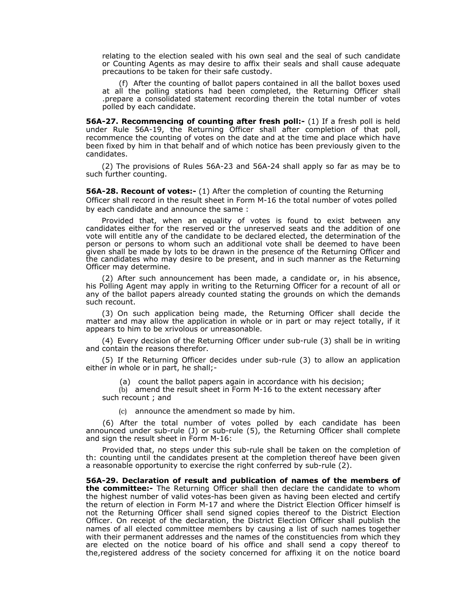relating to the election sealed with his own seal and the seal of such candidate or Counting Agents as may desire to affix their seals and shall cause adequate precautions to be taken for their safe custody.

(f) After the counting of ballot papers contained in all the ballot boxes used at all the polling stations had been completed, the Returning Officer shall .prepare a consolidated statement recording therein the total number of votes polled by each candidate.

**56A-27. Recommencing of counting after fresh poll:-** (1) If a fresh poll is held under Rule 56A-19, the Returning Officer shall after completion of that poll, recommence the counting of votes on the date and at the time and place which have been fixed by him in that behalf and of which notice has been previously given to the candidates.

(2) The provisions of Rules 56A-23 and 56A-24 shall apply so far as may be to such further counting.

**56A-28. Recount of votes:-** (1) After the completion of counting the Returning Officer shall record in the result sheet in Form M-16 the total number of votes polled by each candidate and announce the same :

Provided that, when an equality of votes is found to exist between any candidates either for the reserved or the unreserved seats and the addition of one vote will entitle any of the candidate to be declared elected, the determination of the person or persons to whom such an additional vote shall be deemed to have been given shall be made by lots to be drawn in the presence of the Returning Officer and the candidates who may desire to be present, and in such manner as the Returning Officer may determine.

(2) After such announcement has been made, a candidate or, in his absence, his Polling Agent may apply in writing to the Returning Officer for a recount of all or any of the ballot papers already counted stating the grounds on which the demands such recount.

(3) On such application being made, the Returning Officer shall decide the matter and may allow the application in whole or in part or may reject totally, if it appears to him to be xrivolous or unreasonable.

(4) Every decision of the Returning Officer under sub-rule (3) shall be in writing and contain the reasons therefor.

(5) If the Returning Officer decides under sub-rule (3) to allow an application either in whole or in part, he shall;-

(a) count the ballot papers again in accordance with his decision;

(b) amend the result sheet in Form M-16 to the extent necessary after such recount ; and

(c) announce the amendment so made by him.

(6) After the total number of votes polled by each candidate has been announced under sub-rule (J) or sub-rule (5), the Returning Officer shall complete and sign the result sheet in Form M-16:

Provided that, no steps under this sub-rule shall be taken on the completion of th: counting until the candidates present at the completion thereof have been given a reasonable opportunity to exercise the right conferred by sub-rule (2).

**56A-29. Declaration of result and publication of names of the members of the committee:-** The Returning Officer shall then declare the candidate to whom the highest number of valid votes-has been given as having been elected and certify the return of election in Form M-17 and where the District Election Officer himself is not the Returning Officer shall send signed copies thereof to the District Election Officer. On receipt of the declaration, the District Election Officer shall publish the names of all elected committee members by causing a list of such names together with their permanent addresses and the names of the constituencies from which they are elected on the notice board of his office and shall send a copy thereof to the,registered address of the society concerned for affixing it on the notice board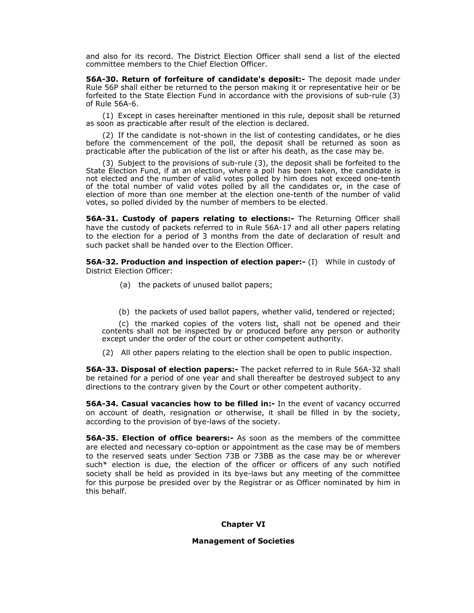and also for its record. The District Election Officer shall send a list of the elected committee members to the Chief Election Officer.

**56A-30. Return of forfeiture of candidate's deposit:-** The deposit made under Rule 56P shall either be returned to the person making it or representative heir or be forfeited to the State Election Fund in accordance with the provisions of sub-rule (3) of Rule 56A-6.

(1) Except in cases hereinafter mentioned in this rule, deposit shall be returned as soon as practicable after result of the election is declared.

(2) If the candidate is not-shown in the list of contesting candidates, or he dies before the commencement of the poll, the deposit shall be returned as soon as practicable after the publication of the list or after his death, as the case may be.

(3) Subject to the provisions of sub-rule (3), the deposit shall be forfeited to the State Election Fund, if at an election, where a poll has been taken, the candidate is not elected and the number of valid votes polled by him does not exceed one-tenth of the total number of valid votes polled by all the candidates or, in the case of election of more than one member at the election one-tenth of the number of valid votes, so polled divided by the number of members to be elected.

**56A-31. Custody of papers relating to elections:-** The Returning Officer shall have the custody of packets referred to in Rule 56A-17 and all other papers relating to the election for a period of 3 months from the date of declaration of result and such packet shall be handed over to the Election Officer.

**56A-32. Production and inspection of election paper:-** (I) While in custody of District Election Officer:

- (a) the packets of unused ballot papers;
- (b) the packets of used ballot papers, whether valid, tendered or rejected;

(c) the marked copies of the voters list, shall not be opened and their contents shall not be inspected by or produced before any person or authority except under the order of the court or other competent authority.

(2) All other papers relating to the election shall be open to public inspection.

**56A-33. Disposal of election papers:-** The packet referred to in Rule 56A-32 shall be retained for a period of one year and shall thereafter be destroyed subject to any directions to the contrary given by the Court or other competent authority.

**56A-34. Casual vacancies how to be filled in:-** In the event of vacancy occurred on account of death, resignation or otherwise, it shall be filled in by the society, according to the provision of bye-laws of the society.

**56A-35. Election of office bearers:-** As soon as the members of the committee are elected and necessary co-option or appointment as the case may be of members to the reserved seats under Section 73B or 73BB as the case may be or wherever such\* election is due, the election of the officer or officers of any such notified society shall be held as provided in its bye-laws but any meeting of the committee for this purpose be presided over by the Registrar or as Officer nominated by him in this behalf.

**Chapter VI** 

## **Management of Societies**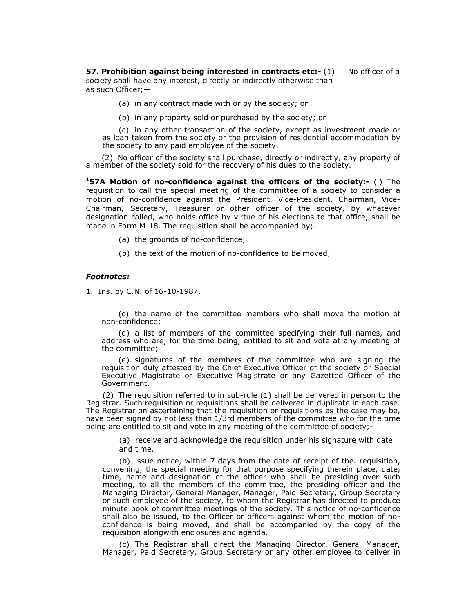**57. Prohibition against being interested in contracts etc:- (1) No officer of a** society shall have any interest, directly or indirectly otherwise than as such Officer;—

- (a) in any contract made with or by the society; or
- (b) in any property sold or purchased by the society; or

(c) in any other transaction of the society, except as investment made or as loan taken from the society or the provision of residential accommodation by the society to any paid employee of the society.

(2) No officer of the society shall purchase, directly or indirectly, any property of a member of the society sold for the recovery of his dues to the society.

**157A Motion of no-confidence against the officers of the society:-** (i) The requisition to call the special meeting of the committee of a society to consider a motion of no-confldence against the President, Vice-Ptesident, Chairman, Vice-Chairman, Secretary, Treasurer or other officer of the society, by whatever designation called, who holds office by virtue of his elections to that office, shall be made in Form M-18. The requisition shall be accompanied by;-

- (a) the grounds of no-confldence;
- (b) the text of the motion of no-confldence to be moved;

## *Footnotes:*

1. Ins. by C.N. of 16-10-1987.

(c) the name of the committee members who shall move the motion of non-confidence;

(d) a list of members of the committee specifying their full names, and address who are, for the time being, entitled to sit and vote at any meeting of the committee;

(e) signatures of the members of the committee who are signing the requisition duly attested by the Chief Executive Officer of the society or Special Executive Magistrate or Executive Magistrate or any Gazetted Officer of the Government.

(2) The requisition referred to in sub-rule (1) shall be delivered in person to the Registrar. Such requisition or requisitions shall be delivered in duplicate in each case. The Registrar on ascertaining that the requisition or requisitions as the case may be, have been signed by not less than 1/3rd members of the committee who for the time being are entitled to sit and vote in any meeting of the committee of society;-

> (a) receive and acknowledge the requisition under his signature with date and time.

(b) issue notice, within 7 days from the date of receipt of the. requisition, convening, the special meeting for that purpose specifying therein place, date, time, name and designation of the officer who shall be presiding over such meeting, to all the members of the committee, the presiding officer and the Managing Director, General Manager, Manager, Paid Secretary, Group Secretary or such employee of the society, to whom the Registrar has directed to produce minute book of committee meetings of the society. This notice of no-confidence shall also be issued, to the Officer or officers against whom the motion of noconfidence is being moved, and shall be accompanied by the copy of the requisition alongwith enclosures and agenda.

(c) The Registrar shall direct the Managing Director, General Manager, Manager, Paid Secretary, Group Secretary or any other employee to deliver in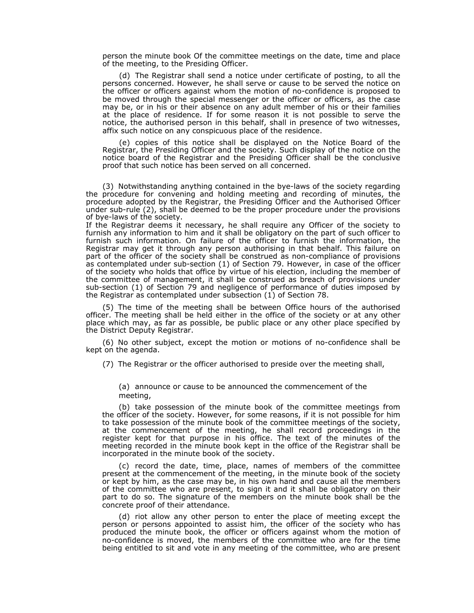person the minute book Of the committee meetings on the date, time and place of the meeting, to the Presiding Officer.

(d) The Registrar shall send a notice under certificate of posting, to all the persons concerned. However, he shall serve or cause to be served the notice on the officer or officers against whom the motion of no-confidence is proposed to be moved through the special messenger or the officer or officers, as the case may be, or in his or their absence on any adult member of his or their families at the place of residence. If for some reason it is not possible to serve the notice, the authorised person in this behalf, shall in presence of two witnesses, affix such notice on any conspicuous place of the residence.

(e) copies of this notice shall be displayed on the Notice Board of the Registrar, the Presiding Officer and the society. Such display of the notice on the notice board of the Registrar and the Presiding Officer shall be the conclusive proof that such notice has been served on all concerned.

(3) Notwithstanding anything contained in the bye-laws of the society regarding the procedure for convening and holding meeting and recording of minutes, the procedure adopted by the Registrar, the Presiding Officer and the Authorised Officer under sub-rule (2), shall be deemed to be the proper procedure under the provisions of bye-laws of the society.

If the Registrar deems it necessary, he shall require any Officer of the society to furnish any information to him and it shall be obligatory on the part of such officer to furnish such information. On failure of the officer to furnish the information, the Registrar may get it through any person authorising in that behalf. This failure on part of the officer of the society shall be construed as non-compliance of provisions as contemplated under sub-section (1) of Section 79. However, in case of the officer of the society who holds that office by virtue of his election, including the member of the committee of management, it shall be construed as breach of provisions under sub-section (1) of Section 79 and negligence of performance of duties imposed by the Registrar as contemplated under subsection (1) of Section 78.

(5) The time of the meeting shall be between Office hours of the authorised officer. The meeting shall be held either in the office of the society or at any other place which may, as far as possible, be public place or any other place specified by the District Deputy Registrar.

(6) No other subject, except the motion or motions of no-confidence shall be kept on the agenda.

(7) The Registrar or the officer authorised to preside over the meeting shall,

(a) announce or cause to be announced the commencement of the meeting,

(b) take possession of the minute book of the committee meetings from the officer of the society. However, for some reasons, if it is not possible for him to take possession of the minute book of the committee meetings of the society, at the commencement of the meeting, he shall record proceedings in the register kept for that purpose in his office. The text of the minutes of the meeting recorded in the minute book kept in the office of the Registrar shall be incorporated in the minute book of the society.

(c) record the date, time, place, names of members of the committee present at the commencement of the meeting, in the minute book of the society or kept by him, as the case may be, in his own hand and cause all the members of the committee who are present, to sign it and it shall be obligatory on their part to do so. The signature of the members on the minute book shall be the concrete proof of their attendance.

(d) riot allow any other person to enter the place of meeting except the person or persons appointed to assist him, the officer of the society who has produced the minute book, the officer or officers against whom the motion of no-confidence is moved, the members of the committee who are for the time being entitled to sit and vote in any meeting of the committee, who are present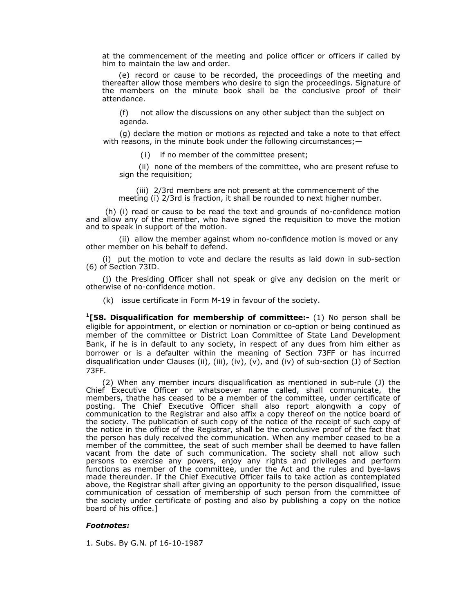at the commencement of the meeting and police officer or officers if called by him to maintain the law and order.

(e) record or cause to be recorded, the proceedings of the meeting and thereafter allow those members who desire to sign the proceedings. Signature of the members on the minute book shall be the conclusive proof of their attendance.

(f)not allow the discussions on any other subject than the subject on agenda.

(g) declare the motion or motions as rejected and take a note to that effect with reasons, in the minute book under the following circumstances; —

(i)if no member of the committee present;

(ii) none of the members of the committee, who are present refuse to sign the requisition;

(iii) 2/3rd members are not present at the commencement of the meeting (i) 2/3rd is fraction, it shall be rounded to next higher number.

 (h) (i) read or cause to be read the text and grounds of no-confldence motion and allow any of the member, who have signed the requisition to move the motion and to speak in support of the motion.

(ii) allow the member against whom no-confldence motion is moved or any other member on his behalf to defend.

(i)put the motion to vote and declare the results as laid down in sub-section (6) of Section 73ID.

(j) the Presiding Officer shall not speak or give any decision on the merit or otherwise of no-confidence motion.

(k) issue certificate in Form M-19 in favour of the society.

**1[58. Disqualification for membership of committee:-** (1) No person shall be eligible for appointment, or election or nomination or co-option or being continued as member of the committee or District Loan Committee of State Land Development Bank, if he is in default to any society, in respect of any dues from him either as borrower or is a defaulter within the meaning of Section 73FF or has incurred disqualification under Clauses (ii), (iii), (iv), (v), and (iv) of sub-section (J) of Section 73FF.

(2) When any member incurs disqualification as mentioned in sub-rule (J) the Chief Executive Officer or whatsoever name called, shall communicate, the members, thathe has ceased to be a member of the committee, under certificate of posting. The Chief Executive Officer shall also report alongwith a copy of communication to the Registrar and also affix a copy thereof on the notice board of the society. The publication of such copy of the notice of the receipt of such copy of the notice in the office of the Registrar, shall be the conclusive proof of the fact that the person has duly received the communication. When any member ceased to be a member of the committee, the seat of such member shall be deemed to have fallen vacant from the date of such communication. The society shall not allow such persons to exercise any powers, enjoy any rights and privileges and perform functions as member of the committee, under the Act and the rules and bye-laws made thereunder. If the Chief Executive Officer fails to take action as contemplated above, the Registrar shall after giving an opportunity to the person disqualified, issue communication of cessation of membership of such person from the committee of the society under certificate of posting and also by publishing a copy on the notice board of his office.]

### *Footnotes:*

1. Subs. By G.N. pf 16-10-1987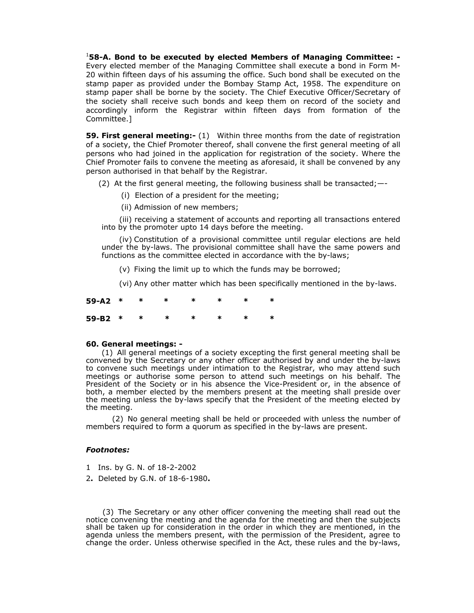1 **58-A. Bond to be executed by elected Members of Managing Committee: -**  Every elected member of the Managing Committee shall execute a bond in Form M-20 within fifteen days of his assuming the office. Such bond shall be executed on the stamp paper as provided under the Bombay Stamp Act, 1958. The expenditure on stamp paper shall be borne by the society. The Chief Executive Officer/Secretary of the society shall receive such bonds and keep them on record of the society and accordingly inform the Registrar within fifteen days from formation of the Committee.]

**59. First general meeting:-** (1) Within three months from the date of registration of a society, the Chief Promoter thereof, shall convene the first general meeting of all persons who had joined in the application for registration of the society. Where the Chief Promoter fails to convene the meeting as aforesaid, it shall be convened by any person authorised in that behalf by the Registrar.

(2) At the first general meeting, the following business shall be transacted;—-

- (i) Election of a president for the meeting;
- (ii) Admission of new members;

(iii) receiving a statement of accounts and reporting all transactions entered into by the promoter upto 14 days before the meeting.

(iv) Constitution of a provisional committee until regular elections are held under the by-laws. The provisional committee shall have the same powers and functions as the committee elected in accordance with the by-laws;

(v) Fixing the limit up to which the funds may be borrowed;

(vi) Any other matter which has been specifically mentioned in the by-laws.

| 59-A2 * * * * * * * * |  |  |  |  |
|-----------------------|--|--|--|--|
| 59-B2 * * * * * * * * |  |  |  |  |

## **60. General meetings: -**

(1) All general meetings of a society excepting the first general meeting shall be convened by the Secretary or any other officer authorised by and under the by-laws to convene such meetings under intimation to the Registrar, who may attend such meetings or authorise some person to attend such meetings on his behalf. The President of the Society or in his absence the Vice-President or, in the absence of both, a member elected by the members present at the meeting shall preside over the meeting unless the by-laws specify that the President of the meeting elected by the meeting.

(2) No general meeting shall be held or proceeded with unless the number of members required to form a quorum as specified in the by-laws are present.

### *Footnotes:*

- 1Ins. by G. N. of 18-2-2002
- 2**.** Deleted by G.N. of 18-6-1980**.**

(3) The Secretary or any other officer convening the meeting shall read out the notice convening the meeting and the agenda for the meeting and then the subjects shall be taken up for consideration in the order in which they are mentioned, in the agenda unless the members present, with the permission of the President, agree to change the order. Unless otherwise specified in the Act, these rules and the by-laws,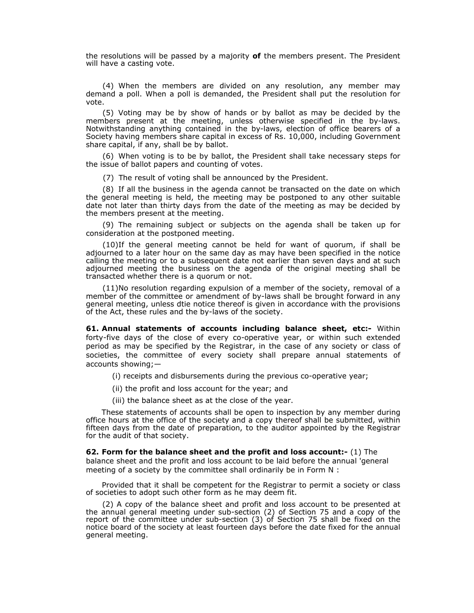the resolutions will be passed by a majority **of** the members present. The President will have a casting vote.

(4) When the members are divided on any resolution, any member may demand a poll. When a poll is demanded, the President shall put the resolution for vote.

(5) Voting may be by show of hands or by ballot as may be decided by the members present at the meeting, unless otherwise specified in the by-laws. Notwithstanding anything contained in the by-laws, election of office bearers of a Society having members share capital in excess of Rs. 10,000, including Government share capital, if any, shall be by ballot.

(6) When voting is to be by ballot, the President shall take necessary steps for the issue of ballot papers and counting of votes.

(7) The result of voting shall be announced by the President.

(8) If all the business in the agenda cannot be transacted on the date on which the general meeting is held, the meeting may be postponed to any other suitable date not later than thirty days from the date of the meeting as may be decided by the members present at the meeting.

(9) The remaining subject or subjects on the agenda shall be taken up for consideration at the postponed meeting.

(10)If the general meeting cannot be held for want of quorum, if shall be adjourned to a later hour on the same day as may have been specified in the notice calling the meeting or to a subsequent date not earlier than seven days and at such adjourned meeting the business on the agenda of the original meeting shall be transacted whether there is a quorum or not.

(11)No resolution regarding expulsion of a member of the society, removal of a member of the committee or amendment of by-laws shall be brought forward in any general meeting, unless dtie notice thereof is given in accordance with the provisions of the Act, these rules and the by-laws of the society.

**61. Annual statements of accounts including balance sheet, etc:-** Within forty-five days of the close of every co-operative year, or within such extended period as may be specified by the Registrar, in the case of any society or class of societies, the committee of every society shall prepare annual statements of accounts showing;—

(i) receipts and disbursements during the previous co-operative year;

(ii) the profit and loss account for the year; and

(iii) the balance sheet as at the close of the year.

These statements of accounts shall be open to inspection by any member during office hours at the office of the society and a copy thereof shall be submitted, within fifteen days from the date of preparation, to the auditor appointed by the Registrar for the audit of that society.

**62. Form for the balance sheet and the profit and loss account:-** (1) The balance sheet and the profit and loss account to be laid before the annual 'general meeting of a society by the committee shall ordinarily be in Form N :

Provided that it shall be competent for the Registrar to permit a society or class of societies to adopt such other form as he may deem fit.

(2) A copy of the balance sheet and profit and loss account to be presented at the annual general meeting under sub-section (2) of Section 75 and a copy of the report of the committee under sub-section (3) of Section 75 shall be fixed on the notice board of the society at least fourteen days before the date fixed for the annual general meeting.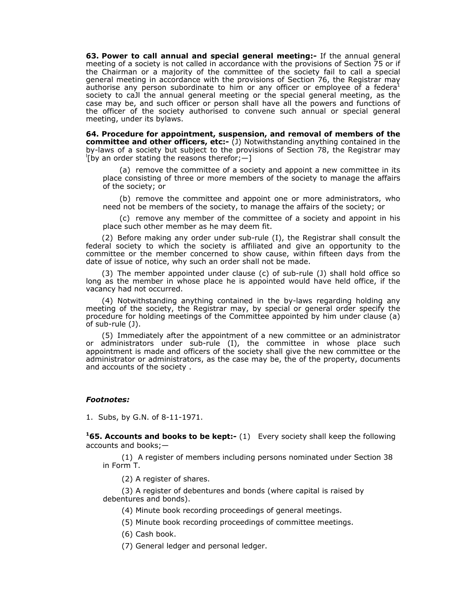**63. Power to call annual and special general meeting:-** If the annual general meeting of a society is not called in accordance with the provisions of Section 75 or if the Chairman or a majority of the committee of the society fail to call a special general meeting in accordance with the provisions of Section 76, the Registrar may authorise any person subordinate to him or any officer or employee of a federa<sup>1</sup> society to caJl the annual general meeting or the special general meeting, as the case may be, and such officer or person shall have all the powers and functions of the officer of the society authorised to convene such annual or special general meeting, under its bylaws.

**64. Procedure for appointment, suspension, and removal of members of the committee and other officers, etc:-** (J) Notwithstanding anything contained in the by-laws of a society but subject to the provisions of Section 78, the Registrar may l  $\frac{1}{2}$  [by an order stating the reasons therefor; -]

(a) remove the committee of a society and appoint a new committee in its place consisting of three or more members of the society to manage the affairs of the society; or

(b) remove the committee and appoint one or more administrators, who need not be members of the society, to manage the affairs of the society; or

(c) remove any member of the committee of a society and appoint in his place such other member as he may deem fit.

(2) Before making any order under sub-rule (I), the Registrar shall consult the federal society to which the society is affiliated and give an opportunity to the committee or the member concerned to show cause, within fifteen days from the date of issue of notice, why such an order shall not be made.

(3) The member appointed under clause (c) of sub-rule (J) shall hold office so long as the member in whose place he is appointed would have held office, if the vacancy had not occurred.

(4) Notwithstanding anything contained in the by-laws regarding holding any meeting of the society, the Registrar may, by special or general order specify the procedure for holding meetings of the Committee appointed by him under clause (a) of sub-rule (J).

(5) Immediately after the appointment of a new committee or an administrator or administrators under sub-rule (I), the committee in whose place such appointment is made and officers of the society shall give the new committee or the administrator or administrators, as the case may be, the of the property, documents and accounts of the society .

## *Footnotes:*

1. Subs, by G.N. of 8-11-1971.

**165. Accounts and books to be kept:-** (1) Every society shall keep the following accounts and books;—

(1) A register of members including persons nominated under Section 38 in Form T.

(2) A register of shares.

(3) A register of debentures and bonds (where capital is raised by debentures and bonds).

(4) Minute book recording proceedings of general meetings.

(5) Minute book recording proceedings of committee meetings.

(6) Cash book.

(7) General ledger and personal ledger.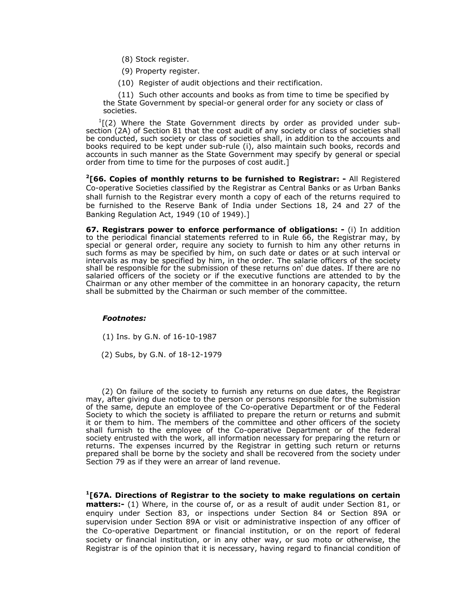- (8) Stock register.
- (9) Property register.
- (10) Register of audit objections and their rectification.

(11) Such other accounts and books as from time to time be specified by the State Government by special-or general order for any society or class of societies.

 $<sup>1</sup>$ [(2) Where the State Government directs by order as provided under sub-</sup> section (2A) of Section 81 that the cost audit of any society or class of societies shall be conducted, such society or class of societies shall, in addition to the accounts and books required to be kept under sub-rule (i), also maintain such books, records and accounts in such manner as the State Government may specify by general or special order from time to time for the purposes of cost audit.]

**2[66. Copies of monthly returns to be furnished to Registrar: -** All Registered Co-operative Societies classified by the Registrar as Central Banks or as Urban Banks shall furnish to the Registrar every month a copy of each of the returns required to be furnished to the Reserve Bank of India under Sections 18, 24 and 27 of the Banking Regulation Act, 1949 (10 of 1949).]

**67. Registrars power to enforce performance of obligations: -** (i) In addition to the periodical financial statements referred to in Rule 66, the Registrar may, by special or general order, require any society to furnish to him any other returns in such forms as may be specified by him, on such date or dates or at such interval or intervals as may be specified by him, in the order. The salarie officers of the society shall be responsible for the submission of these returns on' due dates. If there are no salaried officers of the society or if the executive functions are attended to by the Chairman or any other member of the committee in an honorary capacity, the return shall be submitted by the Chairman or such member of the committee.

## *Footnotes:*

- (1) Ins. by G.N. of 16-10-1987
- (2) Subs, by G.N. of 18-12-1979

(2) On failure of the society to furnish any returns on due dates, the Registrar may, after giving due notice to the person or persons responsible for the submission of the same, depute an employee of the Co-operative Department or of the Federal Society to which the society is affiliated to prepare the return or returns and submit it or them to him. The members of the committee and other officers of the society shall furnish to the employee of the Co-operative Department or of the federal society entrusted with the work, all information necessary for preparing the return or returns. The expenses incurred by the Registrar in getting such return or returns prepared shall be borne by the society and shall be recovered from the society under Section 79 as if they were an arrear of land revenue.

**1[67A. Directions of Registrar to the society to make regulations on certain matters:-** (1) Where, in the course of, or as a result of audit under Section 81, or enquiry under Section 83, or inspections under Section 84 or Section 89A or supervision under Section 89A or visit or administrative inspection of any officer of the Co-operative Department or financial institution, or on the report of federal society or financial institution, or in any other way, or suo moto or otherwise, the Registrar is of the opinion that it is necessary, having regard to financial condition of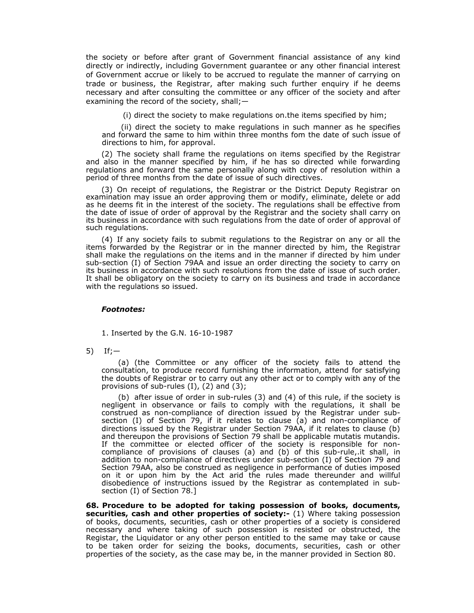the society or before after grant of Government financial assistance of any kind directly or indirectly, including Government guarantee or any other financial interest of Government accrue or likely to be accrued to regulate the manner of carrying on trade or business, the Registrar, after making such further enquiry if he deems necessary and after consulting the committee or any officer of the society and after examining the record of the society, shall;—

(i) direct the society to make regulations on.the items specified by him;

(ii) direct the society to make regulations in such manner as he specifies and forward the same to him within three months fom the date of such issue of directions to him, for approval.

(2) The society shall frame the regulations on items specified by the Registrar and also in the manner specified by him, if he has so directed while forwarding regulations and forward the same personally along with copy of resolution within a period of three months from the date of issue of such directives.

(3) On receipt of regulations, the Registrar or the District Deputy Registrar on examination may issue an order approving them or modify, eliminate, delete or add as he deems fit in the interest of the society. The regulations shall be effective from the date of issue of order of approval by the Registrar and the society shall carry on its business in accordance with such regulations from the date of order of approval of such regulations.

(4) If any society fails to submit regulations to the Registrar on any or all the items forwarded by the Registrar or in the manner directed by him, the Registrar shall make the regulations on the items and in the manner if directed by him under sub-section (I) of Section 79AA and issue an order directing the society to carry on its business in accordance with such resolutions from the date of issue of such order. It shall be obligatory on the society to carry on its business and trade in accordance with the regulations so issued.

### *Footnotes:*

1. Inserted by the G.N. 16-10-1987

5) If;—

(a) (the Committee or any officer of the society fails to attend the consultation, to produce record furnishing the information, attend for satisfying the doubts of Registrar or to carry out any other act or to comply with any of the provisions of sub-rules  $(I)$ ,  $(2)$  and  $(3)$ ;

(b) after issue of order in sub-rules (3) and (4) of this rule, if the society is negligent in observance or fails to comply with the regulations, it shall be construed as non-compliance of direction issued by the Registrar under subsection (I) of Section 79, if it relates to clause (a) and non-compliance of directions issued by the Registrar under Section 79AA, if it relates to clause (b) and thereupon the provisions of Section 79 shall be applicable mutatis mutandis. If the committee or elected officer of the society is responsible for noncompliance of provisions of clauses (a) and (b) of this sub-rule,.it shall, in addition to non-compliance of directives under sub-section (I) of Section 79 and Section 79AA, also be construed as negligence in performance of duties imposed on it or upon him by the Act arid the rules made thereunder and willful disobedience of instructions issued by the Registrar as contemplated in subsection (I) of Section 78.]

**68. Procedure to be adopted for taking possession of books, documents, securities, cash and other properties of society:-** (1) Where taking possession of books, documents, securities, cash or other properties of a society is considered necessary and where taking of such possession is resisted or obstructed, the Registar, the Liquidator or any other person entitled to the same may take or cause to be taken order for seizing the books, documents, securities, cash or other properties of the society, as the case may be, in the manner provided in Section 80.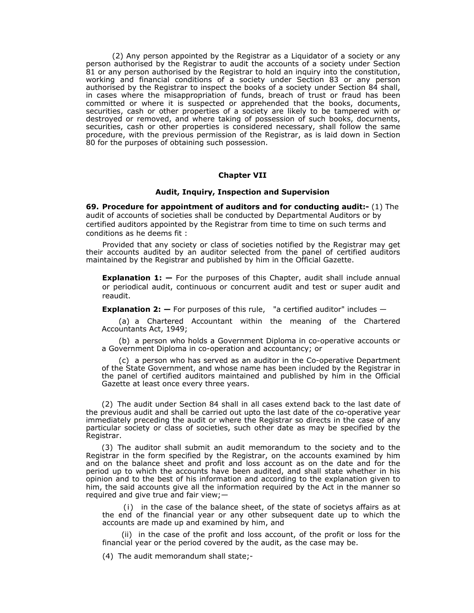(2) Any person appointed by the Registrar as a Liquidator of a society or any person authorised by the Registrar to audit the accounts of a society under Section 81 or any person authorised by the Registrar to hold an inquiry into the constitution, working and financial conditions of a society under Section 83 or any person authorised by the Registrar to inspect the books of a society under Section 84 shall, in cases where the misappropriation of funds, breach of trust or fraud has been committed or where it is suspected or apprehended that the books, documents, securities, cash or other properties of a society are likely to be tampered with or destroyed or removed, and where taking of possession of such books, docurnents, securities, cash or other properties is considered necessary, shall follow the same procedure, with the previous permission of the Registrar, as is laid down in Section 80 for the purposes of obtaining such possession.

### **Chapter VII**

#### **Audit, Inquiry, Inspection and Supervision**

**69. Procedure for appointment of auditors and for conducting audit:-** (1) The audit of accounts of societies shall be conducted by Departmental Auditors or by certified auditors appointed by the Registrar from time to time on such terms and conditions as he deems fit :

Provided that any society or class of societies notified by the Registrar may get their accounts audited by an auditor selected from the panel of certified auditors maintained by the Registrar and published by him in the Official Gazette.

**Explanation 1: —** For the purposes of this Chapter, audit shall include annual or periodical audit, continuous or concurrent audit and test or super audit and reaudit.

**Explanation 2:**  $-$  For purposes of this rule, "a certified auditor" includes  $-$ 

(a) a Chartered Accountant within the meaning of the Chartered Accountants Act, 1949;

(b) a person who holds a Government Diploma in co-operative accounts or a Government Diploma in co-operation and accountancy; or

(c) a person who has served as an auditor in the Co-operative Department of the State Government, and whose name has been included by the Registrar in the panel of certified auditors maintained and published by him in the Official Gazette at least once every three years.

(2) The audit under Section 84 shall in all cases extend back to the last date of the previous audit and shall be carried out upto the last date of the co-operative year immediately preceding the audit or where the Registrar so directs in the case of any particular society or class of societies, such other date as may be specified by the Registrar.

(3) The auditor shall submit an audit memorandum to the society and to the Registrar in the form specified by the Registrar, on the accounts examined by him and on the balance sheet and profit and loss account as on the date and for the period up to which the accounts have been audited, and shall state whether in his opinion and to the best of his information and according to the explanation given to him, the said accounts give all the information required by the Act in the manner so required and give true and fair view;—

(i)in the case of the balance sheet, of the state of societys affairs as at the end of the financial year or any other subsequent date up to which the accounts are made up and examined by him, and

(ii) in the case of the profit and loss account, of the profit or loss for the financial year or the period covered by the audit, as the case may be.

(4) The audit memorandum shall state;-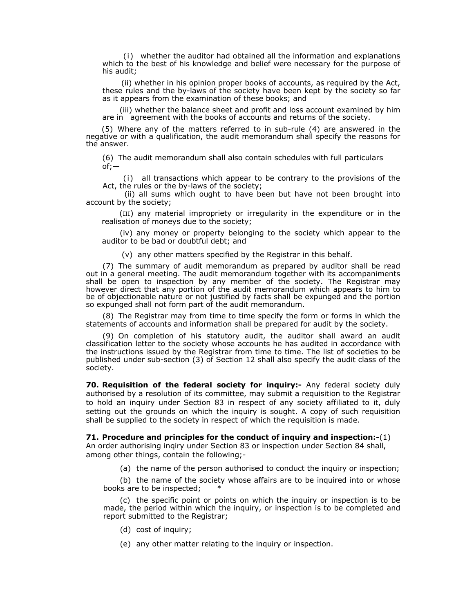(i) whether the auditor had obtained all the information and explanations which to the best of his knowledge and belief were necessary for the purpose of his audit;

(ii) whether in his opinion proper books of accounts, as required by the Act, these rules and the by-laws of the society have been kept by the society so far as it appears from the examination of these books; and

(iii) whether the balance sheet and profit and loss account examined by him are in agreement with the books of accounts and returns of the society.

(5) Where any of the matters referred to in sub-rule (4) are answered in the negative or with a qualification, the audit memorandum shall specify the reasons for the answer.

(6) The audit memorandum shall also contain schedules with full particulars of;—

(i) all transactions which appear to be contrary to the provisions of the Act, the rules or the by-laws of the society;

 (ii) all sums which ought to have been but have not been brought into account by the society;

(III) any material impropriety or irregularity in the expenditure or in the realisation of moneys due to the society;

(iv) any money or property belonging to the society which appear to the auditor to be bad or doubtful debt; and

(v) any other matters specified by the Registrar in this behalf.

(7) The summary of audit memorandum as prepared by auditor shall be read out in a general meeting. The audit memorandum together with its accompaniments shall be open to inspection by any member of the society. The Registrar may however direct that any portion of the audit memorandum which appears to him to be of objectionable nature or not justified by facts shall be expunged and the portion so expunged shall not form part of the audit memorandum.

(8) The Registrar may from time to time specify the form or forms in which the statements of accounts and information shall be prepared for audit by the society.

(9) On completion of his statutory audit, the auditor shall award an audit classification letter to the society whose accounts he has audited in accordance with the instructions issued by the Registrar from time to time. The list of societies to be published under sub-section (3) of Section 12 shall also specify the audit class of the society.

**70. Requisition of the federal society for inquiry:-** Any federal society duly authorised by a resolution of its committee, may submit a requisition to the Registrar to hold an inquiry under Section 83 in respect of any society affiliated to it, duly setting out the grounds on which the inquiry is sought. A copy of such requisition shall be supplied to the society in respect of which the requisition is made.

**71. Procedure and principles for the conduct of inquiry and inspection:-**(1) An order authorising inqiry under Section 83 or inspection under Section 84 shall, among other things, contain the following;-

(a) the name of the person authorised to conduct the inquiry or inspection;

(b) the name of the society whose affairs are to be inquired into or whose books are to be inspected; \*

(c) the specific point or points on which the inquiry or inspection is to be made, the period within which the inquiry, or inspection is to be completed and report submitted to the Registrar;

- (d) cost of inquiry;
- (e) any other matter relating to the inquiry or inspection.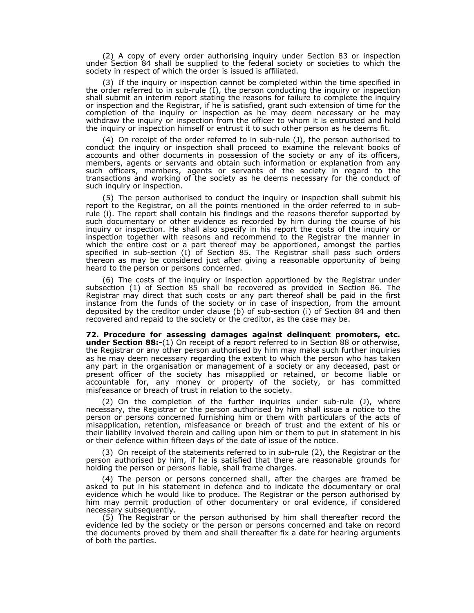(2) A copy of every order authorising inquiry under Section 83 or inspection under Section 84 shall be supplied to the federal society or societies to which the society in respect of which the order is issued is affiliated.

(3) If the inquiry or inspection cannot be completed within the time specified in the order referred to in sub-rule (I), the person conducting the inquiry or inspection shall submit an interim report stating the reasons for failure to complete the inquiry or inspection and the Registrar, if he is satisfied, grant such extension of time for the completion of the inquiry or inspection as he may deem necessary or he may withdraw the inquiry or inspection from the officer to whom it is entrusted and hold the inquiry or inspection himself or entrust it to such other person as he deems fit.

(4) On receipt of the order referred to in sub-rule (J), the person authorised to conduct the inquiry or inspection shall proceed to examine the relevant books of accounts and other documents in possession of the society or any of its officers, members, agents or servants and obtain such information or explanation from any such officers, members, agents or servants of the society in regard to the transactions and working of the society as he deems necessary for the conduct of such inquiry or inspection.

(5) The person authorised to conduct the inquiry or inspection shall submit his report to the Registrar, on all the points mentioned in the order referred to in subrule (i). The report shall contain his findings and the reasons therefor supported by such documentary or other evidence as recorded by him during the course of his inquiry or inspection. He shall also specify in his report the costs of the inquiry or inspection together with reasons and recommend to the Registrar the manner in which the entire cost or a part thereof may be apportioned, amongst the parties specified in sub-section (I) of Section 85. The Registrar shall pass such orders thereon as may be considered just after giving a reasonable opportunity of being heard to the person or persons concerned.

(6) The costs of the inquiry or inspection apportioned by the Registrar under subsection (1) of Section 85 shall be recovered as provided in Section 86. The Registrar may direct that such costs or any part thereof shall be paid in the first instance from the funds of the society or in case of inspection, from the amount deposited by the creditor under clause (b) of sub-section (i) of Section 84 and then recovered and repaid to the society or the creditor, as the case may be.

**72. Procedure for assessing damages against delinquent promoters, etc. under Section 88:-**(1) On receipt of a report referred to in Section 88 or otherwise, the Registrar or any other person authorised by him may make such further inquiries as he may deem necessary regarding the extent to which the person who has taken any part in the organisation or management of a society or any deceased, past or present officer of the society has misapplied or retained, or become liable or accountable for, any money or property of the society, or has committed misfeasance or breach of trust in relation to the society.

(2) On the completion of the further inquiries under sub-rule (J), where necessary, the Registrar or the person authorised by him shall issue a notice to the person or persons concerned furnishing him or them with particulars of the acts of misapplication, retention, misfeasance or breach of trust and the extent of his or their liability involved therein and calling upon him or them to put in statement in his or their defence within fifteen days of the date of issue of the notice.

(3) On receipt of the statements referred to in sub-rule (2), the Registrar or the person authorised by him, if he is satisfied that there are reasonable grounds for holding the person or persons liable, shall frame charges.

(4) The person or persons concerned shall, after the charges are framed be asked to put in his statement in defence and to indicate the documentary or oral evidence which he would like to produce. The Registrar or the person authorised by him may permit production of other documentary or oral evidence, if considered necessary subsequently.

(5) The Registrar or the person authorised by him shall thereafter record the evidence led by the society or the person or persons concerned and take on record the documents proved by them and shall thereafter fix a date for hearing arguments of both the parties.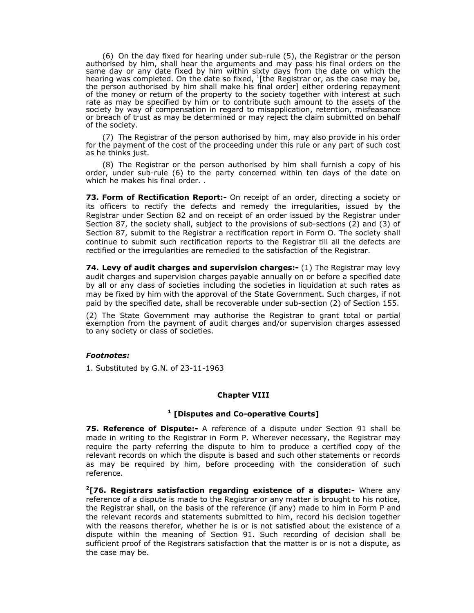(6) On the day fixed for hearing under sub-rule (5), the Registrar or the person authorised by him, shall hear the arguments and may pass his final orders on the same day or any date fixed by him within sixty days from the date on which the hearing was completed. On the date so fixed,  $^{1}$ [the Registrar or, as the case may be, the person authorised by him shall make his final order] either ordering repayment of the money or return of the property to the society together with interest at such rate as may be specified by him or to contribute such amount to the assets of the society by way of compensation in regard to misapplication, retention, misfeasance or breach of trust as may be determined or may reject the claim submitted on behalf of the society.

(7) The Registrar of the person authorised by him, may also provide in his order for the payment of the cost of the proceeding under this rule or any part of such cost as he thinks just.

(8) The Registrar or the person authorised by him shall furnish a copy of his order, under sub-rule (6) to the party concerned within ten days of the date on which he makes his final order. .

**73. Form of Rectification Report:-** On receipt of an order, directing a society or its officers to rectify the defects and remedy the irregularities, issued by the Registrar under Section 82 and on receipt of an order issued by the Registrar under Section 87, the society shall, subject to the provisions of sub-sections (2) and (3) of Section 87, submit to the Registrar a rectification report in Form O. The society shall continue to submit such rectification reports to the Registrar till all the defects are rectified or the irregularities are remedied to the satisfaction of the Registrar.

74. Levy of audit charges and supervision charges:- (1) The Registrar may levy audit charges and supervision charges payable annually on or before a specified date by all or any class of societies including the societies in liquidation at such rates as may be fixed by him with the approval of the State Government. Such charges, if not paid by the specified date, shall be recoverable under sub-section (2) of Section 155.

(2) The State Government may authorise the Registrar to grant total or partial exemption from the payment of audit charges and/or supervision charges assessed to any society or class of societies.

# *Footnotes:*

1. Substituted by G.N. of 23-11-1963

## **Chapter VIII**

# **1 [Disputes and Co-operative Courts]**

**75. Reference of Dispute:-** A reference of a dispute under Section 91 shall be made in writing to the Registrar in Form P. Wherever necessary, the Registrar may require the party referring the dispute to him to produce a certified copy of the relevant records on which the dispute is based and such other statements or records as may be required by him, before proceeding with the consideration of such reference.

**2[76. Registrars satisfaction regarding existence of a dispute:-** Where any reference of a dispute is made to the Registrar or any matter is brought to his notice, the Registrar shall, on the basis of the reference (if any) made to him in Form P and the relevant records and statements submitted to him, record his decision together with the reasons therefor, whether he is or is not satisfied about the existence of a dispute within the meaning of Section 91. Such recording of decision shall be sufficient proof of the Registrars satisfaction that the matter is or is not a dispute, as the case may be.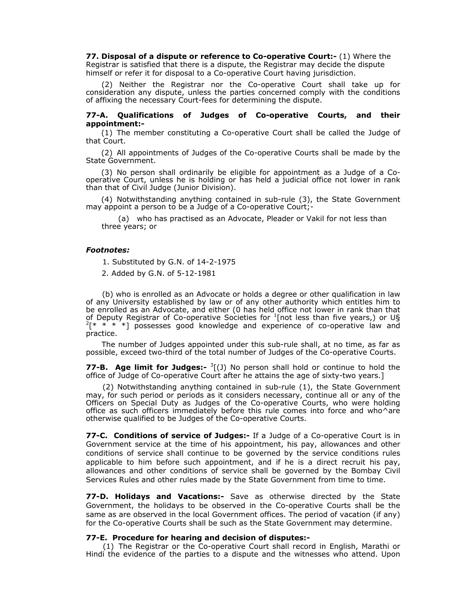**77. Disposal of a dispute or reference to Co-operative Court:-** (1) Where the Registrar is satisfied that there is a dispute, the Registrar may decide the dispute himself or refer it for disposal to a Co-operative Court having jurisdiction.

(2) Neither the Registrar nor the Co-operative Court shall take up for consideration any dispute, unless the parties concerned comply with the conditions of affixing the necessary Court-fees for determining the dispute.

## **77-A. Qualifications of Judges of Co-operative Courts, and their appointment:-**

(1) The member constituting a Co-operative Court shall be called the Judge of that Court.

(2) All appointments of Judges of the Co-operative Courts shall be made by the State Government.

(3) No person shall ordinarily be eligible for appointment as a Judge of a Cooperative Court, unless he is holding or has held a judicial office not lower in rank than that of Civil Judge (Junior Division).

(4) Notwithstanding anything contained in sub-rule (3), the State Government may appoint a person to be a Judge of a Co-operative Court;

(a) who has practised as an Advocate, Pleader or Vakil for not less than three years; or

### *Footnotes:*

1. Substituted by G.N. of 14-2-1975

2. Added by G.N. of 5-12-1981

(b) who is enrolled as an Advocate or holds a degree or other qualification in law of any University established by law or of any other authority which entitles him to be enrolled as an Advocate, and either (0 has held office not lower in rank than that of Deputy Registrar of Co-operative Societies for <sup>1</sup>[not less than five years,) or U§<br><sup>2</sup>[\* \* \* \*] possesses good knowledge and experience of co-operative law and practice.

The number of Judges appointed under this sub-rule shall, at no time, as far as possible, exceed two-third of the total number of Judges of the Co-operative Courts.

**77-B. Age limit for Judges:-** <sup>3</sup>[(J) No person shall hold or continue to hold the office of Judge of Co-operative Court after he attains the age of sixty-two years.]

(2) Notwithstanding anything contained in sub-rule (1), the State Government may, for such period or periods as it considers necessary, continue all or any of the Officers on Special Duty as Judges of the Co-operative Courts, who were holding office as such officers immediately before this rule comes into force and who^are otherwise qualified to be Judges of the Co-operative Courts.

**77-C. Conditions of service of Judges:-** If a Judge of a Co-operative Court is in Government service at the time of his appointment, his pay, allowances and other conditions of service shall continue to be governed by the service conditions rules applicable to him before such appointment, and if he is a direct recruit his pay, allowances and other conditions of service shall be governed by the Bombay Civil Services Rules and other rules made by the State Government from time to time.

**77-D. Holidays and Vacations:-** Save as otherwise directed by the State Government, the holidays to be observed in the Co-operative Courts shall be the same as are observed in the local Government offices. The period of vacation (if any) for the Co-operative Courts shall be such as the State Government may determine.

### **77-E. Procedure for hearing and decision of disputes:-**

(1) The Registrar or the Co-operative Court shall record in English, Marathi or Hindi the evidence of the parties to a dispute and the witnesses who attend. Upon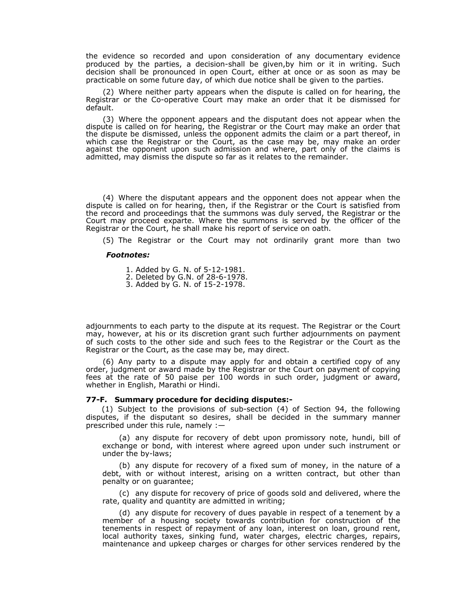the evidence so recorded and upon consideration of any documentary evidence produced by the parties, a decision-shall be given,by him or it in writing. Such decision shall be pronounced in open Court, either at once or as soon as may be practicable on some future day, of which due notice shall be given to the parties.

(2) Where neither party appears when the dispute is called on for hearing, the Registrar or the Co-operative Court may make an order that it be dismissed for default.

(3) Where the opponent appears and the disputant does not appear when the dispute is called on for hearing, the Registrar or the Court may make an order that the dispute be dismissed, unless the opponent admits the claim or a part thereof, in which case the Registrar or the Court, as the case may be, may make an order against the opponent upon such admission and where, part only of the claims is admitted, may dismiss the dispute so far as it relates to the remainder.

(4) Where the disputant appears and the opponent does not appear when the dispute is called on for hearing, then, if the Registrar or the Court is satisfied from the record and proceedings that the summons was duly served, the Registrar or the Court may proceed exparte. Where the summons is served by the officer of the Registrar or the Court, he shall make his report of service on oath.

(5) The Registrar or the Court may not ordinarily grant more than two

### *Footnotes:*

1. Added by G. N. of 5-12-1981.

- 2. Deleted by G.N. of 28-6-1978.
- 3. Added by G. N. of 15-2-1978.

adjournments to each party to the dispute at its request. The Registrar or the Court may, however, at his or its discretion grant such further adjournments on payment of such costs to the other side and such fees to the Registrar or the Court as the Registrar or the Court, as the case may be, may direct.

(6) Any party to a dispute may apply for and obtain a certified copy of any order, judgment or award made by the Registrar or the Court on payment of copying fees at the rate of 50 paise per 100 words in such order, judgment or award, whether in English, Marathi or Hindi.

### **77-F. Summary procedure for deciding disputes:-**

(1) Subject to the provisions of sub-section (4) of Section 94, the following disputes, if the disputant so desires, shall be decided in the summary manner prescribed under this rule, namely :—

(a) any dispute for recovery of debt upon promissory note, hundi, bill of exchange or bond, with interest where agreed upon under such instrument or under the by-laws;

(b) any dispute for recovery of a fixed sum of money, in the nature of a debt, with or without interest, arising on a written contract, but other than penalty or on guarantee;

(c) any dispute for recovery of price of goods sold and delivered, where the rate, quality and quantity are admitted in writing;

(d) any dispute for recovery of dues payable in respect of a tenement by a member of a housing society towards contribution for construction of the tenements in respect of repayment of any loan, interest on loan, ground rent, local authority taxes, sinking fund, water charges, electric charges, repairs, maintenance and upkeep charges or charges for other services rendered by the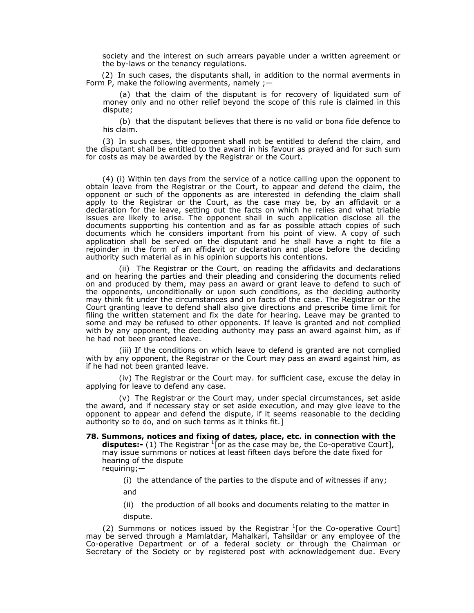society and the interest on such arrears payable under a written agreement or the by-laws or the tenancy regulations.

(2) In such cases, the disputants shall, in addition to the normal averments in Form P, make the following averments, namely  $;$ 

(a) that the claim of the disputant is for recovery of liquidated sum of money only and no other relief beyond the scope of this rule is claimed in this dispute;

(b) that the disputant believes that there is no valid or bona fide defence to his claim.

(3) In such cases, the opponent shall not be entitled to defend the claim, and the disputant shall be entitled to the award in his favour as prayed and for such sum for costs as may be awarded by the Registrar or the Court.

(4) (i) Within ten days from the service of a notice calling upon the opponent to obtain leave from the Registrar or the Court, to appear and defend the claim, the opponent or such of the opponents as are interested in defending the claim shall apply to the Registrar or the Court, as the case may be, by an affidavit or a declaration for the leave, setting out the facts on which he relies and what triable issues are likely to arise. The opponent shall in such application disclose all the documents supporting his contention and as far as possible attach copies of such documents which he considers important from his point of view. A copy of such application shall be served on the disputant and he shall have a right to file a rejoinder in the form of an affidavit or declaration and place before the deciding authority such material as in his opinion supports his contentions.

(ii) The Registrar or the Court, on reading the affidavits and declarations and on hearing the parties and their pleading and considering the documents relied on and produced by them, may pass an award or grant leave to defend to such of the opponents, unconditionally or upon such conditions, as the deciding authority may think fit under the circumstances and on facts of the case. The Registrar or the Court granting leave to defend shall also give directions and prescribe time limit for filing the written statement and fix the date for hearing. Leave may be granted to some and may be refused to other opponents. If leave is granted and not complied with by any opponent, the deciding authority may pass an award against him, as if he had not been granted leave.

(iii) If the conditions on which leave to defend is granted are not complied with by any opponent, the Registrar or the Court may pass an award against him, as if he had not been granted leave.

(iv) The Registrar or the Court may. for sufficient case, excuse the delay in applying for leave to defend any case.

(v) The Registrar or the Court may, under special circumstances, set aside the award, and if necessary stay or set aside execution, and may give leave to the opponent to appear and defend the dispute, if it seems reasonable to the deciding authority so to do, and on such terms as it thinks fit.]

#### **78. Summons, notices and fixing of dates, place, etc. in connection with the disputes:-** (1) The Registrar <sup>1</sup>[or as the case may be, the Co-operative Court], may issue summons or notices at least fifteen days before the date fixed for hearing of the dispute

requiring;—

(i) the attendance of the parties to the dispute and of witnesses if any; and

(ii) the production of all books and documents relating to the matter in dispute.

(2) Summons or notices issued by the Registrar  $1$  or the Co-operative Court] may be served through a Mamlatdar, Mahalkari, Tahsildar or any employee of the Co-operative Department or of a federal society or through the Chairman or Secretary of the Society or by registered post with acknowledgement due. Every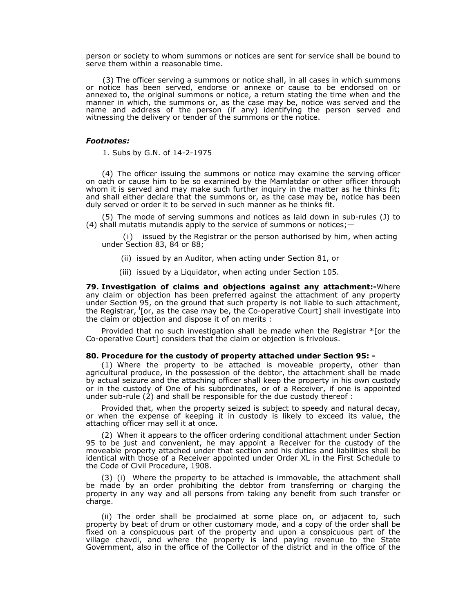person or society to whom summons or notices are sent for service shall be bound to serve them within a reasonable time.

(3) The officer serving a summons or notice shall, in all cases in which summons or notice has been served, endorse or annexe or cause to be endorsed on or annexed to, the original summons or notice, a return stating the time when and the manner in which, the summons or, as the case may be, notice was served and the name and address of the person (if any) identifying the person served and witnessing the delivery or tender of the summons or the notice.

### *Footnotes:*

1. Subs by G.N. of 14-2-1975

(4) The officer issuing the summons or notice may examine the serving officer on oath or cause him to be so examined by the Mamlatdar or other officer through whom it is served and may make such further inquiry in the matter as he thinks fit; and shall either declare that the summons or, as the case may be, notice has been duly served or order it to be served in such manner as he thinks fit.

(5) The mode of serving summons and notices as laid down in sub-rules (J) to (4) shall mutatis mutandis apply to the service of summons or notices;  $-$ 

(i)issued by the Registrar or the person authorised by him, when acting under Section 83, 84 or 88;

- (ii) issued by an Auditor, when acting under Section 81, or
- (iii) issued by a Liquidator, when acting under Section 105.

**79. Investigation of claims and objections against any attachment:-**Where any claim or objection has been preferred against the attachment of any property under Section 95, on the ground that such property is not liable to such attachment, the Registrar, <sup>I</sup>[or, as the case may be, the Co-operative Court] shall investigate into the claim or objection and dispose it of on merits :

Provided that no such investigation shall be made when the Registrar \*[or the Co-operative Court] considers that the claim or objection is frivolous.

### **80. Procedure for the custody of property attached under Section 95: -**

(1) Where the property to be attached is moveable property, other than agricultural produce, in the possession of the debtor, the attachment shall be made by actual seizure and the attaching officer shall keep the property in his own custody or in the custody of One of his subordinates, or of a Receiver, if one is appointed under sub-rule  $(2)$  and shall be responsible for the due custody thereof :

Provided that, when the property seized is subject to speedy and natural decay, or when the expense of keeping it in custody is likely to exceed its value, the attaching officer may sell it at once.

(2) When it appears to the officer ordering conditional attachment under Section 95 to be just and convenient, he may appoint a Receiver for the custody of the moveable property attached under that section and his duties and liabilities shall be identical with those of a Receiver appointed under Order XL in the First Schedule to the Code of Civil Procedure, 1908.

(3) (i) Where the property to be attached is immovable, the attachment shall be made by an order prohibiting the debtor from transferring or charging the property in any way and all persons from taking any benefit from such transfer or charge.

(ii) The order shall be proclaimed at some place on, or adjacent to, such property by beat of drum or other customary mode, and a copy of the order shall be fixed on a conspicuous part of the property and upon a conspicuous part of the village chavdi, and where the property is land paying revenue to the State Government, also in the office of the Collector of the district and in the office of the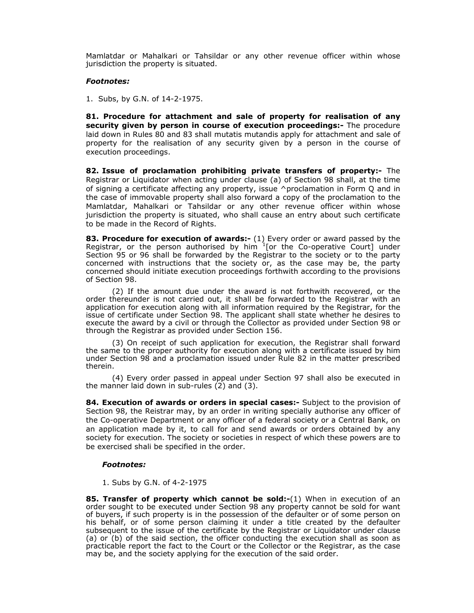Mamlatdar or Mahalkari or Tahsildar or any other revenue officer within whose jurisdiction the property is situated.

#### *Footnotes:*

1. Subs, by G.N. of 14-2-1975.

**81. Procedure for attachment and sale of property for realisation of any security given by person in course of execution proceedings:-** The procedure laid down in Rules 80 and 83 shall mutatis mutandis apply for attachment and sale of property for the realisation of any security given by a person in the course of execution proceedings.

**82. Issue of proclamation prohibiting private transfers of property:-** The Registrar or Liquidator when acting under clause (a) of Section 98 shall, at the time of signing a certificate affecting any property, issue  $\wedge$  proclamation in Form Q and in the case of immovable property shall also forward a copy of the proclamation to the Mamlatdar, Mahalkari or Tahsildar or any other revenue officer within whose jurisdiction the property is situated, who shall cause an entry about such certificate to be made in the Record of Rights.

**83. Procedure for execution of awards:-** (1) Every order or award passed by the Registrar, or the person authorised by him  $1$ [or the Co-operative Court] under Section 95 or 96 shall be forwarded by the Registrar to the society or to the party concerned with instructions that the society or, as the case may be, the party concerned should initiate execution proceedings forthwith according to the provisions of Section 98.

 (2) If the amount due under the award is not forthwith recovered, or the order thereunder is not carried out, it shall be forwarded to the Registrar with an application for execution along with all information required by the Registrar, for the issue of certificate under Section 98. The applicant shall state whether he desires to execute the award by a civil or through the Collector as provided under Section 98 or through the Registrar as provided under Section 156.

 (3) On receipt of such application for execution, the Registrar shall forward the same to the proper authority for execution along with a certificate issued by him under Section 98 and a proclamation issued under Rule 82 in the matter prescribed therein.

 (4) Every order passed in appeal under Section 97 shall also be executed in the manner laid down in sub-rules (2) and (3).

**84. Execution of awards or orders in special cases:-** Subject to the provision of Section 98, the Reistrar may, by an order in writing specially authorise any officer of the Co-operative Department or any officer of a federal society or a Central Bank, on an application made by it, to call for and send awards or orders obtained by any society for execution. The society or societies in respect of which these powers are to be exercised shali be specified in the order.

#### *Footnotes:*

1. Subs by G.N. of 4-2-1975

**85. Transfer of property which cannot be sold:-**(1) When in execution of an order sought to be executed under Section 98 any property cannot be sold for want of buyers, if such property is in the possession of the defaulter or of some person on his behalf, or of some person claiming it under a title created by the defaulter subsequent to the issue of the certificate by the Registrar or Liquidator under clause (a) or (b) of the said section, the officer conducting the execution shall as soon as practicable report the fact to the Court or the Collector or the Registrar, as the case may be, and the society applying for the execution of the said order.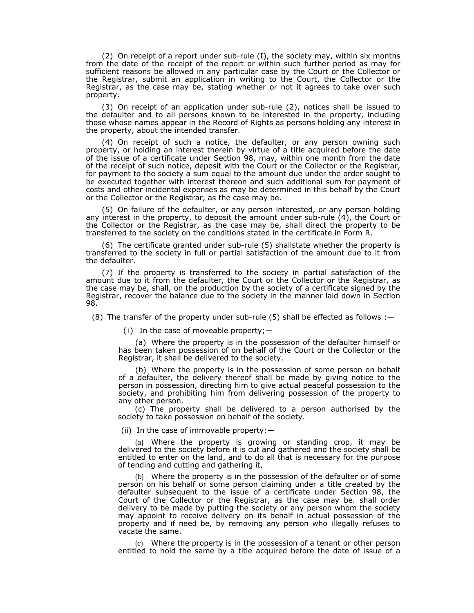(2) On receipt of a report under sub-rule (I), the society may, within six months from the date of the receipt of the report or within such further period as may for sufficient reasons be allowed in any particular case by the Court or the Collector or the Registrar, submit an application in writing to the Court, the Collector or the Registrar, as the case may be, stating whether or not it agrees to take over such property.

(3) On receipt of an application under sub-rule (2), notices shall be issued to the defaulter and to all persons known to be interested in the property, including those whose names appear in the Record of Rights as persons holding any interest in the property, about the intended transfer.

(4) On receipt of such a notice, the defaulter, or any person owning such property, or holding an interest therein by virtue of a title acquired before the date of the issue of a certificate under Section 98, may, within one month from the date of the receipt of such notice, deposit with the Court or the Collector or the Registrar, for payment to the society a sum equal to the amount due under the order sought to be executed together with interest thereon and such additional sum for payment of costs and other incidental expenses as may be determined in this behalf by the Court or the Collector or the Registrar, as the case may be.

(5) On failure of the defaulter, or any person interested, or any person holding any interest in the property, to deposit the amount under sub-rule (4), the Court or the Collector or the Registrar, as the case may be, shall direct the property to be transferred to the society on the conditions stated in the certificate in Form R.

(6) The certificate granted under sub-rule (5) shallstate whether the property is transferred to the society in full or partial satisfaction of the amount due to it from the defaulter.

(7) If the property is transferred to the society in partial satisfaction of the amount due to it from the defaulter, the Court or the Collector or the Registrar, as the case may be, shall, on the production by the society of a certificate signed by the Registrar, recover the balance due to the society in the manner laid down in Section 98.

(8) The transfer of the property under sub-rule  $(5)$  shall be effected as follows : $-$ 

(i)In the case of moveable property;—

(a) Where the property is in the possession of the defaulter himself or has been taken possession of on behalf of the Court or the Collector or the Registrar, it shall be delivered to the society.

(b) Where the property is in the possession of some person on behalf of a defaulter, the delivery thereof shall be made by giving notice to the person in possession, directing him to give actual peaceful possession to the society, and prohibiting him from delivering possession of the property to any other person.

(c) The property shall be delivered to a person authorised by the society to take possession on behalf of the society.

(ii) In the case of immovable property:—

(a) Where the property is growing or standing crop, it may be delivered to the society before it is cut and gathered and the society shall be entitled to enter on the land, and to do all that is necessary for the purpose of tending and cutting and gathering it,

(b) Where the property is in the possession of the defaulter or of some person on his behalf or some person claiming under a title created by the defaulter subsequent to the issue of a certificate under Section 98, the Court of the Collector or the Registrar, as the case may be. shall order delivery to be made by putting the society or any person whom the society may appoint to receive delivery on its behalf in actual possession of the property and if need be, by removing any person who illegally refuses to vacate the same.

(c) Where the property is in the possession of a tenant or other person entitled to hold the same by a title acquired before the date of issue of a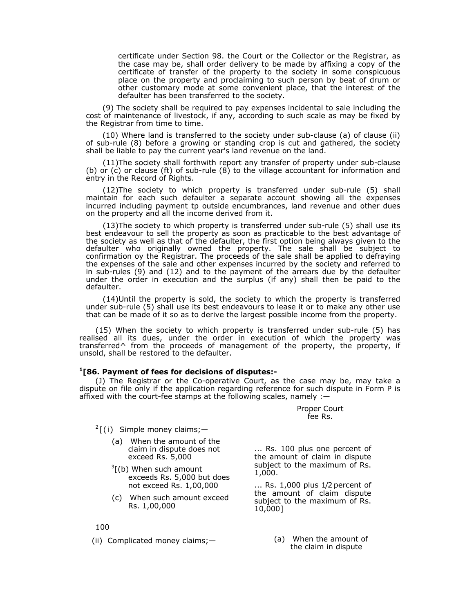certificate under Section 98. the Court or the Collector or the Registrar, as the case may be, shall order delivery to be made by affixing a copy of the certificate of transfer of the property to the society in some conspicuous place on the property and proclaiming to such person by beat of drum or other customary mode at some convenient place, that the interest of the defaulter has been transferred to the society.

(9) The society shall be required to pay expenses incidental to sale including the cost of maintenance of livestock, if any, according to such scale as may be fixed by the Registrar from time to time.

(10) Where land is transferred to the society under sub-clause (a) of clause (ii) of sub-rule (8) before a growing or standing crop is cut and gathered, the society shall be liable to pay the current year's land revenue on the land.

(11)The society shall forthwith report any transfer of property under sub-clause (b) or (c) or clause (ft) of sub-rule (8) to the village accountant for information and entry in the Record of Rights.

(12)The society to which property is transferred under sub-rule (5) shall maintain for each such defaulter a separate account showing all the expenses incurred including payment tp outside encumbrances, land revenue and other dues on the property and all the income derived from it.

(13)The society to which property is transferred under sub-rule (5) shall use its best endeavour to sell the property as soon as practicable to the best advantage of the society as well as that of the defaulter, the first option being always given to the defaulter who originally owned the property. The sale shall be subject to confirmation oy the Registrar. The proceeds of the sale shall be applied to defraying the expenses of the sale and other expenses incurred by the society and referred to in sub-rules (9) and (12) and to the payment of the arrears due by the defaulter under the order in execution and the surplus (if any) shall then be paid to the defaulter.

(14)Until the property is sold, the society to which the property is transferred under sub-rule (5) shall use its best endeavours to lease it or to make any other use that can be made of it so as to derive the largest possible income from the property.

(15) When the society to which property is transferred under sub-rule (5) has realised all its dues, under the order in execution of which the property was transferred^ from the proceeds of management of the property, the property, if unsold, shall be restored to the defaulter.

#### **1[86. Payment of fees for decisions of disputes:-**

(J) The Registrar or the Co-operative Court, as the case may be, may take a dispute on file only if the application regarding reference for such dispute in Form P is affixed with the court-fee stamps at the following scales, namely :—

> Proper Court fee Rs.

- <sup>2</sup> [(i)Simple money claims;—
	- (a) When the amount of the claim in dispute does not exceed Rs. 5,000
	- $\frac{3}{2}$ [(b) When such amount exceeds Rs. 5,000 but does not exceed Rs. 1,00,000
	- (c) When such amount exceed Rs. 1,00,000

100

(ii) Complicated money claims;— (a) When the amount of

... Rs. 100 plus one percent of the amount of claim in dispute subject to the maximum of Rs. 1,000.

... Rs. 1,000 plus 1/2 percent of the amount of claim dispute subject to the maximum of Rs. 10,000]

the claim in dispute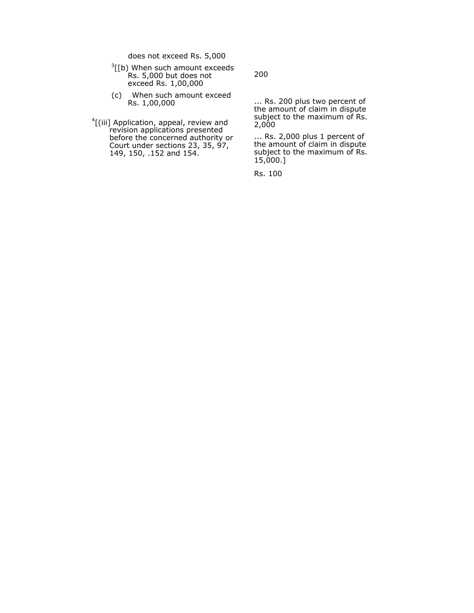does not exceed Rs. 5,000

- $\frac{3}{1}$ [b) When such amount exceeds Rs. 5,000 but does not exceed Rs. 1,00,000
- (c) When such amount exceed Rs. 1,00,000
- <sup>4</sup>[(iii] Application, appeal, review and revision applications presented before the concerned authority or Court under sections 23, 35, 97, 149, 150, .152 and 154.

200

... Rs. 200 plus two percent of the amount of claim in dispute subject to the maximum of Rs. 2,000

... Rs. 2,000 plus 1 percent of the amount of claim in dispute subject to the maximum of Rs. 15,000.]

Rs. 100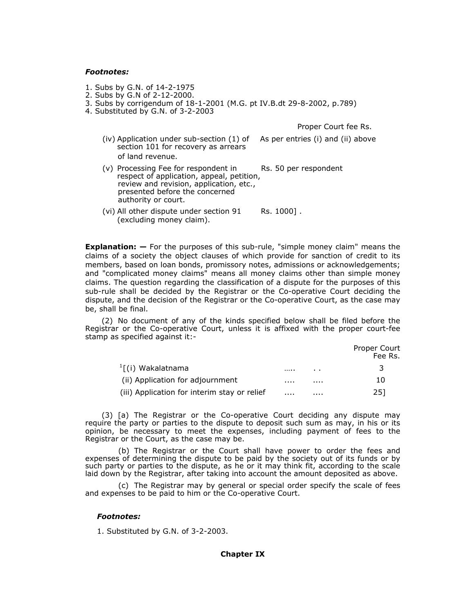#### *Footnotes:*

- 1. Subs by G.N. of 14-2-1975
- 2. Subs by G.N of 2-12-2000.
- 3. Subs by corrigendum of 18-1-2001 (M.G. pt IV.B.dt 29-8-2002, p.789)
- 4. Substituted by G.N. of 3-2-2003

Proper Court fee Rs.

- (iv) Application under sub-section (1) of As per entries (i) and (ii) above section 101 for recovery as arrears of land revenue.
- $(v)$  Processing Fee for respondent in Rs. 50 per respondent respect of application, appeal, petition, review and revision, application, etc., presented before the concerned authority or court.
- (vi) All other dispute under section  $91$  Rs. 1000]. (excluding money claim).

**Explanation: —** For the purposes of this sub-rule, "simple money claim" means the claims of a society the object clauses of which provide for sanction of credit to its members, based on loan bonds, promissory notes, admissions or acknowledgements; and "complicated money claims" means all money claims other than simple money claims. The question regarding the classification of a dispute for the purposes of this sub-rule shall be decided by the Registrar or the Co-operative Court deciding the dispute, and the decision of the Registrar or the Co-operative Court, as the case may be, shall be final.

(2) No document of any of the kinds specified below shall be filed before the Registrar or the Co-operative Court, unless it is affixed with the proper court-fee stamp as specified against it:-

|                                              |   |     | Proper Court<br>Fee Rs. |
|----------------------------------------------|---|-----|-------------------------|
| <sup>1</sup> [(i) Wakalatnama                |   | . . |                         |
| (ii) Application for adjournment             | . | .   | 10                      |
| (iii) Application for interim stay or relief | . |     | 251                     |

(3) [a) The Registrar or the Co-operative Court deciding any dispute may require the party or parties to the dispute to deposit such sum as may, in his or its opinion, be necessary to meet the expenses, including payment of fees to the Registrar or the Court, as the case may be.

(b) The Registrar or the Court shall have power to order the fees and expenses of determining the dispute to be paid by the society out of its funds or by such party or parties to the dispute, as he or it may think fit, according to the scale laid down by the Registrar, after taking into account the amount deposited as above.

(c) The Registrar may by general or special order specify the scale of fees and expenses to be paid to him or the Co-operative Court.

#### *Footnotes:*

1. Substituted by G.N. of 3-2-2003.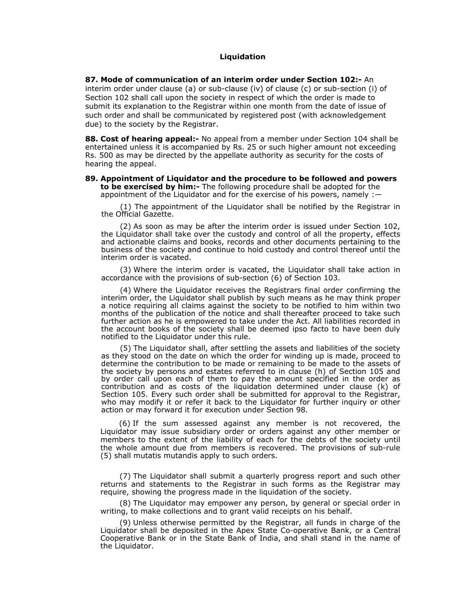### **Liquidation**

**87. Mode of communication of an interim order under Section 102:-** An interim order under clause (a) or sub-clause (iv) of clause (c) or sub-section (i) of Section 102 shall call upon the society in respect of which the order is made to submit its explanation to the Registrar within one month from the date of issue of such order and shall be communicated by registered post (with acknowledgement due) to the society by the Registrar.

**88. Cost of hearing appeal:-** No appeal from a member under Section 104 shall be entertained unless it is accompanied by Rs. 25 or such higher amount not exceeding Rs. 500 as may be directed by the appellate authority as security for the costs of hearing the appeal.

**89. Appointment of Liquidator and the procedure to be followed and powers to be exercised by him:-** The following procedure shall be adopted for the appointment of the Liquidator and for the exercise of his powers, namely :—

(1) The appointment of the Liquidator shall be notified by the Registrar in the Official Gazette.

(2) As soon as may be after the interim order is issued under Section 102, the Liquidator shall take over the custody and control of all the property, effects and actionable claims and books, records and other documents pertaining to the business of the society and continue to hold custody and control thereof until the interim order is vacated.

(3) Where the interim order is vacated, the Liquidator shall take action in accordance with the provisions of sub-section (6) of Section 103.

(4) Where the Liquidator receives the Registrars final order confirming the interim order, the Liquidator shall publish by such means as he may think proper a notice requiring all claims against the society to be notified to him within two months of the publication of the notice and shall thereafter proceed to take such further action as he is empowered to take under the Act. All liabilities recorded in the account books of the society shall be deemed ipso facto to have been duly notified to the Liquidator under this rule.

(5) The Liquidator shall, after settling the assets and liabilities of the society as they stood on the date on which the order for winding up is made, proceed to determine the contribution to be made or remaining to be made to the assets of the society by persons and estates referred to in clause (h) of Section 105 and by order call upon each of them to pay the amount specified in the order as contribution and as costs of the liquidation determined under clause (k) of Section 105. Every such order shall be submitted for approval to the Registrar, who may modify it or refer it back to the Liquidator for further inquiry or other action or may forward it for execution under Section 98.

(6) If the sum assessed against any member is not recovered, the Liquidator may issue subsidiary order or orders against any other member or members to the extent of the liability of each for the debts of the society until the whole amount due from members is recovered. The provisions of sub-rule (5) shall mutatis mutandis apply to such orders.

(7) The Liquidator shall submit a quarterly progress report and such other returns and statements to the Registrar in such forms as the Registrar may require, showing the progress made in the liquidation of the society.

(8) The Liquidator may empower any person, by general or special order in writing, to make collections and to grant valid receipts on his behalf.

(9) Unless otherwise permitted by the Registrar, all funds in charge of the Liquidator shall be deposited in the Apex State Co-operative Bank, or a Central Cooperative Bank or in the State Bank of India, and shall stand in the name of the Liquidator.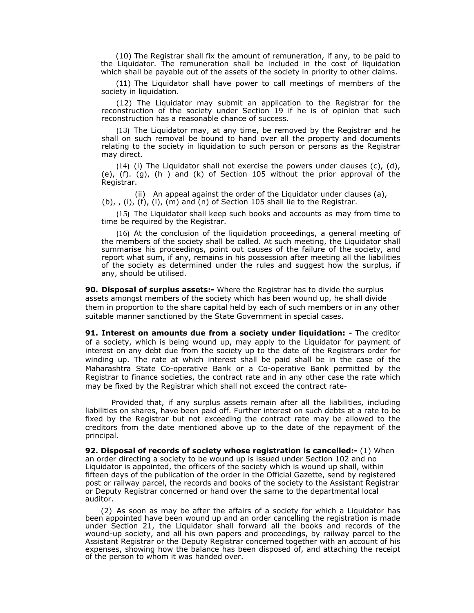(10) The Registrar shall fix the amount of remuneration, if any, to be paid to the Liquidator. The remuneration shall be included in the cost of liquidation which shall be payable out of the assets of the society in priority to other claims.

(11) The Liquidator shall have power to call meetings of members of the society in liquidation.

(12) The Liquidator may submit an application to the Registrar for the reconstruction of the society under Section 19 if he is of opinion that such reconstruction has a reasonable chance of success.

(13) The Liquidator may, at any time, be removed by the Registrar and he shall on such removal be bound to hand over all the property and documents relating to the society in liquidation to such person or persons as the Registrar may direct.

(14) (i) The Liquidator shall not exercise the powers under clauses (c), (d), (e), (f). (g), (h ) and (k) of Section 105 without the prior approval of the Registrar.

(ii) An appeal against the order of the Liquidator under clauses (a),  $(b)$ , , (i), (f), (l), (m) and (n) of Section 105 shall lie to the Registrar.

(15) The Liquidator shall keep such books and accounts as may from time to time be required by the Registrar.

(16) At the conclusion of the liquidation proceedings, a general meeting of the members of the society shall be called. At such meeting, the Liquidator shall summarise his proceedings, point out causes of the failure of the society, and report what sum, if any, remains in his possession after meeting all the liabilities of the society as determined under the rules and suggest how the surplus, if any, should be utilised.

**90. Disposal of surplus assets:-** Where the Registrar has to divide the surplus assets amongst members of the society which has been wound up, he shall divide them in proportion to the share capital held by each of such members or in any other suitable manner sanctioned by the State Government in special cases.

**91. Interest on amounts due from a society under liquidation: -** The creditor of a society, which is being wound up, may apply to the Liquidator for payment of interest on any debt due from the society up to the date of the Registrars order for winding up. The rate at which interest shall be paid shall be in the case of the Maharashtra State Co-operative Bank or a Co-operative Bank permitted by the Registrar to finance societies, the contract rate and in any other case the rate which may be fixed by the Registrar which shall not exceed the contract rate-

Provided that, if any surplus assets remain after all the liabilities, including liabilities on shares, have been paid off. Further interest on such debts at a rate to be fixed by the Registrar but not exceeding the contract rate may be allowed to the creditors from the date mentioned above up to the date of the repayment of the principal.

**92. Disposal of records of society whose registration is cancelled:-** (1) When an order directing a society to be wound up is issued under Section 102 and no Liquidator is appointed, the officers of the society which is wound up shall, within fifteen days of the publication of the order in the Official Gazette, send by registered post or railway parcel, the records and books of the society to the Assistant Registrar or Deputy Registrar concerned or hand over the same to the departmental local auditor.

(2) As soon as may be after the affairs of a society for which a Liquidator has been appointed have been wound up and an order cancelling the registration is made under Section 21, the Liquidator shall forward all the books and records of the wound-up society, and all his own papers and proceedings, by railway parcel to the Assistant Registrar or the Deputy Registrar concerned together with an account of his expenses, showing how the balance has been disposed of, and attaching the receipt of the person to whom it was handed over.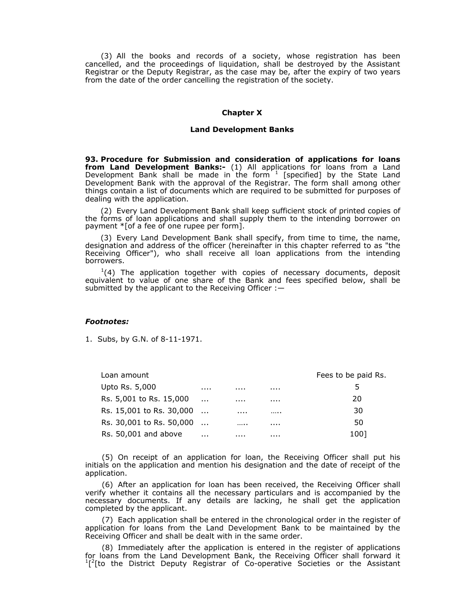(3) All the books and records of a society, whose registration has been cancelled, and the proceedings of liquidation, shall be destroyed by the Assistant Registrar or the Deputy Registrar, as the case may be, after the expiry of two years from the date of the order cancelling the registration of the society.

#### **Chapter X**

#### **Land Development Banks**

**93. Procedure for Submission and consideration of applications for loans from Land Development Banks:-** (1) All applications for loans from a Land Development Bank shall be made in the form  $1$  [specified] by the State Land Development Bank with the approval of the Registrar. The form shall among other things contain a list of documents which are required to be submitted for purposes of dealing with the application.

(2) Every Land Development Bank shall keep sufficient stock of printed copies of the forms of loan applications and shall supply them to the intending borrower on payment \*[of a fee of one rupee per form].

(3) Every Land Development Bank shall specify, from time to time, the name, designation and address of the officer (hereinafter in this chapter referred to as "the Receiving Officer"), who shall receive all loan applications from the intending borrowers.

 $1(4)$  The application together with copies of necessary documents, deposit equivalent to value of one share of the Bank and fees specified below, shall be submitted by the applicant to the Receiving Officer : -

#### *Footnotes:*

1. Subs, by G.N. of 8-11-1971.

| Loan amount              |          |   |   | Fees to be paid Rs. |
|--------------------------|----------|---|---|---------------------|
| Upto Rs. 5,000           |          |   | . | כ                   |
| Rs. 5,001 to Rs. 15,000  | $\cdots$ | . | . | 20                  |
| Rs. 15,001 to Rs. 30,000 |          | . |   | 30                  |
| Rs. 30,001 to Rs. 50,000 |          |   |   | 50                  |
| Rs. 50,001 and above     | $\cdots$ |   |   | 1001                |

(5) On receipt of an application for loan, the Receiving Officer shall put his initials on the application and mention his designation and the date of receipt of the application.

(6) After an application for loan has been received, the Receiving Officer shall verify whether it contains all the necessary particulars and is accompanied by the necessary documents. If any details are lacking, he shall get the application completed by the applicant.

(7) Each application shall be entered in the chronological order in the register of application for loans from the Land Development Bank to be maintained by the Receiving Officer and shall be dealt with in the same order.

(8) Immediately after the application is entered in the register of applications for loans from the Land Development Bank, the Receiving Officer shall forward it  $\int^2$ [to the District Deputy Registrar of Co-operative Societies or the Assistant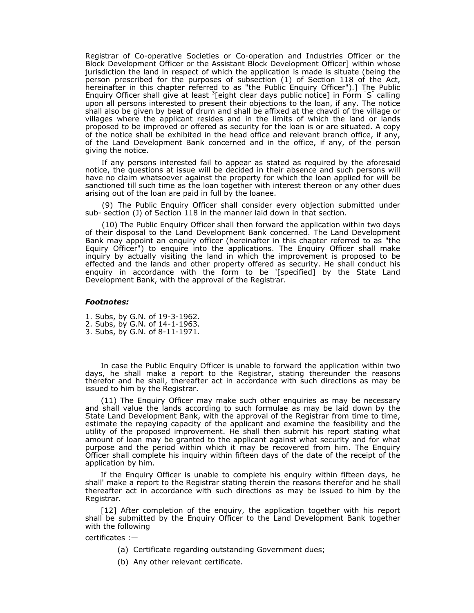Registrar of Co-operative Societies or Co-operation and Industries Officer or the Block Development Officer or the Assistant Block Development Officer] within whose jurisdiction the land in respect of which the application is made is situate (being the person prescribed for the purposes of subsection (1) of Section 118 of the Act, hereinafter in this chapter referred to as "the Public Enquiry Officer").] The Public Enquiry Officer shall give at least  ${}^{3}$ [eight clear days public notice] in Form  ${}^{8}$  calling upon all persons interested to present their objections to the loan, if any. The notice shall also be given by beat of drum and shall be affixed at the chavdi of the village or villages where the applicant resides and in the limits of which the land or lands proposed to be improved or offered as security for the loan is or are situated. A copy of the notice shall be exhibited in the head office and relevant branch office, if any, of the Land Development Bank concerned and in the office, if any, of the person giving the notice.

If any persons interested fail to appear as stated as required by the aforesaid notice, the questions at issue will be decided in their absence and such persons will have no claim whatsoever against the property for which the loan applied for will be sanctioned till such time as the loan together with interest thereon or any other dues arising out of the loan are paid in full by the loanee.

(9) The Public Enquiry Officer shall consider every objection submitted under sub- section (J) of Section 118 in the manner laid down in that section.

(10) The Public Enquiry Officer shall then forward the application within two days of their disposal to the Land Development Bank concerned. The Land Development Bank may appoint an enquiry officer (hereinafter in this chapter referred to as "the Equiry Officer") to enquire into the applications. The Enquiry Officer shall make inquiry by actually visiting the land in which the improvement is proposed to be effected and the lands and other property offered as security. He shall conduct his enquiry in accordance with the form to be '[specified] by the State Land Development Bank, with the approval of the Registrar.

#### *Footnotes:*

1. Subs, by G.N. of 19-3-1962. 2. Subs, by G.N. of 14-1-1963. 3. Subs, by G.N. of 8-11-1971.

In case the Public Enquiry Officer is unable to forward the application within two days, he shall make a report to the Registrar, stating thereunder the reasons therefor and he shall, thereafter act in accordance with such directions as may be issued to him by the Registrar.

(11) The Enquiry Officer may make such other enquiries as may be necessary and shall value the lands according to such formulae as may be laid down by the State Land Development Bank, with the approval of the Registrar from time to time, estimate the repaying capacity of the applicant and examine the feasibility and the utility of the proposed improvement. He shall then submit his report stating what amount of loan may be granted to the applicant against what security and for what purpose and the period within which it may be recovered from him. The Enquiry Officer shall complete his inquiry within fifteen days of the date of the receipt of the application by him.

If the Enquiry Officer is unable to complete his enquiry within fifteen days, he shall' make a report to the Registrar stating therein the reasons therefor and he shall thereafter act in accordance with such directions as may be issued to him by the Registrar.

[12] After completion of the enquiry, the application together with his report shall be submitted by the Enquiry Officer to the Land Development Bank together with the following

certificates :—

- (a) Certificate regarding outstanding Government dues;
- (b) Any other relevant certificate.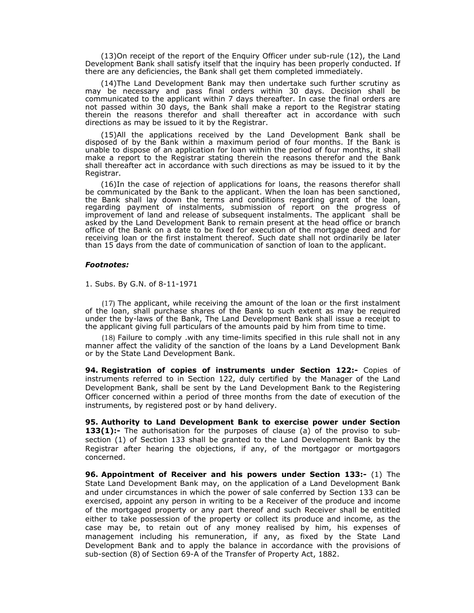(13)On receipt of the report of the Enquiry Officer under sub-rule (12), the Land Development Bank shall satisfy itself that the inquiry has been properly conducted. If there are any deficiencies, the Bank shall get them completed immediately.

(14)The Land Development Bank may then undertake such further scrutiny as may be necessary and pass final orders within 30 days. Decision shall be communicated to the applicant within 7 days thereafter. In case the final orders are not passed within 30 days, the Bank shall make a report to the Registrar stating therein the reasons therefor and shall thereafter act in accordance with such directions as may be issued to it by the Registrar.

(15)All the applications received by the Land Development Bank shall be disposed of by the Bank within a maximum period of four months. If the Bank is unable to dispose of an application for loan within the period of four months, it shall make a report to the Registrar stating therein the reasons therefor and the Bank shall thereafter act in accordance with such directions as may be issued to it by the Registrar.

(16)In the case of rejection of applications for loans, the reasons therefor shall be communicated by the Bank to the applicant. When the loan has been sanctioned, the Bank shall lay down the terms and conditions regarding grant of the loan, regarding payment of instalments, submission of report on the progress of improvement of land and release of subsequent instalments. The applicant shall be asked by the Land Development Bank to remain present at the head office or branch office of the Bank on a date to be fixed for execution of the mortgage deed and for receiving loan or the first instalment thereof. Such date shall not ordinarily be later than 15 days from the date of communication of sanction of loan to the applicant.

#### *Footnotes:*

1. Subs. By G.N. of 8-11-1971

(17) The applicant, while receiving the amount of the loan or the first instalment of the loan, shall purchase shares of the Bank to such extent as may be required under the by-laws of the Bank, The Land Development Bank shall issue a receipt to the applicant giving full particulars of the amounts paid by him from time to time.

(18) Failure to comply .with any time-limits specified in this rule shall not in any manner affect the validity of the sanction of the loans by a Land Development Bank or by the State Land Development Bank.

**94. Registration of copies of instruments under Section 122:-** Copies of instruments referred to in Section 122, duly certified by the Manager of the Land Development Bank, shall be sent by the Land Development Bank to the Registering Officer concerned within a period of three months from the date of execution of the instruments, by registered post or by hand delivery.

**95. Authority to Land Development Bank to exercise power under Section 133(1):-** The authorisation for the purposes of clause (a) of the proviso to subsection (1) of Section 133 shall be granted to the Land Development Bank by the Registrar after hearing the objections, if any, of the mortgagor or mortgagors concerned.

**96. Appointment of Receiver and his powers under Section 133:-** (1) The State Land Development Bank may, on the application of a Land Development Bank and under circumstances in which the power of sale conferred by Section 133 can be exercised, appoint any person in writing to be a Receiver of the produce and income of the mortgaged property or any part thereof and such Receiver shall be entitled either to take possession of the property or collect its produce and income, as the case may be, to retain out of any money realised by him, his expenses of management including his remuneration, if any, as fixed by the State Land Development Bank and to apply the balance in accordance with the provisions of sub-section (8) of Section 69-A of the Transfer of Property Act, 1882.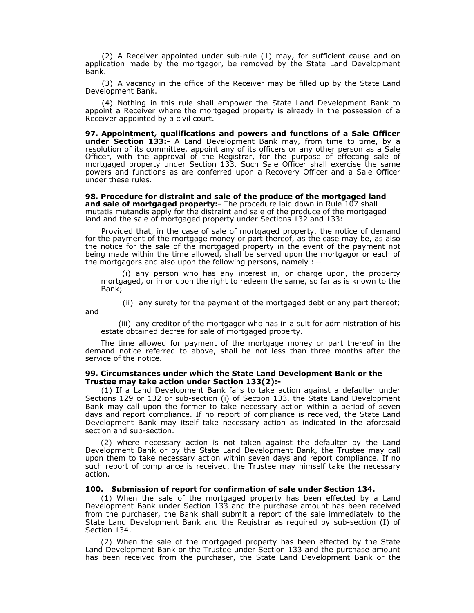(2) A Receiver appointed under sub-rule (1) may, for sufficient cause and on application made by the mortgagor, be removed by the State Land Development Bank.

(3) A vacancy in the office of the Receiver may be filled up by the State Land Development Bank.

(4) Nothing in this rule shall empower the State Land Development Bank to appoint a Receiver where the mortgaged property is already in the possession of a Receiver appointed by a civil court.

**97. Appointment, qualifications and powers and functions of a Sale Officer under Section 133:-** A Land Development Bank may, from time to time, by a resolution of its committee, appoint any of its officers or any other person as a Sale Officer, with the approval of the Registrar, for the purpose of effecting sale of mortgaged property under Section 133. Such Sale Officer shall exercise the same powers and functions as are conferred upon a Recovery Officer and a Sale Officer under these rules.

**98. Procedure for distraint and sale of the produce of the mortgaged land and sale of mortgaged property:-** The procedure laid down in Rule 107 shall mutatis mutandis apply for the distraint and sale of the produce of the mortgaged land and the sale of mortgaged property under Sections 132 and 133:

Provided that, in the case of sale of mortgaged property, the notice of demand for the payment of the mortgage money or part thereof, as the case may be, as also the notice for the sale of the mortgaged property in the event of the payment not being made within the time allowed, shall be served upon the mortgagor or each of the mortgagors and also upon the following persons, namely :—

(i) any person who has any interest in, or charge upon, the property mortgaged, or in or upon the right to redeem the same, so far as is known to the Bank;

(ii)any surety for the payment of the mortgaged debt or any part thereof;

and

(iii)any creditor of the mortgagor who has in a suit for administration of his estate obtained decree for sale of mortgaged property.

The time allowed for payment of the mortgage money or part thereof in the demand notice referred to above, shall be not less than three months after the service of the notice.

#### **99. Circumstances under which the State Land Development Bank or the Trustee may take action under Section 133(2):-**

(1) If a Land Development Bank fails to take action against a defaulter under Sections 129 or 132 or sub-section (i) of Section 133, the State Land Development Bank may call upon the former to take necessary action within a period of seven days and report compliance. If no report of compliance is received, the State Land Development Bank may itself take necessary action as indicated in the aforesaid section and sub-section.

(2) where necessary action is not taken against the defaulter by the Land Development Bank or by the State Land Development Bank, the Trustee may call upon them to take necessary action within seven days and report compliance. If no such report of compliance is received, the Trustee may himself take the necessary action.

#### **100. Submission of report for confirmation of sale under Section 134.**

(1) When the sale of the mortgaged property has been effected by a Land Development Bank under Section 133 and the purchase amount has been received from the purchaser, the Bank shall submit a report of the sale immediately to the State Land Development Bank and the Registrar as required by sub-section (I) of Section 134.

(2) When the sale of the mortgaged property has been effected by the State Land Development Bank or the Trustee under Section 133 and the purchase amount has been received from the purchaser, the State Land Development Bank or the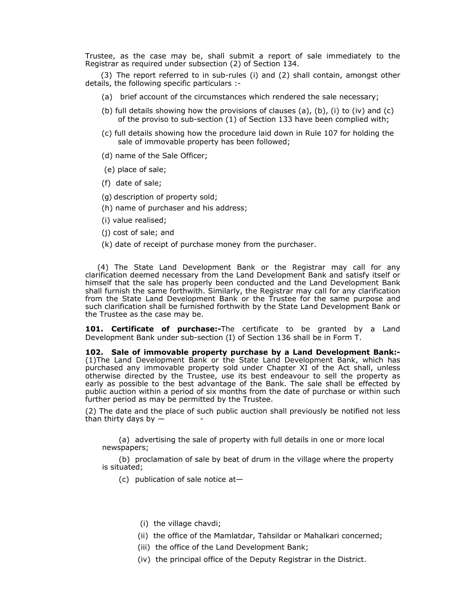Trustee, as the case may be, shall submit a report of sale immediately to the Registrar as required under subsection (2) of Section 134.

(3) The report referred to in sub-rules (i) and (2) shall contain, amongst other details, the following specific particulars :-

- (a) brief account of the circumstances which rendered the sale necessary;
- (b) full details showing how the provisions of clauses (a), (b), (i) to (iv) and (c) of the proviso to sub-section (1) of Section 133 have been complied with;
- (c) full details showing how the procedure laid down in Rule 107 for holding the sale of immovable property has been followed;
- (d) name of the Sale Officer;
- (e) place of sale;
- (f) date of sale;
- (g) description of property sold;
- (h) name of purchaser and his address;
- (i) value realised;
- (j) cost of sale; and
- (k) date of receipt of purchase money from the purchaser.

(4) The State Land Development Bank or the Registrar may call for any clarification deemed necessary from the Land Development Bank and satisfy itself or himself that the sale has properly been conducted and the Land Development Bank shall furnish the same forthwith. Similarly, the Registrar may call for any clarification from the State Land Development Bank or the Trustee for the same purpose and such clarification shall be furnished forthwith by the State Land Development Bank or the Trustee as the case may be.

**101. Certificate of purchase:-**The certificate to be granted by a Land Development Bank under sub-section (I) of Section 136 shall be in Form T.

**102. Sale of immovable property purchase by a Land Development Bank:-**  (1)The Land Development Bank or the State Land Development Bank, which has purchased any immovable property sold under Chapter XI of the Act shall, unless otherwise directed by the Trustee, use its best endeavour to sell the property as early as possible to the best advantage of the Bank. The sale shall be effected by public auction within a period of six months from the date of purchase or within such further period as may be permitted by the Trustee.

(2) The date and the place of such public auction shall previously be notified not less than thirty days by  $-$ 

(a) advertising the sale of property with full details in one or more local newspapers;

(b) proclamation of sale by beat of drum in the village where the property is situated;

(c) publication of sale notice at—

- (i) the village chavdi;
- (ii) the office of the Mamlatdar, Tahsildar or Mahalkari concerned;
- (iii) the office of the Land Development Bank;
- (iv) the principal office of the Deputy Registrar in the District.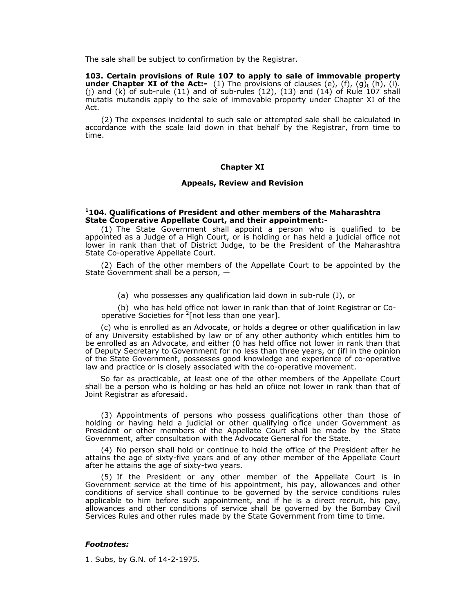The sale shall be subject to confirmation by the Registrar.

**103. Certain provisions of Rule 107 to apply to sale of immovable property under Chapter XI of the Act:-** (1) The provisions of clauses (e), (f), (g)<sub>t</sub> (h), (i). (j) and  $(k)$  of sub-rule  $(11)$  and of sub-rules  $(12)$ ,  $(13)$  and  $(14)$  of Rule 107 shall mutatis mutandis apply to the sale of immovable property under Chapter XI of the Act.

(2) The expenses incidental to such sale or attempted sale shall be calculated in accordance with the scale laid down in that behalf by the Registrar, from time to time.

#### **Chapter XI**

#### **Appeals, Review and Revision**

#### **1104. Qualifications of President and other members of the Maharashtra State Cooperative Appellate Court, and their appointment:-**

(1) The State Government shall appoint a person who is qualified to be appointed as a Judge of a High Court, or is holding or has held a judicial office not lower in rank than that of District Judge, to be the President of the Maharashtra State Co-operative Appellate Court.

(2) Each of the other members of the Appellate Court to be appointed by the State Government shall be a person,  $-$ 

(a) who possesses any qualification laid down in sub-rule (J), or

(b) who has held office not lower in rank than that of Joint Registrar or Cooperative Societies for  $2$ [not less than one year].

(c) who is enrolled as an Advocate, or holds a degree or other qualification in law of any University established by law or of any other authority which entitles him to be enrolled as an Advocate, and either (0 has held office not lower in rank than that of Deputy Secretary to Government for no less than three years, or (ifl in the opinion of the State Government, possesses good knowledge and experience of co-operative law and practice or is closely associated with the co-operative movement.

So far as practicable, at least one of the other members of the Appellate Court shall be a person who is holding or has held an ofiice not lower in rank than that of Joint Registrar as aforesaid.

(3) Appointments of persons who possess qualifications other than those of holding or having held a judicial or other qualifying office under Government as President or other members of the Appellate Court shall be made by the State Government, after consultation with the Advocate General for the State.

(4) No person shall hold or continue to hold the office of the President after he attains the age of sixty-five years and of any other member of the Appellate Court after he attains the age of sixty-two years.

(5) If the President or any other member of the Appellate Court is in Government service at the time of his appointment, his pay, allowances and other conditions of service shall continue to be governed by the service conditions rules applicable to him before such appointment, and if he is a direct recruit, his pay, allowances and other conditions of service shall be governed by the Bombay Civil Services Rules and other rules made by the State Government from time to time.

#### *Footnotes:*

1. Subs, by G.N. of 14-2-1975.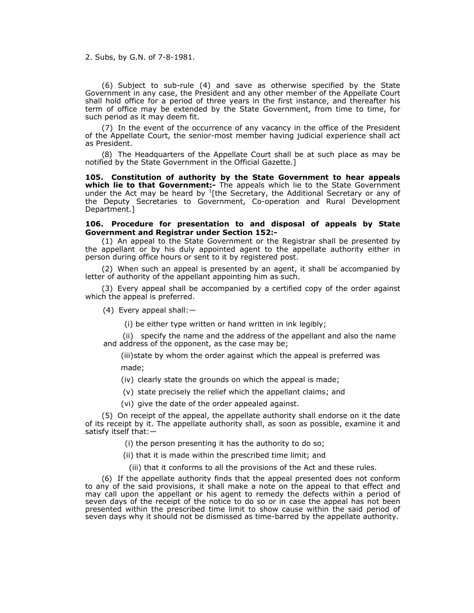2. Subs, by G.N. of 7-8-1981.

(6) Subject to sub-rule (4) and save as otherwise specified by the State Government in any case, the President and any other member of the Appellate Court shall hold office for a period of three years in the first instance, and thereafter his term of office may be extended by the State Government, from time to time, for such period as it may deem fit.

(7) In the event of the occurrence of any vacancy in the office of the President of the Appellate Court, the senior-most member having judicial experience shall act as President.

(8) The Headquarters of the Appellate Court shall be at such place as may be notified by the State Government in the Official Gazette.]

**105. Constitution of authority by the State Government to hear appeals which lie to that Government:-** The appeals which lie to the State Government under the Act may be heard by  $1$ [the Secretary, the Additional Secretary or any of the Deputy Secretaries to Government, Co-operation and Rural Development Department.]

#### **106. Procedure for presentation to and disposal of appeals by State Government and Registrar under Section 152:-**

(1) An appeal to the State Government or the Registrar shall be presented by the appellant or by his duly appointed agent to the appellate authority either in person during office hours or sent to it by registered post.

(2) When such an appeal is presented by an agent, it shall be accompanied by letter of authority of the appellant appointing him as such.

(3) Every appeal shall be accompanied by a certified copy of the order against which the appeal is preferred.

(4) Every appeal shall:—

(i) be either type written or hand written in ink legibly;

(ii) specify the name and the address of the appellant and also the name and address of the opponent, as the case may be;

(iii) state by whom the order against which the appeal is preferred was made;

(iv) clearly state the grounds on which the appeal is made;

(v) state precisely the relief which the appellant claims; and

(vi) give the date of the order appealed against.

(5) On receipt of the appeal, the appellate authority shall endorse on it the date of its receipt by it. The appellate authority shall, as soon as possible, examine it and satisfy itself that:—

(i) the person presenting it has the authority to do so;

(ii) that it is made within the prescribed time limit; and

(iii) that it conforms to all the provisions of the Act and these rules.

(6) If the appellate authority finds that the appeal presented does not conform to any of the said provisions, it shall make a note on the appeal to that effect and may call upon the appellant or his agent to remedy the defects within a period of seven days of the receipt of the notice to do so or in case the appeal has not been presented within the prescribed time limit to show cause within the said period of seven days why it should not be dismissed as time-barred by the appellate authority.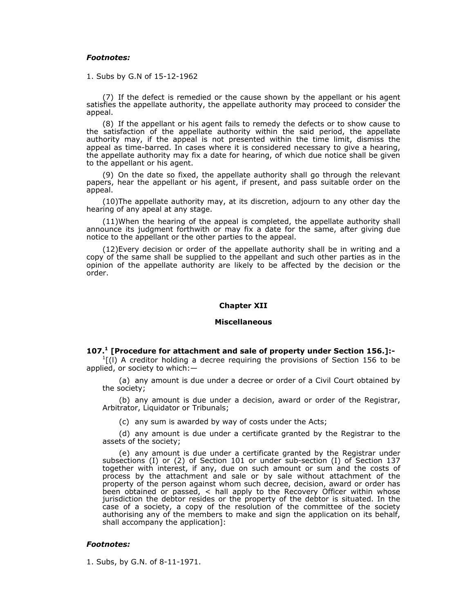#### *Footnotes:*

1. Subs by G.N of 15-12-1962

(7) If the defect is remedied or the cause shown by the appellant or his agent satisfies the appellate authority, the appellate authority may proceed to consider the appeal.

(8) If the appellant or his agent fails to remedy the defects or to show cause to the satisfaction of the appellate authority within the said period, the appellate authority may, if the appeal is not presented within the time limit, dismiss the appeal as time-barred. In cases where it is considered necessary to give a hearing, the appellate authority may fix a date for hearing, of which due notice shall be given to the appellant or his agent.

(9) On the date so fixed, the appellate authority shall go through the relevant papers, hear the appellant or his agent, if present, and pass suitable order on the appeal.

(10)The appellate authority may, at its discretion, adjourn to any other day the hearing of any apeal at any stage.

(11)When the hearing of the appeal is completed, the appellate authority shall announce its judgment forthwith or may fix a date for the same, after giving due notice to the appellant or the other parties to the appeal.

(12)Every decision or order of the appellate authority shall be in writing and a copy of the same shall be supplied to the appellant and such other parties as in the opinion of the appellate authority are likely to be affected by the decision or the order.

#### **Chapter XII**

#### **Miscellaneous**

#### **107.1 [Procedure for attachment and sale of property under Section 156.]:-**

 $<sup>1</sup>$ [(I) A creditor holding a decree requiring the provisions of Section 156 to be</sup> applied, or society to which:—

(a) any amount is due under a decree or order of a Civil Court obtained by the society;

(b) any amount is due under a decision, award or order of the Registrar, Arbitrator, Liquidator or Tribunals;

(c) any sum is awarded by way of costs under the Acts;

(d) any amount is due under a certificate granted by the Registrar to the assets of the society;

(e) any amount is due under a certificate granted by the Registrar under subsections (I) or (2) of Section 101 or under sub-section (I) of Section 137 together with interest, if any, due on such amount or sum and the costs of process by the attachment and sale or by sale without attachment of the property of the person against whom such decree, decision, award or order has been obtained or passed, < hall apply to the Recovery Officer within whose jurisdiction the debtor resides or the property of the debtor is situated. In the case of a society, a copy of the resolution of the committee of the society authorising any of the members to make and sign the application on its behalf, shall accompany the application]:

#### *Footnotes:*

1. Subs, by G.N. of 8-11-1971.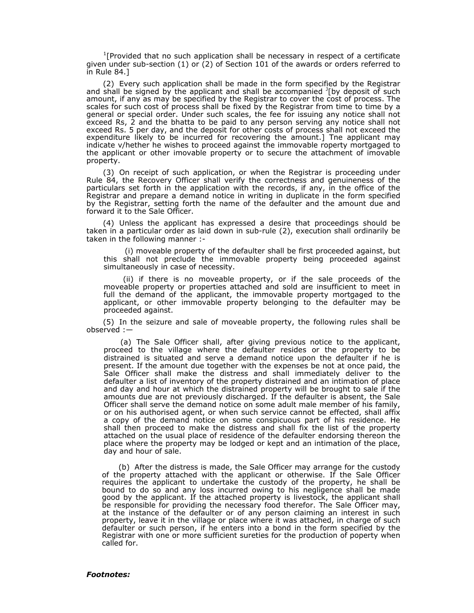$1$ [Provided that no such application shall be necessary in respect of a certificate given under sub-section (1) or (2) of Section 101 of the awards or orders referred to in Rule 84.]

(2) Every such application shall be made in the form specified by the Registrar and shall be signed by the applicant and shall be accompanied <sup>J</sup>[by deposit of such amount, if any as may be specified by the Registrar to cover the cost of process. The scales for such cost of process shall be fixed by the Registrar from time to time by a general or special order. Under such scales, the fee for issuing any notice shall not exceed Rs, 2 and the bhatta to be paid to any person serving any notice shall not exceed Rs. 5 per day, and the deposit for other costs of process shall not exceed the expenditure likely to be incurred for recovering the amount.] Tne applicant may indicate v/hether he wishes to proceed against the immovable roperty mortgaged to the applicant or other imovable property or to secure the attachment of imovable property.

(3) On receipt of such application, or when the Registrar is proceeding under Rule 84, the Recovery Officer shall verify the correctness and genuineness of the particulars set forth in the application with the records, if any, in the office of the Registrar and prepare a demand notice in writing in duplicate in the form specified by the Registrar, setting forth the name of the defaulter and the amount due and forward it to the Sale Officer.

(4) Unless the applicant has expressed a desire that proceedings should be taken in a particular order as laid down in sub-rule (2), execution shall ordinarily be taken in the following manner :-

(i) moveable property of the defaulter shall be first proceeded against, but this shall not preclude the immovable property being proceeded against simultaneously in case of necessity.

(ii) if there is no moveable property, or if the sale proceeds of the moveable property or properties attached and sold are insufficient to meet in full the demand of the applicant, the immovable property mortgaged to the applicant, or other immovable property belonging to the defaulter may be proceeded against.

(5) In the seizure and sale of moveable property, the following rules shall be observed :—

(a) The Sale Officer shall, after giving previous notice to the applicant, proceed to the village where the defaulter resides or the property to be distrained is situated and serve a demand notice upon the defaulter if he is present. If the amount due together with the expenses be not at once paid, the Sale Officer shall make the distress and shall immediately deliver to the defaulter a list of inventory of the property distrained and an intimation of place and day and hour at which the distrained property will be brought to sale if the amounts due are not previously discharged. If the defaulter is absent, the Sale Officer shall serve the demand notice on some adult male member of his family, or on his authorised agent, or when such service cannot be effected, shall affix a copy of the demand notice on some conspicuous part of his residence. He shall then proceed to make the distress and shall fix the list of the property attached on the usual place of residence of the defaulter endorsing thereon the place where the property may be lodged or kept and an intimation of the place, day and hour of sale.

(b) After the distress is made, the Sale Officer may arrange for the custody of the property attached with the applicant or otherwise. If the Sale Officer requires the applicant to undertake the custody of the property, he shall be bound to do so and any loss incurred owing to his negligence shall be made good by the applicant. If the attached property is livestock, the applicant shall be responsible for providing the necessary food therefor. The Sale Officer may, at the instance of the defaulter or of any person claiming an interest in such property, leave it in the village or place where it was attached, in charge of such defaulter or such person, if he enters into a bond in the form specified by the Registrar with one or more sufficient sureties for the production of poperty when called for.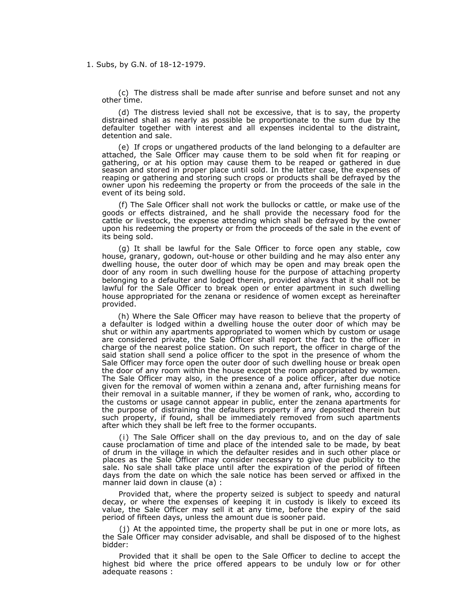1. Subs, by G.N. of 18-12-1979.

(c) The distress shall be made after sunrise and before sunset and not any other time.

(d) The distress levied shall not be excessive, that is to say, the property distrained shall as nearly as possible be proportionate to the sum due by the defaulter together with interest and all expenses incidental to the distraint, detention and sale.

(e) If crops or ungathered products of the land belonging to a defaulter are attached, the Sale Officer may cause them to be sold when fit for reaping or gathering, or at his option may cause them to be reaped or gathered in due season and stored in proper place until sold. In the latter case, the expenses of reaping or gathering and storing such crops or products shall be defrayed by the owner upon his redeeming the property or from the proceeds of the sale in the event of its being sold.

(f) The Sale Officer shall not work the bullocks or cattle, or make use of the goods or effects distrained, and he shall provide the necessary food for the cattle or livestock, the expense attending which shall be defrayed by the owner upon his redeeming the property or from the proceeds of the sale in the event of its being sold.

(g) It shall be lawful for the Sale Officer to force open any stable, cow house, granary, godown, out-house or other building and he may also enter any dwelling house, the outer door of which may be open and may break open the door of any room in such dwelling house for the purpose of attaching property belonging to a defaulter and lodged therein, provided always that it shall not be lawful for the Sale Officer to break open or enter apartment in such dwelling house appropriated for the zenana or residence of women except as hereinafter provided.

(h) Where the Sale Officer may have reason to believe that the property of a defaulter is lodged within a dwelling house the outer door of which may be shut or within any apartments appropriated to women which by custom or usage are considered private, the Sale Officer shall report the fact to the officer in charge of the nearest police station. On such report, the officer in charge of the said station shall send a police officer to the spot in the presence of whom the Sale Officer may force open the outer door of such dwelling house or break open the door of any room within the house except the room appropriated by women. The Sale Officer may also, in the presence of a police officer, after due notice given for the removal of women within a zenana and, after furnishing means for their removal in a suitable manner, if they be women of rank, who, according to the customs or usage cannot appear in public, enter the zenana apartments for the purpose of distraining the defaulters property if any deposited therein but such property, if found, shall be immediately removed from such apartments after which they shall be left free to the former occupants.

(i) The Sale Officer shall on the day previous to, and on the day of sale cause proclamation of time and place of the intended sale to be made, by beat of drum in the village in which the defaulter resides and in such other place or places as the Sale Officer may consider necessary to give due publicity to the sale. No sale shall take place until after the expiration of the period of fifteen days from the date on which the sale notice has been served or affixed in the manner laid down in clause (a) :

Provided that, where the property seized is subject to speedy and natural decay, or where the expenses of keeping it in custody is likely to exceed its value, the Sale Officer may sell it at any time, before the expiry of the said period of fifteen days, unless the amount due is sooner paid.

(j) At the appointed time, the property shall be put in one or more lots, as the Sale Officer may consider advisable, and shall be disposed of to the highest bidder:

Provided that it shall be open to the Sale Officer to decline to accept the highest bid where the price offered appears to be unduly low or for other adequate reasons :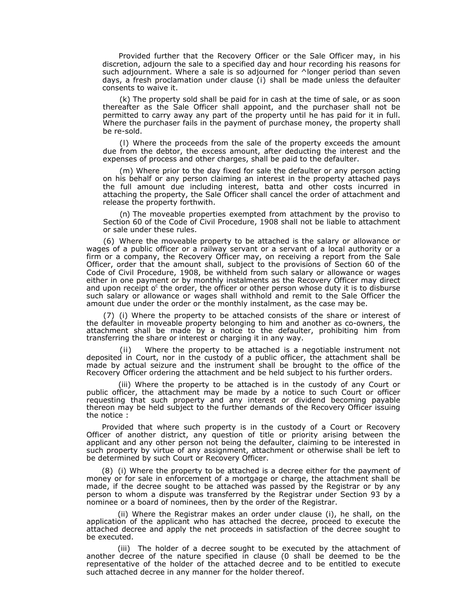Provided further that the Recovery Officer or the Sale Officer may, in his discretion, adjourn the sale to a specified day and hour recording his reasons for such adjournment. Where a sale is so adjourned for ^longer period than seven days, a fresh proclamation under clause (i) shall be made unless the defaulter consents to waive it.

(k) The property sold shall be paid for in cash at the time of sale, or as soon thereafter as the Sale Officer shall appoint, and the purchaser shall not be permitted to carry away any part of the property until he has paid for it in full. Where the purchaser fails in the payment of purchase money, the property shall be re-sold.

(l) Where the proceeds from the sale of the property exceeds the amount due from the debtor, the excess amount, after deducting the interest and the expenses of process and other charges, shall be paid to the defaulter.

(m) Where prior to the day fixed for sale the defaulter or any person acting on his behalf or any person claiming an interest in the property attached pays the full amount due including interest, batta and other costs incurred in attaching the property, the Sale Officer shall cancel the order of attachment and release the property forthwith.

(n) The moveable properties exempted from attachment by the proviso to Section 60 of the Code of Civil Procedure, 1908 shall not be liable to attachment or sale under these rules.

(6) Where the moveable property to be attached is the salary or allowance or wages of a public officer or a railway servant or a servant of a local authority or a firm or a company, the Recovery Officer may, on receiving a report from the Sale Officer, order that the amount shall, subject to the provisions of Section 60 of the Code of Civil Procedure, 1908, be withheld from such salary or allowance or wages either in one payment or by monthly instalments as the Recovery Officer may direct and upon receipt o<sup>c</sup> the order, the officer or other person whose duty it is to disburse such salary or allowance or wages shall withhold and remit to the Sale Officer the amount due under the order or the monthly instalment, as the case may be.

(7) (i) Where the property to be attached consists of the share or interest of the defaulter in moveable property belonging to him and another as co-owners, the attachment shall be made by a notice to the defaulter, prohibiting him from transferring the share or interest or charging it in any way.

(ii)Where the property to be attached is a negotiable instrument not deposited in Court, nor in the custody of a public officer, the attachment shall be made by actual seizure and the instrument shall be brought to the office of the Recovery Officer ordering the attachment and be held subject to his further orders.

(iii) Where the property to be attached is in the custody of any Court or public officer, the attachment may be made by a notice to such Court or officer requesting that such property and any interest or dividend becoming payable thereon may be held subject to the further demands of the Recovery Officer issuing the notice :

Provided that where such property is in the custody of a Court or Recovery Officer of another district, any question of title or priority arising between the applicant and any other person not being the defaulter, claiming to be interested in such property by virtue of any assignment, attachment or otherwise shall be left to be determined by such Court or Recovery Officer.

(8) (i) Where the property to be attached is a decree either for the payment of money or for sale in enforcement of a mortgage or charge, the attachment shall be made, if the decree sought to be attached was passed by the Registrar or by any person to whom a dispute was transferred by the Registrar under Section 93 by a nominee or a board of nominees, then by the order of the Registrar.

(ii) Where the Registrar makes an order under clause (i), he shall, on the application of the applicant who has attached the decree, proceed to execute the attached decree and apply the net proceeds in satisfaction of the decree sought to be executed.

(iii) The holder of a decree sought to be executed by the attachment of another decree of the nature specified in clause (0 shall be deemed to be the representative of the holder of the attached decree and to be entitled to execute such attached decree in any manner for the holder thereof.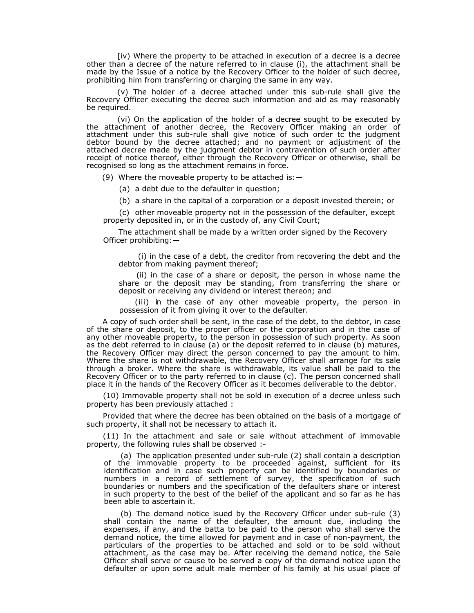[iv) Where the property to be attached in execution of a decree is a decree other than a decree of the nature referred to in clause (i), the attachment shall be made by the Issue of a notice by the Recovery Officer to the holder of such decree, prohibiting him from transferring or charging the same in any way.

(v) The holder of a decree attached under this sub-rule shall give the Recovery Officer executing the decree such information and aid as may reasonably be required.

(vi) On the application of the holder of a decree sought to be executed by the attachment of another decree, the Recovery Officer making an order of attachment under this sub-rule shall give notice of such order tc the judgment debtor bound by the decree attached; and no payment or adjustment of the attached decree made by the judgment debtor in contravention of such order after receipt of notice thereof, either through the Recovery Officer or otherwise, shall be recognised so long as the attachment remains in force.

(9) Where the moveable property to be attached is: $-$ 

(a) a debt due to the defaulter in question;

(b) a share in the capital of a corporation or a deposit invested therein; or

(c) other moveable property not in the possession of the defaulter, except property deposited in, or in the custody of, any Civil Court;

The attachment shall be made by a written order signed by the Recovery Officer prohibiting:—

(i) in the case of a debt, the creditor from recovering the debt and the debtor from making payment thereof;

(ii) in the case of a share or deposit, the person in whose name the share or the deposit may be standing, from transferring the share or deposit or receiving any dividend or interest thereon; and

(iii) in the case of any other moveable property, the person in possession of it from giving it over to the defaulter.

A copy of such order shall be sent, in the case of the debt, to the debtor, in case of the share or deposit, to the proper officer or the corporation and in the case of any other moveable property, to the person in possession of such property. As soon as the debt referred to in clause (a) or the deposit referred to in clause (b) matures, the Recovery Officer may direct the person concerned to pay the amount to him. Where the share is not withdrawable, the Recovery Officer shall arrange for its sale through a broker. Where the share is withdrawable, its value shall be paid to the Recovery Officer or to the party referred to in clause (c). The person concerned shall place it in the hands of the Recovery Officer as it becomes deliverable to the debtor.

(10) Immovable property shall not be sold in execution of a decree unless such property has been previously attached :

Provided that where the decree has been obtained on the basis of a mortgage of such property, it shall not be necessary to attach it.

(11) In the attachment and sale or sale without attachment of immovable property, the following rules shall be observed :-

(a) The application presented under sub-rule (2) shall contain a description of the immovable property to be proceeded against, sufficient for its identification and in case such property can be identified by boundaries or numbers in a record of settlement of survey, the specification of such boundaries or numbers and the specification of the defaulters share or interest in such property to the best of the belief of the applicant and so far as he has been able to ascertain it.

(b) The demand notice isued by the Recovery Officer under sub-rule (3) shall contain the name of the defaulter, the amount due, including the expenses, if any, and the batta to be paid to the person who shall serve the demand notice, the time allowed for payment and in case of non-payment, the particulars of the properties to be attached and sold or to be sold without attachment, as the case may be. After receiving the demand notice, the Sale Officer shall serve or cause to be served a copy of the demand notice upon the defaulter or upon some adult male member of his family at his usual place of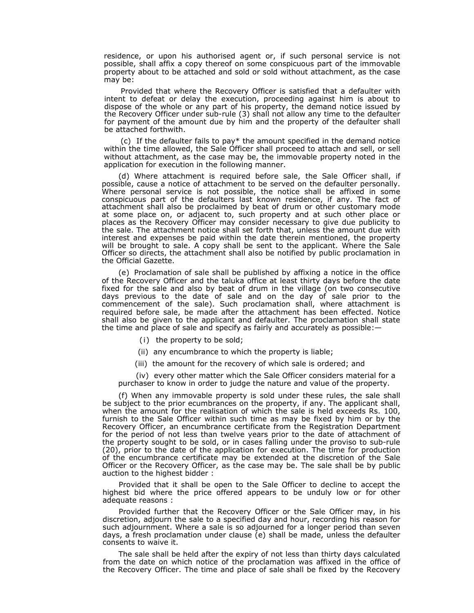residence, or upon his authorised agent or, if such personal service is not possible, shall affix a copy thereof on some conspicuous part of the immovable property about to be attached and sold or sold without attachment, as the case may be:

Provided that where the Recovery Officer is satisfied that a defaulter with intent to defeat or delay the execution, proceeding against him is about to dispose of the whole or any part of his property, the demand notice issued by the Recovery Officer under sub-rule (3) shall not allow any time to the defaulter for payment of the amount due by him and the property of the defaulter shall be attached forthwith.

(c) If the defaulter fails to pay\* the amount specified in the demand notice within the time allowed, the Sale Officer shall proceed to attach and sell, or sell without attachment, as the case may be, the immovable property noted in the application for execution in the following manner.

(d) Where attachment is required before sale, the Sale Officer shall, if possible, cause a notice of attachment to be served on the defaulter personally. Where personal service is not possible, the notice shall be affixed in some conspicuous part of the defaulters last known residence, if any. The fact of attachment shall also be proclaimed by beat of drum or other customary mode at some place on, or adjacent to, such property and at such other place or places as the Recovery Officer may consider necessary to give due publicity to the sale. The attachment notice shall set forth that, unless the amount due with interest and expenses be paid within the date therein mentioned, the property will be brought to sale. A copy shall be sent to the applicant. Where the Sale Officer so directs, the attachment shall also be notified by public proclamation in the Official Gazette.

(e) Proclamation of sale shall be published by affixing a notice in the office of the Recovery Officer and the taluka office at least thirty days before the date fixed for the sale and also by beat of drum in the village (on two consecutive days previous to the date of sale and on the day of sale prior to the commencement of the sale). Such proclamation shall, where attachment is required before sale, be made after the attachment has been effected. Notice shall also be given to the applicant and defaulter. The proclamation shall state the time and place of sale and specify as fairly and accurately as possible:—

- (i)the property to be sold;
- (ii) any encumbrance to which the property is liable;
- (iii) the amount for the recovery of which sale is ordered; and

(iv) every other matter which the Sale Officer considers material for a purchaser to know in order to judge the nature and value of the property.

(f) When any immovable property is sold under these rules, the sale shall be subject to the prior ecumbrances on the property, if any. The applicant shall, when the amount for the realisation of which the sale is held exceeds Rs. 100, furnish to the Sale Officer within such time as may be fixed by him or by the Recovery Officer, an encumbrance certificate from the Registration Department for the period of not less than twelve years prior to the date of attachment of the property sought to be sold, or in cases falling under the proviso to sub-rule (20), prior to the date of the application for execution. The time for production of the encumbrance certificate may be extended at the discretion of the Sale Officer or the Recovery Officer, as the case may be. The sale shall be by public auction to the highest bidder :

Provided that it shall be open to the Sale Officer to decline to accept the highest bid where the price offered appears to be unduly low or for other adequate reasons :

Provided further that the Recovery Officer or the Sale Officer may, in his discretion, adjourn the sale to a specified day and hour, recording his reason for such adjournment. Where a sale is so adjourned for a longer period than seven days, a fresh proclamation under clause (e) shall be made, unless the defaulter consents to waive it.

The sale shall be held after the expiry of not less than thirty days calculated from the date on which notice of the proclamation was affixed in the office of the Recovery Officer. The time and place of sale shall be fixed by the Recovery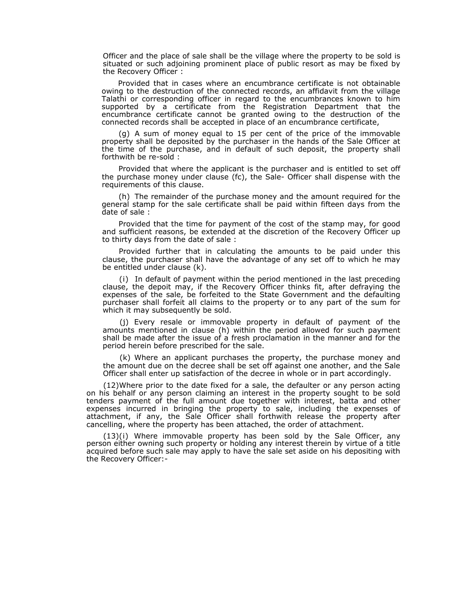Officer and the place of sale shall be the village where the property to be sold is situated or such adjoining prominent place of public resort as may be fixed by the Recovery Officer :

Provided that in cases where an encumbrance certificate is not obtainable owing to the destruction of the connected records, an affidavit from the village Talathi or corresponding officer in regard to the encumbrances known to him supported by a certificate from the Registration Department that the encumbrance certificate cannot be granted owing to the destruction of the connected records shall be accepted in place of an encumbrance certificate,

(g) A sum of money equal to 15 per cent of the price of the immovable property shall be deposited by the purchaser in the hands of the Sale Officer at the time of the purchase, and in default of such deposit, the property shall forthwith be re-sold :

Provided that where the applicant is the purchaser and is entitled to set off the purchase money under clause (fc), the Sale- Officer shall dispense with the requirements of this clause.

(h) The remainder of the purchase money and the amount required for the general stamp for the sale certificate shall be paid within fifteen days from the date of sale :

Provided that the time for payment of the cost of the stamp may, for good and sufficient reasons, be extended at the discretion of the Recovery Officer up to thirty days from the date of sale :

Provided further that in calculating the amounts to be paid under this clause, the purchaser shall have the advantage of any set off to which he may be entitled under clause (k).

(i)In default of payment within the period mentioned in the last preceding clause, the depoit may, if the Recovery Officer thinks fit, after defraying the expenses of the sale, be forfeited to the State Government and the defaulting purchaser shall forfeit all claims to the property or to any part of the sum for which it may subsequently be sold.

(j) Every resale or immovable property in default of payment of the amounts mentioned in clause (h) within the period allowed for such payment shall be made after the issue of a fresh proclamation in the manner and for the period herein before prescribed for the sale.

(k) Where an applicant purchases the property, the purchase money and the amount due on the decree shall be set off against one another, and the Sale Officer shall enter up satisfaction of the decree in whole or in part accordingly.

(12)Where prior to the date fixed for a sale, the defaulter or any person acting on his behalf or any person claiming an interest in the property sought to be sold tenders payment of the full amount due together with interest, batta and other expenses incurred in bringing the property to sale, including the expenses of attachment, if any, the Sale Officer shall forthwith release the property after cancelling, where the property has been attached, the order of attachment.

(13)(i) Where immovable property has been sold by the Sale Officer, any person either owning such property or holding any interest therein by virtue of a title acquired before such sale may apply to have the sale set aside on his depositing with the Recovery Officer:-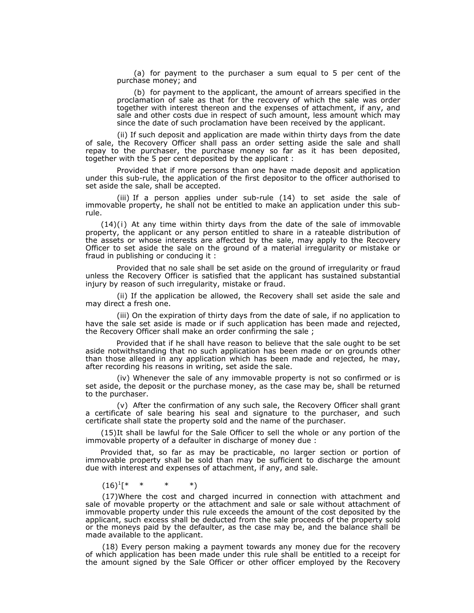(a) for payment to the purchaser a sum equal to 5 per cent of the purchase money; and

(b) for payment to the applicant, the amount of arrears specified in the proclamation of sale as that for the recovery of which the sale was order together with interest thereon and the expenses of attachment, if any, and sale and other costs due in respect of such amount, less amount which may since the date of such proclamation have been received by the applicant.

(ii) If such deposit and application are made within thirty days from the date of sale, the Recovery Officer shall pass an order setting aside the sale and shall repay to the purchaser, the purchase money so far as it has been deposited, together with the 5 per cent deposited by the applicant :

Provided that if more persons than one have made deposit and application under this sub-rule, the application of the first depositor to the officer authorised to set aside the sale, shall be accepted.

(iii) If a person applies under sub-rule (14) to set aside the sale of immovable property, he shall not be entitled to make an application under this subrule.

 $(14)(i)$  At any time within thirty days from the date of the sale of immovable property, the applicant or any person entitled to share in a rateable distribution of the assets or whose interests are affected by the sale, may apply to the Recovery Officer to set aside the sale on the ground of a material irregularity or mistake or fraud in publishing or conducing it :

Provided that no sale shall be set aside on the ground of irregularity or fraud unless the Recovery Officer is satisfied that the applicant has sustained substantial injury by reason of such irregularity, mistake or fraud.

(ii) If the application be allowed, the Recovery shall set aside the sale and may direct a fresh one.

(iii) On the expiration of thirty days from the date of sale, if no application to have the sale set aside is made or if such application has been made and rejected, the Recovery Officer shall make an order confirming the sale ;

Provided that if he shall have reason to believe that the sale ought to be set aside notwithstanding that no such application has been made or on grounds other than those alleged in any application which has been made and rejected, he may, after recording his reasons in writing, set aside the sale.

(iv) Whenever the sale of any immovable property is not so confirmed or is set aside, the deposit or the purchase money, as the case may be, shall be returned to the purchaser.

(v) After the confirmation of any such sale, the Recovery Officer shall grant a certificate of sale bearing his seal and signature to the purchaser, and such certificate shall state the property sold and the name of the purchaser.

(15) It shall be lawful for the Sale Officer to sell the whole or any portion of the immovable property of a defaulter in discharge of money due :

Provided that, so far as may be practicable, no larger section or portion of immovable property shall be sold than may be sufficient to discharge the amount due with interest and expenses of attachment, if any, and sale.

 $(16)^1$ [\* \* \* \*)

(17)Where the cost and charged incurred in connection with attachment and sale of movable property or the attachment and sale or sale without attachment of immovable property under this rule exceeds the amount of the cost deposited by the applicant, such excess shall be deducted from the sale proceeds of the property sold or the moneys paid by the defaulter, as the case may be, and the balance shall be made available to the applicant.

(18) Every person making a payment towards any money due for the recovery of which application has been made under this rule shall be entitled to a receipt for the amount signed by the Sale Officer or other officer employed by the Recovery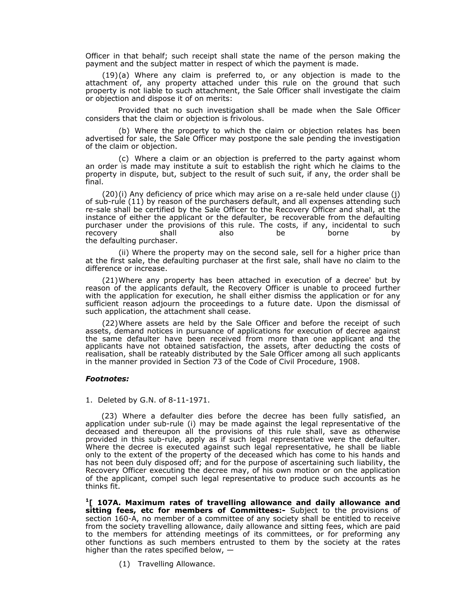Officer in that behalf; such receipt shall state the name of the person making the payment and the subject matter in respect of which the payment is made.

 $(19)(a)$  Where any claim is preferred to, or any objection is made to the attachment of, any property attached under this rule on the ground that such property is not liable to such attachment, the Sale Officer shall investigate the claim or objection and dispose it of on merits:

Provided that no such investigation shall be made when the Sale Officer considers that the claim or objection is frivolous.

(b) Where the property to which the claim or objection relates has been advertised for sale, the Sale Officer may postpone the sale pending the investigation of the claim or objection.

(c) Where a claim or an objection is preferred to the party against whom an order is made may institute a suit to establish the right which he claims to the property in dispute, but, subject to the result of such suit, if any, the order shall be final.

(20) (i) Any deficiency of price which may arise on a re-sale held under clause (j) of sub-rule (11) by reason of the purchasers default, and all expenses attending such re-sale shall be certified by the Sale Officer to the Recovery Officer and shall, at the instance of either the applicant or the defaulter, be recoverable from the defaulting purchaser under the provisions of this rule. The costs, if any, incidental to such<br>recovery shall also be borne by recovery shall also be borne by the defaulting purchaser.

(ii) Where the property may on the second sale, sell for a higher price than at the first sale, the defaulting purchaser at the first sale, shall have no claim to the difference or increase.

(21)Where any property has been attached in execution of a decree' but by reason of the applicants default, the Recovery Officer is unable to proceed further with the application for execution, he shall either dismiss the application or for any sufficient reason adjourn the proceedings to a future date. Upon the dismissal of such application, the attachment shall cease.

(22)Where assets are held by the Sale Officer and before the receipt of such assets, demand notices in pursuance of applications for execution of decree against the same defaulter have been received from more than one applicant and the applicants have not obtained satisfaction, the assets, after deducting the costs of realisation, shall be rateably distributed by the Sale Officer among all such applicants in the manner provided in Section 73 of the Code of Civil Procedure, 1908.

#### *Footnotes:*

1. Deleted by G.N. of 8-11-1971.

(23) Where a defaulter dies before the decree has been fully satisfied, an application under sub-rule (i) may be made against the legal representative of the deceased and thereupon all the provisions of this rule shall, save as otherwise provided in this sub-rule, apply as if such legal representative were the defaulter. Where the decree is executed against such legal representative, he shall be liable only to the extent of the property of the deceased which has come to his hands and has not been duly disposed off; and for the purpose of ascertaining such liability, the Recovery Officer executing the decree may, of his own motion or on the application of the applicant, compel such legal representative to produce such accounts as he thinks fit.

**1[ 107A. Maximum rates of travelling allowance and daily allowance and sitting fees, etc for members of Committees:-** Subject to the provisions of section 160-A, no member of a committee of any society shall be entitled to receive from the society travelling allowance, daily allowance and sitting fees, which are paid to the members for attending meetings of its committees, or for preforming any other functions as such members entrusted to them by the society at the rates higher than the rates specified below, —

(1) Travelling Allowance.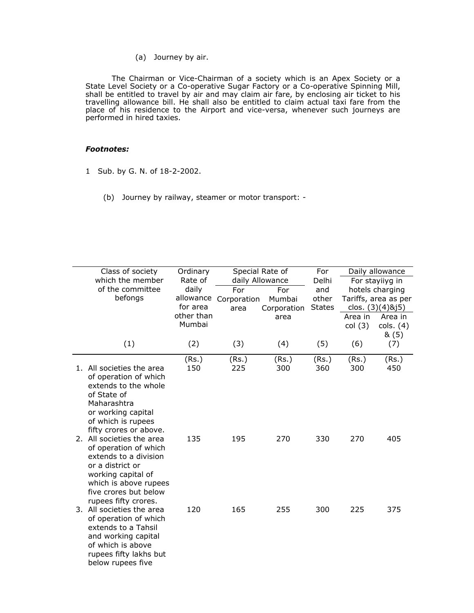(a) Journey by air.

The Chairman or Vice-Chairman of a society which is an Apex Society or a State Level Society or a Co-operative Sugar Factory or a Co-operative Spinning Mill, shall be entitled to travel by air and may claim air fare, by enclosing air ticket to his travelling allowance bill. He shall also be entitled to claim actual taxi fare from the place of his residence to the Airport and vice-versa, whenever such journeys are performed in hired taxies.

# *Footnotes:*

- 1 Sub. by G. N. of 18-2-2002.
	- (b) Journey by railway, steamer or motor transport: -

| Class of society                                    | Ordinary   |             | Special Rate of | For           |         | Daily allowance      |
|-----------------------------------------------------|------------|-------------|-----------------|---------------|---------|----------------------|
| which the member                                    | Rate of    |             | daily Allowance | Delhi         |         | For stayiiyg in      |
| of the committee                                    | daily      | For         | For             | and           |         | hotels charging      |
| befongs                                             | allowance  | Corporation | Mumbai          | other         |         | Tariffs, area as per |
|                                                     | for area   | area        | Corporation     | <b>States</b> |         | clos. (3)(4)&j5)     |
|                                                     | other than |             | area            |               | Area in | Area in              |
|                                                     | Mumbai     |             |                 |               | col(3)  | cols. (4)            |
|                                                     |            |             |                 |               |         | 8(5)                 |
| (1)                                                 | (2)        | (3)         | (4)             | (5)           | (6)     | (7)                  |
|                                                     | (Rs.)      | (Rs.)       | (Rs.)           | (Rs.)         | (Rs.)   | (Rs.)                |
| 1. All societies the area                           | 150        | 225         | 300             | 360           | 300     | 450                  |
| of operation of which                               |            |             |                 |               |         |                      |
| extends to the whole                                |            |             |                 |               |         |                      |
| of State of                                         |            |             |                 |               |         |                      |
| Maharashtra                                         |            |             |                 |               |         |                      |
| or working capital                                  |            |             |                 |               |         |                      |
| of which is rupees                                  |            |             |                 |               |         |                      |
| fifty crores or above.<br>2. All societies the area | 135        | 195         | 270             | 330           | 270     | 405                  |
| of operation of which                               |            |             |                 |               |         |                      |
| extends to a division                               |            |             |                 |               |         |                      |
| or a district or                                    |            |             |                 |               |         |                      |
| working capital of                                  |            |             |                 |               |         |                      |
| which is above rupees                               |            |             |                 |               |         |                      |
| five crores but below                               |            |             |                 |               |         |                      |
| rupees fifty crores.                                |            |             |                 |               |         |                      |
| 3. All societies the area                           | 120        | 165         | 255             | 300           | 225     | 375                  |
| of operation of which                               |            |             |                 |               |         |                      |
| extends to a Tahsil                                 |            |             |                 |               |         |                      |
| and working capital                                 |            |             |                 |               |         |                      |
| of which is above                                   |            |             |                 |               |         |                      |
| rupees fifty lakhs but                              |            |             |                 |               |         |                      |
| below rupees five                                   |            |             |                 |               |         |                      |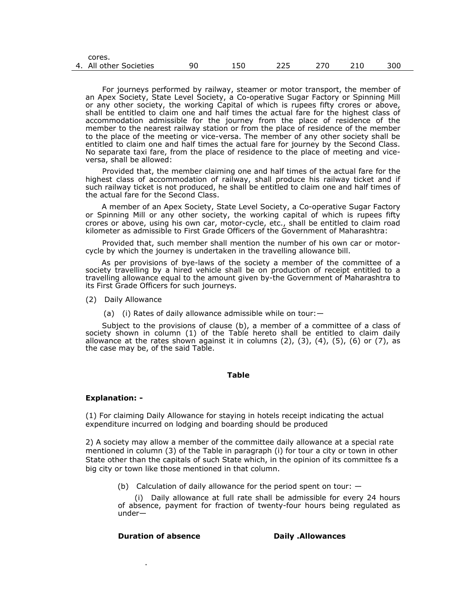| 4. | All other Societies | ar | 15C | <u>__ _</u> |  | 3UU |
|----|---------------------|----|-----|-------------|--|-----|
|    | גטו כא.             |    |     |             |  |     |

For journeys performed by railway, steamer or motor transport, the member of an Apex Society, State Level Society, a Co-operative Sugar Factory or Spinning Mill or any other society, the working Capital of which is rupees fifty crores or above, shall be entitled to claim one and half times the actual fare for the highest class of accommodation admissible for the journey from the place of residence of the member to the nearest railway station or from the place of residence of the member to the place of the meeting or vice-versa. The member of any other society shall be entitled to claim one and half times the actual fare for journey by the Second Class. No separate taxi fare, from the place of residence to the place of meeting and viceversa, shall be allowed:

Provided that, the member claiming one and half times of the actual fare for the highest class of accommodation of railway, shall produce his railway ticket and if such railway ticket is not produced, he shall be entitled to claim one and half times of the actual fare for the Second Class.

A member of an Apex Society, State Level Society, a Co-operative Sugar Factory or Spinning Mill or any other society, the working capital of which is rupees fifty crores or above, using his own car, motor-cycle, etc., shall be entitled to claim road kilometer as admissible to First Grade Officers of the Government of Maharashtra:

Provided that, such member shall mention the number of his own car or motorcycle by which the journey is undertaken in the travelling allowance bill.

As per provisions of bye-laws of the society a member of the committee of a society travelling by a hired vehicle shall be on production of receipt entitled to a travelling allowance equal to the amount given by-the Government of Maharashtra to its First Grade Officers for such journeys.

(2) Daily Allowance

cores.

(a) (i) Rates of daily allowance admissible while on tour:—

Subject to the provisions of clause (b), a member of a committee of a class of society shown in column (1) of the Table hereto shall be entitled to claim daily allowance at the rates shown against it in columns  $(2)$ ,  $(3)$ ,  $(4)$ ,  $(5)$ ,  $(6)$  or  $(7)$ , as the case may be, of the said Table.

#### **Table**

#### **Explanation: -**

(1) For claiming Daily Allowance for staying in hotels receipt indicating the actual expenditure incurred on lodging and boarding should be produced

2) A society may allow a member of the committee daily allowance at a special rate mentioned in column (3) of the Table in paragraph (i) for tour a city or town in other State other than the capitals of such State which, in the opinion of its committee fs a big city or town like those mentioned in that column.

(b) Calculation of daily allowance for the period spent on tour: —

(i) Daily allowance at full rate shall be admissible for every 24 hours of absence, payment for fraction of twenty-four hours being regulated as under—

### **Duration of absence Daily .Allowances**

.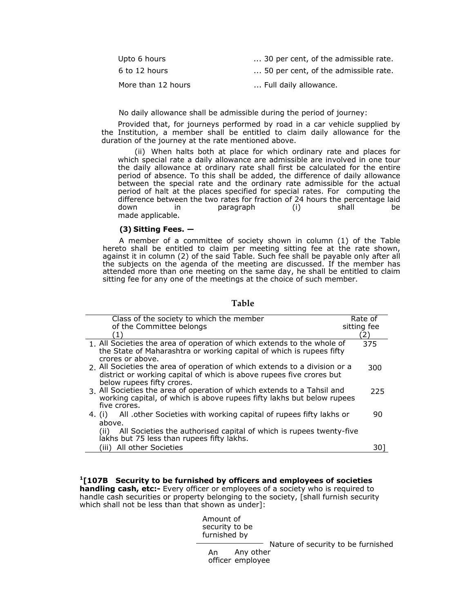| Upto 6 hours       | 30 per cent, of the admissible rate. |
|--------------------|--------------------------------------|
| 6 to 12 hours      | 50 per cent, of the admissible rate. |
| More than 12 hours | Full daily allowance.                |

No daily allowance shall be admissible during the period of journey:

Provided that, for journeys performed by road in a car vehicle supplied by the Institution, a member shall be entitled to claim daily allowance for the duration of the journey at the rate mentioned above.

(ii) When halts both at place for which ordinary rate and places for which special rate a daily allowance are admissible are involved in one tour the daily allowance at ordinary rate shall first be calculated for the entire period of absence. To this shall be added, the difference of daily allowance between the special rate and the ordinary rate admissible for the actual period of halt at the places specified for special rates. For computing the difference between the two rates for fraction of 24 hours the percentage laid down in paragraph (i) shall be made applicable.

#### **(3) Sitting Fees. —**

A member of a committee of society shown in column (1) of the Table hereto shall be entitled to claim per meeting sitting fee at the rate shown, against it in column (2) of the said Table. Such fee shall be payable only after all the subjects on the agenda of the meeting are discussed. If the member has attended more than one meeting on the same day, he shall be entitled to claim sitting fee for any one of the meetings at the choice of such member.

# **Table**

| Class of the society to which the member                                     | Rate of     |
|------------------------------------------------------------------------------|-------------|
| of the Committee belongs                                                     | sitting fee |
| (1)                                                                          | 2)          |
| 1. All Societies the area of operation of which extends to the whole of      | 375         |
| the State of Maharashtra or working capital of which is rupees fifty         |             |
| crores or above.                                                             |             |
| 2. All Societies the area of operation of which extends to a division or a   | 300         |
| district or working capital of which is above rupees five crores but         |             |
| below rupees fifty crores.                                                   |             |
| 3. All Societies the area of operation of which extends to a Tahsil and      | 225         |
| working capital, of which is above rupees fifty lakhs but below rupees       |             |
| five crores.                                                                 |             |
| All .other Societies with working capital of rupees fifty lakhs or<br>4. (i) | 90          |
| above.                                                                       |             |
| All Societies the authorised capital of which is rupees twenty-five<br>(ii)  |             |
| lakhs but 75 less than rupees fifty lakhs.                                   |             |
| (iii) All other Societies                                                    |             |

**1[107B Security to be furnished by officers and employees of societies handling cash, etc:-** Every officer or employees of a society who is required to handle cash securities or property belonging to the society, [shall furnish security which shall not be less than that shown as under]:

| Amount of<br>security to be<br>furnished by |                                    |
|---------------------------------------------|------------------------------------|
|                                             | Nature of security to be furnished |
| An Any other<br>officer employee            |                                    |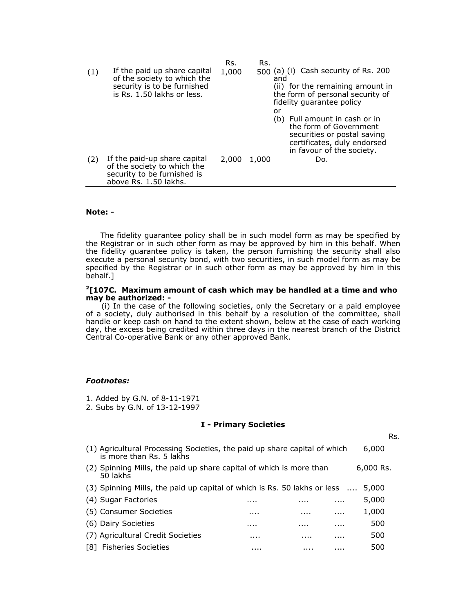|     |                                                                                                                          | Rs.   | Rs.   |                                                                                                                                                    |
|-----|--------------------------------------------------------------------------------------------------------------------------|-------|-------|----------------------------------------------------------------------------------------------------------------------------------------------------|
| (1) | If the paid up share capital<br>of the society to which the<br>security is to be furnished<br>is Rs. 1.50 lakhs or less. | 1,000 | and   | 500 (a) (i) Cash security of Rs. 200<br>(ii) for the remaining amount in<br>the form of personal security of<br>fidelity quarantee policy          |
|     |                                                                                                                          |       | or    | (b) Full amount in cash or in<br>the form of Government<br>securities or postal saving<br>certificates, duly endorsed<br>in favour of the society. |
| (2) | If the paid-up share capital<br>of the society to which the<br>security to be furnished is<br>above Rs. 1.50 lakhs.      | 2,000 | 1,000 | Do.                                                                                                                                                |

#### **Note: -**

The fidelity guarantee policy shall be in such model form as may be specified by the Registrar or in such other form as may be approved by him in this behalf. When the fidelity guarantee policy is taken, the person furnishing the security shall also execute a personal security bond, with two securities, in such model form as may be specified by the Registrar or in such other form as may be approved by him in this behalf.]

#### **2[107C. Maximum amount of cash which may be handled at a time and who may be authorized: -**

(i) In the case of the following societies, only the Secretary or a paid employee of a society, duly authorised in this behalf by a resolution of the committee, shall handle or keep cash on hand to the extent shown, below at the case of each working day, the excess being credited within three days in the nearest branch of the District Central Co-operative Bank or any other approved Bank.

#### *Footnotes:*

- 1. Added by G.N. of 8-11-1971
- 2. Subs by G.N. of 13-12-1997

#### **I - Primary Societies**

Rs.

|     | (1) Agricultural Processing Societies, the paid up share capital of which<br>is more than Rs. 5 lakhs |   |   |   | 6,000       |
|-----|-------------------------------------------------------------------------------------------------------|---|---|---|-------------|
|     | (2) Spinning Mills, the paid up share capital of which is more than<br>50 lakhs                       |   |   |   | $6,000$ Rs. |
|     | (3) Spinning Mills, the paid up capital of which is Rs. 50 lakhs or less                              |   |   |   | 5,000       |
|     | (4) Sugar Factories                                                                                   | . | . | . | 5,000       |
|     | (5) Consumer Societies                                                                                | . | . | . | 1,000       |
|     | (6) Dairy Societies                                                                                   | . | . | . | 500         |
|     | (7) Agricultural Credit Societies                                                                     | . | . | . | 500         |
| [8] | <b>Fisheries Societies</b>                                                                            | . | . | . | 500         |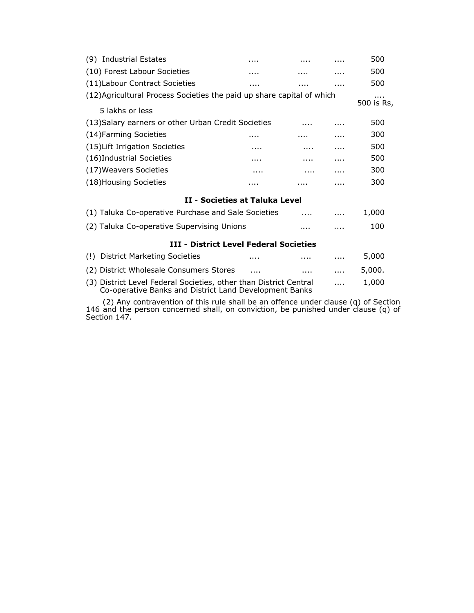| (9) Industrial Estates                                                                                                               | .        |   |   | 500             |
|--------------------------------------------------------------------------------------------------------------------------------------|----------|---|---|-----------------|
| (10) Forest Labour Societies                                                                                                         |          |   |   | 500             |
| (11) Labour Contract Societies                                                                                                       |          | . | . | 500             |
| (12) Agricultural Process Societies the paid up share capital of which<br>5 lakhs or less                                            |          |   |   | .<br>500 is Rs, |
|                                                                                                                                      |          |   |   |                 |
| (13) Salary earners or other Urban Credit Societies                                                                                  |          |   |   | 500             |
| (14) Farming Societies                                                                                                               |          |   |   | 300             |
| (15) Lift Irrigation Societies                                                                                                       | .        | . | . | 500             |
| (16)Industrial Societies                                                                                                             | .        | . |   | 500             |
| (17) Weavers Societies                                                                                                               | .        |   | . | 300             |
| (18) Housing Societies                                                                                                               |          |   | . | 300             |
| <b>II - Societies at Taluka Level</b>                                                                                                |          |   |   |                 |
| (1) Taluka Co-operative Purchase and Sale Societies                                                                                  |          |   |   | 1,000           |
| (2) Taluka Co-operative Supervising Unions                                                                                           |          |   |   | 100             |
| <b>III - District Level Federal Societies</b>                                                                                        |          |   |   |                 |
| <b>District Marketing Societies</b><br>(!)                                                                                           |          |   | . | 5,000           |
| (2) District Wholesale Consumers Stores                                                                                              | $\cdots$ | . |   | 5,000.          |
| (3) District Level Federal Societies, other than District Central<br>1,000<br>Co-operative Banks and District Land Development Banks |          |   |   |                 |

(2) Any contravention of this rule shall be an offence under clause (q) of Section 146 and the person concerned shall, on conviction, be punished under clause (q) of Section 147.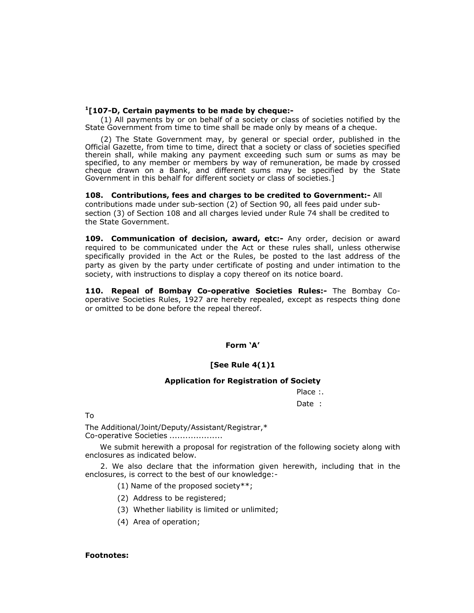#### **1[107-D, Certain payments to be made by cheque:-**

(1) All payments by or on behalf of a society or class of societies notified by the State Government from time to time shall be made only by means of a cheque.

(2) The State Government may, by general or special order, published in the Official Gazette, from time to time, direct that a society or class of societies specified therein shall, while making any payment exceeding such sum or sums as may be specified, to any member or members by way of remuneration, be made by crossed cheque drawn on a Bank, and different sums may be specified by the State Government in this behalf for different society or class of societies.]

**108. Contributions, fees and charges to be credited to Government:-** All contributions made under sub-section (2) of Section 90, all fees paid under subsection (3) of Section 108 and all charges levied under Rule 74 shall be credited to the State Government.

**109. Communication of decision, award, etc:-** Any order, decision or award required to be communicated under the Act or these rules shall, unless otherwise specifically provided in the Act or the Rules, be posted to the last address of the party as given by the party under certificate of posting and under intimation to the society, with instructions to display a copy thereof on its notice board.

**110. Repeal of Bombay Co-operative Societies Rules:-** The Bombay Cooperative Societies Rules, 1927 are hereby repealed, except as respects thing done or omitted to be done before the repeal thereof.

# **Form 'A'**

### **[See Rule 4(1)1**

## **Application for Registration of Society**

Place :.

Date :

To

The Additional/Joint/Deputy/Assistant/Registrar,\* Co-operative Societies ....................

We submit herewith a proposal for registration of the following society along with enclosures as indicated below.

2. We also declare that the information given herewith, including that in the enclosures, is correct to the best of our knowledge:-

(1) Name of the proposed society\*\*;

- (2) Address to be registered;
- (3) Whether liability is limited or unlimited;
- (4) Area of operation;

#### **Footnotes:**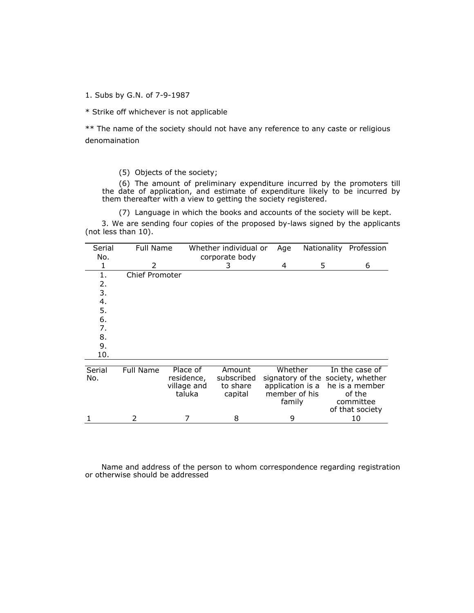1. Subs by G.N. of 7-9-1987

\* Strike off whichever is not applicable

\*\* The name of the society should not have any reference to any caste or religious denomaination

(5) Objects of the society;

(6) The amount of preliminary expenditure incurred by the promoters till the date of application, and estimate of expenditure likely to be incurred by them thereafter with a view to getting the society registered.

(7) Language in which the books and accounts of the society will be kept.

3. We are sending four copies of the proposed by-laws signed by the applicants (not less than 10).

| Serial | <b>Full Name</b>      |             | Whether individual or | Age              | Nationality                       | Profession      |
|--------|-----------------------|-------------|-----------------------|------------------|-----------------------------------|-----------------|
| No.    |                       |             | corporate body        |                  |                                   |                 |
| 1      | 2                     |             | 3                     | 4                | 5                                 | 6               |
| 1.     | <b>Chief Promoter</b> |             |                       |                  |                                   |                 |
| 2.     |                       |             |                       |                  |                                   |                 |
| 3.     |                       |             |                       |                  |                                   |                 |
| 4.     |                       |             |                       |                  |                                   |                 |
| 5.     |                       |             |                       |                  |                                   |                 |
| 6.     |                       |             |                       |                  |                                   |                 |
| 7.     |                       |             |                       |                  |                                   |                 |
| 8.     |                       |             |                       |                  |                                   |                 |
| 9.     |                       |             |                       |                  |                                   |                 |
| 10.    |                       |             |                       |                  |                                   |                 |
|        |                       |             |                       |                  |                                   |                 |
| Serial | <b>Full Name</b>      | Place of    | Amount                | Whether          |                                   | In the case of  |
| No.    |                       | residence,  | subscribed            |                  | signatory of the society, whether |                 |
|        |                       | village and | to share              | application is a |                                   | he is a member  |
|        |                       | taluka      | capital               | member of his    |                                   | of the          |
|        |                       |             |                       | family           |                                   | committee       |
|        |                       |             |                       |                  |                                   | of that society |
|        | 2                     |             | 8                     | 9                |                                   | 10              |

Name and address of the person to whom correspondence regarding registration or otherwise should be addressed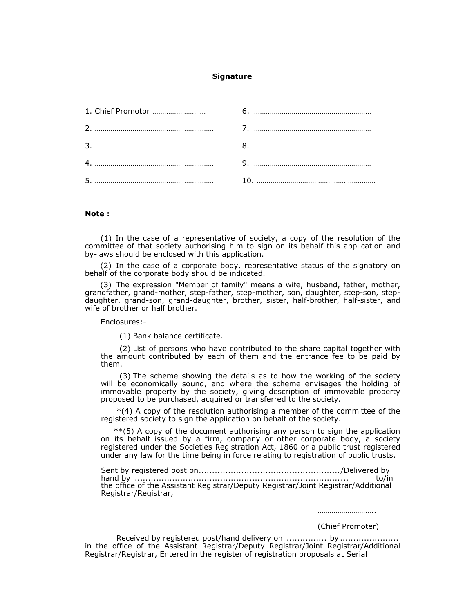### **Signature**

| 5. |  |
|----|--|

#### **Note :**

(1) In the case of a representative of society, a copy of the resolution of the committee of that society authorising him to sign on its behalf this application and by-laws should be enclosed with this application.

(2) In the case of a corporate body, representative status of the signatory on behalf of the corporate body should be indicated.

(3) The expression "Member of family" means a wife, husband, father, mother, grandfather, grand-mother, step-father, step-mother, son, daughter, step-son, stepdaughter, grand-son, grand-daughter, brother, sister, half-brother, half-sister, and wife of brother or half brother.

Enclosures:-

(1) Bank balance certificate.

(2) List of persons who have contributed to the share capital together with the amount contributed by each of them and the entrance fee to be paid by them.

(3) The scheme showing the details as to how the working of the society will be economically sound, and where the scheme envisages the holding of immovable property by the society, giving description of immovable property proposed to be purchased, acquired or transferred to the society.

\*(4) A copy of the resolution authorising a member of the committee of the registered society to sign the application on behalf of the society.

\*\*(5) A copy of the document authorising any person to sign the application on its behalf issued by a firm, company or other corporate body, a society registered under the Societies Registration Act, 1860 or a public trust registered under any law for the time being in force relating to registration of public trusts.

Sent by registered post on...................................................../Delivered by hand by ................................................................................ to/in the office of the Assistant Registrar/Deputy Registrar/Joint Registrar/Additional Registrar/Registrar,

(Chief Promoter)

………………………………

Received by registered post/hand delivery on ............... by ...................... in the office of the Assistant Registrar/Deputy Registrar/Joint Registrar/Additional Registrar/Registrar, Entered in the register of registration proposals at Serial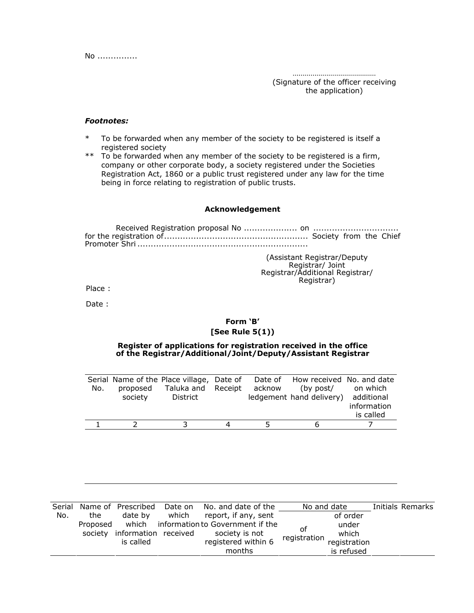No ...............

……………………………………

(Signature of the officer receiving the application)

#### *Footnotes:*

- \* To be forwarded when any member of the society to be registered is itself a registered society
- \*\* To be forwarded when any member of the society to be registered is a firm, company or other corporate body, a society registered under the Societies Registration Act, 1860 or a public trust registered under any law for the time being in force relating to registration of public trusts.

# **Acknowledgement**

Received Registration proposal No .................... on ................................ for the registration of...................................................... Society from the Chief Promoter Shri ................................................................

> (Assistant Registrar/Deputy Registrar/ Joint Registrar/Additional Registrar/ Registrar)

Place :

Date :

# **Form 'B' [See Rule 5(1))**

# **Register of applications for registration received in the office of the Registrar/Additional/Joint/Deputy/Assistant Registrar**

|     |          | Serial Name of the Place village, Date of |        | Date of How received No. and date   |             |
|-----|----------|-------------------------------------------|--------|-------------------------------------|-------------|
| No. | proposed | Taluka and Receipt                        | acknow | (by post/                           | on which    |
|     | society  | District                                  |        | ledgement hand delivery) additional |             |
|     |          |                                           |        |                                     | information |
|     |          |                                           |        |                                     | is called   |
|     |          |                                           | 5      | h                                   |             |

| Serial |          | Name of Prescribed           | Date on | No, and date of the              | No and date  |              | Initials Remarks |
|--------|----------|------------------------------|---------|----------------------------------|--------------|--------------|------------------|
| No.    | the      | date by                      | which   | report, if any, sent             |              | of order     |                  |
|        | Proposed | which                        |         | information to Government if the | οf           | under        |                  |
|        |          | society information received |         | society is not                   | registration | which        |                  |
|        |          | is called                    |         | registered within 6              |              | registration |                  |
|        |          |                              |         | months                           |              | is refused   |                  |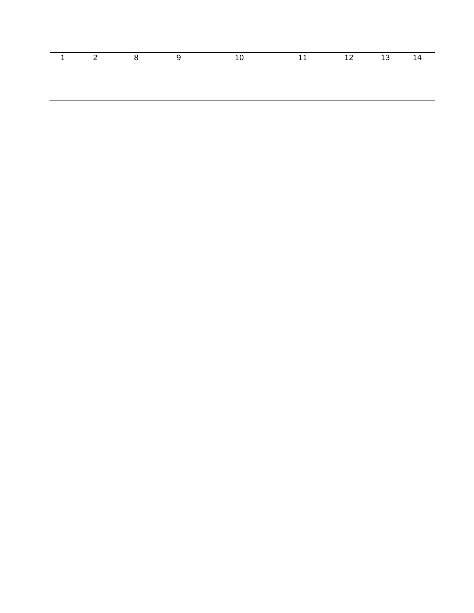|  |  | $\sqrt{11}$ | - 12 - 13 - |  |
|--|--|-------------|-------------|--|
|  |  |             |             |  |
|  |  |             |             |  |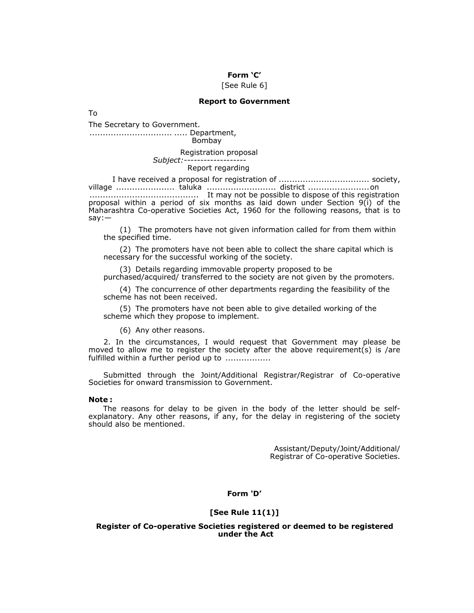# **Form 'C'**

#### [See Rule 6]

#### **Report to Government**

To

The Secretary to Government.

............................... ..... Department, Bombay

Registration proposal

#### *Subject:-------------------*  Report regarding

I have received a proposal for registration of .................................. society, village ...................... taluka .......................... district .......................on ......................................... It may not be possible to dispose of this registration proposal within a period of six months as laid down under Section 9(i) of the Maharashtra Co-operative Societies Act, 1960 for the following reasons, that is to say:—

(1) The promoters have not given information called for from them within the specified time.

(2) The promoters have not been able to collect the share capital which is necessary for the successful working of the society.

(3) Details regarding immovable property proposed to be purchased/acquired/ transferred to the society are not given by the promoters.

(4) The concurrence of other departments regarding the feasibility of the scheme has not been received.

(5) The promoters have not been able to give detailed working of the scheme which they propose to implement.

(6) Any other reasons.

2. In the circumstances, I would request that Government may please be moved to allow me to register the society after the above requirement(s) is /are fulfilled within a further period up to .................

Submitted through the Joint/Additional Registrar/Registrar of Co-operative Societies for onward transmission to Government.

#### **Note :**

The reasons for delay to be given in the body of the letter should be selfexplanatory. Any other reasons, if any, for the delay in registering of the society should also be mentioned.

> Assistant/Deputy/Joint/Additional/ Registrar of Co-operative Societies.

**Form 'D'** 

#### **[See Rule 11(1)]**

### **Register of Co-operative Societies registered or deemed to be registered under the Act**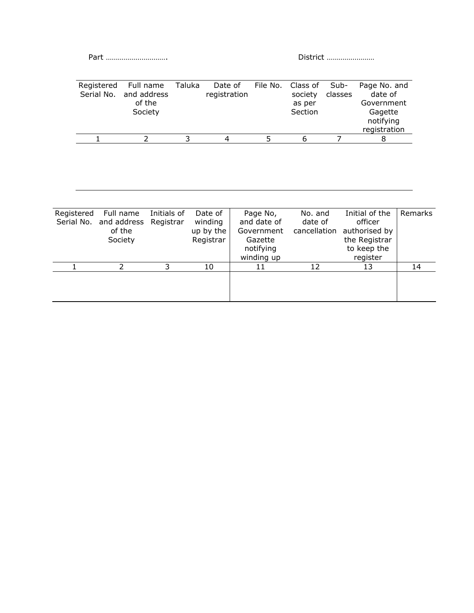Part …………………………. District ……………………

| Registered | Full name<br>Serial No. and address<br>of the<br>Society | Taluka | Date of<br>registration | File No. Class of Sub-<br>society<br>as per<br>Section | classes | Page No. and<br>date of<br>Government<br>Gagette<br>notifying<br>registration |
|------------|----------------------------------------------------------|--------|-------------------------|--------------------------------------------------------|---------|-------------------------------------------------------------------------------|
|            |                                                          |        |                         |                                                        |         |                                                                               |

| Registered | Full name             | Initials of | Date of   | Page No,    | No. and      | Initial of the | Remarks |
|------------|-----------------------|-------------|-----------|-------------|--------------|----------------|---------|
| Serial No. | and address Registrar |             | winding   | and date of | date of      | officer        |         |
|            | of the                |             | up by the | Government  | cancellation | authorised by  |         |
|            | Society               |             | Registrar | Gazette     |              | the Registrar  |         |
|            |                       |             |           | notifying   |              | to keep the    |         |
|            |                       |             |           | winding up  |              | register       |         |
|            |                       | 3           | 10        | 11          | 12           | 13             | 14      |
|            |                       |             |           |             |              |                |         |
|            |                       |             |           |             |              |                |         |
|            |                       |             |           |             |              |                |         |
|            |                       |             |           |             |              |                |         |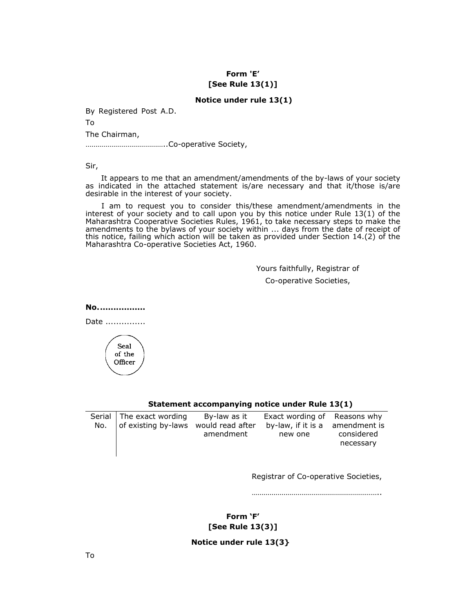# **Form 'E' [See Rule 13(1)]**

# **Notice under rule 13(1)**

By Registered Post A.D.

To

The Chairman,

…………………………………..Co-operative Society,

Sir,

It appears to me that an amendment/amendments of the by-laws of your society as indicated in the attached statement is/are necessary and that it/those is/are desirable in the interest of your society.

I am to request you to consider this/these amendment/amendments in the interest of your society and to call upon you by this notice under Rule 13(1) of the Maharashtra Cooperative Societies Rules, 1961, to take necessary steps to make the amendments to the bylaws of your society within ... days from the date of receipt of this notice, failing which action will be taken as provided under Section 14.(2) of the Maharashtra Co-operative Societies Act, 1960.

> Yours faithfully, Registrar of Co-operative Societies,

**No. .................** 





# **Statement accompanying notice under Rule 13(1)**

| Serial   The exact wording                       | By-law as it | Exact wording of Reasons why    |            |
|--------------------------------------------------|--------------|---------------------------------|------------|
| No. $\vert$ of existing by-laws would read after |              | by-law, if it is a amendment is |            |
|                                                  | amendment    | new one                         | considered |
|                                                  |              |                                 | necessary  |
|                                                  |              |                                 |            |

Registrar of Co-operative Societies,

………………………………………………………..

**Form 'F' [See Rule 13(3)]** 

# **Notice under rule 13(3}**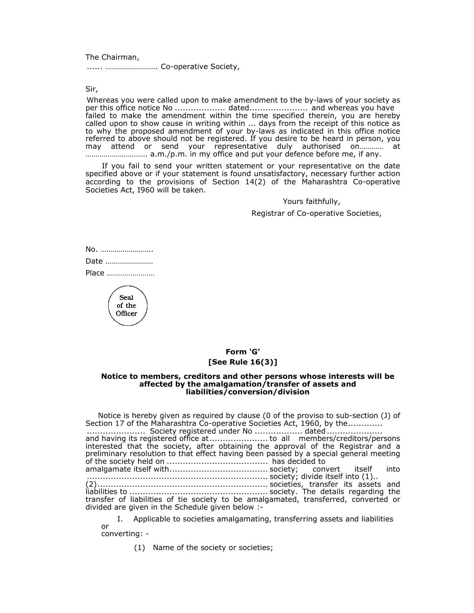The Chairman,

...... …………………….. Co-operative Society,

Sir,

Whereas you were called upon to make amendment to the by-laws of your society as per this office notice No ................... dated...................... and whereas you have failed to make the amendment within the time specified therein, you are hereby called upon to show cause in writing within ... days from the receipt of this notice as to why the proposed amendment of your by-laws as indicated in this office notice referred to above should not be registered. If you desire to be heard in person, you may attend or send your representative duly authorised on………… at …………………………. a.m./p.m. in my office and put your defence before me, if any.

If you fail to send your written statement or your representative on the date specified above or if your statement is found unsatisfactory, necessary further action according to the provisions of Section 14(2) of the Maharashtra Co-operative Societies Act, I960 will be taken.

> Yours faithfully, Registrar of Co-operative Societies,

No. …………………….. Date …………………… Place ……………………

> Seal of the Officer

## **Form 'G' [See Rule 16(3)]**

#### **Notice to members, creditors and other persons whose interests will be affected by the amalgamation/transfer of assets and liabilities/conversion/division**

Notice is hereby given as required by clause (0 of the proviso to sub-section (J) of Section 17 of the Maharashtra Co-operative Societies Act, 1960, by the............. ...................... Society registered under No .................. dated ..................... and having its registered office at........................ to all members/creditors/persons interested that the society, after obtaining the approval of the Registrar and a preliminary resolution to that effect having been passed by a special general meeting of the society held on ...................................... has decided to

amalgamate itself with..................................... society; convert itself into .................................................................... society; divide itself into (1)..

(2)................................................................ societies, transfer its assets and liabilities to .................................................... society. The details regarding the transfer of liabilities of tie society to be amalgamated, transferred, converted or divided are given in the Schedule given below :-

I. Applicable to societies amalgamating, transferring assets and liabilities or

converting: -

(1) Name of the society or societies;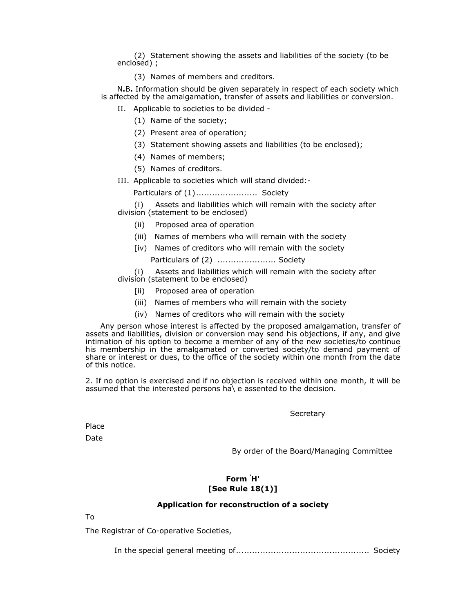(2) Statement showing the assets and liabilities of the society (to be enclosed) ;

(3) Names of members and creditors.

N**.**B**.** Information should be given separately in respect of each society which is affected by the amalgamation, transfer of assets and liabilities or conversion.

- II. Applicable to societies to be divided
	- (1) Name of the society;
	- (2) Present area of operation;
	- (3) Statement showing assets and liabilities (to be enclosed);
	- (4) Names of members;
	- (5) Names of creditors.
- III. Applicable to societies which will stand divided:-

Particulars of (1) ....................... Society

(i)Assets and liabilities which will remain with the society after division (statement to be enclosed)

- (ii) Proposed area of operation
- (iii) Names of members who will remain with the society
- [iv) Names of creditors who will remain with the society

Particulars of (2) ...................... Society

(i)Assets and liabilities which will remain with the society after division (statement to be enclosed)

- [ii] Proposed area of operation
- (iii) Names of members who will remain with the society
- (iv) Names of creditors who will remain with the society

Any person whose interest is affected by the proposed amalgamation, transfer of assets and liabilities, division or conversion may send his objections, if any, and give intimation of his option to become a member of any of the new societies/to continue his membership in the amalgamated or converted society/to demand payment of share or interest or dues, to the office of the society within one month from the date of this notice.

2. If no option is exercised and if no objection is received within one month, it will be assumed that the interested persons ha\ e assented to the decision.

**Secretary** 

Place

Date

By order of the Board/Managing Committee

## **Form ' H' [See Rule 18(1)]**

## **Application for reconstruction of a society**

To

The Registrar of Co-operative Societies,

In the special general meeting of.................................................. Society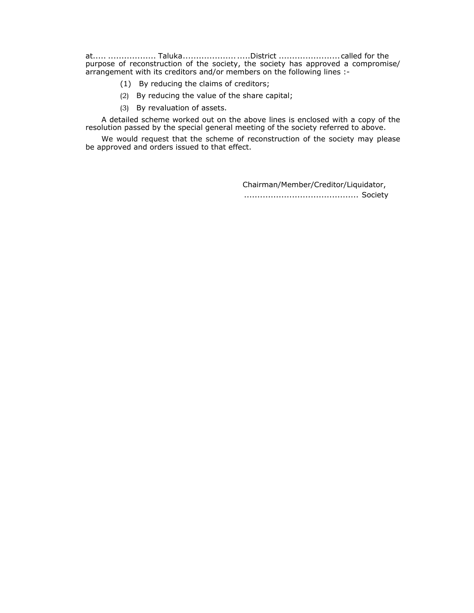at..... .................. Taluka.................... .....District ....................... called for the purpose of reconstruction of the society, the society has approved a compromise/ arrangement with its creditors and/or members on the following lines :-

- (1) By reducing the claims of creditors;
- (2) By reducing the value of the share capital;
- (3) By revaluation of assets.

A detailed scheme worked out on the above lines is enclosed with a copy of the resolution passed by the special general meeting of the society referred to above.

We would request that the scheme of reconstruction of the society may please be approved and orders issued to that effect.

> Chairman/Member/Creditor/Liquidator, ........................................... Society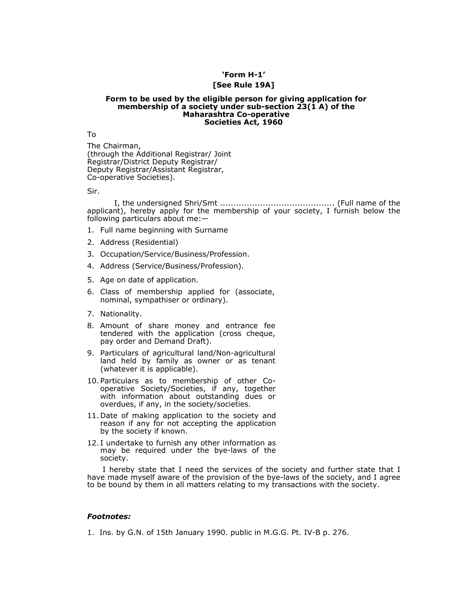# **'Form H-1'**

## **[See Rule 19A]**

#### **Form to be used by the eligible person for giving application for membership of a society under sub-section 23(1 A) of the Maharashtra Co-operative Societies Act, 1960**

To

The Chairman, (through the Additional Registrar/ Joint Registrar/District Deputy Registrar/ Deputy Registrar/Assistant Registrar, Co-operative Societies).

Sir.

I, the undersigned Shri/Smt ........................................... (Full name of the applicant), hereby apply for the membership of your society, I furnish below the following particulars about me:—

- 1. Full name beginning with Surname
- 2. Address (Residential)
- 3. Occupation/Service/Business/Profession.
- 4. Address (Service/Business/Profession).
- 5. Age on date of application.
- 6. Class of membership applied for (associate, nominal, sympathiser or ordinary).
- 7. Nationality.
- 8. Amount of share money and entrance fee tendered with the application (cross cheque, pay order and Demand Draft).
- 9. Particulars of agricultural land/Non-agricultural land held by family as owner or as tenant (whatever it is applicable).
- 10. Particulars as to membership of other Cooperative Society/Societies, if any, together with information about outstanding dues or overdues, if any, in the society/societies.
- 11. Date of making application to the society and reason if any for not accepting the application by the society if known.
- 12. I undertake to furnish any other information as may be required under the bye-laws of the society.

I hereby state that I need the services of the society and further state that I have made myself aware of the provision of the bye-laws of the society, and I agree to be bound by them in all matters relating to my transactions with the society.

## *Footnotes:*

1. Ins. by G.N. of 15th January 1990. public in M.G.G. Pt. IV-B p. 276.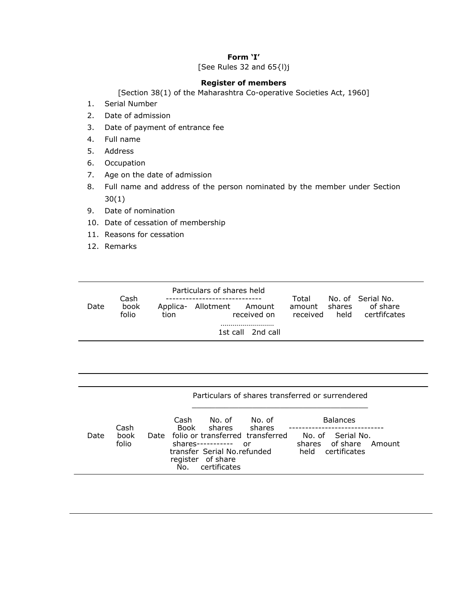# **Form 'I'**

[See Rules 32 and 65{l)j

## **Register of members**

[Section 38(1) of the Maharashtra Co-operative Societies Act, 1960]

- 1. Serial Number
- 2. Date of admission
- 3. Date of payment of entrance fee
- 4. Full name
- 5. Address
- 6. Occupation
- 7. Age on the date of admission
- 8. Full name and address of the person nominated by the member under Section 30(1)
- 9. Date of nomination
- 10. Date of cessation of membership
- 11. Reasons for cessation
- 12. Remarks

|      | Cash          |      | Particulars of shares held |                       | Total                     |      | No. of Serial No.        |  |
|------|---------------|------|----------------------------|-----------------------|---------------------------|------|--------------------------|--|
| Date | book<br>folio | tion | Applica- Allotment Amount  | received on           | amount shares<br>received | held | of share<br>certfifcates |  |
|      |               |      |                            | <br>1st call 2nd call |                           |      |                          |  |

| Particulars of shares transferred or surrendered                                    |                        |                                                                  |                                                       |                       |      |
|-------------------------------------------------------------------------------------|------------------------|------------------------------------------------------------------|-------------------------------------------------------|-----------------------|------|
| <b>Balances</b><br>No. of Serial No.<br>shares of share Amount<br>held certificates | No. of<br>shares<br>or | No. of<br>shares<br>$shareS-----$<br>transfer Serial No.refunded | Cash<br>Book<br>Date folio or transferred transferred | Cash<br>book<br>folio | Date |
|                                                                                     |                        | register of share<br>certificates                                | No.                                                   |                       |      |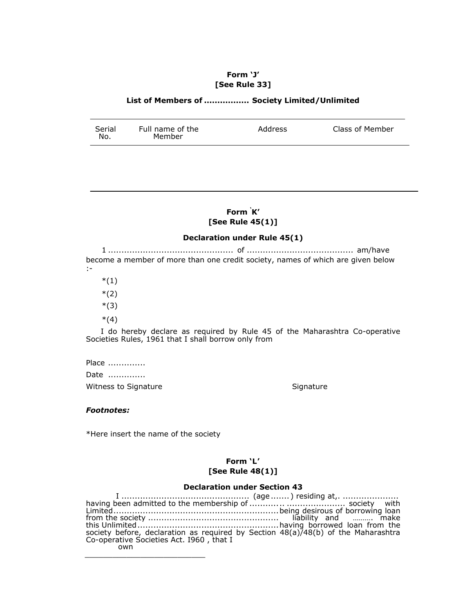## **Form 'J' [See Rule 33]**

## **List of Members of ................. Society Limited/Unlimited**

| Serial<br>Full name of the<br>Address<br>Member<br>No. | Class of Member |
|--------------------------------------------------------|-----------------|
|--------------------------------------------------------|-----------------|

## **Form ' K' [See Rule 45(1)]**

## **Declaration under Rule 45(1)**

1 ............................................... of ........................................ am/have become a member of more than one credit society, names of which are given below :-

 $*(1)$ 

\*(2)

\*(3)

 $*(4)$ 

I do hereby declare as required by Rule 45 of the Maharashtra Co-operative Societies Rules, 1961 that I shall borrow only from

Place ..............

Date ..............

Witness to Signature **Signature** Signature

#### *Footnotes:*

\*Here insert the name of the society

\_\_\_\_\_\_\_\_\_\_\_\_\_\_\_\_\_\_\_\_\_\_\_\_\_\_

## **Form 'L' [See Rule 48(1)]**

## **Declaration under Section 43**

I ................................................ (age ....... ) residing at,. ..................... having been admitted to the membership of ........... .. ...................... society with Limited..............................................................being desirous of borrowing loan from the society ................................................. liability and ………. make this Unlimited .....................................................having borrowed loan from the society before, declaration as required by Section 48(a)/48(b) of the Maharashtra Co-operative Societies Act. I960 , that I own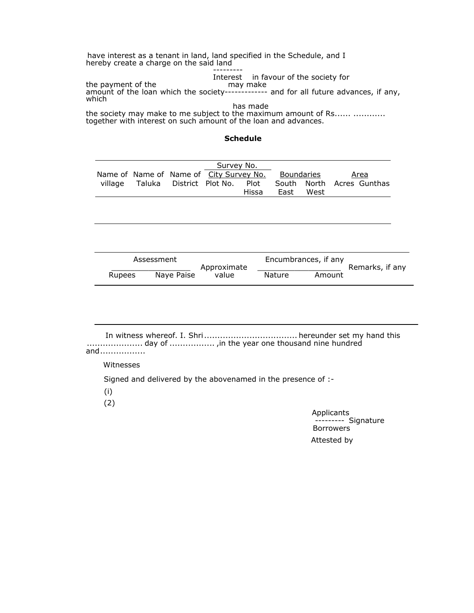have interest as a tenant in land, land specified in the Schedule, and I hereby create a charge on the said land

 --------- Interest in favour of the society for<br>may make the payment of the amount of the loan which the society------------- and for all future advances, if any, which

 has made the society may make to me subject to the maximum amount of Rs...... ............ together with interest on such amount of the loan and advances.

**Schedule** 

|  |                                         | Survey No. |       |            |      |                           |
|--|-----------------------------------------|------------|-------|------------|------|---------------------------|
|  | Name of Name of Name of City Survey No. |            |       | Boundaries |      | <u>Area</u>               |
|  | village Taluka District Plot No. Plot   |            |       |            |      | South North Acres Gunthas |
|  |                                         |            | Hissa | East       | West |                           |

|        | Assessment | Approximate |        | Encumbrances, if any | Remarks, if any |
|--------|------------|-------------|--------|----------------------|-----------------|
| Rupees | Nave Paise | value       | Nature | Amount               |                 |

In witness whereof. I. Shri ................................... hereunder set my hand this ..................... day of ................. ,in the year one thousand nine hundred and.................

Witnesses

Signed and delivered by the abovenamed in the presence of :-

(i)

(2)

Applicants -------- Signature Borrowers Attested by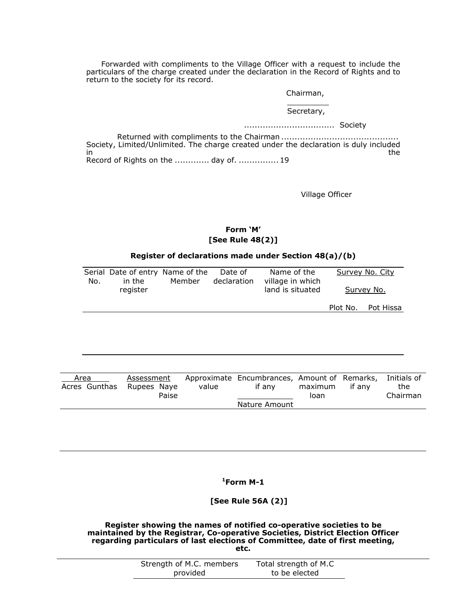Forwarded with compliments to the Village Officer with a request to include the particulars of the charge created under the declaration in the Record of Rights and to return to the society for its record.

Chairman,

#### $\overline{\phantom{a}}$ Secretary,

#### .................................. Society

Returned with compliments to the Chairman ............................................ Society, Limited/Unlimited. The charge created under the declaration is duly included<br>the in the contract of the contract of the contract of the contract of the contract of the contract of the contract of the contract of the contract of the contract of the contract of the contract of the contract of the contrac Record of Rights on the ............. day of. ............... 19

Village Officer

## **Form 'M' [See Rule 48(2)]**

## **Register of declarations made under Section 48(a)/(b)**

| No. | Serial Date of entry Name of the<br>in the | Member | Date of<br>declaration | Name of the<br>village in which |          | Survey No. City |
|-----|--------------------------------------------|--------|------------------------|---------------------------------|----------|-----------------|
|     | register                                   |        |                        | land is situated                |          | Survey No.      |
|     |                                            |        |                        |                                 | Plot No. | Pot Hissa       |
|     |                                            |        |                        |                                 |          |                 |
|     |                                            |        |                        |                                 |          |                 |
|     |                                            |        |                        |                                 |          |                 |
|     |                                            |        |                        |                                 |          |                 |
|     |                                            |        |                        |                                 |          |                 |
|     |                                            |        |                        |                                 |          |                 |

| Area                      | Assessment |       | Approximate Encumbrances, Amount of Remarks, Initials of |                 |        |                 |
|---------------------------|------------|-------|----------------------------------------------------------|-----------------|--------|-----------------|
| Acres Gunthas Rupees Naye | Paise      | value | if anv                                                   | maximum<br>loan | if anv | the<br>Chairman |
|                           |            |       | Nature Amount                                            |                 |        |                 |
|                           |            |       |                                                          |                 |        |                 |

**1Form M-1** 

**[See Rule 56A (2)]** 

**Register showing the names of notified co-operative societies to be maintained by the Registrar, Co-operative Societies, District Election Officer regarding particulars of last elections of Committee, date of first meeting, etc.** 

| ×<br>- 3 | ٠<br>o se<br>$\sim$<br>٠ |
|----------|--------------------------|
|          |                          |
|          |                          |
|          |                          |

| Strength of M.C. members | Total strength of M.C |  |
|--------------------------|-----------------------|--|
| provided                 | to be elected         |  |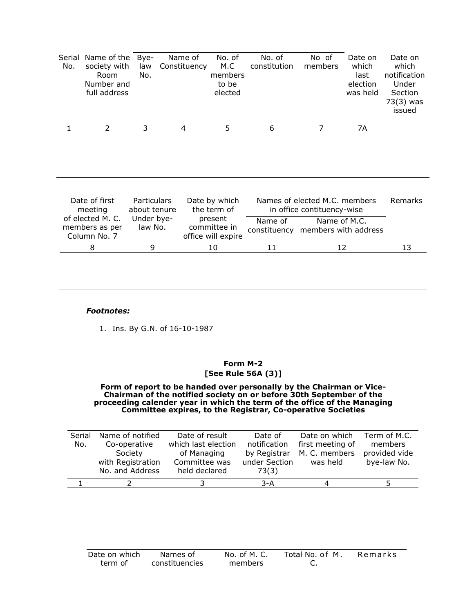| Serial<br>No. | Name of the<br>society with<br>Room<br>Number and<br>full address | Bye-<br>law<br>No.                 | Name of<br>Constituency | No. of<br>M.C<br>members<br>to be<br>elected  | No. of<br>constitution                       | No of<br>members                                            | Date on<br>which<br>last<br>election<br>was held | Date on<br>which<br>notification<br>Under<br>Section<br>73(3) was<br>issued |
|---------------|-------------------------------------------------------------------|------------------------------------|-------------------------|-----------------------------------------------|----------------------------------------------|-------------------------------------------------------------|--------------------------------------------------|-----------------------------------------------------------------------------|
|               | 2                                                                 | 3                                  | 4                       | 5                                             | 6                                            | 7                                                           | 7A                                               |                                                                             |
|               | Date of first<br>meeting                                          | <b>Particulars</b><br>about tenure |                         | Date by which<br>the term of                  |                                              | Names of elected M.C. members<br>in office contituency-wise |                                                  | <b>Remarks</b>                                                              |
|               | of elected M. C.<br>members as per<br>Column No. 7                | Under bye-<br>law No.              |                         | present<br>committee in<br>office will expire | Name of<br>constituency members with address | Name of M.C.                                                |                                                  |                                                                             |
|               | 8                                                                 | 9                                  |                         | 10                                            | 11                                           | 12                                                          |                                                  | 13                                                                          |

## *Footnotes:*

1. Ins. By G.N. of 16-10-1987

## **Form M-2 [See Rule 56A (3)]**

#### **Form of report to be handed over personally by the Chairman or Vice-Chairman of the notified society on or before 30th September of the proceeding calender year in which the term of the office of the Managing Committee expires, to the Registrar, Co-operative Societies**

| Serial | Name of notified  | Date of result      | Date of       | Date on which    | Term of M.C.  |
|--------|-------------------|---------------------|---------------|------------------|---------------|
| No.    | Co-operative      | which last election | notification  | first meeting of | members       |
|        | Society           | of Managing         | by Registrar  | M. C. members    | provided vide |
|        | with Registration | Committee was       | under Section | was held         | bye-law No.   |
|        | No. and Address   | held declared       | 73(3)         |                  |               |
|        |                   |                     | $3-A$         |                  |               |

| Date on which | Names of       | No. of M. C. | Total No. of M. | Remarks |
|---------------|----------------|--------------|-----------------|---------|
| term of       | constituencies | members      | <u>.</u>        |         |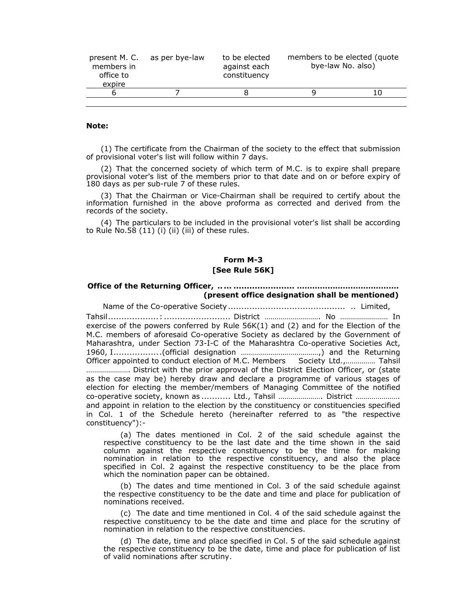| present M. C.<br>members in<br>office to<br>expire | as per bye-law | to be elected<br>against each<br>constituency | members to be elected (quote)<br>bye-law No. also) |  |
|----------------------------------------------------|----------------|-----------------------------------------------|----------------------------------------------------|--|
| b                                                  |                |                                               |                                                    |  |
|                                                    |                |                                               |                                                    |  |

#### **Note:**

(1) The certificate from the Chairman of the society to the effect that submission of provisional voter's list will follow within 7 days.

(2) That the concerned society of which term of M.C. is to expire shall prepare provisional voter's list of the members prior to that date and on or before expiry of 180 days as per sub-rule 7 of these rules.

(3) That the Chairman or Vice-Chairman shall be required to certify about the information furnished in the above proforma as corrected and derived from the records of the society.

(4) The particulars to be included in the provisional voter's list shall be according to Rule No.58 (11) (i) (ii) (iii) of these rules.

## **Form M-3 [See Rule 56K]**

## **Office of the Returning Officer, .. ... ....................... …………………………………. (present office designation shall be mentioned)**

Name of the Co-operative Society ............................................ .. Limited, Tahsil...................: ......................... District ………………………. No …………………… In exercise of the powers conferred by Rule 56K(1) and (2) and for the Election of the M.C. members of aforesaid Co-operative Society as declared by the Government of Maharashtra, under Section 73-I-C of the Maharashtra Co-operative Societies Act, 1960, I................. .(official designation …………………………………,) and the Returning Officer appointed to conduct election of M.C. Members Society Ltd.,…………… Tahsil …………………. District with the prior approval of the District Election Officer, or (state as the case may be) hereby draw and declare a programme of various stages of election for electing the member/members of Managing Committee of the notified co-operative society, known as ........... Ltd., Tahsil …………………. District …………………. and appoint in relation to the election by the constituency or constituencies specified in Col. 1 of the Schedule hereto (hereinafter referred to as "the respective constituency"):-

(a) The dates mentioned in Col. 2 of the said schedule against the respective constituency to be the last date and the time shown in the said column against the respective constituency to be the time for making nomination in relation to the respective constituency, and also the place specified in Col. 2 against the respective constituency to be the place from which the nomination paper can be obtained.

(b) The dates and time mentioned in Col. 3 of the said schedule against the respective constituency to be the date and time and place for publication of nominations received.

(c) The date and time mentioned in Col. 4 of the said schedule against the respective constituency to be the date and time and place for the scrutiny of nomination in relation to the respective constituencies.

(d) The date, time and place specified in Col. 5 of the said schedule against the respective constituency to be the date, time and place for publication of list of valid nominations after scrutiny.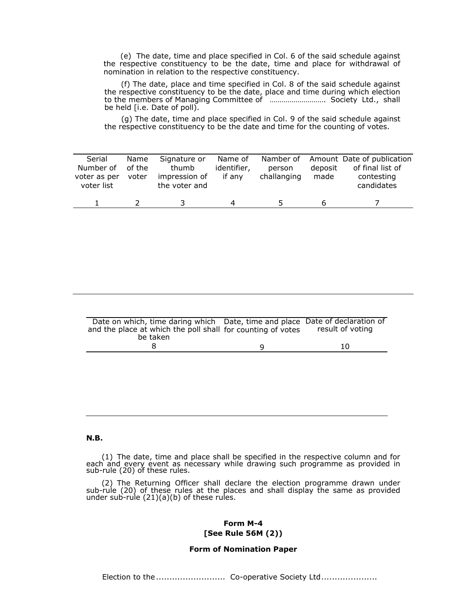(e) The date, time and place specified in Col. 6 of the said schedule against the respective constituency to be the date, time and place for withdrawal of nomination in relation to the respective constituency.

(f) The date, place and time specified in Col. 8 of the said schedule against the respective constituency to be the date, place and time during which election to the members of Managing Committee of ………………………. Society Ltd., shall be held [i.e. Date of poll).

(g) The date, time and place specified in Col. 9 of the said schedule against the respective constituency to be the date and time for the counting of votes.

| Serial<br>Number of<br>voter as per<br>voter list | Name<br>of the<br>voter | Signature or<br>thumb<br>impression of<br>the voter and | Name of<br>identifier,<br>if anv | person<br>challanging | deposit<br>made | Namber of Amount Date of publication<br>of final list of<br>contesting<br>candidates |
|---------------------------------------------------|-------------------------|---------------------------------------------------------|----------------------------------|-----------------------|-----------------|--------------------------------------------------------------------------------------|
|                                                   |                         |                                                         | Δ                                |                       |                 |                                                                                      |

| Date on which, time daring which Date, time and place Date of declaration of |                  |
|------------------------------------------------------------------------------|------------------|
| and the place at which the poll shall for counting of votes                  | result of voting |
| be taken                                                                     |                  |
|                                                                              | 10               |

#### **N.B.**

(1) The date, time and place shall be specified in the respective column and for each and every event as necessary while drawing such programme as provided in sub-rule (20) of these rules.

(2) The Returning Officer shall declare the election programme drawn under sub-rule (20) of these rules at the places and shall display the same as provided under sub-rule (21)(a)(b) of these rules.

## **Form M-4 [See Rule 56M (2))**

## **Form of Nomination Paper**

Election to the .......................... Co-operative Society Ltd.....................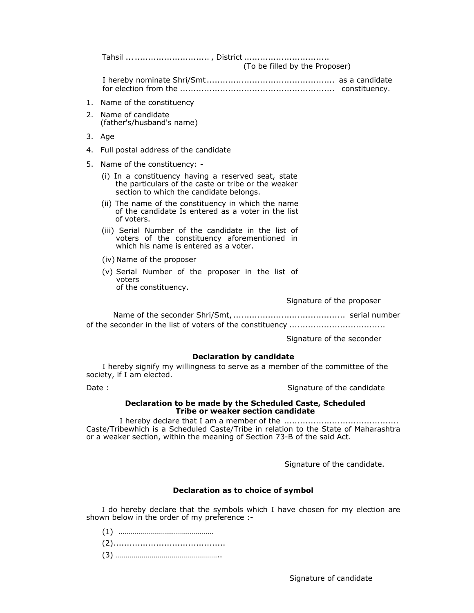Tahsil ... ............................ , District ................................

(To be filled by the Proposer)

I hereby nominate Shri/Smt ................................................ as a candidate for election from the .......................................................... constituency.

- 1. Name of the constituency
- 2. Name of candidate (father's/husband's name)
- 3. Age
- 4. Full postal address of the candidate
- 5. Name of the constituency:
	- (i) In a constituency having a reserved seat, state the particulars of the caste or tribe or the weaker section to which the candidate belongs.
	- (ii) The name of the constituency in which the name of the candidate Is entered as a voter in the list of voters.
	- (iii) Serial Number of the candidate in the list of voters of the constituency aforementioned in which his name is entered as a voter.
	- (iv) Name of the proposer
	- (v) Serial Number of the proposer in the list of voters of the constituency.

Signature of the proposer

Name of the seconder Shri/Smt, .......................................... serial number of the seconder in the list of voters of the constituency ....................................

Signature of the seconder

#### **Declaration by candidate**

I hereby signify my willingness to serve as a member of the committee of the society, if I am elected.

Date : Signature of the candidate in the Signature of the candidate

#### **Declaration to be made by the Scheduled Caste, Scheduled Tribe or weaker section candidate**

I hereby declare that I am a member of the ........................................... Caste/Tribewhich is a Scheduled Caste/Tribe in relation to the State of Maharashtra or a weaker section, within the meaning of Section 73-B of the said Act.

Signature of the candidate.

## **Declaration as to choice of symbol**

I do hereby declare that the symbols which I have chosen for my election are shown below in the order of my preference :-

(1) …………………………………………

(2)..........................................

(3) ……………………………………………..

Signature of candidate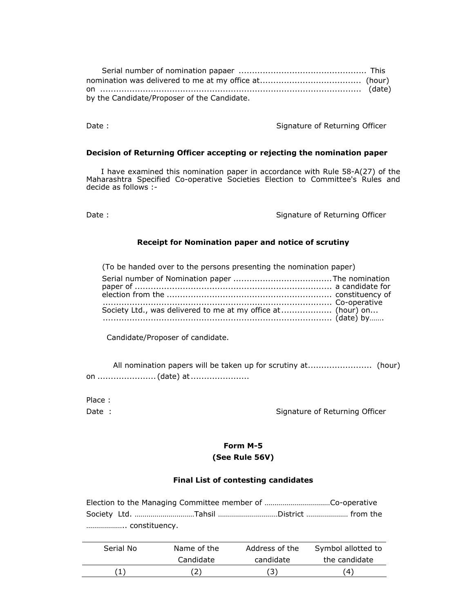| by the Candidate/Proposer of the Candidate. |  |
|---------------------------------------------|--|

Date : Signature of Returning Officer

#### **Decision of Returning Officer accepting or rejecting the nomination paper**

I have examined this nomination paper in accordance with Rule 58-A(27) of the Maharashtra Specified Co-operative Societies Election to Committee's Rules and decide as follows :-

Date : Signature of Returning Officer

## **Receipt for Nomination paper and notice of scrutiny**

(To be handed over to the persons presenting the nomination paper) Serial number of Nomination paper .....................................The nomination paper of .......................................................................... a candidate for election from the .............................................................. constituency of ...................................................................................... Co-operative Society Ltd., was delivered to me at my office at .................... (hour) on... ...................................................................................... (date) by…….

Candidate/Proposer of candidate.

All nomination papers will be taken up for scrutiny at........................ (hour) on ...................... (date) at ......................

Place :

Date : Signature of Returning Officer

## **Form M-5 (See Rule 56V)**

## **Final List of contesting candidates**

Election to the Managing Committee member of ……………………………Co-operative Society Ltd. …………………………Tahsil …………………………District ………………… from the ……………….. constituency.

| Serial No | Name of the | Address of the | Symbol allotted to |
|-----------|-------------|----------------|--------------------|
|           | Candidate   | candidate      | the candidate      |
|           |             |                | (4)                |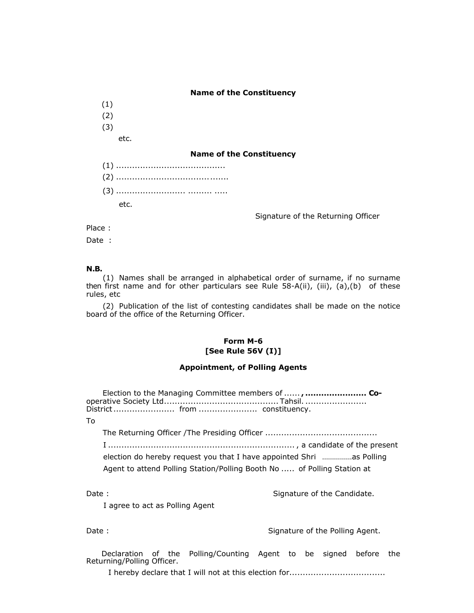#### **Name of the Constituency**

(1)

- (2)
- (3)
	- etc.

#### **Name of the Constituency**

| etc. The set of the set of the set of the set of the set of the set of the set of the set of the set of the se |
|----------------------------------------------------------------------------------------------------------------|

Signature of the Returning Officer

Place :

Date :

## **N.B.**

(1) Names shall be arranged in alphabetical order of surname, if no surname then first name and for other particulars see Rule 58-A(ii), (iii), (a),(b) of these rules, etc

(2) Publication of the list of contesting candidates shall be made on the notice board of the office of the Returning Officer.

## **Form M-6 [See Rule 56V (I)]**

### **Appointment, of Polling Agents**

Election to the Managing Committee members of ......**, ....................... Co**operative Society Ltd........................................... Tahsil. ....................... District ....................... from ...................... constituency. To The Returning Officer /The Presiding Officer .......................................... I ...................................................................... , a candidate of the present election do hereby request you that I have appointed Shri ……………as Polling Agent to attend Polling Station/Polling Booth No ..... of Polling Station at Date : Signature of the Candidate. I agree to act as Polling Agent

Date : Signature of the Polling Agent.

Declaration of the Polling/Counting Agent to be signed before the Returning/Polling Officer.

I hereby declare that I will not at this election for....................................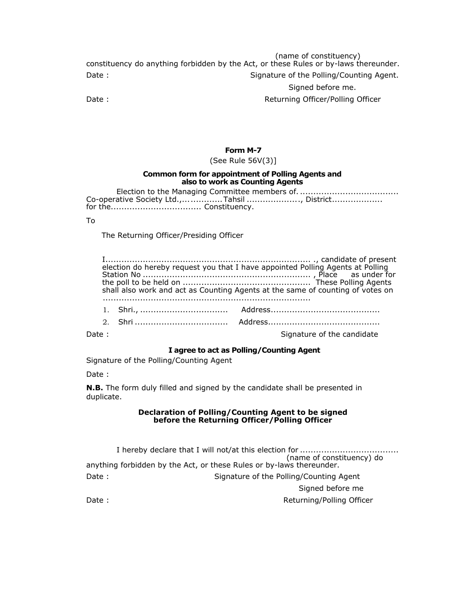(name of constituency) constituency do anything forbidden by the Act, or these Rules or by-laws thereunder. Date : Signature of the Polling/Counting Agent.

## Signed before me.

Date : Case of the Case of the Case of the Returning Officer/Polling Officer

#### **Form M-7**

(See Rule 56V(3)]

#### **Common form for appointment of Polling Agents and also to work as Counting Agents**

Election to the Managing Committee members of. ..................................... Co-operative Society Ltd.,...............Tahsil ....................., District.................... for the.................................. Constituency.

#### To

The Returning Officer/Presiding Officer

|  | election do hereby request you that I have appointed Polling Agents at Polling<br>shall also work and act as Counting Agents at the same of counting of votes on |
|--|------------------------------------------------------------------------------------------------------------------------------------------------------------------|
|  |                                                                                                                                                                  |
|  |                                                                                                                                                                  |

Date : Signature of the candidate in the Signature of the candidate

#### **I agree to act as Polling/Counting Agent**

Signature of the Polling/Counting Agent

Date :

**N.B.** The form duly filled and signed by the candidate shall be presented in duplicate.

#### **Declaration of Polling/Counting Agent to be signed before the Returning Officer/Polling Officer**

I hereby declare that I will not/at this election for ..................................... (name of constituency) do anything forbidden by the Act, or these Rules or by-laws thereunder. Date : Signature of the Polling/Counting Agent Signed before me Date : Case of the Case of the Case of the Returning/Polling Officer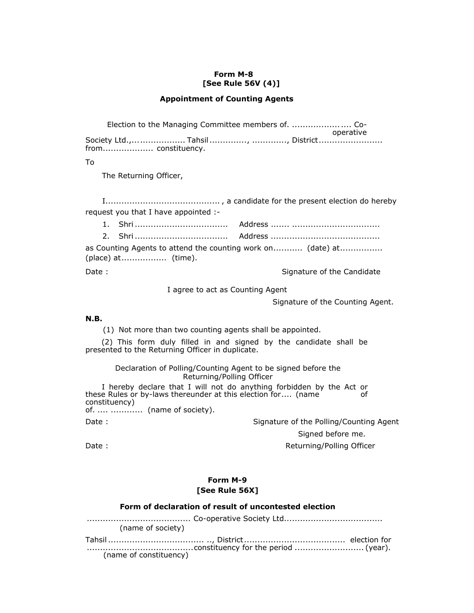## **Form M-8 [See Rule 56V (4)]**

## **Appointment of Counting Agents**

Election to the Managing Committee members of. .................. .... Cooperative Society Ltd.,.................... Tahsil .............., ............., District ........................ from................... constituency.

To

The Returning Officer,

I........................................... , a candidate for the present election do hereby request you that I have appointed :-

|  | as Counting Agents to attend the counting work on (date) at |
|--|-------------------------------------------------------------|

(place) at................. (time).

Date : Signature of the Candidate in Signature of the Candidate

I agree to act as Counting Agent

Signature of the Counting Agent.

#### **N.B.**

(1) Not more than two counting agents shall be appointed.

(2) This form duly filled in and signed by the candidate shall be presented to the Returning Officer in duplicate.

> Declaration of Polling/Counting Agent to be signed before the Returning/Polling Officer

I hereby declare that I will not do anything forbidden by the Act or<br>P Rules or by-laws thereunder at this election for (name these Rules or by-laws thereunder at this election for.... (name constituency) of. .... ............ (name of society). Date : Signature of the Polling/Counting Agent

Signed before me.

Date : Contract of the Contract of the Contract of the Returning/Polling Officer

## **Form M-9 [See Rule 56X]**

#### **Form of declaration of result of uncontested election**

....................................... Co-operative Society Ltd..................................... (name of society) Tahsil .................................... .., District ...................................... election for ........................................constituency for the period .......................... (year). (name of constituency)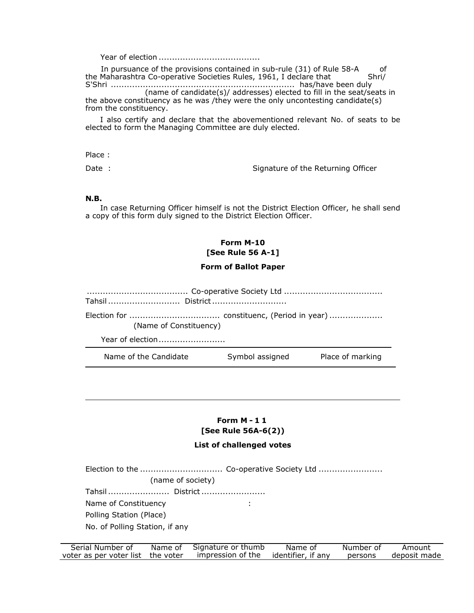Year of election ......................................

In pursuance of the provisions contained in sub-rule (31) of Rule 58-A of the Maharashtra Co-operative Societies Rules, 1961, I declare that Shri/ S'Shri ..................................................................... has/have been duly (name of candidate(s)/ addresses) elected to fill in the seat/seats in the above constituency as he was /they were the only uncontesting candidate(s) from the constituency.

I also certify and declare that the abovementioned relevant No. of seats to be elected to form the Managing Committee are duly elected.

Place :

Date : Signature of the Returning Officer

#### **N.B.**

In case Returning Officer himself is not the District Election Officer, he shall send a copy of this form duly signed to the District Election Officer.

## **Form M-10 [See Rule 56 A-1]**

#### **Form of Ballot Paper**

...................................... Co-operative Society Ltd .....................................

Tahsil ........................... District ............................

Election for .................................. constituenc, (Period in year) .................... (Name of Constituency)

Year of election ..........................

Name of the Candidate Symbol assigned Place of marking

# **Form M - 1 1 [See Rule 56A-6(2))**

#### **List of challenged votes**

Election to the ............................... Co-operative Society Ltd ........................ (name of society) Tahsil ....................... District ........................ Name of Constituency in the same of  $\sim$  1. Polling Station (Place) No. of Polling Station, if any

| Serial Number of                  | Name of | Signature or thumb | Name of            | Number of | Amount       |
|-----------------------------------|---------|--------------------|--------------------|-----------|--------------|
| voter as per voter list the voter |         | impression of the  | identifier, if any | persons   | deposit made |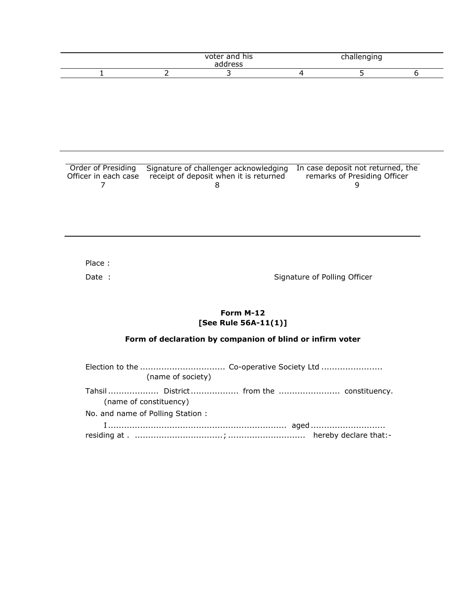|  | voter and his<br>address | challenging |  |
|--|--------------------------|-------------|--|
|  |                          |             |  |

| Order of Presiding | Signature of challenger acknowledging In case deposit not returned, the |                              |
|--------------------|-------------------------------------------------------------------------|------------------------------|
|                    | Officer in each case receipt of deposit when it is returned             | remarks of Presiding Officer |
|                    |                                                                         |                              |

Place :

Date : Signature of Polling Officer

## **Form M-12 [See Rule 56A-11(1)]**

# **Form of declaration by companion of blind or infirm voter**

| (name of society)                |  |
|----------------------------------|--|
| (name of constituency)           |  |
| No. and name of Polling Station: |  |
|                                  |  |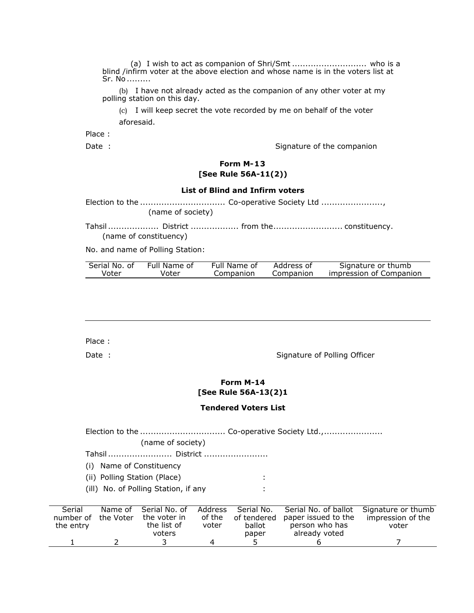(a) I wish to act as companion of Shri/Smt ............................ who is a blind /infirm voter at the above election and whose name is in the voters list at Sr. No .........

(b) I have not already acted as the companion of any other voter at my polling station on this day.

(c) I will keep secret the vote recorded by me on behalf of the voter aforesaid.

Place :

Date : Signature of the companion

## **Form M-13 [See Rule 56A-11(2))**

#### **List of Blind and Infirm voters**

Election to the ................................ Co-operative Society Ltd ......................., (name of society)

Tahsil ......................... District ................. from the................................ constituency. (name of constituency)

No. and name of Polling Station:

| Serial No. of | Full Name of | Full Name of | Address of | Signature or thumb      |
|---------------|--------------|--------------|------------|-------------------------|
| Voter         | Voter        | Companion    | Companion  | impression of Companion |

Place :

Date : Signature of Polling Officer

## **Form M-14 [See Rule 56A-13(2)1**

## **Tendered Voters List**

|           |           | (name of society)                    |         |             |                      |                    |
|-----------|-----------|--------------------------------------|---------|-------------|----------------------|--------------------|
|           |           | Tahsil  District                     |         |             |                      |                    |
| ( I )     |           | Name of Constituency                 |         |             |                      |                    |
|           |           | (ii) Polling Station (Place)         |         |             |                      |                    |
|           |           | (ill) No. of Polling Station, if any |         |             |                      |                    |
|           |           |                                      |         |             |                      |                    |
| Serial    | Name of   | Serial No. of                        | Address | Serial No.  | Serial No. of ballot | Signature or thumb |
| number of | the Voter | the voter in                         | of the  | of tendered | paper issued to the  | impression of the  |
| the entry |           | the list of                          | voter   | ballot      | person who has       | voter              |
|           |           | voters                               |         | paper       | already voted        |                    |
|           |           |                                      | 4       |             |                      |                    |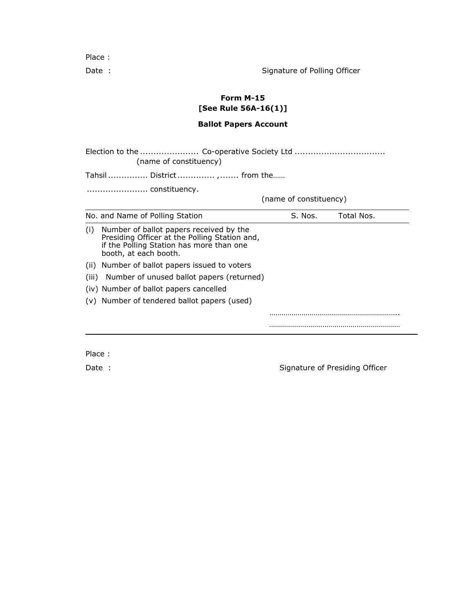Place :

Date : Signature of Polling Officer

# **Form M-15 [See Rule 56A-16(1)]**

## **Ballot Papers Account**

Election to the ...................... Co-operative Society Ltd .................................. (name of constituency) Tahsil ............... District .............. ,....... from the…… ....................... constituency. (name of constituency) No. and Name of Polling Station S. Nos. Total Nos. (i) Number of ballot papers received by the Presiding Officer at the Polling Station and, if the Polling Station has more than one booth, at each booth. (ii) Number of ballot papers issued to voters (iii) Number of unused ballot papers (returned) (iv) Number of ballot papers cancelled (v) Number of tendered ballot papers (used) ………………………………………………………………………

…………………………………………………………

Place :

Date : Signature of Presiding Officer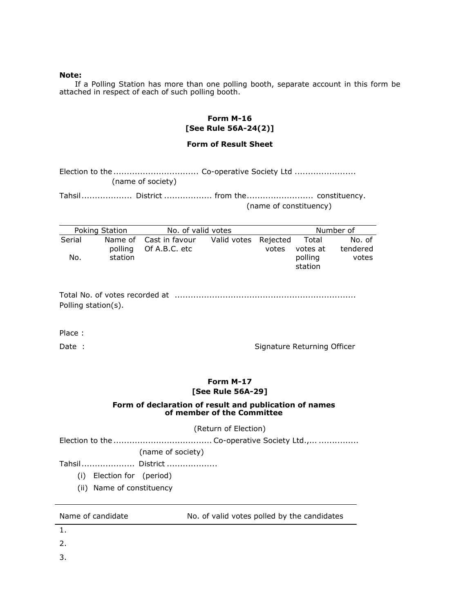#### **Note:**

If a Polling Station has more than one polling booth, separate account in this form be attached in respect of each of such polling booth.

## **Form M-16 [See Rule 56A-24(2)]**

## **Form of Result Sheet**

| (name of society) |  |
|-------------------|--|

Tahsil ................... District .................. from the......................... constituency. (name of constituency)

|        | Poking Station | No. of valid votes     |                      |       |          | Number of |
|--------|----------------|------------------------|----------------------|-------|----------|-----------|
| Serial |                | Name of Cast in favour | Valid votes Rejected |       | Total    | No. of    |
|        |                | polling Of A.B.C. etc  |                      | votes | votes at | tendered  |
| No.    | station        |                        |                      |       | polling  | votes     |
|        |                |                        |                      |       | station  |           |

Total No. of votes recorded at .................................................................... Polling station(s).

Place :

Date : Signature Returning Officer

## **Form M-17 [See Rule 56A-29]**

## **Form of declaration of result and publication of names of member of the Committee**

(Return of Election)

Election to the ..................................... Co-operative Society Ltd.,... ...............

(name of society)

Tahsil .................... District ...................

- (i) Election for (period)
- (ii) Name of constituency

Name of candidate No. of valid votes polled by the candidates

1.

- 2.
- 3.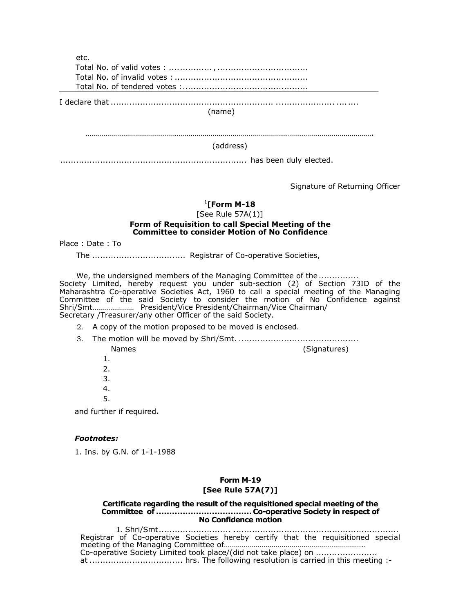etc. Total No. of valid votes : ................ , .................................. Total No. of invalid votes : .................................................. Total No. of tendered votes : ............................................... I declare that ............................................................. ...................... .... .... (name) ………………………………………………………………………………………………………………………………. (address) ...................................................................... has been duly elected.

Signature of Returning Officer

#### 1 **[Form M-18**

[See Rule 57A(1)]

## **Form of Requisition to call Special Meeting of the Committee to consider Motion of No Confidence**

Place : Date : To

The ................................... Registrar of Co-operative Societies,

We, the undersigned members of the Managing Committee of the .............. Society Limited, hereby request you under sub-section (2) of Section 73ID of the Maharashtra Co-operative Societies Act, 1960 to call a special meeting of the Managing Committee of the said Society to consider the motion of No Confidence against Shri/Smt………………… President/Vice President/Chairman/Vice Chairman/ Secretary /Treasurer/any other Officer of the said Society.

- 2. A copy of the motion proposed to be moved is enclosed.
- 3. The motion will be moved by Shri/Smt. ............................................. Names (Signatures)
	-

- 1. 2. 3. 4.
- 5.

and further if required**.** 

## *Footnotes:*

1. Ins. by G.N. of 1-1-1988

## **Form M-19 [See Rule 57A(7)]**

#### **Certificate regarding the result of the requisitioned special meeting of the Committee of .................................... Co-operative Society in respect of No Confidence motion**

I. Shri/Smt........................... .............................................................. Registrar of Co-operative Societies hereby certify that the requisitioned special meeting of the Managing Committee of…………………………………………………………….. Co-operative Society Limited took place/(did not take place) on .............................. at ................................... hrs. The following resolution is carried in this meeting :-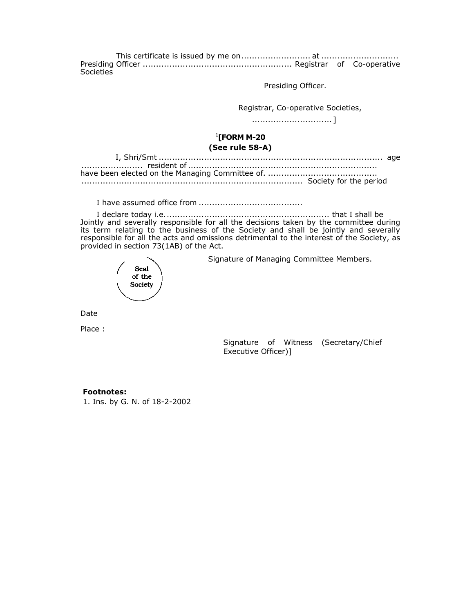This certificate is issued by me on.......................... at ............................. Presiding Officer ........................................................ Registrar of Co-operative Societies

Presiding Officer.

Registrar, Co-operative Societies,

.............................. ]

## 1 **[FORM M-20 (See rule 58-A)**

I have assumed office from .......................................

I declare today i.e. ............................................................. that I shall be Jointly and severally responsible for all the decisions taken by the committee during its term relating to the business of the Society and shall be jointly and severally responsible for all the acts and omissions detrimental to the interest of the Society, as provided in section 73(1AB) of the Act.

Seal of the Society

Signature of Managing Committee Members.

Date

Place :

Signature of Witness (Secretary/Chief Executive Officer)]

## **Footnotes:**

1. Ins. by G. N. of 18-2-2002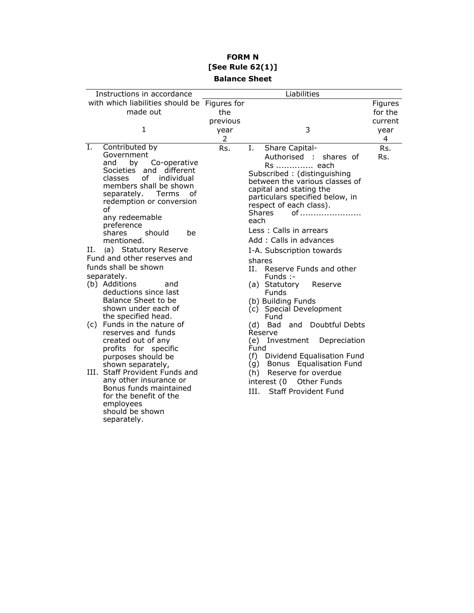# **FORM N [See Rule 62(1)] Balance Sheet**

|    | Instructions in accordance                         |          | Liabilities                         |         |
|----|----------------------------------------------------|----------|-------------------------------------|---------|
|    | with which liabilities should be Figures for       |          |                                     | Figures |
|    | made out                                           | the      |                                     | for the |
|    |                                                    | previous |                                     | current |
|    | 1                                                  | year     | 3                                   | year    |
|    |                                                    | 2        |                                     | 4       |
| Ι. | Contributed by                                     | Rs.      | Ι.<br>Share Capital-                | Rs.     |
|    | Government                                         |          | Authorised :<br>shares of           | Rs.     |
|    | Co-operative<br>and<br>by                          |          | Rs  each                            |         |
|    | Societies and different                            |          | Subscribed: (distinguishing         |         |
|    | of individual<br>classes<br>members shall be shown |          | between the various classes of      |         |
|    | Terms<br>separately.<br>οf                         |          | capital and stating the             |         |
|    | redemption or conversion                           |          | particulars specified below, in     |         |
|    | of                                                 |          | respect of each class).             |         |
|    | any redeemable                                     |          | <b>Shares</b><br>of                 |         |
|    | preference                                         |          | each                                |         |
|    | should<br>shares<br>be                             |          | Less: Calls in arrears              |         |
|    | mentioned.                                         |          | Add: Calls in advances              |         |
| Н. | (a) Statutory Reserve                              |          | I-A. Subscription towards           |         |
|    | Fund and other reserves and                        |          | shares                              |         |
|    | funds shall be shown                               |          | Reserve Funds and other<br>H.       |         |
|    | separately.                                        |          | Funds :-                            |         |
|    | (b) Additions<br>and                               |          | (a) Statutory<br>Reserve            |         |
|    | deductions since last                              |          | Funds                               |         |
|    | Balance Sheet to be                                |          | (b) Building Funds                  |         |
|    | shown under each of<br>the specified head.         |          | (c) Special Development<br>Fund     |         |
|    | (c) Funds in the nature of                         |          | (d) Bad and Doubtful Debts          |         |
|    | reserves and funds                                 |          | Reserve                             |         |
|    | created out of any                                 |          | (e) Investment Depreciation         |         |
|    | profits for specific                               |          | Fund                                |         |
|    | purposes should be                                 |          | (f) Dividend Equalisation Fund      |         |
|    | shown separately,                                  |          | (g) Bonus Equalisation Fund         |         |
|    | III. Staff Provident Funds and                     |          | Reserve for overdue<br>(h)          |         |
|    | any other insurance or                             |          | interest (0<br>Other Funds          |         |
|    | Bonus funds maintained                             |          | <b>Staff Provident Fund</b><br>III. |         |
|    | for the benefit of the                             |          |                                     |         |
|    | employees<br>should be shown                       |          |                                     |         |
|    | separately.                                        |          |                                     |         |
|    |                                                    |          |                                     |         |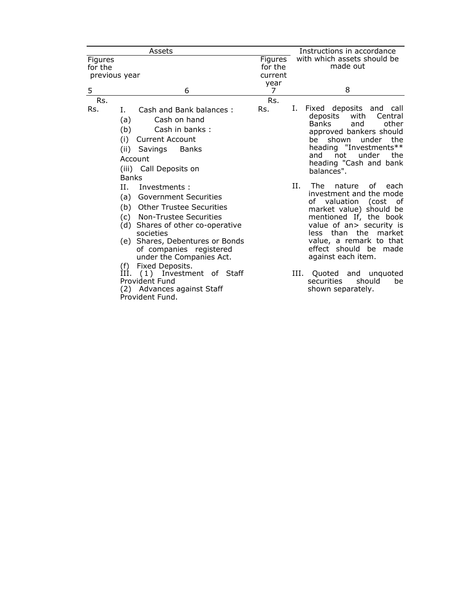|                                     | Assets                                                                                                                                                                                                                                                                                                                                                                                             |                               | Instructions in accordance                                                                                                                                                                                                                                                                                                                              |
|-------------------------------------|----------------------------------------------------------------------------------------------------------------------------------------------------------------------------------------------------------------------------------------------------------------------------------------------------------------------------------------------------------------------------------------------------|-------------------------------|---------------------------------------------------------------------------------------------------------------------------------------------------------------------------------------------------------------------------------------------------------------------------------------------------------------------------------------------------------|
| Figures<br>for the<br>previous year |                                                                                                                                                                                                                                                                                                                                                                                                    | Figures<br>for the<br>current | with which assets should be<br>made out                                                                                                                                                                                                                                                                                                                 |
| 5                                   | 6                                                                                                                                                                                                                                                                                                                                                                                                  | year<br>7                     | 8                                                                                                                                                                                                                                                                                                                                                       |
| Rs.                                 |                                                                                                                                                                                                                                                                                                                                                                                                    | Rs.                           |                                                                                                                                                                                                                                                                                                                                                         |
| Rs.                                 | Cash and Bank balances:<br>L.<br>Cash on hand<br>(a)<br>(b)<br>Cash in banks:<br><b>Current Account</b><br>(i)<br>(ii) Savings<br>Banks<br>Account<br>(iii) Call Deposits on<br><b>Banks</b>                                                                                                                                                                                                       | Rs.                           | Fixed deposits and call<br>Ι.<br>deposits<br>with<br>Central<br><b>Banks</b><br>and<br>other<br>approved bankers should<br>he<br>shown<br>under<br>the<br>heading "Investments**<br>and not<br>under the<br>heading "Cash and bank<br>balances".                                                                                                        |
|                                     | H.<br>Investments:<br><b>Government Securities</b><br>(a)<br>(b) Other Trustee Securities<br>(c) Non-Trustee Securities<br>(d)<br>Shares of other co-operative<br>societies<br>(e) Shares, Debentures or Bonds<br>of companies registered<br>under the Companies Act.<br>Fixed Deposits.<br>(f)<br>III. (1) Investment of Staff<br>Provident Fund<br>(2) Advances against Staff<br>Provident Fund. |                               | Н.<br>The<br>nature<br>of each<br>investment and the mode<br>of valuation (cost<br>0f<br>market value) should be<br>mentioned If, the book<br>value of an> security is<br>less than the market<br>value, a remark to that<br>effect should be made<br>against each item.<br>III. Quoted and unquoted<br>should<br>securities<br>be<br>shown separately. |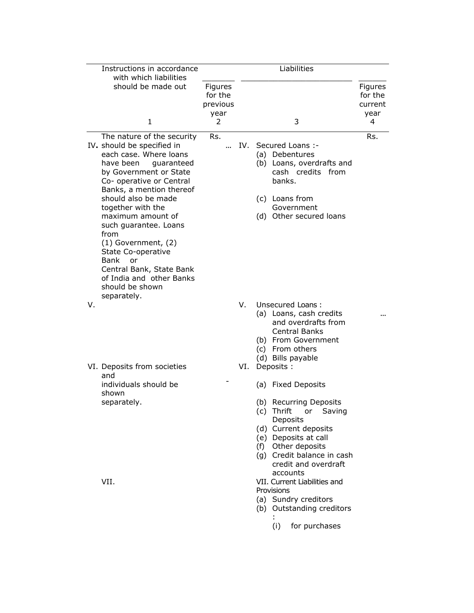| Instructions in accordance<br>with which liabilities                                                                                                                                                                                                                                                                                                                                                                                                   |                                        |     | Liabilities                                                                                                                                                                                                                                                                                                                         |                                       |
|--------------------------------------------------------------------------------------------------------------------------------------------------------------------------------------------------------------------------------------------------------------------------------------------------------------------------------------------------------------------------------------------------------------------------------------------------------|----------------------------------------|-----|-------------------------------------------------------------------------------------------------------------------------------------------------------------------------------------------------------------------------------------------------------------------------------------------------------------------------------------|---------------------------------------|
| should be made out                                                                                                                                                                                                                                                                                                                                                                                                                                     | Figures<br>for the<br>previous<br>year |     |                                                                                                                                                                                                                                                                                                                                     | Figures<br>for the<br>current<br>year |
| 1                                                                                                                                                                                                                                                                                                                                                                                                                                                      | 2                                      |     | 3                                                                                                                                                                                                                                                                                                                                   | 4                                     |
| The nature of the security<br>IV. should be specified in<br>each case. Where loans<br>have been<br>quaranteed<br>by Government or State<br>Co- operative or Central<br>Banks, a mention thereof<br>should also be made<br>together with the<br>maximum amount of<br>such guarantee. Loans<br>from<br>(1) Government, (2)<br>State Co-operative<br>Bank<br>or<br>Central Bank, State Bank<br>of India and other Banks<br>should be shown<br>separately. | Rs.                                    | IV. | Secured Loans :-<br>(a) Debentures<br>(b) Loans, overdrafts and<br>cash credits from<br>banks.<br>(c) Loans from<br>Government<br>(d) Other secured loans                                                                                                                                                                           | Rs.                                   |
| V.                                                                                                                                                                                                                                                                                                                                                                                                                                                     |                                        | V.  | Unsecured Loans:<br>(a) Loans, cash credits<br>and overdrafts from<br><b>Central Banks</b><br>(b) From Government<br>(c) From others<br>(d) Bills payable                                                                                                                                                                           |                                       |
| VI. Deposits from societies<br>and                                                                                                                                                                                                                                                                                                                                                                                                                     |                                        | VI. | Deposits :                                                                                                                                                                                                                                                                                                                          |                                       |
| individuals should be<br>shown                                                                                                                                                                                                                                                                                                                                                                                                                         |                                        |     | (a) Fixed Deposits                                                                                                                                                                                                                                                                                                                  |                                       |
| separately.<br>VII.                                                                                                                                                                                                                                                                                                                                                                                                                                    |                                        |     | (b) Recurring Deposits<br>(c) Thrift<br>Saving<br>or<br>Deposits<br>(d) Current deposits<br>(e) Deposits at call<br>(f) Other deposits<br>(g) Credit balance in cash<br>credit and overdraft<br>accounts<br>VII. Current Liabilities and<br>Provisions<br>(a) Sundry creditors<br>(b) Outstanding creditors<br>for purchases<br>(i) |                                       |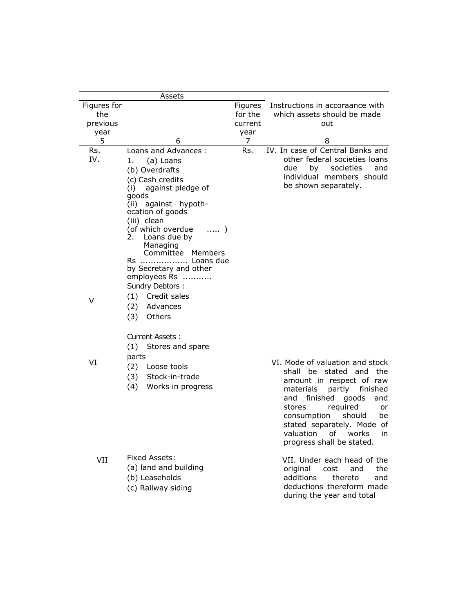|                                | Assets                                                                                                                                                                                                                                                                                                                         |                               |                                                                                                                                                                                                                                                                                                                         |
|--------------------------------|--------------------------------------------------------------------------------------------------------------------------------------------------------------------------------------------------------------------------------------------------------------------------------------------------------------------------------|-------------------------------|-------------------------------------------------------------------------------------------------------------------------------------------------------------------------------------------------------------------------------------------------------------------------------------------------------------------------|
| Figures for<br>the<br>previous |                                                                                                                                                                                                                                                                                                                                | Figures<br>for the<br>current | Instructions in accoraance with<br>which assets should be made<br>out                                                                                                                                                                                                                                                   |
| year                           |                                                                                                                                                                                                                                                                                                                                | year                          |                                                                                                                                                                                                                                                                                                                         |
| 5                              | 6                                                                                                                                                                                                                                                                                                                              | $\overline{7}$                | 8                                                                                                                                                                                                                                                                                                                       |
| Rs.<br>IV.                     | Loans and Advances:<br>(a) Loans<br>1.<br>(b) Overdrafts<br>(c) Cash credits<br>(i) against pledge of<br>goods<br>(ii) against hypoth-<br>ecation of goods<br>(iii) clean<br>(of which overdue<br>$\ldots$ .<br>2.<br>Loans due by<br>Managing<br>Committee Members<br>Rs  Loans due<br>by Secretary and other<br>employees Rs | Rs.                           | IV. In case of Central Banks and<br>other federal societies loans<br>due<br>by<br>societies<br>and<br>individual members should<br>be shown separately.                                                                                                                                                                 |
| V                              | Sundry Debtors:<br>Credit sales<br>(1)<br>(2)<br>Advances<br>(3)<br>Others                                                                                                                                                                                                                                                     |                               |                                                                                                                                                                                                                                                                                                                         |
| VI                             | Current Assets:<br>(1) Stores and spare<br>parts<br>(2)<br>Loose tools<br>Stock-in-trade<br>(3)<br>Works in progress<br>(4)                                                                                                                                                                                                    |                               | VI. Mode of valuation and stock<br>shall be stated<br>and the<br>amount in respect of raw<br>finished<br>materials<br>partly<br>finished<br>and<br>goods<br>and<br>stores<br>required<br>or<br>consumption<br>should<br>be<br>stated separately. Mode of<br>0f<br>valuation<br>works<br>in<br>progress shall be stated. |
| VII                            | Fixed Assets:<br>(a) land and building<br>(b) Leaseholds<br>(c) Railway siding                                                                                                                                                                                                                                                 |                               | VII. Under each head of the<br>the<br>original<br>cost<br>and<br>additions<br>thereto<br>and<br>deductions thereform made<br>during the year and total                                                                                                                                                                  |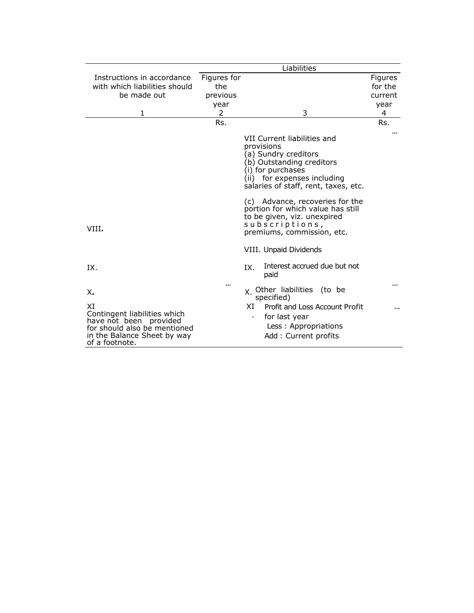|                                                                                                                                               |                                | Liabilities                                                                                                                                                                                |                               |  |  |  |  |
|-----------------------------------------------------------------------------------------------------------------------------------------------|--------------------------------|--------------------------------------------------------------------------------------------------------------------------------------------------------------------------------------------|-------------------------------|--|--|--|--|
| Instructions in accordance<br>with which liabilities should<br>be made out                                                                    | Figures for<br>the<br>previous |                                                                                                                                                                                            | Figures<br>for the<br>current |  |  |  |  |
|                                                                                                                                               | year                           |                                                                                                                                                                                            | year                          |  |  |  |  |
| 1                                                                                                                                             | 2                              | 3                                                                                                                                                                                          | 4                             |  |  |  |  |
|                                                                                                                                               | Rs.                            |                                                                                                                                                                                            | Rs.                           |  |  |  |  |
|                                                                                                                                               |                                | VII Current liabilities and<br>provisions<br>(a) Sundry creditors<br>(b) Outstanding creditors<br>(i) for purchases<br>(ii) for expenses including<br>salaries of staff, rent, taxes, etc. |                               |  |  |  |  |
| VIII.                                                                                                                                         |                                | (c) Advance, recoveries for the<br>portion for which value has still<br>to be given, viz. unexpired<br>subscriptions,<br>premiums, commission, etc.                                        |                               |  |  |  |  |
|                                                                                                                                               |                                | VIII. Unpaid Dividends                                                                                                                                                                     |                               |  |  |  |  |
| IX.                                                                                                                                           |                                | Interest accrued due but not<br>IX.<br>paid                                                                                                                                                |                               |  |  |  |  |
| X.                                                                                                                                            | $\ddot{\phantom{a}}$           | x. Other liabilities (to be<br>specified)                                                                                                                                                  |                               |  |  |  |  |
| XI<br>Contingent liabilities which<br>have not been provided<br>for should also be mentioned<br>in the Balance Sheet by way<br>of a footnote. |                                | Profit and Loss Account Profit<br>XI<br>for last year<br>Less: Appropriations<br>Add: Current profits                                                                                      |                               |  |  |  |  |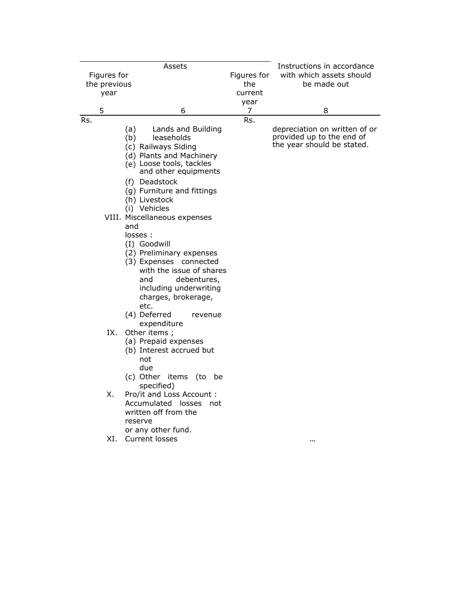|     |              | Assets                                                                                                                                                                                                                                                                                                          |             | Instructions in accordance                                                               |
|-----|--------------|-----------------------------------------------------------------------------------------------------------------------------------------------------------------------------------------------------------------------------------------------------------------------------------------------------------------|-------------|------------------------------------------------------------------------------------------|
|     | Figures for  |                                                                                                                                                                                                                                                                                                                 | Figures for | with which assets should                                                                 |
|     | the previous |                                                                                                                                                                                                                                                                                                                 | the         | be made out                                                                              |
|     | year         |                                                                                                                                                                                                                                                                                                                 | current     |                                                                                          |
|     |              |                                                                                                                                                                                                                                                                                                                 | year        |                                                                                          |
|     | 5            | 6                                                                                                                                                                                                                                                                                                               | 7           | 8                                                                                        |
| Rs. |              | (a)<br>Lands and Building<br>(b)<br>leaseholds<br>(c) Railways Siding<br>(d) Plants and Machinery<br>(e) Loose tools, tackles<br>and other equipments                                                                                                                                                           | Rs.         | depreciation on written of or<br>provided up to the end of<br>the year should be stated. |
|     |              | (f) Deadstock<br>(g) Furniture and fittings<br>(h) Livestock<br>(i) Vehicles<br>VIII. Miscellaneous expenses<br>and<br>losses:<br>(I) Goodwill<br>(2) Preliminary expenses<br>(3) Expenses connected<br>with the issue of shares<br>debentures,<br>and<br>including underwriting<br>charges, brokerage,<br>etc. |             |                                                                                          |
|     | IX.          | (4) Deferred<br>revenue<br>expenditure<br>Other items;<br>(a) Prepaid expenses<br>(b) Interest accrued but<br>not<br>due                                                                                                                                                                                        |             |                                                                                          |
|     | Χ.<br>XI.    | (c) Other items (to<br>be<br>specified)<br>Pro/it and Loss Account :<br>Accumulated losses<br>not<br>written off from the<br>reserve<br>or any other fund.<br>Current losses                                                                                                                                    |             |                                                                                          |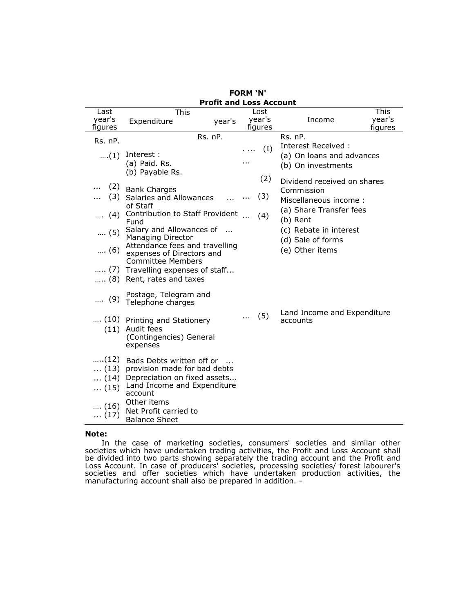| <b>Profit and Loss Account</b> |                                                             |        |  |         |                             |         |  |
|--------------------------------|-------------------------------------------------------------|--------|--|---------|-----------------------------|---------|--|
| Last                           | This                                                        |        |  | Lost    |                             | This    |  |
| year's                         | Expenditure                                                 | year's |  | year's  | Income                      | year's  |  |
| figures                        |                                                             |        |  | figures |                             | figures |  |
| Rs. nP.                        | Rs. nP.                                                     |        |  |         | $Rs.$ $nP.$                 |         |  |
|                                |                                                             |        |  | (I)     | Interest Received:          |         |  |
| $\dots(1)$                     | Interest:                                                   |        |  |         | (a) On loans and advances   |         |  |
|                                | (a) Paid. Rs.                                               |        |  |         | (b) On investments          |         |  |
|                                | (b) Payable Rs.                                             |        |  |         |                             |         |  |
|                                |                                                             |        |  | (2)     | Dividend received on shares |         |  |
| (2)                            | <b>Bank Charges</b>                                         |        |  |         | Commission                  |         |  |
| (3)                            | Salaries and Allowances                                     |        |  | (3)     | Miscellaneous income:       |         |  |
|                                | of Staff                                                    |        |  |         |                             |         |  |
| (4)                            | Contribution to Staff Provident                             |        |  | (4)     | (a) Share Transfer fees     |         |  |
|                                | Fund                                                        |        |  |         | (b) Rent                    |         |  |
| $(5)$                          | Salary and Allowances of                                    |        |  |         | (c) Rebate in interest      |         |  |
|                                | <b>Managing Director</b>                                    |        |  |         | (d) Sale of forms           |         |  |
| $(6)$                          | Attendance fees and travelling<br>expenses of Directors and |        |  |         | (e) Other items             |         |  |
|                                | <b>Committee Members</b>                                    |        |  |         |                             |         |  |
|                                | (7) Travelling expenses of staff                            |        |  |         |                             |         |  |
| … (8)                          | Rent, rates and taxes                                       |        |  |         |                             |         |  |
|                                |                                                             |        |  |         |                             |         |  |
|                                | Postage, Telegram and                                       |        |  |         |                             |         |  |
| $(9)$                          | Telephone charges                                           |        |  |         |                             |         |  |
|                                |                                                             |        |  |         | Land Income and Expenditure |         |  |
|                                | (10) Printing and Stationery                                |        |  | (5)     | accounts                    |         |  |
|                                | (11) Audit fees                                             |        |  |         |                             |         |  |
|                                | (Contingencies) General                                     |        |  |         |                             |         |  |
|                                | expenses                                                    |        |  |         |                             |         |  |
|                                |                                                             |        |  |         |                             |         |  |
| (12)                           | Bads Debts written off or                                   |        |  |         |                             |         |  |
| $\dots(13)$                    | provision made for bad debts                                |        |  |         |                             |         |  |
| $\dots$ (14)                   | Depreciation on fixed assets<br>Land Income and Expenditure |        |  |         |                             |         |  |
| $\dots(15)$                    | account                                                     |        |  |         |                             |         |  |
|                                | Other items                                                 |        |  |         |                             |         |  |
| $\dots$ (16)                   | Net Profit carried to                                       |        |  |         |                             |         |  |
| $\dots(17)$                    | <b>Balance Sheet</b>                                        |        |  |         |                             |         |  |
|                                |                                                             |        |  |         |                             |         |  |

|  | <b>FORM 'N'</b> |                       |
|--|-----------------|-----------------------|
|  |                 | )rafit and Loce Accou |

## **Note:**

In the case of marketing societies, consumers' societies and similar other societies which have undertaken trading activities, the Profit and Loss Account shall be divided into two parts showing separately the trading account and the Profit and Loss Account. In case of producers' societies, processing societies/ forest labourer's societies and offer societies which have undertaken production activities, the manufacturing account shall also be prepared in addition. -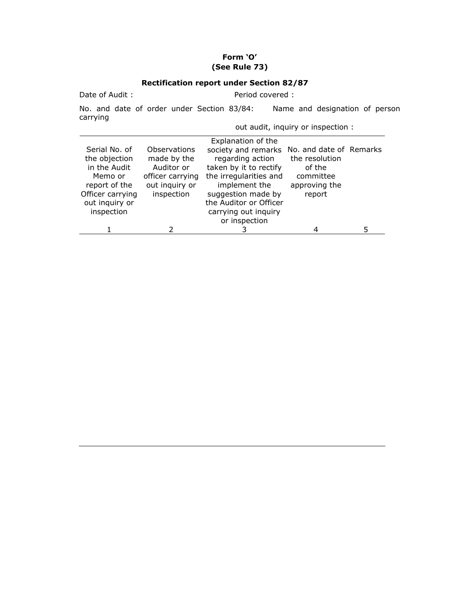# **Form 'O' (See Rule 73)**

# **Rectification report under Section 82/87**

| Date of Audit:                                                                                                                 | Period covered:                                                                               |                                                                                                                                                                                                                                                     |                                                                  |   |  |
|--------------------------------------------------------------------------------------------------------------------------------|-----------------------------------------------------------------------------------------------|-----------------------------------------------------------------------------------------------------------------------------------------------------------------------------------------------------------------------------------------------------|------------------------------------------------------------------|---|--|
| carrying                                                                                                                       | No. and date of order under Section 83/84:                                                    |                                                                                                                                                                                                                                                     | Name and designation of person                                   |   |  |
|                                                                                                                                | out audit, inquiry or inspection :                                                            |                                                                                                                                                                                                                                                     |                                                                  |   |  |
| Serial No. of<br>the objection<br>in the Audit<br>Memo or<br>report of the<br>Officer carrying<br>out inquiry or<br>inspection | Observations<br>made by the<br>Auditor or<br>officer carrying<br>out inquiry or<br>inspection | Explanation of the<br>society and remarks No. and date of Remarks<br>regarding action<br>taken by it to rectify<br>the irregularities and<br>implement the<br>suggestion made by<br>the Auditor or Officer<br>carrying out inquiry<br>or inspection | the resolution<br>of the<br>committee<br>approving the<br>report |   |  |
|                                                                                                                                |                                                                                               |                                                                                                                                                                                                                                                     | 4                                                                | 5 |  |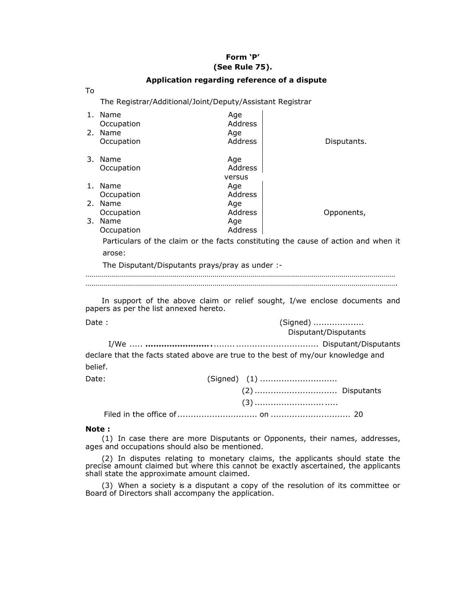## **Form 'P' (See Rule 75).**

| Application regarding reference of a dispute |                                                           |                                                                                  |                                                                                    |  |  |  |  |
|----------------------------------------------|-----------------------------------------------------------|----------------------------------------------------------------------------------|------------------------------------------------------------------------------------|--|--|--|--|
| To                                           |                                                           |                                                                                  |                                                                                    |  |  |  |  |
|                                              | The Registrar/Additional/Joint/Deputy/Assistant Registrar |                                                                                  |                                                                                    |  |  |  |  |
|                                              | 1. Name                                                   | Age                                                                              |                                                                                    |  |  |  |  |
|                                              | Occupation                                                | Address                                                                          |                                                                                    |  |  |  |  |
|                                              | 2. Name                                                   | Age                                                                              |                                                                                    |  |  |  |  |
|                                              | Occupation                                                | Address                                                                          | Disputants.                                                                        |  |  |  |  |
|                                              | 3. Name                                                   | Age                                                                              |                                                                                    |  |  |  |  |
|                                              | Occupation                                                | Address                                                                          |                                                                                    |  |  |  |  |
|                                              |                                                           | versus                                                                           |                                                                                    |  |  |  |  |
|                                              | 1. Name                                                   | Age                                                                              |                                                                                    |  |  |  |  |
|                                              | Occupation                                                | Address                                                                          |                                                                                    |  |  |  |  |
|                                              | 2. Name                                                   | Age                                                                              |                                                                                    |  |  |  |  |
|                                              | Occupation                                                | Address                                                                          | Opponents,                                                                         |  |  |  |  |
|                                              | 3. Name                                                   | Age                                                                              |                                                                                    |  |  |  |  |
|                                              | Occupation                                                | Address                                                                          |                                                                                    |  |  |  |  |
|                                              |                                                           |                                                                                  | Particulars of the claim or the facts constituting the cause of action and when it |  |  |  |  |
|                                              | arose:                                                    |                                                                                  |                                                                                    |  |  |  |  |
|                                              |                                                           | The Disputant/Disputants prays/pray as under :-                                  |                                                                                    |  |  |  |  |
|                                              |                                                           |                                                                                  |                                                                                    |  |  |  |  |
|                                              |                                                           |                                                                                  |                                                                                    |  |  |  |  |
|                                              |                                                           |                                                                                  |                                                                                    |  |  |  |  |
|                                              | papers as per the list annexed hereto.                    |                                                                                  | In support of the above claim or relief sought, I/we enclose documents and         |  |  |  |  |
|                                              |                                                           |                                                                                  |                                                                                    |  |  |  |  |
| Date:                                        |                                                           |                                                                                  | (Signed)                                                                           |  |  |  |  |
|                                              |                                                           |                                                                                  | Disputant/Disputants                                                               |  |  |  |  |
|                                              |                                                           |                                                                                  |                                                                                    |  |  |  |  |
|                                              |                                                           |                                                                                  |                                                                                    |  |  |  |  |
|                                              |                                                           | declare that the facts stated above are true to the best of my/our knowledge and |                                                                                    |  |  |  |  |
| belief.                                      |                                                           |                                                                                  |                                                                                    |  |  |  |  |
| Date:                                        |                                                           |                                                                                  |                                                                                    |  |  |  |  |
|                                              |                                                           |                                                                                  |                                                                                    |  |  |  |  |
|                                              |                                                           |                                                                                  |                                                                                    |  |  |  |  |
|                                              |                                                           |                                                                                  |                                                                                    |  |  |  |  |
|                                              |                                                           |                                                                                  |                                                                                    |  |  |  |  |
|                                              | Note :                                                    |                                                                                  |                                                                                    |  |  |  |  |
|                                              |                                                           |                                                                                  |                                                                                    |  |  |  |  |

(1) In case there are more Disputants or Opponents, their names, addresses, ages and occupations should also be mentioned.

(2) In disputes relating to monetary claims, the applicants should state the precise amount claimed but where this cannot be exactly ascertained, the applicants shall state the approximate amount claimed.

(3) When a society is a disputant a copy of the resolution of its committee or Board of Directors shall accompany the application.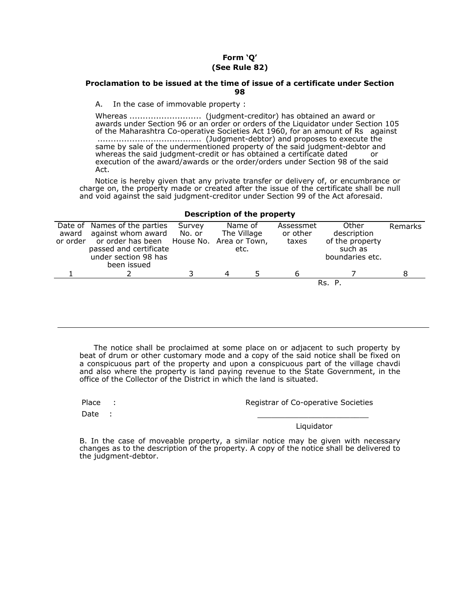## **Form 'Q' (See Rule 82)**

## **Proclamation to be issued at the time of issue of a certificate under Section 98**

A. In the case of immovable property :

Whereas ........................... (judgment-creditor) has obtained an award or awards under Section 96 or an order or orders of the Liquidator under Section 105 of the Maharashtra Co-operative Societies Act 1960, for an amount of Rs against ....................................... (Judgment-debtor) and proposes to execute the same by sale of the undermentioned property of the said judgment-debtor and whereas the said judgment-credit or has obtained a certificate dated or execution of the award/awards or the order/orders under Section 98 of the said Act.

Notice is hereby given that any private transfer or delivery of, or encumbrance or charge on, the property made or created after the issue of the certificate shall be null and void against the said judgment-creditor under Section 99 of the Act aforesaid.

| Date of Names of the parties<br>award against whom award<br>or order or order has been House No. Area or Town,<br>passed and certificate<br>under section 98 has<br>been issued | Survey<br>No. or |   | Name of<br>The Village<br>etc. | Assessmet<br>or other<br>taxes | Other<br>description<br>of the property<br>such as<br>boundaries etc. | Remarks |  |
|---------------------------------------------------------------------------------------------------------------------------------------------------------------------------------|------------------|---|--------------------------------|--------------------------------|-----------------------------------------------------------------------|---------|--|
|                                                                                                                                                                                 |                  | 4 |                                |                                |                                                                       |         |  |
|                                                                                                                                                                                 |                  |   |                                |                                | Rs. P.                                                                |         |  |

## **Description of the property**

The notice shall be proclaimed at some place on or adjacent to such property by beat of drum or other customary mode and a copy of the said notice shall be fixed on a conspicuous part of the property and upon a conspicuous part of the village chavdi and also where the property is land paying revenue to the State Government, in the office of the Collector of the District in which the land is situated.

Place :

Registrar of Co-operative Societies

Date :

\_\_\_\_\_\_\_\_\_\_\_\_\_\_\_\_\_\_\_\_\_\_\_\_ Liquidator

B. In the case of moveable property, a similar notice may be given with necessary changes as to the description of the property. A copy of the notice shall be delivered to the judgment-debtor.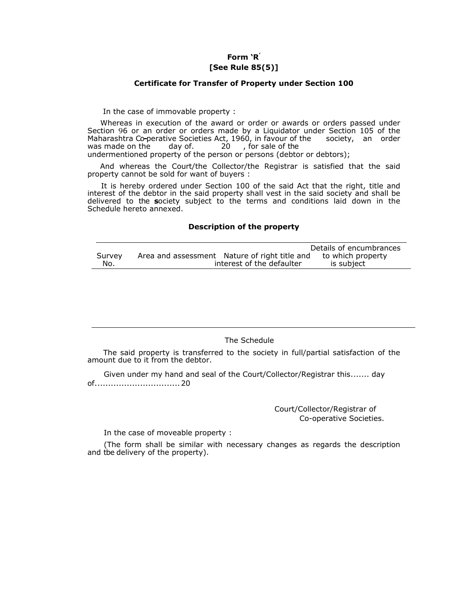## **Form 'R' [See Rule 85(5)]**

#### **Certificate for Transfer of Property under Section 100**

In the case of immovable property :

Whereas in execution of the award or order or awards or orders passed under Section 96 or an order or orders made by a Liquidator under Section 105 of the Maharashtra Co**-**perative Societies Act, 1960, in favour of the society, an order was made on the day of. 20, for sale of the

undermentioned property of the person or persons (debtor or debtors);

And whereas the Court/the Collector/the Registrar is satisfied that the said property cannot be sold for want of buyers :

It is hereby ordered under Section 100 of the said Act that the right, title and interest of the debtor in the said property shall vest in the said society and shall be delivered to the **s**ociety subject to the terms and conditions laid down in the Schedule hereto annexed.

#### **Description of the property**

|        | Details of encumbrances                                            |
|--------|--------------------------------------------------------------------|
| Survey | Area and assessment Nature of right title and<br>to which property |
| No.    | interest of the defaulter<br>is subject                            |

## The Schedule

The said property is transferred to the society in full/partial satisfaction of the amount due to it from the debtor.

Given under my hand and seal of the Court/Collector/Registrar this....... day of................................ 20

> Court/Collector/Registrar of Co-operative Societies.

In the case of moveable property :

(The form shall be similar with necessary changes as regards the description and tbe delivery of the property).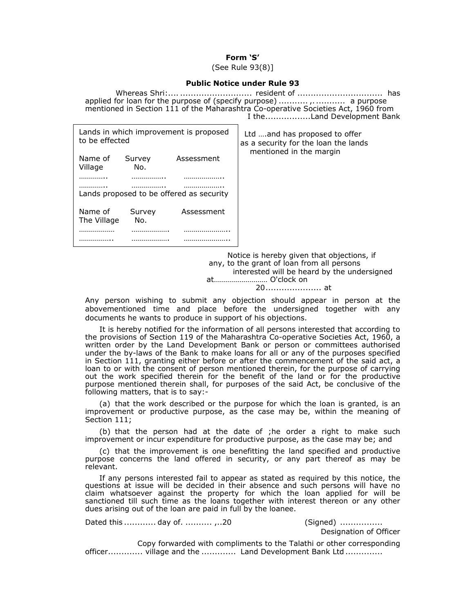## **Form 'S'**

(See Rule 93(8)]

## **Public Notice under Rule 93**

|                                                          |        | applied for loan for the purpose of (specify purpose)   a purpose<br>mentioned in Section 111 of the Maharashtra Co-operative Societies Act, 1960 from<br>I theLand Development Bank |                                                                        |  |  |
|----------------------------------------------------------|--------|--------------------------------------------------------------------------------------------------------------------------------------------------------------------------------------|------------------------------------------------------------------------|--|--|
| Lands in which improvement is proposed<br>to be effected |        |                                                                                                                                                                                      | Ltd  and has proposed to offer<br>as a security for the loan the lands |  |  |
| Name of                                                  | Survey | Assessment                                                                                                                                                                           | mentioned in the margin                                                |  |  |

Village No. ………….. …………….. ……………….. ………….. …………….. ……………….. Lands proposed to be offered as security Name of Survey Assessment The Village No. ……………… ………………. ………………….. …………….. ………………. …………………..

> Notice is hereby given that objections, if any, to the grant of loan from all persons interested will be heard by the undersigned at……………………… O'clock on 20..................... at

Any person wishing to submit any objection should appear in person at the abovementioned time and place before the undersigned together with any documents he wants to produce in support of his objections.

It is hereby notified for the information of all persons interested that according to the provisions of Section 119 of the Maharashtra Co-operative Societies Act, 1960, a written order by the Land Development Bank or person or committees authorised under the by-laws of the Bank to make loans for all or any of the purposes specified in Section 111, granting either before or after the commencement of the said act, a loan to or with the consent of person mentioned therein, for the purpose of carrying out the work specified therein for the benefit of the land or for the productive purpose mentioned therein shall, for purposes of the said Act, be conclusive of the following matters, that is to say:-

(a) that the work described or the purpose for which the loan is granted, is an improvement or productive purpose, as the case may be, within the meaning of Section 111;

(b) that the person had at the date of ;he order a right to make such improvement or incur expenditure for productive purpose, as the case may be; and

(c) that the improvement is one benefitting the land specified and productive purpose concerns the land offered in security, or any part thereof as may be relevant.

If any persons interested fail to appear as stated as required by this notice, the questions at issue will be decided in their absence and such persons will have no claim whatsoever against the property for which the loan applied for will be sanctioned till such time as the loans together with interest thereon or any other dues arising out of the loan are paid in full by the loanee.

Dated this ............ day of. .......... ,..20 (Signed) ................

Designation of Officer

Copy forwarded with compliments to the Talathi or other corresponding officer............. village and the ............. Land Development Bank Ltd ..............